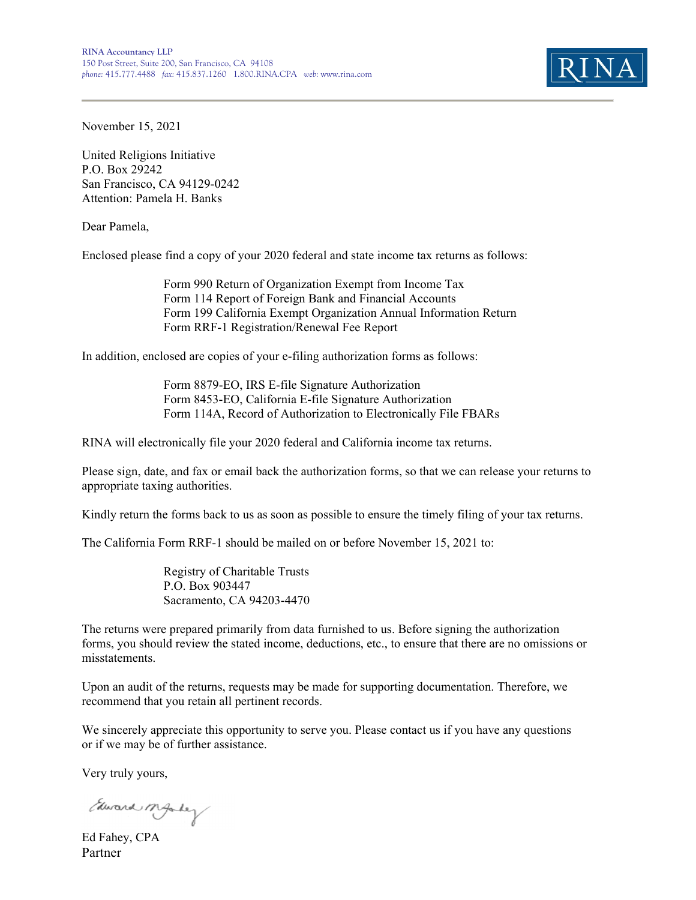

November 15, 2021

United Religions Initiative P.O. Box 29242 San Francisco, CA 94129-0242 Attention: Pamela H. Banks

Dear Pamela,

Enclosed please find a copy of your 2020 federal and state income tax returns as follows:

Form 990 Return of Organization Exempt from Income Tax Form 114 Report of Foreign Bank and Financial Accounts Form 199 California Exempt Organization Annual Information Return Form RRF-1 Registration/Renewal Fee Report

In addition, enclosed are copies of your e-filing authorization forms as follows:

Form 8879-EO, IRS E‐file Signature Authorization Form 8453-EO, California E‐file Signature Authorization Form 114A, Record of Authorization to Electronically File FBARs

RINA will electronically file your 2020 federal and California income tax returns.

Please sign, date, and fax or email back the authorization forms, so that we can release your returns to appropriate taxing authorities.

Kindly return the forms back to us as soon as possible to ensure the timely filing of your tax returns.

The California Form RRF-1 should be mailed on or before November 15, 2021 to:

Registry of Charitable Trusts P.O. Box 903447 Sacramento, CA 94203-4470

The returns were prepared primarily from data furnished to us. Before signing the authorization forms, you should review the stated income, deductions, etc., to ensure that there are no omissions or misstatements.

Upon an audit of the returns, requests may be made for supporting documentation. Therefore, we recommend that you retain all pertinent records.

We sincerely appreciate this opportunity to serve you. Please contact us if you have any questions or if we may be of further assistance.

Very truly yours,

Edward magaday

Ed Fahey, CPA Partner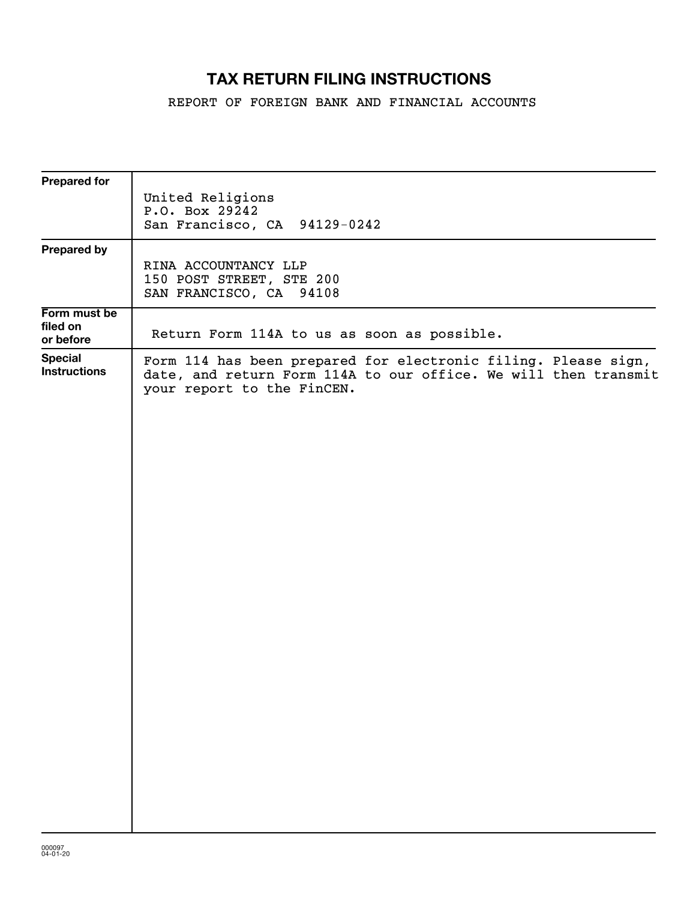# **TAX RETURN FILING INSTRUCTIONS**

REPORT OF FOREIGN BANK AND FINANCIAL ACCOUNTS

| <b>Prepared for</b>                   | United Religions<br>P.O. Box 29242<br>San Francisco, CA 94129-0242                                                                                              |
|---------------------------------------|-----------------------------------------------------------------------------------------------------------------------------------------------------------------|
| <b>Prepared by</b>                    | RINA ACCOUNTANCY LLP<br>150 POST STREET, STE 200<br>SAN FRANCISCO, CA 94108                                                                                     |
| Form must be<br>filed on<br>or before | Return Form 114A to us as soon as possible.                                                                                                                     |
| <b>Special</b><br><b>Instructions</b> | Form 114 has been prepared for electronic filing. Please sign,<br>date, and return Form 114A to our office. We will then transmit<br>your report to the FinCEN. |
|                                       |                                                                                                                                                                 |
|                                       |                                                                                                                                                                 |
|                                       |                                                                                                                                                                 |
|                                       |                                                                                                                                                                 |
|                                       |                                                                                                                                                                 |
|                                       |                                                                                                                                                                 |
|                                       |                                                                                                                                                                 |
|                                       |                                                                                                                                                                 |
|                                       |                                                                                                                                                                 |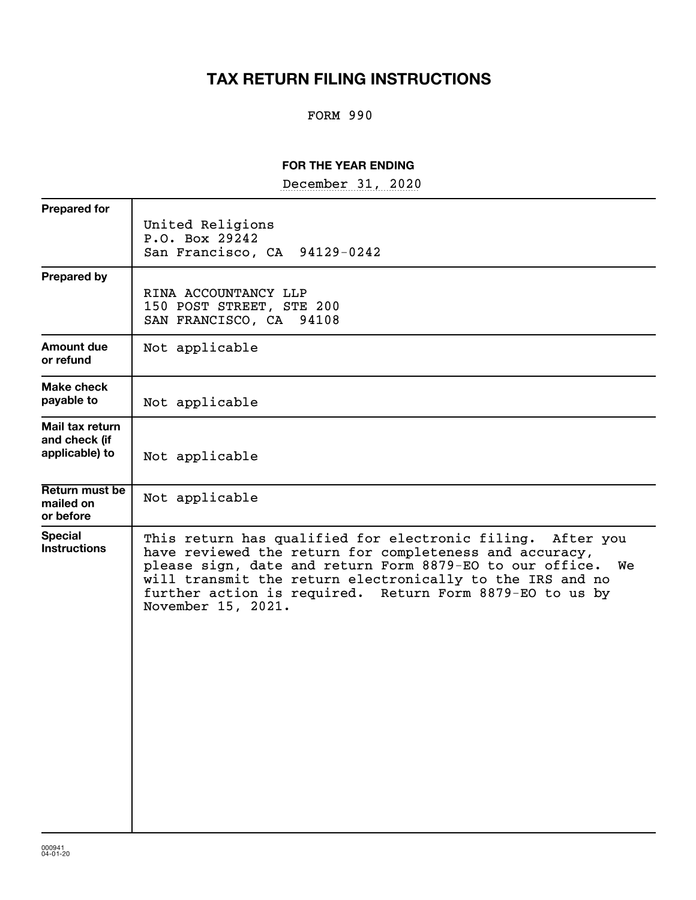# **TAX RETURN FILING INSTRUCTIONS**

### FORM 990

### **FOR THE YEAR ENDING**

December 31, 2020

| United Religions<br>P.O. Box 29242<br>San Francisco, CA 94129-0242                                                                                                                                                                                                                                                                  |
|-------------------------------------------------------------------------------------------------------------------------------------------------------------------------------------------------------------------------------------------------------------------------------------------------------------------------------------|
| RINA ACCOUNTANCY LLP<br>150 POST STREET, STE 200<br>SAN FRANCISCO, CA 94108                                                                                                                                                                                                                                                         |
| Not applicable                                                                                                                                                                                                                                                                                                                      |
| Not applicable                                                                                                                                                                                                                                                                                                                      |
| Not applicable                                                                                                                                                                                                                                                                                                                      |
| Not applicable                                                                                                                                                                                                                                                                                                                      |
| This return has qualified for electronic filing. After you<br>have reviewed the return for completeness and accuracy,<br>please sign, date and return Form 8879-EO to our office. We<br>will transmit the return electronically to the IRS and no<br>further action is required. Return Form 8879-EO to us by<br>November 15, 2021. |
|                                                                                                                                                                                                                                                                                                                                     |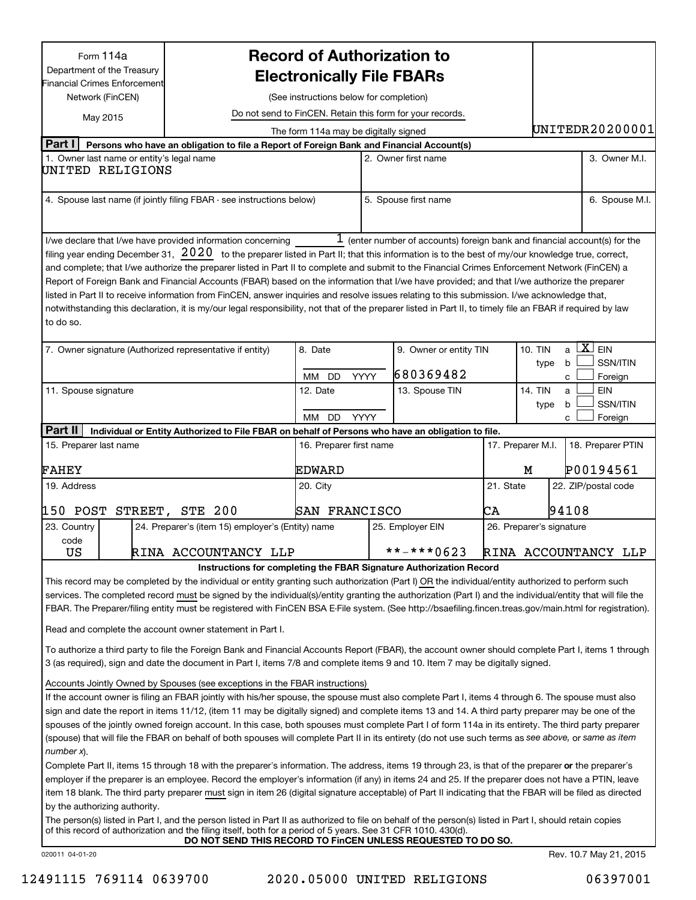| Form 114a                                                                                                                                                                                                                                                                                                                                                                                                                                                                                                                                                                                                                                                                                                                                                                                                                                                                                                                                                                                                                                                                                                                                                                                                                                                                                                                                                                                                                                                                                                                       |                                                                                                                                                                                                                                                                                                                                                                                                                                                                                                                                                                                                               | <b>Record of Authorization to</b>                         |      |                                     |                          |                 |        |                                |
|---------------------------------------------------------------------------------------------------------------------------------------------------------------------------------------------------------------------------------------------------------------------------------------------------------------------------------------------------------------------------------------------------------------------------------------------------------------------------------------------------------------------------------------------------------------------------------------------------------------------------------------------------------------------------------------------------------------------------------------------------------------------------------------------------------------------------------------------------------------------------------------------------------------------------------------------------------------------------------------------------------------------------------------------------------------------------------------------------------------------------------------------------------------------------------------------------------------------------------------------------------------------------------------------------------------------------------------------------------------------------------------------------------------------------------------------------------------------------------------------------------------------------------|---------------------------------------------------------------------------------------------------------------------------------------------------------------------------------------------------------------------------------------------------------------------------------------------------------------------------------------------------------------------------------------------------------------------------------------------------------------------------------------------------------------------------------------------------------------------------------------------------------------|-----------------------------------------------------------|------|-------------------------------------|--------------------------|-----------------|--------|--------------------------------|
| Department of the Treasury<br>Financial Crimes Enforcement                                                                                                                                                                                                                                                                                                                                                                                                                                                                                                                                                                                                                                                                                                                                                                                                                                                                                                                                                                                                                                                                                                                                                                                                                                                                                                                                                                                                                                                                      |                                                                                                                                                                                                                                                                                                                                                                                                                                                                                                                                                                                                               | <b>Electronically File FBARs</b>                          |      |                                     |                          |                 |        |                                |
| Network (FinCEN)                                                                                                                                                                                                                                                                                                                                                                                                                                                                                                                                                                                                                                                                                                                                                                                                                                                                                                                                                                                                                                                                                                                                                                                                                                                                                                                                                                                                                                                                                                                |                                                                                                                                                                                                                                                                                                                                                                                                                                                                                                                                                                                                               | (See instructions below for completion)                   |      |                                     |                          |                 |        |                                |
| May 2015                                                                                                                                                                                                                                                                                                                                                                                                                                                                                                                                                                                                                                                                                                                                                                                                                                                                                                                                                                                                                                                                                                                                                                                                                                                                                                                                                                                                                                                                                                                        |                                                                                                                                                                                                                                                                                                                                                                                                                                                                                                                                                                                                               | Do not send to FinCEN. Retain this form for your records. |      |                                     |                          |                 |        |                                |
| The form 114a may be digitally signed                                                                                                                                                                                                                                                                                                                                                                                                                                                                                                                                                                                                                                                                                                                                                                                                                                                                                                                                                                                                                                                                                                                                                                                                                                                                                                                                                                                                                                                                                           |                                                                                                                                                                                                                                                                                                                                                                                                                                                                                                                                                                                                               |                                                           |      |                                     |                          |                 |        | UNITEDR20200001                |
| Part I                                                                                                                                                                                                                                                                                                                                                                                                                                                                                                                                                                                                                                                                                                                                                                                                                                                                                                                                                                                                                                                                                                                                                                                                                                                                                                                                                                                                                                                                                                                          | Persons who have an obligation to file a Report of Foreign Bank and Financial Account(s)                                                                                                                                                                                                                                                                                                                                                                                                                                                                                                                      |                                                           |      |                                     |                          |                 |        |                                |
| 1. Owner last name or entity's legal name<br>UNITED RELIGIONS                                                                                                                                                                                                                                                                                                                                                                                                                                                                                                                                                                                                                                                                                                                                                                                                                                                                                                                                                                                                                                                                                                                                                                                                                                                                                                                                                                                                                                                                   |                                                                                                                                                                                                                                                                                                                                                                                                                                                                                                                                                                                                               |                                                           |      | 2. Owner first name                 |                          |                 |        | 3. Owner M.I.                  |
|                                                                                                                                                                                                                                                                                                                                                                                                                                                                                                                                                                                                                                                                                                                                                                                                                                                                                                                                                                                                                                                                                                                                                                                                                                                                                                                                                                                                                                                                                                                                 | 4. Spouse last name (if jointly filing FBAR - see instructions below)                                                                                                                                                                                                                                                                                                                                                                                                                                                                                                                                         |                                                           |      | 5. Spouse first name                |                          |                 |        | 6. Spouse M.I.                 |
| $1$ (enter number of accounts) foreign bank and financial account(s) for the<br>I/we declare that I/we have provided information concerning<br>filing year ending December 31, $\ 2020\ \ }$ to the preparer listed in Part II; that this information is to the best of my/our knowledge true, correct,<br>and complete; that I/we authorize the preparer listed in Part II to complete and submit to the Financial Crimes Enforcement Network (FinCEN) a<br>Report of Foreign Bank and Financial Accounts (FBAR) based on the information that I/we have provided; and that I/we authorize the preparer<br>listed in Part II to receive information from FinCEN, answer inquiries and resolve issues relating to this submission. I/we acknowledge that,<br>notwithstanding this declaration, it is my/our legal responsibility, not that of the preparer listed in Part II, to timely file an FBAR if required by law<br>to do so.                                                                                                                                                                                                                                                                                                                                                                                                                                                                                                                                                                                            |                                                                                                                                                                                                                                                                                                                                                                                                                                                                                                                                                                                                               |                                                           |      |                                     |                          |                 |        |                                |
|                                                                                                                                                                                                                                                                                                                                                                                                                                                                                                                                                                                                                                                                                                                                                                                                                                                                                                                                                                                                                                                                                                                                                                                                                                                                                                                                                                                                                                                                                                                                 | 7. Owner signature (Authorized representative if entity)                                                                                                                                                                                                                                                                                                                                                                                                                                                                                                                                                      | 8. Date                                                   |      | 9. Owner or entity TIN<br>680369482 |                          | 10. TIN<br>type | a<br>b | $\overline{X}$ EIN<br>SSN/ITIN |
| 11. Spouse signature                                                                                                                                                                                                                                                                                                                                                                                                                                                                                                                                                                                                                                                                                                                                                                                                                                                                                                                                                                                                                                                                                                                                                                                                                                                                                                                                                                                                                                                                                                            |                                                                                                                                                                                                                                                                                                                                                                                                                                                                                                                                                                                                               | DD<br>MМ<br>12. Date                                      | YYYY | 13. Spouse TIN                      |                          | <b>14. TIN</b>  | c<br>a | Foreign<br><b>EIN</b>          |
|                                                                                                                                                                                                                                                                                                                                                                                                                                                                                                                                                                                                                                                                                                                                                                                                                                                                                                                                                                                                                                                                                                                                                                                                                                                                                                                                                                                                                                                                                                                                 |                                                                                                                                                                                                                                                                                                                                                                                                                                                                                                                                                                                                               | DD<br>МM                                                  | YYYY |                                     |                          | type            | b<br>c | SSN/ITIN<br>Foreign            |
| <b>Part II</b>                                                                                                                                                                                                                                                                                                                                                                                                                                                                                                                                                                                                                                                                                                                                                                                                                                                                                                                                                                                                                                                                                                                                                                                                                                                                                                                                                                                                                                                                                                                  | Individual or Entity Authorized to File FBAR on behalf of Persons who have an obligation to file.                                                                                                                                                                                                                                                                                                                                                                                                                                                                                                             |                                                           |      |                                     |                          |                 |        |                                |
| 15. Preparer last name                                                                                                                                                                                                                                                                                                                                                                                                                                                                                                                                                                                                                                                                                                                                                                                                                                                                                                                                                                                                                                                                                                                                                                                                                                                                                                                                                                                                                                                                                                          |                                                                                                                                                                                                                                                                                                                                                                                                                                                                                                                                                                                                               | 16. Preparer first name                                   |      |                                     | 17. Preparer M.I.        |                 |        | 18. Preparer PTIN              |
| FAHEY                                                                                                                                                                                                                                                                                                                                                                                                                                                                                                                                                                                                                                                                                                                                                                                                                                                                                                                                                                                                                                                                                                                                                                                                                                                                                                                                                                                                                                                                                                                           |                                                                                                                                                                                                                                                                                                                                                                                                                                                                                                                                                                                                               | EDWARD                                                    |      |                                     |                          | м               |        | P00194561                      |
| 19. Address                                                                                                                                                                                                                                                                                                                                                                                                                                                                                                                                                                                                                                                                                                                                                                                                                                                                                                                                                                                                                                                                                                                                                                                                                                                                                                                                                                                                                                                                                                                     |                                                                                                                                                                                                                                                                                                                                                                                                                                                                                                                                                                                                               | 20. City                                                  |      |                                     | 21. State                |                 |        | 22. ZIP/postal code            |
| 150 POST STREET, STE 200                                                                                                                                                                                                                                                                                                                                                                                                                                                                                                                                                                                                                                                                                                                                                                                                                                                                                                                                                                                                                                                                                                                                                                                                                                                                                                                                                                                                                                                                                                        |                                                                                                                                                                                                                                                                                                                                                                                                                                                                                                                                                                                                               | <b>SAN FRANCISCO</b><br>CA                                |      |                                     |                          |                 | 94108  |                                |
| 23. Country                                                                                                                                                                                                                                                                                                                                                                                                                                                                                                                                                                                                                                                                                                                                                                                                                                                                                                                                                                                                                                                                                                                                                                                                                                                                                                                                                                                                                                                                                                                     | 24. Preparer's (item 15) employer's (Entity) name                                                                                                                                                                                                                                                                                                                                                                                                                                                                                                                                                             |                                                           |      | 25. Employer EIN                    | 26. Preparer's signature |                 |        |                                |
| code<br>US                                                                                                                                                                                                                                                                                                                                                                                                                                                                                                                                                                                                                                                                                                                                                                                                                                                                                                                                                                                                                                                                                                                                                                                                                                                                                                                                                                                                                                                                                                                      | RINA ACCOUNTANCY LLP                                                                                                                                                                                                                                                                                                                                                                                                                                                                                                                                                                                          |                                                           |      | ***0623                             |                          |                 |        | RINA ACCOUNTANCY LLP           |
|                                                                                                                                                                                                                                                                                                                                                                                                                                                                                                                                                                                                                                                                                                                                                                                                                                                                                                                                                                                                                                                                                                                                                                                                                                                                                                                                                                                                                                                                                                                                 | Instructions for completing the FBAR Signature Authorization Record<br>This record may be completed by the individual or entity granting such authorization (Part I) OR the individual/entity authorized to perform such<br>services. The completed record must be signed by the individual(s)/entity granting the authorization (Part I) and the individual/entity that will file the<br>FBAR. The Preparer/filing entity must be registered with FinCEN BSA E-File system. (See http://bsaefiling.fincen.treas.gov/main.html for registration).<br>Read and complete the account owner statement in Part I. |                                                           |      |                                     |                          |                 |        |                                |
|                                                                                                                                                                                                                                                                                                                                                                                                                                                                                                                                                                                                                                                                                                                                                                                                                                                                                                                                                                                                                                                                                                                                                                                                                                                                                                                                                                                                                                                                                                                                 | To authorize a third party to file the Foreign Bank and Financial Accounts Report (FBAR), the account owner should complete Part I, items 1 through                                                                                                                                                                                                                                                                                                                                                                                                                                                           |                                                           |      |                                     |                          |                 |        |                                |
| 3 (as required), sign and date the document in Part I, items 7/8 and complete items 9 and 10. Item 7 may be digitally signed.<br>Accounts Jointly Owned by Spouses (see exceptions in the FBAR instructions)<br>If the account owner is filing an FBAR jointly with his/her spouse, the spouse must also complete Part I, items 4 through 6. The spouse must also<br>sign and date the report in items 11/12, (item 11 may be digitally signed) and complete items 13 and 14. A third party preparer may be one of the<br>spouses of the jointly owned foreign account. In this case, both spouses must complete Part I of form 114a in its entirety. The third party preparer<br>(spouse) that will file the FBAR on behalf of both spouses will complete Part II in its entirety (do not use such terms as see above, or same as item<br>$number x$ ).<br>Complete Part II, items 15 through 18 with the preparer's information. The address, items 19 through 23, is that of the preparer or the preparer's<br>employer if the preparer is an employee. Record the employer's information (if any) in items 24 and 25. If the preparer does not have a PTIN, leave<br>item 18 blank. The third party preparer must sign in item 26 (digital signature acceptable) of Part II indicating that the FBAR will be filed as directed<br>by the authorizing authority.<br>The person(s) listed in Part I, and the person listed in Part II as authorized to file on behalf of the person(s) listed in Part I, should retain copies |                                                                                                                                                                                                                                                                                                                                                                                                                                                                                                                                                                                                               |                                                           |      |                                     |                          |                 |        |                                |
| 020011 04-01-20                                                                                                                                                                                                                                                                                                                                                                                                                                                                                                                                                                                                                                                                                                                                                                                                                                                                                                                                                                                                                                                                                                                                                                                                                                                                                                                                                                                                                                                                                                                 | of this record of authorization and the filing itself, both for a period of 5 years. See 31 CFR 1010. 430(d).<br>DO NOT SEND THIS RECORD TO FINCEN UNLESS REQUESTED TO DO SO.                                                                                                                                                                                                                                                                                                                                                                                                                                 |                                                           |      |                                     |                          |                 |        | Rev. 10.7 May 21, 2015         |

020011 04-01-20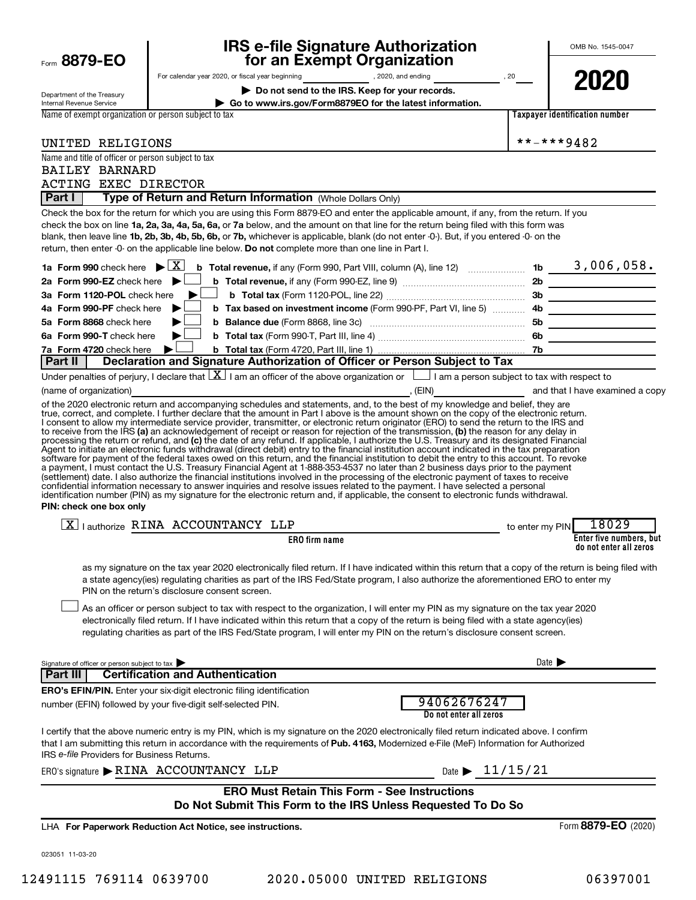| Form 8879-EO                                                                | <b>IRS e-file Signature Authorization</b><br>for an Exempt Organization                                                                                                                                                                                                                                                                                                                                                                                                                                                                                                                                                                                                                                                                                                                                                                           |                 | OMB No. 1545-0047                     |
|-----------------------------------------------------------------------------|---------------------------------------------------------------------------------------------------------------------------------------------------------------------------------------------------------------------------------------------------------------------------------------------------------------------------------------------------------------------------------------------------------------------------------------------------------------------------------------------------------------------------------------------------------------------------------------------------------------------------------------------------------------------------------------------------------------------------------------------------------------------------------------------------------------------------------------------------|-----------------|---------------------------------------|
|                                                                             | For calendar year 2020, or fiscal year beginning (2020, and ending state of the set of the set of the set of the set of the set of the set of the set of the set of the set of the set of the set of the set of the set of the                                                                                                                                                                                                                                                                                                                                                                                                                                                                                                                                                                                                                    |                 |                                       |
| Department of the Treasury<br><b>Internal Revenue Service</b>               | Do not send to the IRS. Keep for your records.<br>Go to www.irs.gov/Form8879EO for the latest information.                                                                                                                                                                                                                                                                                                                                                                                                                                                                                                                                                                                                                                                                                                                                        |                 | 2020                                  |
| Name of exempt organization or person subject to tax                        |                                                                                                                                                                                                                                                                                                                                                                                                                                                                                                                                                                                                                                                                                                                                                                                                                                                   |                 | <b>Taxpayer identification number</b> |
|                                                                             |                                                                                                                                                                                                                                                                                                                                                                                                                                                                                                                                                                                                                                                                                                                                                                                                                                                   |                 |                                       |
| UNITED RELIGIONS                                                            |                                                                                                                                                                                                                                                                                                                                                                                                                                                                                                                                                                                                                                                                                                                                                                                                                                                   |                 | **-***9482                            |
| Name and title of officer or person subject to tax<br><b>BAILEY BARNARD</b> |                                                                                                                                                                                                                                                                                                                                                                                                                                                                                                                                                                                                                                                                                                                                                                                                                                                   |                 |                                       |
| <b>ACTING EXEC DIRECTOR</b>                                                 |                                                                                                                                                                                                                                                                                                                                                                                                                                                                                                                                                                                                                                                                                                                                                                                                                                                   |                 |                                       |
| Part I                                                                      | Type of Return and Return Information (Whole Dollars Only)                                                                                                                                                                                                                                                                                                                                                                                                                                                                                                                                                                                                                                                                                                                                                                                        |                 |                                       |
|                                                                             | Check the box for the return for which you are using this Form 8879-EO and enter the applicable amount, if any, from the return. If you<br>check the box on line 1a, 2a, 3a, 4a, 5a, 6a, or 7a below, and the amount on that line for the return being filed with this form was<br>blank, then leave line 1b, 2b, 3b, 4b, 5b, 6b, or 7b, whichever is applicable, blank (do not enter -0-). But, if you entered -0- on the<br>return, then enter -0- on the applicable line below. Do not complete more than one line in Part I.                                                                                                                                                                                                                                                                                                                  |                 |                                       |
| 1a Form 990 check here $\blacktriangleright \boxed{X}$                      |                                                                                                                                                                                                                                                                                                                                                                                                                                                                                                                                                                                                                                                                                                                                                                                                                                                   |                 |                                       |
| 2a Form 990-EZ check here $\blacktriangleright$                             |                                                                                                                                                                                                                                                                                                                                                                                                                                                                                                                                                                                                                                                                                                                                                                                                                                                   |                 |                                       |
| 3a Form 1120-POL check here                                                 |                                                                                                                                                                                                                                                                                                                                                                                                                                                                                                                                                                                                                                                                                                                                                                                                                                                   |                 |                                       |
| 4a Form 990-PF check here<br>5a Form 8868 check here                        |                                                                                                                                                                                                                                                                                                                                                                                                                                                                                                                                                                                                                                                                                                                                                                                                                                                   |                 |                                       |
| 6a Form 990-T check here                                                    |                                                                                                                                                                                                                                                                                                                                                                                                                                                                                                                                                                                                                                                                                                                                                                                                                                                   |                 |                                       |
| 7a Form 4720 check here                                                     |                                                                                                                                                                                                                                                                                                                                                                                                                                                                                                                                                                                                                                                                                                                                                                                                                                                   |                 |                                       |
| Part II                                                                     | Declaration and Signature Authorization of Officer or Person Subject to Tax                                                                                                                                                                                                                                                                                                                                                                                                                                                                                                                                                                                                                                                                                                                                                                       |                 |                                       |
|                                                                             | Under penalties of perjury, I declare that $\boxed{\mathbf{X}}$ I am an officer of the above organization or $\boxed{\phantom{\mathbf{X}}}$ I am a person subject to tax with respect to                                                                                                                                                                                                                                                                                                                                                                                                                                                                                                                                                                                                                                                          |                 |                                       |
| (name of organization)                                                      | end that I have examined a copy of the state of the state of the state of the state of the state of the state of the state of the state of the state of the state of the state of the state of the state of the state of the s<br>of the 2020 electronic return and accompanying schedules and statements, and, to the best of my knowledge and belief, they are                                                                                                                                                                                                                                                                                                                                                                                                                                                                                  |                 |                                       |
| PIN: check one box only                                                     | Agent to initiate an electronic funds withdrawal (direct debit) entry to the financial institution account indicated in the tax preparation<br>software for payment of the federal taxes owed on this return, and the financial institution to debit the entry to this account. To revoke<br>a payment, I must contact the U.S. Treasury Financial Agent at 1-888-353-4537 no later than 2 business days prior to the payment<br>(settlement) date. I also authorize the financial institutions involved in the processing of the electronic payment of taxes to receive<br>confidential information necessary to answer inquiries and resolve issues related to the payment. I have selected a personal<br>identification number (PIN) as my signature for the electronic return and, if applicable, the consent to electronic funds withdrawal. |                 |                                       |
|                                                                             | $\boxed{\text{X}}$   authorize RINA ACCOUNTANCY LLP                                                                                                                                                                                                                                                                                                                                                                                                                                                                                                                                                                                                                                                                                                                                                                                               | to enter my PIN | 18029                                 |
|                                                                             | <b>ERO</b> firm name                                                                                                                                                                                                                                                                                                                                                                                                                                                                                                                                                                                                                                                                                                                                                                                                                              |                 | Enter five numbers, but               |
|                                                                             | as my signature on the tax year 2020 electronically filed return. If I have indicated within this return that a copy of the return is being filed with<br>a state agency(ies) regulating charities as part of the IRS Fed/State program, I also authorize the aforementioned ERO to enter my<br>PIN on the return's disclosure consent screen.<br>As an officer or person subject to tax with respect to the organization, I will enter my PIN as my signature on the tax year 2020<br>electronically filed return. If I have indicated within this return that a copy of the return is being filed with a state agency(ies)<br>regulating charities as part of the IRS Fed/State program, I will enter my PIN on the return's disclosure consent screen.                                                                                         |                 | do not enter all zeros                |
| Signature of officer or person subject to tax $\blacktriangleright$         |                                                                                                                                                                                                                                                                                                                                                                                                                                                                                                                                                                                                                                                                                                                                                                                                                                                   |                 | Date $\blacktriangleright$            |
| Part III                                                                    | <b>Certification and Authentication</b>                                                                                                                                                                                                                                                                                                                                                                                                                                                                                                                                                                                                                                                                                                                                                                                                           |                 |                                       |
|                                                                             | <b>ERO's EFIN/PIN.</b> Enter your six-digit electronic filing identification<br>94062676247<br>number (EFIN) followed by your five-digit self-selected PIN.<br>Do not enter all zeros                                                                                                                                                                                                                                                                                                                                                                                                                                                                                                                                                                                                                                                             |                 |                                       |
| IRS e-file Providers for Business Returns.                                  | I certify that the above numeric entry is my PIN, which is my signature on the 2020 electronically filed return indicated above. I confirm<br>that I am submitting this return in accordance with the requirements of Pub. 4163, Modernized e-File (MeF) Information for Authorized                                                                                                                                                                                                                                                                                                                                                                                                                                                                                                                                                               |                 |                                       |
|                                                                             | Date $\blacktriangleright$ 11/15/21<br>ERO's signature RINA ACCOUNTANCY LLP                                                                                                                                                                                                                                                                                                                                                                                                                                                                                                                                                                                                                                                                                                                                                                       |                 |                                       |
|                                                                             | <b>ERO Must Retain This Form - See Instructions</b><br>Do Not Submit This Form to the IRS Unless Requested To Do So                                                                                                                                                                                                                                                                                                                                                                                                                                                                                                                                                                                                                                                                                                                               |                 |                                       |
|                                                                             | LHA For Paperwork Reduction Act Notice, see instructions.                                                                                                                                                                                                                                                                                                                                                                                                                                                                                                                                                                                                                                                                                                                                                                                         |                 | Form 8879-EO (2020)                   |
| 023051 11-03-20                                                             |                                                                                                                                                                                                                                                                                                                                                                                                                                                                                                                                                                                                                                                                                                                                                                                                                                                   |                 |                                       |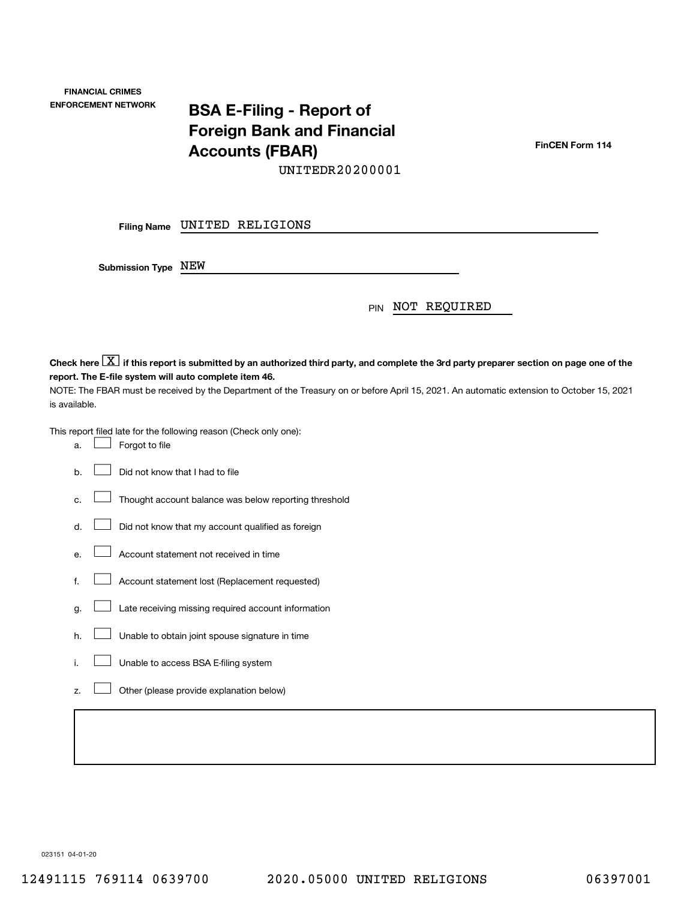### **FINANCIAL CRIMES ENFORCEMENT NETWORK**

# **BSA E-Filing - Report of Foreign Bank and Financial Accounts (FBAR)**

**FinCEN Form 114**

UNITEDR20200001

**Filing Name** UNITED RELIGIONS

**Submission Type** NEW

PIN NOT REQUIRED

Check here  $[\overline{\rm X}]$  if this report is submitted by an authorized third party, and complete the 3rd party preparer section on page one of the **report. The E-file system will auto complete item 46.**

NOTE: The FBAR must be received by the Department of the Treasury on or before April 15, 2021. An automatic extension to October 15, 2021 is available.

This report filed late for the following reason (Check only one):

- a.  $\Box$  Forgot to file
- b. Did not know that I had to file
- c. **Thought account balance was below reporting threshold**
- d. Did not know that my account qualified as foreign  $\Box$
- e. **EXECOUNTY** Account statement not received in time
- f. Account statement lost (Replacement requested)
- g. **Late receiving missing required account information**
- h. Unable to obtain joint spouse signature in time  $\Box$
- i. Unable to access BSA E-filing system  $\Box$
- z. **L** Other (please provide explanation below)

023151 04-01-20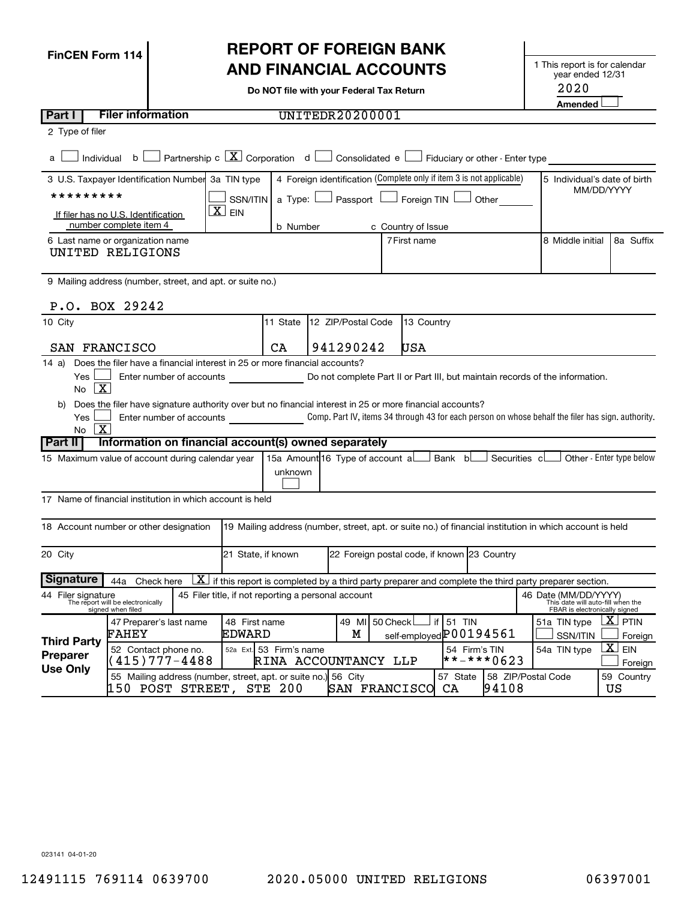**FinCEN Form 114**

## **REPORT OF FOREIGN BANK AND FINANCIAL ACCOUNTS**

**Do NOT file with your Federal Tax Return**

**Amended** † 1 This report is for calendar year ended 12/31 2020

| Part I                                                  | <b>Filer information</b>                                                                                 |                                                     |                                            |  | <b>UNITEDR20200001</b> |  |                                             |                |                                                                      |                                                                                                                                      |            |                                                   |
|---------------------------------------------------------|----------------------------------------------------------------------------------------------------------|-----------------------------------------------------|--------------------------------------------|--|------------------------|--|---------------------------------------------|----------------|----------------------------------------------------------------------|--------------------------------------------------------------------------------------------------------------------------------------|------------|---------------------------------------------------|
| 2 Type of filer                                         |                                                                                                          |                                                     |                                            |  |                        |  |                                             |                |                                                                      |                                                                                                                                      |            |                                                   |
| Individual<br>a                                         | Partnership c $\boxed{\textbf{X}}$ Corporation d Consolidated e $\boxed{\ }$<br>$\mathsf{b}$             |                                                     |                                            |  |                        |  |                                             |                | $\Box$ Fiduciary or other - Enter type                               |                                                                                                                                      |            |                                                   |
|                                                         | 3 U.S. Taxpayer Identification Number 3a TIN type                                                        |                                                     |                                            |  |                        |  |                                             |                | 4 Foreign identification (Complete only if item 3 is not applicable) | 5 Individual's date of birth                                                                                                         |            |                                                   |
| *********                                               |                                                                                                          | SSN/ITIN                                            | a Type: I                                  |  | Passport               |  | $\Box$ Foreign TIN                          |                | Other                                                                |                                                                                                                                      | MM/DD/YYYY |                                                   |
|                                                         | If filer has no U.S. Identification<br>number complete item 4                                            | $X$ EIN                                             | b Number<br>c Country of Issue             |  |                        |  |                                             |                |                                                                      |                                                                                                                                      |            |                                                   |
|                                                         | 6 Last name or organization name<br><b>UNITED RELIGIONS</b>                                              |                                                     |                                            |  |                        |  | 7 First name                                |                |                                                                      | 8 Middle initial                                                                                                                     |            | 8a Suffix                                         |
|                                                         | 9 Mailing address (number, street, and apt. or suite no.)                                                |                                                     |                                            |  |                        |  |                                             |                |                                                                      |                                                                                                                                      |            |                                                   |
| P.O. BOX 29242                                          |                                                                                                          |                                                     |                                            |  |                        |  |                                             |                |                                                                      |                                                                                                                                      |            |                                                   |
| 10 City                                                 |                                                                                                          |                                                     | 11 State                                   |  | 12 ZIP/Postal Code     |  | 13 Country                                  |                |                                                                      |                                                                                                                                      |            |                                                   |
| SAN FRANCISCO                                           |                                                                                                          |                                                     | CA                                         |  | 941290242              |  | USA                                         |                |                                                                      |                                                                                                                                      |            |                                                   |
| 14a                                                     | Does the filer have a financial interest in 25 or more financial accounts?                               |                                                     |                                            |  |                        |  |                                             |                |                                                                      |                                                                                                                                      |            |                                                   |
| Yes<br>$\mathbf{X}$<br>No.                              | Enter number of accounts                                                                                 |                                                     |                                            |  |                        |  |                                             |                |                                                                      | Do not complete Part II or Part III, but maintain records of the information.                                                        |            |                                                   |
| b)                                                      | Does the filer have signature authority over but no financial interest in 25 or more financial accounts? |                                                     |                                            |  |                        |  |                                             |                |                                                                      |                                                                                                                                      |            |                                                   |
| Yes                                                     | Enter number of accounts                                                                                 |                                                     |                                            |  |                        |  |                                             |                |                                                                      | Comp. Part IV, items 34 through 43 for each person on whose behalf the filer has sign. authority.                                    |            |                                                   |
| $\sqrt{X}$<br>No                                        |                                                                                                          |                                                     |                                            |  |                        |  |                                             |                |                                                                      |                                                                                                                                      |            |                                                   |
| <b>Part II</b>                                          | Information on financial account(s) owned separately                                                     |                                                     |                                            |  |                        |  |                                             |                |                                                                      |                                                                                                                                      |            |                                                   |
|                                                         | 15 Maximum value of account during calendar year                                                         |                                                     | 15a Amount 16 Type of account a<br>unknown |  |                        |  |                                             | Bank bl        | Securities cl                                                        |                                                                                                                                      |            | Other - Enter type below                          |
|                                                         | 17 Name of financial institution in which account is held                                                |                                                     |                                            |  |                        |  |                                             |                |                                                                      |                                                                                                                                      |            |                                                   |
|                                                         | 18 Account number or other designation                                                                   |                                                     |                                            |  |                        |  |                                             |                |                                                                      | 19 Mailing address (number, street, apt. or suite no.) of financial institution in which account is held                             |            |                                                   |
| 20 City                                                 |                                                                                                          | 21 State, if known                                  |                                            |  |                        |  | 22 Foreign postal code, if known 23 Country |                |                                                                      |                                                                                                                                      |            |                                                   |
| Signature                                               | 44a<br>Check here                                                                                        |                                                     |                                            |  |                        |  |                                             |                |                                                                      | $\lfloor \underline{X} \rfloor$ if this report is completed by a third party preparer and complete the third party preparer section. |            |                                                   |
| 44 Filer signature<br>The report will be electronically | signed when filed                                                                                        | 45 Filer title, if not reporting a personal account |                                            |  |                        |  |                                             |                |                                                                      | 46 Date (MM/DD/YYYY)<br>This date will auto-fill when the<br>FBAR is electronically signed                                           |            |                                                   |
|                                                         | 47 Preparer's last name<br><b>FAHEY</b>                                                                  | 48 First name<br><b>EDWARD</b>                      |                                            |  | 49 MI 50 Check<br>м    |  | self-employed P00194561                     | 151 TIN        |                                                                      | 51a TIN type<br>SSN/ITIN                                                                                                             | ΧI         | <b>PTIN</b>                                       |
| <b>Third Party</b><br>Preparer                          | 52 Contact phone no.<br>$(415)777 - 4488$                                                                | 52a Ext. 53 Firm's name                             | RINA ACCOUNTANCY LLP                       |  |                        |  |                                             | 54 Firm's TIN  | $*$ * - * * * 0623                                                   | 54a TIN type                                                                                                                         |            | Foreign<br>$\overline{\mathbf{X}}$ EIN<br>Foreign |
| <b>Use Only</b>                                         | 55 Mailing address (number, street, apt. or suite no.) 56 City<br>150 POST STREET, STE 200               |                                                     |                                            |  |                        |  | SAN FRANCISCO                               | 57 State<br>CA | 94108                                                                | 58 ZIP/Postal Code                                                                                                                   | US         | 59 Country                                        |

023141 04-01-20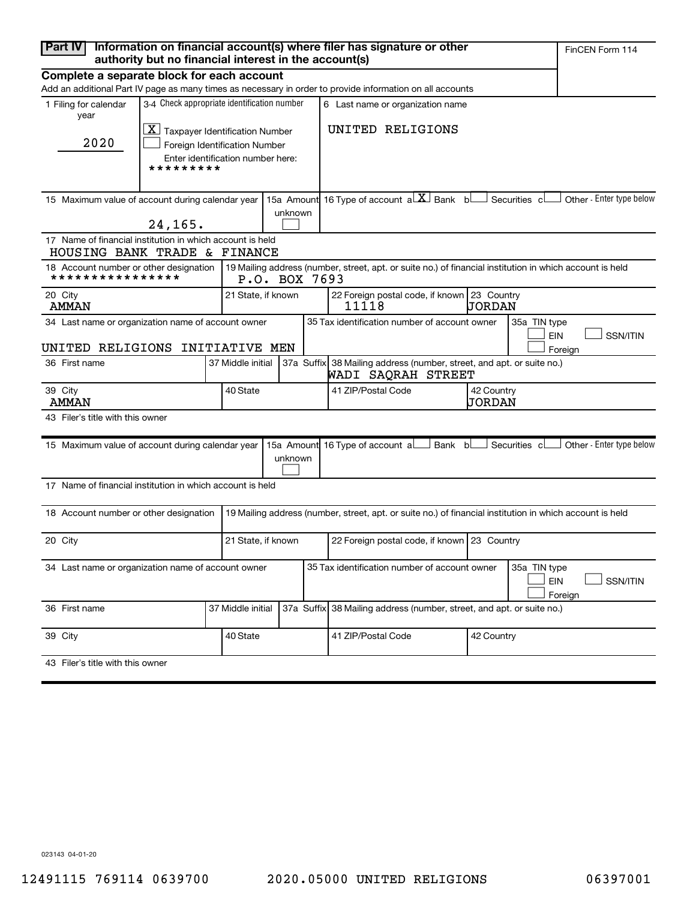| <b>Part IV</b>                                             | authority but no financial interest in the account(s) |                                   |                       | Information on financial account(s) where filer has signature or other                                    |                      |                     | FinCEN Form 114          |
|------------------------------------------------------------|-------------------------------------------------------|-----------------------------------|-----------------------|-----------------------------------------------------------------------------------------------------------|----------------------|---------------------|--------------------------|
| Complete a separate block for each account                 |                                                       |                                   |                       |                                                                                                           |                      |                     |                          |
|                                                            |                                                       |                                   |                       | Add an additional Part IV page as many times as necessary in order to provide information on all accounts |                      |                     |                          |
| 1 Filing for calendar<br>year                              | 3-4 Check appropriate identification number           |                                   |                       | 6 Last name or organization name                                                                          |                      |                     |                          |
|                                                            | $\mathbf{X}$ Taxpayer Identification Number           |                                   |                       | UNITED RELIGIONS                                                                                          |                      |                     |                          |
| 2020                                                       |                                                       | Foreign Identification Number     |                       |                                                                                                           |                      |                     |                          |
|                                                            | *********                                             | Enter identification number here: |                       |                                                                                                           |                      |                     |                          |
| 15 Maximum value of account during calendar year           |                                                       |                                   |                       | 15a Amount 16 Type of account $a\overline{X}$ Bank b                                                      |                      | Securities cl       | Other - Enter type below |
|                                                            | 24,165.                                               |                                   | unknown               |                                                                                                           |                      |                     |                          |
| 17 Name of financial institution in which account is held  |                                                       |                                   |                       |                                                                                                           |                      |                     |                          |
| HOUSING BANK TRADE & FINANCE                               |                                                       |                                   |                       |                                                                                                           |                      |                     |                          |
| 18 Account number or other designation<br>**************** |                                                       |                                   | P.O. BOX 7693         | 19 Mailing address (number, street, apt. or suite no.) of financial institution in which account is held  |                      |                     |                          |
| 20 City<br><b>AMMAN</b>                                    |                                                       |                                   | 21 State, if known    | 22 Foreign postal code, if known   23 Country<br>11118                                                    | UORDAN               |                     |                          |
| 34 Last name or organization name of account owner         |                                                       |                                   |                       | 35 Tax identification number of account owner                                                             |                      | 35a TIN type        |                          |
|                                                            |                                                       |                                   |                       |                                                                                                           |                      | <b>EIN</b>          | SSN/ITIN                 |
| UNITED RELIGIONS INITIATIVE MEN                            |                                                       |                                   |                       |                                                                                                           |                      |                     | Foreign                  |
| 36 First name                                              |                                                       | 37 Middle initial                 |                       | 37a Suffix 38 Mailing address (number, street, and apt. or suite no.)<br>WADI SAQRAH STREET               |                      |                     |                          |
| 39 City<br><b>AMMAN</b>                                    |                                                       | 40 State                          |                       | 41 ZIP/Postal Code                                                                                        | 42 Country<br>UORDAN |                     |                          |
| 43 Filer's title with this owner                           |                                                       |                                   |                       |                                                                                                           |                      |                     |                          |
| 15 Maximum value of account during calendar year           |                                                       |                                   | 15a Amount<br>unknown | Bank bl<br>16 Type of account $aL$                                                                        |                      | Securities cl       | Other - Enter type below |
| 17 Name of financial institution in which account is held  |                                                       |                                   |                       |                                                                                                           |                      |                     |                          |
| 18 Account number or other designation                     |                                                       |                                   |                       | 19 Mailing address (number, street, apt. or suite no.) of financial institution in which account is held  |                      |                     |                          |
| 20 City                                                    |                                                       |                                   | 21 State, if known    | 22 Foreign postal code, if known 23 Country                                                               |                      |                     |                          |
| 34 Last name or organization name of account owner         |                                                       |                                   |                       | 35 Tax identification number of account owner                                                             |                      | 35a TIN type<br>EIN | SSN/ITIN<br>Foreign      |
| 36 First name                                              |                                                       | 37 Middle initial                 |                       | 37a Suffix 38 Mailing address (number, street, and apt. or suite no.)                                     |                      |                     |                          |
| 39 City                                                    |                                                       | 40 State                          |                       | 41 ZIP/Postal Code                                                                                        | 42 Country           |                     |                          |
| 43 Filer's title with this owner                           |                                                       |                                   |                       |                                                                                                           |                      |                     |                          |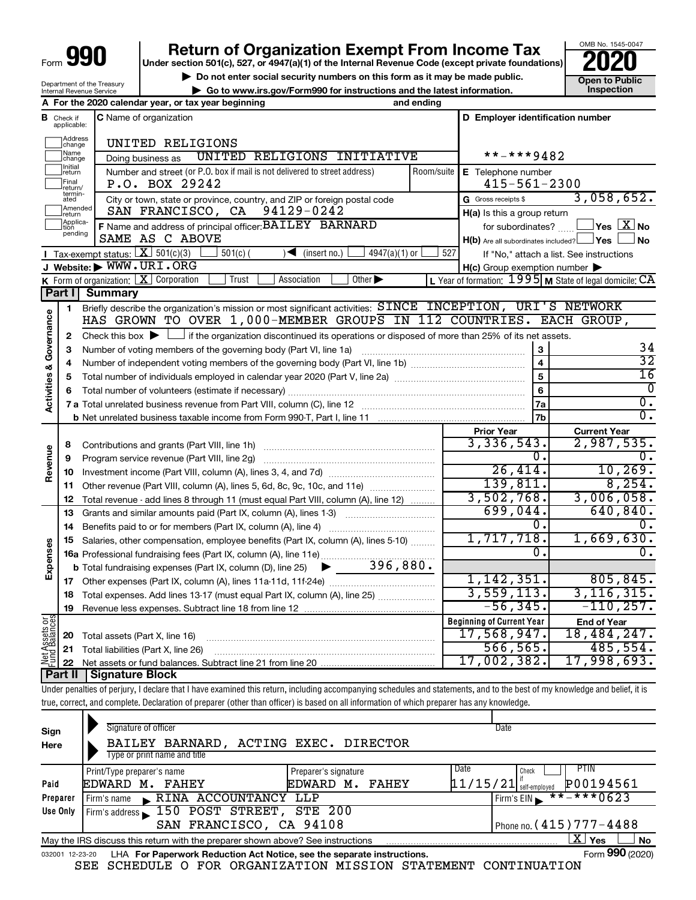| Form | $\Box$ |
|------|--------|
|      |        |

Department of the Treasury Internal Revenue Service

# Return of Organization Exempt From Income Tax<br>r section 501(c), 527, or 4947(a)(1) of the Internal Revenue Code (except private foundations)<br>**2020**

**Under section 501(c), 527, or 4947(a)(1) of the Internal Revenue Code (except private foundations)**

▶ Do not enter social security numbers on this form as it may be made public. <br>**● Go to www.irs.gov/Form990 for instructions and the latest information.** Inspection

**| Go to www.irs.gov/Form990 for instructions and the latest information. Inspection**



|                         |                               | A For the 2020 calendar year, or tax year beginning                                                                                                                               | and ending |                                                     |                                                                    |
|-------------------------|-------------------------------|-----------------------------------------------------------------------------------------------------------------------------------------------------------------------------------|------------|-----------------------------------------------------|--------------------------------------------------------------------|
|                         | <b>B</b> Check if applicable: | <b>C</b> Name of organization                                                                                                                                                     |            | D Employer identification number                    |                                                                    |
|                         | Address<br>change             | UNITED RELIGIONS                                                                                                                                                                  |            |                                                     |                                                                    |
|                         | Name<br>Change                | UNITED RELIGIONS INITIATIVE<br>Doing business as                                                                                                                                  |            | **-***9482                                          |                                                                    |
|                         | Initial<br>return             | Number and street (or P.O. box if mail is not delivered to street address)                                                                                                        | Room/suite | E Telephone number                                  |                                                                    |
|                         | Final<br>return/              | P.O. BOX 29242                                                                                                                                                                    |            | $415 - 561 - 2300$                                  |                                                                    |
|                         | termin-<br>ated               | City or town, state or province, country, and ZIP or foreign postal code                                                                                                          |            | G Gross receipts \$                                 | 3,058,652.                                                         |
|                         | Amended<br>return             | SAN FRANCISCO, CA 94129-0242                                                                                                                                                      |            | H(a) Is this a group return                         |                                                                    |
|                         | Applica-<br>pending           | F Name and address of principal officer: BAILEY BARNARD                                                                                                                           |            | for subordinates?                                   | $\sqrt{\mathsf{Yes}\mathord{\;\mathbb{X}}\mathord{\;\mathsf{No}}}$ |
|                         |                               | SAME AS C ABOVE                                                                                                                                                                   |            | H(b) Are all subordinates included? Ves             | ∣No                                                                |
|                         |                               | <b>I</b> Tax-exempt status: $X \ 501(c)(3)$<br>$4947(a)(1)$ or<br>$501(c)$ (<br>(insert no.)<br>$\rightarrow$                                                                     | 527        |                                                     | If "No," attach a list. See instructions                           |
|                         |                               | J Website: WWW.URI.ORG                                                                                                                                                            |            | $H(c)$ Group exemption number $\blacktriangleright$ |                                                                    |
|                         |                               | K Form of organization: $X$ Corporation<br>$\overline{Other}$<br>Trust<br>Association                                                                                             |            |                                                     | L Year of formation: 1995 M State of legal domicile: CA            |
|                         | Part I                        | Summary                                                                                                                                                                           |            |                                                     |                                                                    |
|                         | 1                             | Briefly describe the organization's mission or most significant activities: SINCE INCEPTION, URI'S NETWORK<br>HAS GROWN TO OVER 1,000-MEMBER GROUPS IN 112 COUNTRIES. EACH GROUP, |            |                                                     |                                                                    |
| Governance              |                               |                                                                                                                                                                                   |            |                                                     |                                                                    |
|                         | 2                             | Check this box $\blacktriangleright$ $\Box$ if the organization discontinued its operations or disposed of more than 25% of its net assets.                                       |            | 3                                                   | 34                                                                 |
|                         | з<br>4                        |                                                                                                                                                                                   |            | $\overline{\mathbf{4}}$                             | $\overline{32}$                                                    |
|                         |                               |                                                                                                                                                                                   |            | $\overline{5}$                                      | 16                                                                 |
|                         | 5                             |                                                                                                                                                                                   | $\bf 6$    | $\overline{0}$                                      |                                                                    |
| <b>Activities &amp;</b> |                               |                                                                                                                                                                                   |            | <b>7a</b>                                           | $\overline{0}$ .                                                   |
|                         |                               |                                                                                                                                                                                   |            | 7b                                                  | $\overline{0}$ .                                                   |
|                         |                               |                                                                                                                                                                                   |            | <b>Prior Year</b>                                   | <b>Current Year</b>                                                |
|                         | 8                             | Contributions and grants (Part VIII, line 1h)                                                                                                                                     |            | 3,336,543.                                          | 2,987,535.                                                         |
|                         | 9                             | Program service revenue (Part VIII, line 2g)                                                                                                                                      |            | 0.                                                  | σ.                                                                 |
| Revenue                 | 10                            |                                                                                                                                                                                   |            | 26,414.                                             | 10, 269.                                                           |
|                         | 11                            | Other revenue (Part VIII, column (A), lines 5, 6d, 8c, 9c, 10c, and 11e)                                                                                                          |            | 139,811.                                            | 8, 254.                                                            |
|                         | 12                            | Total revenue - add lines 8 through 11 (must equal Part VIII, column (A), line 12)                                                                                                |            | 3,502,768.                                          | 3,006,058.                                                         |
|                         | 13                            | Grants and similar amounts paid (Part IX, column (A), lines 1-3)                                                                                                                  |            | 699,044.                                            | 640, 840.                                                          |
|                         | 14                            |                                                                                                                                                                                   |            | О.                                                  | 0.                                                                 |
|                         | 15                            | Salaries, other compensation, employee benefits (Part IX, column (A), lines 5-10)                                                                                                 |            | 1,717,718.                                          | 1,669,630.                                                         |
| Expenses                |                               | 16a Professional fundraising fees (Part IX, column (A), line 11e)                                                                                                                 |            | 0.                                                  | 0.                                                                 |
|                         |                               | 396,880.<br><b>b</b> Total fundraising expenses (Part IX, column (D), line 25)<br>▶                                                                                               |            |                                                     |                                                                    |
|                         | 17                            |                                                                                                                                                                                   |            | 1,142,351.                                          | 805, 845.                                                          |
|                         | 18                            | Total expenses. Add lines 13-17 (must equal Part IX, column (A), line 25)                                                                                                         | 3,559,113. | 3, 116, 315.                                        |                                                                    |
|                         | 19                            |                                                                                                                                                                                   |            | $-56, 345.$                                         | $-110, 257.$                                                       |
| Net Assets or           |                               |                                                                                                                                                                                   |            | <b>Beginning of Current Year</b>                    | <b>End of Year</b>                                                 |
|                         | 20                            | Total assets (Part X, line 16)                                                                                                                                                    |            | $17,568,947$ .                                      | 18,484,247.                                                        |
|                         | 21                            | Total liabilities (Part X, line 26)                                                                                                                                               |            | 566, 565.                                           | 485,554.                                                           |
|                         | 22                            |                                                                                                                                                                                   |            | 17,002,382.                                         | 17,998,693.                                                        |

**Part II Signature Block**

Under penalties of perjury, I declare that I have examined this return, including accompanying schedules and statements, and to the best of my knowledge and belief, it is true, correct, and complete. Declaration of preparer (other than officer) is based on all information of which preparer has any knowledge.

| Sign<br>Here | Signature of officer<br>BAILEY BARNARD, ACTING EXEC. DIRECTOR<br>Type or print name and title                |                                                   | Date                                                                                       |  |  |  |  |  |  |
|--------------|--------------------------------------------------------------------------------------------------------------|---------------------------------------------------|--------------------------------------------------------------------------------------------|--|--|--|--|--|--|
| Paid         | Print/Type preparer's name<br>EDWARD M. FAHEY                                                                | Preparer's signature<br>EDWARD M.<br><b>FAHEY</b> | Date<br><b>PTIN</b><br>Check<br>P00194561<br>$11/15/21$ self-employed<br>$***$ $-***$ 0623 |  |  |  |  |  |  |
| Preparer     | RINA ACCOUNTANCY LLP<br>Firm's name                                                                          |                                                   | Firm's $EIN$                                                                               |  |  |  |  |  |  |
| Use Only     | Firm's address 150 POST STREET, STE 200                                                                      |                                                   |                                                                                            |  |  |  |  |  |  |
|              | SAN FRANCISCO, CA 94108                                                                                      |                                                   | Phone no. $(415)$ 777 – $4488$                                                             |  |  |  |  |  |  |
|              | x<br>No<br>Yes<br>May the IRS discuss this return with the preparer shown above? See instructions            |                                                   |                                                                                            |  |  |  |  |  |  |
|              | Form 990 (2020)<br>LHA For Paperwork Reduction Act Notice, see the separate instructions.<br>032001 12-23-20 |                                                   |                                                                                            |  |  |  |  |  |  |

SEE SCHEDULE O FOR ORGANIZATION MISSION STATEMENT CONTINUATION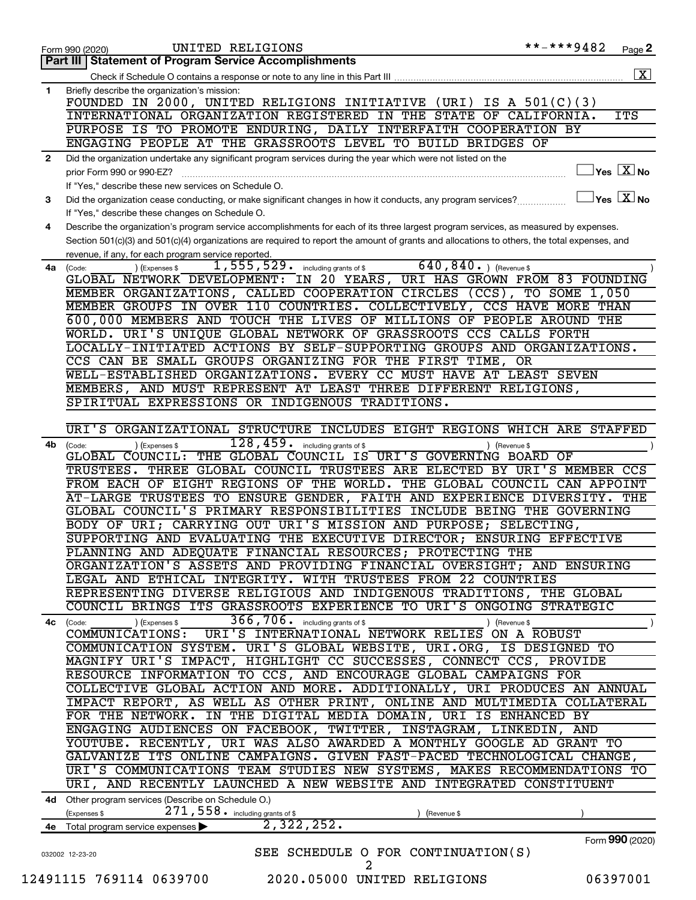|              | Page 2<br>Form 990 (2020)<br>Part III   Statement of Program Service Accomplishments                                                                        |
|--------------|-------------------------------------------------------------------------------------------------------------------------------------------------------------|
|              | $\boxed{\textbf{X}}$<br>Check if Schedule O contains a response or note to any line in this Part III                                                        |
| $\mathbf{1}$ | Briefly describe the organization's mission:                                                                                                                |
|              | FOUNDED IN 2000, UNITED RELIGIONS INITIATIVE (URI)<br>IS A $501(C)(3)$                                                                                      |
|              | INTERNATIONAL ORGANIZATION REGISTERED IN THE STATE<br><b>ITS</b><br>OF<br>CALIFORNIA.                                                                       |
|              | PURPOSE IS TO PROMOTE ENDURING, DAILY INTERFAITH COOPERATION BY                                                                                             |
|              | ENGAGING PEOPLE AT THE GRASSROOTS LEVEL TO BUILD BRIDGES OF                                                                                                 |
| $\mathbf{2}$ | Did the organization undertake any significant program services during the year which were not listed on the                                                |
|              | $\overline{\ }$ Yes $\overline{\rm \ }X$ No<br>prior Form 990 or 990-EZ?                                                                                    |
|              | If "Yes," describe these new services on Schedule O.                                                                                                        |
| 3            | $\overline{\ }$ Yes $\overline{\rm \ }X$ No<br>Did the organization cease conducting, or make significant changes in how it conducts, any program services? |
|              | If "Yes," describe these changes on Schedule O.                                                                                                             |
| 4            | Describe the organization's program service accomplishments for each of its three largest program services, as measured by expenses.                        |
|              | Section 501(c)(3) and 501(c)(4) organizations are required to report the amount of grants and allocations to others, the total expenses, and                |
|              | revenue, if any, for each program service reported.                                                                                                         |
| 4a           | 640,840.<br>1,555,529.<br>) (Revenue \$<br>including grants of \$<br>(Code:<br>(Expenses \$                                                                 |
|              | GLOBAL NETWORK DEVELOPMENT: IN 20 YEARS, URI HAS GROWN FROM 83 FOUNDING                                                                                     |
|              | MEMBER ORGANIZATIONS, CALLED COOPERATION CIRCLES (CCS),<br>TO SOME 1,050                                                                                    |
|              | MEMBER GROUPS IN OVER 110 COUNTRIES. COLLECTIVELY, CCS HAVE MORE THAN                                                                                       |
|              | 600,000 MEMBERS AND TOUCH THE LIVES OF MILLIONS OF PEOPLE AROUND THE                                                                                        |
|              | WORLD. URI'S UNIQUE GLOBAL NETWORK OF GRASSROOTS CCS CALLS FORTH                                                                                            |
|              | LOCALLY-INITIATED ACTIONS BY SELF-SUPPORTING GROUPS AND ORGANIZATIONS.                                                                                      |
|              | CCS CAN BE SMALL GROUPS ORGANIZING FOR THE FIRST TIME,<br>OR.                                                                                               |
|              | WELL-ESTABLISHED ORGANIZATIONS. EVERY CC MUST HAVE AT LEAST SEVEN                                                                                           |
|              | MEMBERS, AND MUST REPRESENT AT LEAST THREE DIFFERENT RELIGIONS,                                                                                             |
|              | SPIRITUAL EXPRESSIONS OR INDIGENOUS TRADITIONS.                                                                                                             |
|              | URI'S ORGANIZATIONAL STRUCTURE INCLUDES EIGHT REGIONS WHICH ARE STAFFED                                                                                     |
|              | 128, 459. including grants of \$                                                                                                                            |
| 4b           | (Code:<br>) (Expenses \$<br>) (Revenue \$<br>GLOBAL COUNCIL: THE GLOBAL COUNCIL IS URI'S GOVERNING BOARD OF                                                 |
|              | THREE GLOBAL COUNCIL TRUSTEES ARE ELECTED BY URI'S MEMBER CCS<br>TRUSTEES.                                                                                  |
|              | FROM EACH OF EIGHT REGIONS OF THE WORLD. THE GLOBAL COUNCIL CAN APPOINT                                                                                     |
|              | AT-LARGE TRUSTEES TO ENSURE GENDER, FAITH AND EXPERIENCE DIVERSITY.<br>THE                                                                                  |
|              | GLOBAL COUNCIL'S PRIMARY RESPONSIBILITIES INCLUDE BEING THE GOVERNING                                                                                       |
|              | BODY OF URI; CARRYING OUT URI'S MISSION AND PURPOSE; SELECTING,                                                                                             |
|              | SUPPORTING AND EVALUATING THE EXECUTIVE DIRECTOR; ENSURING EFFECTIVE                                                                                        |
|              | PLANNING AND ADEQUATE FINANCIAL RESOURCES; PROTECTING THE                                                                                                   |
|              | ORGANIZATION'S ASSETS AND PROVIDING FINANCIAL OVERSIGHT; AND ENSURING                                                                                       |
|              | LEGAL AND ETHICAL INTEGRITY. WITH TRUSTEES FROM 22 COUNTRIES                                                                                                |
|              | REPRESENTING DIVERSE RELIGIOUS AND INDIGENOUS TRADITIONS, THE GLOBAL                                                                                        |
|              | COUNCIL BRINGS ITS GRASSROOTS EXPERIENCE TO URI'S ONGOING STRATEGIC                                                                                         |
|              | 366,706. including grants of \$<br>) (Expenses \$<br>) (Revenue \$<br>4c (Code:                                                                             |
|              | URI'S INTERNATIONAL NETWORK RELIES ON A ROBUST<br>COMMUNICATIONS:                                                                                           |
|              | COMMUNICATION SYSTEM. URI'S GLOBAL WEBSITE, URI.ORG, IS DESIGNED TO                                                                                         |
|              | MAGNIFY URI'S IMPACT, HIGHLIGHT CC SUCCESSES, CONNECT CCS, PROVIDE                                                                                          |
|              | RESOURCE INFORMATION TO CCS, AND ENCOURAGE GLOBAL CAMPAIGNS FOR                                                                                             |
|              | COLLECTIVE GLOBAL ACTION AND MORE. ADDITIONALLY, URI PRODUCES AN ANNUAL                                                                                     |
|              | IMPACT REPORT, AS WELL AS OTHER PRINT, ONLINE AND MULTIMEDIA COLLATERAL                                                                                     |
|              | FOR THE NETWORK. IN THE DIGITAL MEDIA DOMAIN, URI IS ENHANCED BY                                                                                            |
|              | ENGAGING AUDIENCES ON FACEBOOK, TWITTER, INSTAGRAM, LINKEDIN, AND                                                                                           |
|              | YOUTUBE. RECENTLY, URI WAS ALSO AWARDED A MONTHLY GOOGLE AD GRANT TO                                                                                        |
|              | GALVANIZE ITS ONLINE CAMPAIGNS. GIVEN FAST-PACED TECHNOLOGICAL CHANGE,                                                                                      |
|              | URI'S COMMUNICATIONS TEAM STUDIES NEW SYSTEMS, MAKES RECOMMENDATIONS TO                                                                                     |
|              | URI, AND RECENTLY LAUNCHED A NEW WEBSITE AND INTEGRATED CONSTITUENT                                                                                         |
|              | 4d Other program services (Describe on Schedule O.)                                                                                                         |
|              | $271,558$ $\cdot$ including grants of \$<br>(Expenses \$<br>(Revenue \$                                                                                     |
|              | 2,322,252.<br>4e Total program service expenses                                                                                                             |
|              | Form 990 (2020)                                                                                                                                             |
|              | SEE SCHEDULE O FOR CONTINUATION(S)<br>032002 12-23-20                                                                                                       |
|              | 2                                                                                                                                                           |
|              | 12491115 769114 0639700<br>2020.05000 UNITED RELIGIONS<br>06397001                                                                                          |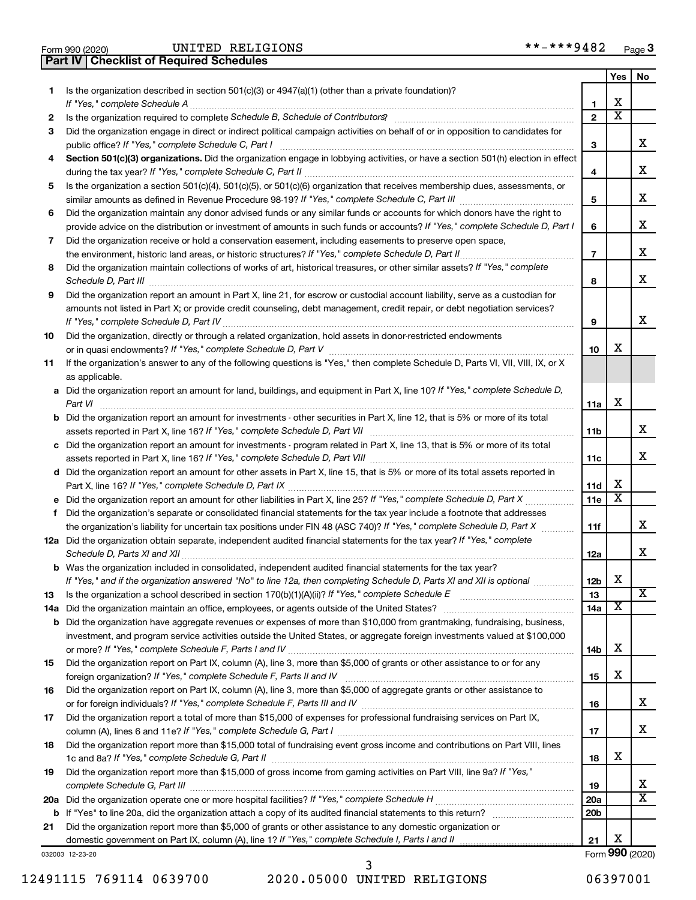|  | Form 990 (2020) |
|--|-----------------|

**Part IV Checklist of Required Schedules**

|     |                                                                                                                                       |                 | Yes                     | No                      |
|-----|---------------------------------------------------------------------------------------------------------------------------------------|-----------------|-------------------------|-------------------------|
| 1   | Is the organization described in section 501(c)(3) or 4947(a)(1) (other than a private foundation)?                                   |                 |                         |                         |
|     |                                                                                                                                       | 1               | х                       |                         |
| 2   |                                                                                                                                       | $\mathbf{2}$    | $\overline{\text{x}}$   |                         |
| З   | Did the organization engage in direct or indirect political campaign activities on behalf of or in opposition to candidates for       |                 |                         |                         |
|     | public office? If "Yes," complete Schedule C, Part I                                                                                  | 3               |                         | x                       |
| 4   | Section 501(c)(3) organizations. Did the organization engage in lobbying activities, or have a section 501(h) election in effect      | 4               |                         | х                       |
| 5   | Is the organization a section 501(c)(4), 501(c)(5), or 501(c)(6) organization that receives membership dues, assessments, or          |                 |                         |                         |
|     |                                                                                                                                       | 5               |                         | х                       |
| 6   | Did the organization maintain any donor advised funds or any similar funds or accounts for which donors have the right to             |                 |                         |                         |
|     | provide advice on the distribution or investment of amounts in such funds or accounts? If "Yes," complete Schedule D, Part I          | 6               |                         | х                       |
| 7   | Did the organization receive or hold a conservation easement, including easements to preserve open space,                             |                 |                         |                         |
|     |                                                                                                                                       | $\overline{7}$  |                         | х                       |
| 8   | Did the organization maintain collections of works of art, historical treasures, or other similar assets? If "Yes," complete          |                 |                         |                         |
|     |                                                                                                                                       | 8               |                         | x                       |
| 9   | Did the organization report an amount in Part X, line 21, for escrow or custodial account liability, serve as a custodian for         |                 |                         |                         |
|     | amounts not listed in Part X; or provide credit counseling, debt management, credit repair, or debt negotiation services?             |                 |                         |                         |
|     |                                                                                                                                       | 9               |                         | x                       |
| 10  | Did the organization, directly or through a related organization, hold assets in donor-restricted endowments                          |                 |                         |                         |
|     |                                                                                                                                       | 10              | х                       |                         |
| 11  | If the organization's answer to any of the following questions is "Yes," then complete Schedule D, Parts VI, VII, VIII, IX, or X      |                 |                         |                         |
|     | as applicable.                                                                                                                        |                 |                         |                         |
|     | a Did the organization report an amount for land, buildings, and equipment in Part X, line 10? If "Yes," complete Schedule D,         |                 |                         |                         |
|     |                                                                                                                                       | 11a             | х                       |                         |
|     | <b>b</b> Did the organization report an amount for investments - other securities in Part X, line 12, that is 5% or more of its total |                 |                         |                         |
|     |                                                                                                                                       | 11b             |                         | x                       |
|     | c Did the organization report an amount for investments - program related in Part X, line 13, that is 5% or more of its total         |                 |                         |                         |
|     |                                                                                                                                       | 11c             |                         | x                       |
|     | d Did the organization report an amount for other assets in Part X, line 15, that is 5% or more of its total assets reported in       |                 |                         |                         |
|     |                                                                                                                                       | 11d             | х                       |                         |
|     |                                                                                                                                       | 11 <sub>c</sub> | $\overline{\textbf{x}}$ |                         |
|     | f Did the organization's separate or consolidated financial statements for the tax year include a footnote that addresses             |                 |                         |                         |
|     | the organization's liability for uncertain tax positions under FIN 48 (ASC 740)? If "Yes," complete Schedule D, Part X                | 11f             |                         | x                       |
|     | 12a Did the organization obtain separate, independent audited financial statements for the tax year? If "Yes," complete               |                 |                         |                         |
|     |                                                                                                                                       | 12a             |                         | x                       |
|     | <b>b</b> Was the organization included in consolidated, independent audited financial statements for the tax year?                    |                 |                         |                         |
|     | If "Yes," and if the organization answered "No" to line 12a, then completing Schedule D, Parts XI and XII is optional                 | 12b             | х                       |                         |
| 13  |                                                                                                                                       | 13              |                         | $\overline{\mathbf{X}}$ |
| 14a |                                                                                                                                       | 14a             | х                       |                         |
|     | <b>b</b> Did the organization have aggregate revenues or expenses of more than \$10,000 from grantmaking, fundraising, business,      |                 |                         |                         |
|     | investment, and program service activities outside the United States, or aggregate foreign investments valued at \$100,000            |                 |                         |                         |
|     |                                                                                                                                       | 14b             | х                       |                         |
| 15  | Did the organization report on Part IX, column (A), line 3, more than \$5,000 of grants or other assistance to or for any             |                 |                         |                         |
|     |                                                                                                                                       | 15              | х                       |                         |
| 16  | Did the organization report on Part IX, column (A), line 3, more than \$5,000 of aggregate grants or other assistance to              |                 |                         |                         |
|     |                                                                                                                                       | 16              |                         | х                       |
| 17  | Did the organization report a total of more than \$15,000 of expenses for professional fundraising services on Part IX,               |                 |                         |                         |
|     |                                                                                                                                       | 17              |                         | x                       |
| 18  | Did the organization report more than \$15,000 total of fundraising event gross income and contributions on Part VIII, lines          |                 | х                       |                         |
|     | Did the organization report more than \$15,000 of gross income from gaming activities on Part VIII, line 9a? If "Yes,"                | 18              |                         |                         |
| 19  |                                                                                                                                       | 19              |                         | x                       |
|     |                                                                                                                                       | 20a             |                         | х                       |
|     |                                                                                                                                       | 20 <sub>b</sub> |                         |                         |
| 21  | Did the organization report more than \$5,000 of grants or other assistance to any domestic organization or                           |                 |                         |                         |
|     |                                                                                                                                       | 21              | X                       |                         |
|     | 032003 12-23-20                                                                                                                       |                 |                         | Form 990 (2020)         |

12491115 769114 0639700 2020.05000 UNITED RELIGIONS 06397001 3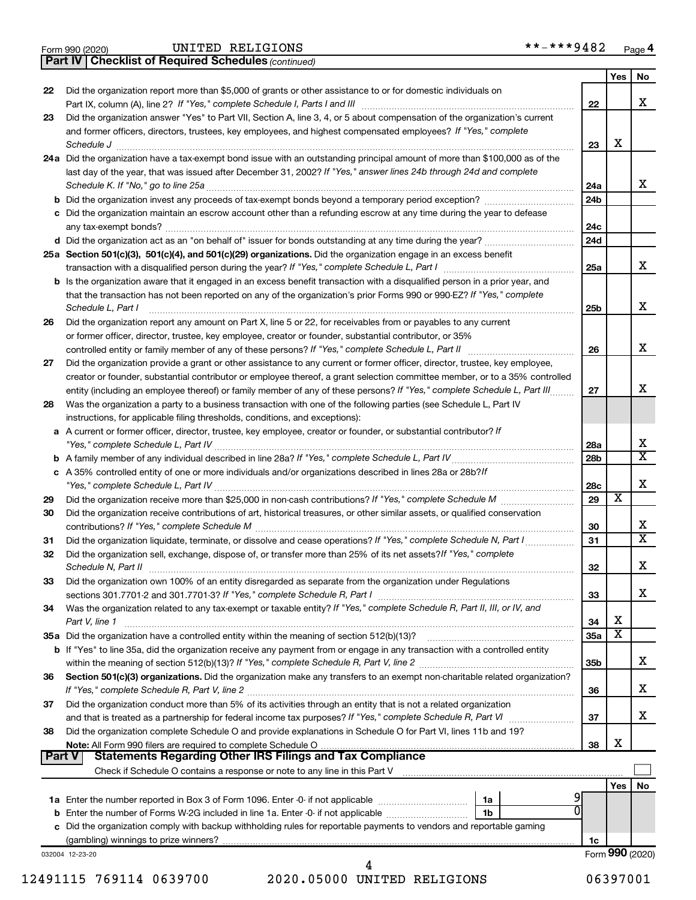|  | Form 990 (2020) |
|--|-----------------|
|  |                 |

*(continued)* **Part IV Checklist of Required Schedules**

|               |                                                                                                                                                                                  |                 | Yes                     | No                      |
|---------------|----------------------------------------------------------------------------------------------------------------------------------------------------------------------------------|-----------------|-------------------------|-------------------------|
| 22            | Did the organization report more than \$5,000 of grants or other assistance to or for domestic individuals on                                                                    |                 |                         |                         |
|               | Part IX, column (A), line 2? If "Yes," complete Schedule I, Parts I and III [11] [12] [12] [12] [12] Part IX, column (A), line 2? If "Yes," complete Schedule I, Parts I and III | 22              |                         | x                       |
| 23            | Did the organization answer "Yes" to Part VII, Section A, line 3, 4, or 5 about compensation of the organization's current                                                       |                 |                         |                         |
|               | and former officers, directors, trustees, key employees, and highest compensated employees? If "Yes," complete                                                                   |                 |                         |                         |
|               | Schedule J                                                                                                                                                                       | 23              | X                       |                         |
|               | 24a Did the organization have a tax-exempt bond issue with an outstanding principal amount of more than \$100,000 as of the                                                      |                 |                         |                         |
|               | last day of the year, that was issued after December 31, 2002? If "Yes," answer lines 24b through 24d and complete                                                               |                 |                         |                         |
|               | Schedule K. If "No," go to line 25a                                                                                                                                              | 24a             |                         | x                       |
|               | <b>b</b> Did the organization invest any proceeds of tax-exempt bonds beyond a temporary period exception?                                                                       | 24 <sub>b</sub> |                         |                         |
|               | c Did the organization maintain an escrow account other than a refunding escrow at any time during the year to defease                                                           |                 |                         |                         |
|               | any tax-exempt bonds?                                                                                                                                                            | 24c             |                         |                         |
|               | d Did the organization act as an "on behalf of" issuer for bonds outstanding at any time during the year?                                                                        | 24d             |                         |                         |
|               | 25a Section 501(c)(3), 501(c)(4), and 501(c)(29) organizations. Did the organization engage in an excess benefit                                                                 |                 |                         |                         |
|               |                                                                                                                                                                                  | 25a             |                         | x                       |
|               | b Is the organization aware that it engaged in an excess benefit transaction with a disqualified person in a prior year, and                                                     |                 |                         |                         |
|               | that the transaction has not been reported on any of the organization's prior Forms 990 or 990-EZ? If "Yes," complete                                                            |                 |                         |                         |
|               | Schedule L, Part I                                                                                                                                                               | 25b             |                         | x                       |
| 26            | Did the organization report any amount on Part X, line 5 or 22, for receivables from or payables to any current                                                                  |                 |                         |                         |
|               | or former officer, director, trustee, key employee, creator or founder, substantial contributor, or 35%                                                                          |                 |                         |                         |
|               | controlled entity or family member of any of these persons? If "Yes," complete Schedule L, Part II                                                                               | 26              |                         | x                       |
| 27            | Did the organization provide a grant or other assistance to any current or former officer, director, trustee, key employee,                                                      |                 |                         |                         |
|               | creator or founder, substantial contributor or employee thereof, a grant selection committee member, or to a 35% controlled                                                      |                 |                         | x                       |
|               | entity (including an employee thereof) or family member of any of these persons? If "Yes," complete Schedule L, Part III                                                         | 27              |                         |                         |
| 28            | Was the organization a party to a business transaction with one of the following parties (see Schedule L, Part IV                                                                |                 |                         |                         |
|               | instructions, for applicable filing thresholds, conditions, and exceptions):                                                                                                     |                 |                         |                         |
|               | a A current or former officer, director, trustee, key employee, creator or founder, or substantial contributor? If                                                               |                 |                         | x                       |
|               |                                                                                                                                                                                  | 28a             |                         | $\overline{\mathtt{x}}$ |
|               | c A 35% controlled entity of one or more individuals and/or organizations described in lines 28a or 28b?If                                                                       | 28b             |                         |                         |
|               |                                                                                                                                                                                  | 28c             |                         | X                       |
| 29            | Did the organization receive more than \$25,000 in non-cash contributions? If "Yes," complete Schedule M                                                                         | 29              | х                       |                         |
| 30            | Did the organization receive contributions of art, historical treasures, or other similar assets, or qualified conservation                                                      |                 |                         |                         |
|               |                                                                                                                                                                                  | 30              |                         | X                       |
| 31            | Did the organization liquidate, terminate, or dissolve and cease operations? If "Yes," complete Schedule N, Part I                                                               | 31              |                         | $\overline{\mathbf{x}}$ |
| 32            | Did the organization sell, exchange, dispose of, or transfer more than 25% of its net assets? If "Yes," complete                                                                 |                 |                         |                         |
|               | Schedule N, Part II                                                                                                                                                              | 32              |                         | х                       |
| 33            | Did the organization own 100% of an entity disregarded as separate from the organization under Regulations                                                                       |                 |                         |                         |
|               |                                                                                                                                                                                  | 33              |                         | X                       |
| 34            | Was the organization related to any tax-exempt or taxable entity? If "Yes," complete Schedule R, Part II, III, or IV, and                                                        |                 |                         |                         |
|               | Part V, line 1                                                                                                                                                                   | 34              | Χ                       |                         |
|               | 35a Did the organization have a controlled entity within the meaning of section 512(b)(13)?                                                                                      | 35a             | $\overline{\textbf{X}}$ |                         |
|               | b If "Yes" to line 35a, did the organization receive any payment from or engage in any transaction with a controlled entity                                                      |                 |                         |                         |
|               |                                                                                                                                                                                  | 35b             |                         | x                       |
| 36            | Section 501(c)(3) organizations. Did the organization make any transfers to an exempt non-charitable related organization?                                                       |                 |                         |                         |
|               |                                                                                                                                                                                  | 36              |                         | x                       |
| 37            | Did the organization conduct more than 5% of its activities through an entity that is not a related organization                                                                 |                 |                         |                         |
|               | and that is treated as a partnership for federal income tax purposes? If "Yes," complete Schedule R, Part VI                                                                     | 37              |                         | x                       |
| 38            | Did the organization complete Schedule O and provide explanations in Schedule O for Part VI, lines 11b and 19?                                                                   |                 |                         |                         |
|               |                                                                                                                                                                                  | 38              | X                       |                         |
| <b>Part V</b> | <b>Statements Regarding Other IRS Filings and Tax Compliance</b>                                                                                                                 |                 |                         |                         |
|               | Check if Schedule O contains a response or note to any line in this Part V [11] [12] Check if Schedule O contains a response or note to any line in this Part V                  |                 |                         |                         |
|               |                                                                                                                                                                                  |                 | Yes                     | No                      |
|               | 1a                                                                                                                                                                               |                 |                         |                         |
|               | <b>b</b> Enter the number of Forms W-2G included in line 1a. Enter -0- if not applicable<br>1b                                                                                   |                 |                         |                         |
|               | c Did the organization comply with backup withholding rules for reportable payments to vendors and reportable gaming                                                             |                 |                         |                         |
|               |                                                                                                                                                                                  | 1c              |                         |                         |
|               | 032004 12-23-20                                                                                                                                                                  |                 |                         | Form 990 (2020)         |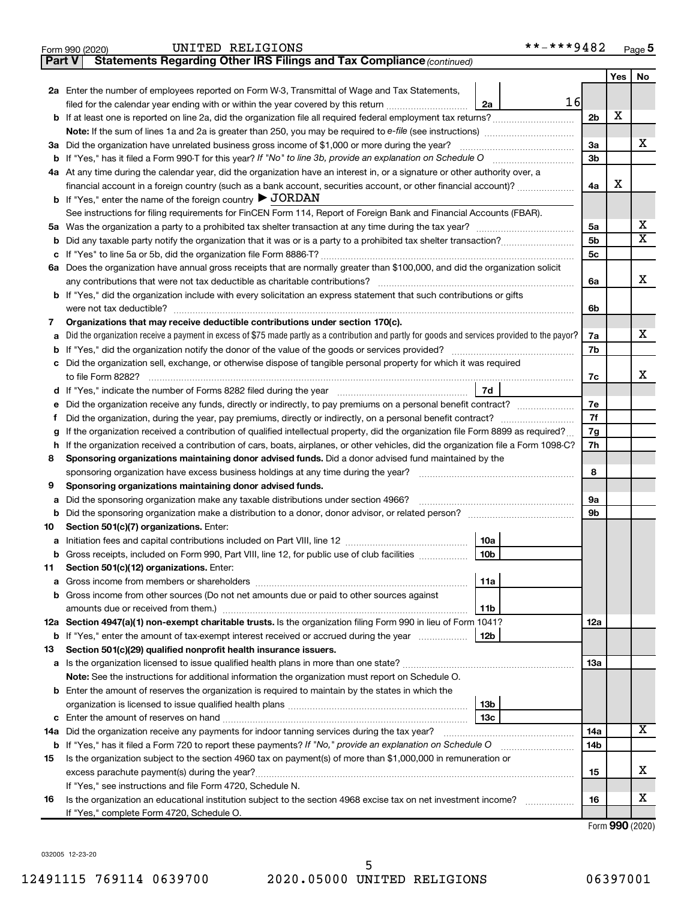| Form 990 (2020) |  | UNITED RELIGIONS | **-***9482 | Page 5 |
|-----------------|--|------------------|------------|--------|
|-----------------|--|------------------|------------|--------|

| UNITED RELIGIONS | **-***9482 |
|------------------|------------|
|------------------|------------|

| Yes<br>No<br>2a Enter the number of employees reported on Form W-3, Transmittal of Wage and Tax Statements,<br>16<br>filed for the calendar year ending with or within the year covered by this return<br>2a<br>X<br>2b<br>х<br>3a Did the organization have unrelated business gross income of \$1,000 or more during the year?<br>За<br>Зb<br>b<br>4a At any time during the calendar year, did the organization have an interest in, or a signature or other authority over, a<br>X<br>financial account in a foreign country (such as a bank account, securities account, or other financial account)?<br>4a<br><b>b</b> If "Yes," enter the name of the foreign country $\triangleright$ JORDAN<br>See instructions for filing requirements for FinCEN Form 114, Report of Foreign Bank and Financial Accounts (FBAR).<br>х<br>5a<br>5a<br>X<br>5b<br>b<br>5c<br>с<br>6a Does the organization have annual gross receipts that are normally greater than \$100,000, and did the organization solicit<br>x<br>6a<br><b>b</b> If "Yes," did the organization include with every solicitation an express statement that such contributions or gifts<br>6b<br>Organizations that may receive deductible contributions under section 170(c).<br>7<br>x<br>Did the organization receive a payment in excess of \$75 made partly as a contribution and partly for goods and services provided to the payor?<br>7a<br>а<br>7b<br>b<br>Did the organization sell, exchange, or otherwise dispose of tangible personal property for which it was required<br>с<br>x<br>7c<br>7d<br>Did the organization receive any funds, directly or indirectly, to pay premiums on a personal benefit contract?<br>7е<br>е<br>7f<br>f.<br>If the organization received a contribution of qualified intellectual property, did the organization file Form 8899 as required?<br>7g<br>g<br>If the organization received a contribution of cars, boats, airplanes, or other vehicles, did the organization file a Form 1098-C?<br>7h<br>h<br>Sponsoring organizations maintaining donor advised funds. Did a donor advised fund maintained by the<br>8<br>8<br>Sponsoring organizations maintaining donor advised funds.<br>9<br>Did the sponsoring organization make any taxable distributions under section 4966?<br>9а<br>а<br>9b<br>b<br>Section 501(c)(7) organizations. Enter:<br>10<br>10a<br>а<br>10 <sub>b</sub><br>b Gross receipts, included on Form 990, Part VIII, line 12, for public use of club facilities<br>Section 501(c)(12) organizations. Enter:<br>11<br>11a<br>а<br>b Gross income from other sources (Do not net amounts due or paid to other sources against<br>11b<br>12a Section 4947(a)(1) non-exempt charitable trusts. Is the organization filing Form 990 in lieu of Form 1041?<br>12a<br><b>b</b> If "Yes," enter the amount of tax-exempt interest received or accrued during the year<br>12b<br>Section 501(c)(29) qualified nonprofit health insurance issuers.<br>13<br>Is the organization licensed to issue qualified health plans in more than one state?<br>13a<br>а<br>Note: See the instructions for additional information the organization must report on Schedule O.<br><b>b</b> Enter the amount of reserves the organization is required to maintain by the states in which the<br>13b<br>13 <sub>c</sub><br>с<br>x<br>Did the organization receive any payments for indoor tanning services during the tax year?<br>14a<br>14a<br>If "Yes," has it filed a Form 720 to report these payments? If "No," provide an explanation on Schedule O<br>14b<br>b<br>Is the organization subject to the section 4960 tax on payment(s) of more than \$1,000,000 in remuneration or<br>15<br>x<br>15<br>If "Yes," see instructions and file Form 4720, Schedule N.<br>х<br>Is the organization an educational institution subject to the section 4968 excise tax on net investment income?<br>16<br>16 | Part V | Statements Regarding Other IRS Filings and Tax Compliance (continued) |  |  |  |  |  |  |  |  |  |  |
|-------------------------------------------------------------------------------------------------------------------------------------------------------------------------------------------------------------------------------------------------------------------------------------------------------------------------------------------------------------------------------------------------------------------------------------------------------------------------------------------------------------------------------------------------------------------------------------------------------------------------------------------------------------------------------------------------------------------------------------------------------------------------------------------------------------------------------------------------------------------------------------------------------------------------------------------------------------------------------------------------------------------------------------------------------------------------------------------------------------------------------------------------------------------------------------------------------------------------------------------------------------------------------------------------------------------------------------------------------------------------------------------------------------------------------------------------------------------------------------------------------------------------------------------------------------------------------------------------------------------------------------------------------------------------------------------------------------------------------------------------------------------------------------------------------------------------------------------------------------------------------------------------------------------------------------------------------------------------------------------------------------------------------------------------------------------------------------------------------------------------------------------------------------------------------------------------------------------------------------------------------------------------------------------------------------------------------------------------------------------------------------------------------------------------------------------------------------------------------------------------------------------------------------------------------------------------------------------------------------------------------------------------------------------------------------------------------------------------------------------------------------------------------------------------------------------------------------------------------------------------------------------------------------------------------------------------------------------------------------------------------------------------------------------------------------------------------------------------------------------------------------------------------------------------------------------------------------------------------------------------------------------------------------------------------------------------------------------------------------------------------------------------------------------------------------------------------------------------------------------------------------------------------------------------------------------------------------------------------------------------------------------------------------------------------------------------------------------------------------------------------------------------------------------------------------------------------------------------------------------------------------------------------------------------|--------|-----------------------------------------------------------------------|--|--|--|--|--|--|--|--|--|--|
|                                                                                                                                                                                                                                                                                                                                                                                                                                                                                                                                                                                                                                                                                                                                                                                                                                                                                                                                                                                                                                                                                                                                                                                                                                                                                                                                                                                                                                                                                                                                                                                                                                                                                                                                                                                                                                                                                                                                                                                                                                                                                                                                                                                                                                                                                                                                                                                                                                                                                                                                                                                                                                                                                                                                                                                                                                                                                                                                                                                                                                                                                                                                                                                                                                                                                                                                                                                                                                                                                                                                                                                                                                                                                                                                                                                                                                                                                                                         |        |                                                                       |  |  |  |  |  |  |  |  |  |  |
|                                                                                                                                                                                                                                                                                                                                                                                                                                                                                                                                                                                                                                                                                                                                                                                                                                                                                                                                                                                                                                                                                                                                                                                                                                                                                                                                                                                                                                                                                                                                                                                                                                                                                                                                                                                                                                                                                                                                                                                                                                                                                                                                                                                                                                                                                                                                                                                                                                                                                                                                                                                                                                                                                                                                                                                                                                                                                                                                                                                                                                                                                                                                                                                                                                                                                                                                                                                                                                                                                                                                                                                                                                                                                                                                                                                                                                                                                                                         |        |                                                                       |  |  |  |  |  |  |  |  |  |  |
|                                                                                                                                                                                                                                                                                                                                                                                                                                                                                                                                                                                                                                                                                                                                                                                                                                                                                                                                                                                                                                                                                                                                                                                                                                                                                                                                                                                                                                                                                                                                                                                                                                                                                                                                                                                                                                                                                                                                                                                                                                                                                                                                                                                                                                                                                                                                                                                                                                                                                                                                                                                                                                                                                                                                                                                                                                                                                                                                                                                                                                                                                                                                                                                                                                                                                                                                                                                                                                                                                                                                                                                                                                                                                                                                                                                                                                                                                                                         |        |                                                                       |  |  |  |  |  |  |  |  |  |  |
|                                                                                                                                                                                                                                                                                                                                                                                                                                                                                                                                                                                                                                                                                                                                                                                                                                                                                                                                                                                                                                                                                                                                                                                                                                                                                                                                                                                                                                                                                                                                                                                                                                                                                                                                                                                                                                                                                                                                                                                                                                                                                                                                                                                                                                                                                                                                                                                                                                                                                                                                                                                                                                                                                                                                                                                                                                                                                                                                                                                                                                                                                                                                                                                                                                                                                                                                                                                                                                                                                                                                                                                                                                                                                                                                                                                                                                                                                                                         |        |                                                                       |  |  |  |  |  |  |  |  |  |  |
|                                                                                                                                                                                                                                                                                                                                                                                                                                                                                                                                                                                                                                                                                                                                                                                                                                                                                                                                                                                                                                                                                                                                                                                                                                                                                                                                                                                                                                                                                                                                                                                                                                                                                                                                                                                                                                                                                                                                                                                                                                                                                                                                                                                                                                                                                                                                                                                                                                                                                                                                                                                                                                                                                                                                                                                                                                                                                                                                                                                                                                                                                                                                                                                                                                                                                                                                                                                                                                                                                                                                                                                                                                                                                                                                                                                                                                                                                                                         |        |                                                                       |  |  |  |  |  |  |  |  |  |  |
|                                                                                                                                                                                                                                                                                                                                                                                                                                                                                                                                                                                                                                                                                                                                                                                                                                                                                                                                                                                                                                                                                                                                                                                                                                                                                                                                                                                                                                                                                                                                                                                                                                                                                                                                                                                                                                                                                                                                                                                                                                                                                                                                                                                                                                                                                                                                                                                                                                                                                                                                                                                                                                                                                                                                                                                                                                                                                                                                                                                                                                                                                                                                                                                                                                                                                                                                                                                                                                                                                                                                                                                                                                                                                                                                                                                                                                                                                                                         |        |                                                                       |  |  |  |  |  |  |  |  |  |  |
|                                                                                                                                                                                                                                                                                                                                                                                                                                                                                                                                                                                                                                                                                                                                                                                                                                                                                                                                                                                                                                                                                                                                                                                                                                                                                                                                                                                                                                                                                                                                                                                                                                                                                                                                                                                                                                                                                                                                                                                                                                                                                                                                                                                                                                                                                                                                                                                                                                                                                                                                                                                                                                                                                                                                                                                                                                                                                                                                                                                                                                                                                                                                                                                                                                                                                                                                                                                                                                                                                                                                                                                                                                                                                                                                                                                                                                                                                                                         |        |                                                                       |  |  |  |  |  |  |  |  |  |  |
|                                                                                                                                                                                                                                                                                                                                                                                                                                                                                                                                                                                                                                                                                                                                                                                                                                                                                                                                                                                                                                                                                                                                                                                                                                                                                                                                                                                                                                                                                                                                                                                                                                                                                                                                                                                                                                                                                                                                                                                                                                                                                                                                                                                                                                                                                                                                                                                                                                                                                                                                                                                                                                                                                                                                                                                                                                                                                                                                                                                                                                                                                                                                                                                                                                                                                                                                                                                                                                                                                                                                                                                                                                                                                                                                                                                                                                                                                                                         |        |                                                                       |  |  |  |  |  |  |  |  |  |  |
|                                                                                                                                                                                                                                                                                                                                                                                                                                                                                                                                                                                                                                                                                                                                                                                                                                                                                                                                                                                                                                                                                                                                                                                                                                                                                                                                                                                                                                                                                                                                                                                                                                                                                                                                                                                                                                                                                                                                                                                                                                                                                                                                                                                                                                                                                                                                                                                                                                                                                                                                                                                                                                                                                                                                                                                                                                                                                                                                                                                                                                                                                                                                                                                                                                                                                                                                                                                                                                                                                                                                                                                                                                                                                                                                                                                                                                                                                                                         |        |                                                                       |  |  |  |  |  |  |  |  |  |  |
|                                                                                                                                                                                                                                                                                                                                                                                                                                                                                                                                                                                                                                                                                                                                                                                                                                                                                                                                                                                                                                                                                                                                                                                                                                                                                                                                                                                                                                                                                                                                                                                                                                                                                                                                                                                                                                                                                                                                                                                                                                                                                                                                                                                                                                                                                                                                                                                                                                                                                                                                                                                                                                                                                                                                                                                                                                                                                                                                                                                                                                                                                                                                                                                                                                                                                                                                                                                                                                                                                                                                                                                                                                                                                                                                                                                                                                                                                                                         |        |                                                                       |  |  |  |  |  |  |  |  |  |  |
|                                                                                                                                                                                                                                                                                                                                                                                                                                                                                                                                                                                                                                                                                                                                                                                                                                                                                                                                                                                                                                                                                                                                                                                                                                                                                                                                                                                                                                                                                                                                                                                                                                                                                                                                                                                                                                                                                                                                                                                                                                                                                                                                                                                                                                                                                                                                                                                                                                                                                                                                                                                                                                                                                                                                                                                                                                                                                                                                                                                                                                                                                                                                                                                                                                                                                                                                                                                                                                                                                                                                                                                                                                                                                                                                                                                                                                                                                                                         |        |                                                                       |  |  |  |  |  |  |  |  |  |  |
|                                                                                                                                                                                                                                                                                                                                                                                                                                                                                                                                                                                                                                                                                                                                                                                                                                                                                                                                                                                                                                                                                                                                                                                                                                                                                                                                                                                                                                                                                                                                                                                                                                                                                                                                                                                                                                                                                                                                                                                                                                                                                                                                                                                                                                                                                                                                                                                                                                                                                                                                                                                                                                                                                                                                                                                                                                                                                                                                                                                                                                                                                                                                                                                                                                                                                                                                                                                                                                                                                                                                                                                                                                                                                                                                                                                                                                                                                                                         |        |                                                                       |  |  |  |  |  |  |  |  |  |  |
|                                                                                                                                                                                                                                                                                                                                                                                                                                                                                                                                                                                                                                                                                                                                                                                                                                                                                                                                                                                                                                                                                                                                                                                                                                                                                                                                                                                                                                                                                                                                                                                                                                                                                                                                                                                                                                                                                                                                                                                                                                                                                                                                                                                                                                                                                                                                                                                                                                                                                                                                                                                                                                                                                                                                                                                                                                                                                                                                                                                                                                                                                                                                                                                                                                                                                                                                                                                                                                                                                                                                                                                                                                                                                                                                                                                                                                                                                                                         |        |                                                                       |  |  |  |  |  |  |  |  |  |  |
|                                                                                                                                                                                                                                                                                                                                                                                                                                                                                                                                                                                                                                                                                                                                                                                                                                                                                                                                                                                                                                                                                                                                                                                                                                                                                                                                                                                                                                                                                                                                                                                                                                                                                                                                                                                                                                                                                                                                                                                                                                                                                                                                                                                                                                                                                                                                                                                                                                                                                                                                                                                                                                                                                                                                                                                                                                                                                                                                                                                                                                                                                                                                                                                                                                                                                                                                                                                                                                                                                                                                                                                                                                                                                                                                                                                                                                                                                                                         |        |                                                                       |  |  |  |  |  |  |  |  |  |  |
|                                                                                                                                                                                                                                                                                                                                                                                                                                                                                                                                                                                                                                                                                                                                                                                                                                                                                                                                                                                                                                                                                                                                                                                                                                                                                                                                                                                                                                                                                                                                                                                                                                                                                                                                                                                                                                                                                                                                                                                                                                                                                                                                                                                                                                                                                                                                                                                                                                                                                                                                                                                                                                                                                                                                                                                                                                                                                                                                                                                                                                                                                                                                                                                                                                                                                                                                                                                                                                                                                                                                                                                                                                                                                                                                                                                                                                                                                                                         |        |                                                                       |  |  |  |  |  |  |  |  |  |  |
|                                                                                                                                                                                                                                                                                                                                                                                                                                                                                                                                                                                                                                                                                                                                                                                                                                                                                                                                                                                                                                                                                                                                                                                                                                                                                                                                                                                                                                                                                                                                                                                                                                                                                                                                                                                                                                                                                                                                                                                                                                                                                                                                                                                                                                                                                                                                                                                                                                                                                                                                                                                                                                                                                                                                                                                                                                                                                                                                                                                                                                                                                                                                                                                                                                                                                                                                                                                                                                                                                                                                                                                                                                                                                                                                                                                                                                                                                                                         |        |                                                                       |  |  |  |  |  |  |  |  |  |  |
|                                                                                                                                                                                                                                                                                                                                                                                                                                                                                                                                                                                                                                                                                                                                                                                                                                                                                                                                                                                                                                                                                                                                                                                                                                                                                                                                                                                                                                                                                                                                                                                                                                                                                                                                                                                                                                                                                                                                                                                                                                                                                                                                                                                                                                                                                                                                                                                                                                                                                                                                                                                                                                                                                                                                                                                                                                                                                                                                                                                                                                                                                                                                                                                                                                                                                                                                                                                                                                                                                                                                                                                                                                                                                                                                                                                                                                                                                                                         |        |                                                                       |  |  |  |  |  |  |  |  |  |  |
|                                                                                                                                                                                                                                                                                                                                                                                                                                                                                                                                                                                                                                                                                                                                                                                                                                                                                                                                                                                                                                                                                                                                                                                                                                                                                                                                                                                                                                                                                                                                                                                                                                                                                                                                                                                                                                                                                                                                                                                                                                                                                                                                                                                                                                                                                                                                                                                                                                                                                                                                                                                                                                                                                                                                                                                                                                                                                                                                                                                                                                                                                                                                                                                                                                                                                                                                                                                                                                                                                                                                                                                                                                                                                                                                                                                                                                                                                                                         |        |                                                                       |  |  |  |  |  |  |  |  |  |  |
|                                                                                                                                                                                                                                                                                                                                                                                                                                                                                                                                                                                                                                                                                                                                                                                                                                                                                                                                                                                                                                                                                                                                                                                                                                                                                                                                                                                                                                                                                                                                                                                                                                                                                                                                                                                                                                                                                                                                                                                                                                                                                                                                                                                                                                                                                                                                                                                                                                                                                                                                                                                                                                                                                                                                                                                                                                                                                                                                                                                                                                                                                                                                                                                                                                                                                                                                                                                                                                                                                                                                                                                                                                                                                                                                                                                                                                                                                                                         |        |                                                                       |  |  |  |  |  |  |  |  |  |  |
|                                                                                                                                                                                                                                                                                                                                                                                                                                                                                                                                                                                                                                                                                                                                                                                                                                                                                                                                                                                                                                                                                                                                                                                                                                                                                                                                                                                                                                                                                                                                                                                                                                                                                                                                                                                                                                                                                                                                                                                                                                                                                                                                                                                                                                                                                                                                                                                                                                                                                                                                                                                                                                                                                                                                                                                                                                                                                                                                                                                                                                                                                                                                                                                                                                                                                                                                                                                                                                                                                                                                                                                                                                                                                                                                                                                                                                                                                                                         |        |                                                                       |  |  |  |  |  |  |  |  |  |  |
|                                                                                                                                                                                                                                                                                                                                                                                                                                                                                                                                                                                                                                                                                                                                                                                                                                                                                                                                                                                                                                                                                                                                                                                                                                                                                                                                                                                                                                                                                                                                                                                                                                                                                                                                                                                                                                                                                                                                                                                                                                                                                                                                                                                                                                                                                                                                                                                                                                                                                                                                                                                                                                                                                                                                                                                                                                                                                                                                                                                                                                                                                                                                                                                                                                                                                                                                                                                                                                                                                                                                                                                                                                                                                                                                                                                                                                                                                                                         |        |                                                                       |  |  |  |  |  |  |  |  |  |  |
|                                                                                                                                                                                                                                                                                                                                                                                                                                                                                                                                                                                                                                                                                                                                                                                                                                                                                                                                                                                                                                                                                                                                                                                                                                                                                                                                                                                                                                                                                                                                                                                                                                                                                                                                                                                                                                                                                                                                                                                                                                                                                                                                                                                                                                                                                                                                                                                                                                                                                                                                                                                                                                                                                                                                                                                                                                                                                                                                                                                                                                                                                                                                                                                                                                                                                                                                                                                                                                                                                                                                                                                                                                                                                                                                                                                                                                                                                                                         |        |                                                                       |  |  |  |  |  |  |  |  |  |  |
|                                                                                                                                                                                                                                                                                                                                                                                                                                                                                                                                                                                                                                                                                                                                                                                                                                                                                                                                                                                                                                                                                                                                                                                                                                                                                                                                                                                                                                                                                                                                                                                                                                                                                                                                                                                                                                                                                                                                                                                                                                                                                                                                                                                                                                                                                                                                                                                                                                                                                                                                                                                                                                                                                                                                                                                                                                                                                                                                                                                                                                                                                                                                                                                                                                                                                                                                                                                                                                                                                                                                                                                                                                                                                                                                                                                                                                                                                                                         |        |                                                                       |  |  |  |  |  |  |  |  |  |  |
|                                                                                                                                                                                                                                                                                                                                                                                                                                                                                                                                                                                                                                                                                                                                                                                                                                                                                                                                                                                                                                                                                                                                                                                                                                                                                                                                                                                                                                                                                                                                                                                                                                                                                                                                                                                                                                                                                                                                                                                                                                                                                                                                                                                                                                                                                                                                                                                                                                                                                                                                                                                                                                                                                                                                                                                                                                                                                                                                                                                                                                                                                                                                                                                                                                                                                                                                                                                                                                                                                                                                                                                                                                                                                                                                                                                                                                                                                                                         |        |                                                                       |  |  |  |  |  |  |  |  |  |  |
|                                                                                                                                                                                                                                                                                                                                                                                                                                                                                                                                                                                                                                                                                                                                                                                                                                                                                                                                                                                                                                                                                                                                                                                                                                                                                                                                                                                                                                                                                                                                                                                                                                                                                                                                                                                                                                                                                                                                                                                                                                                                                                                                                                                                                                                                                                                                                                                                                                                                                                                                                                                                                                                                                                                                                                                                                                                                                                                                                                                                                                                                                                                                                                                                                                                                                                                                                                                                                                                                                                                                                                                                                                                                                                                                                                                                                                                                                                                         |        |                                                                       |  |  |  |  |  |  |  |  |  |  |
|                                                                                                                                                                                                                                                                                                                                                                                                                                                                                                                                                                                                                                                                                                                                                                                                                                                                                                                                                                                                                                                                                                                                                                                                                                                                                                                                                                                                                                                                                                                                                                                                                                                                                                                                                                                                                                                                                                                                                                                                                                                                                                                                                                                                                                                                                                                                                                                                                                                                                                                                                                                                                                                                                                                                                                                                                                                                                                                                                                                                                                                                                                                                                                                                                                                                                                                                                                                                                                                                                                                                                                                                                                                                                                                                                                                                                                                                                                                         |        |                                                                       |  |  |  |  |  |  |  |  |  |  |
|                                                                                                                                                                                                                                                                                                                                                                                                                                                                                                                                                                                                                                                                                                                                                                                                                                                                                                                                                                                                                                                                                                                                                                                                                                                                                                                                                                                                                                                                                                                                                                                                                                                                                                                                                                                                                                                                                                                                                                                                                                                                                                                                                                                                                                                                                                                                                                                                                                                                                                                                                                                                                                                                                                                                                                                                                                                                                                                                                                                                                                                                                                                                                                                                                                                                                                                                                                                                                                                                                                                                                                                                                                                                                                                                                                                                                                                                                                                         |        |                                                                       |  |  |  |  |  |  |  |  |  |  |
|                                                                                                                                                                                                                                                                                                                                                                                                                                                                                                                                                                                                                                                                                                                                                                                                                                                                                                                                                                                                                                                                                                                                                                                                                                                                                                                                                                                                                                                                                                                                                                                                                                                                                                                                                                                                                                                                                                                                                                                                                                                                                                                                                                                                                                                                                                                                                                                                                                                                                                                                                                                                                                                                                                                                                                                                                                                                                                                                                                                                                                                                                                                                                                                                                                                                                                                                                                                                                                                                                                                                                                                                                                                                                                                                                                                                                                                                                                                         |        |                                                                       |  |  |  |  |  |  |  |  |  |  |
|                                                                                                                                                                                                                                                                                                                                                                                                                                                                                                                                                                                                                                                                                                                                                                                                                                                                                                                                                                                                                                                                                                                                                                                                                                                                                                                                                                                                                                                                                                                                                                                                                                                                                                                                                                                                                                                                                                                                                                                                                                                                                                                                                                                                                                                                                                                                                                                                                                                                                                                                                                                                                                                                                                                                                                                                                                                                                                                                                                                                                                                                                                                                                                                                                                                                                                                                                                                                                                                                                                                                                                                                                                                                                                                                                                                                                                                                                                                         |        |                                                                       |  |  |  |  |  |  |  |  |  |  |
|                                                                                                                                                                                                                                                                                                                                                                                                                                                                                                                                                                                                                                                                                                                                                                                                                                                                                                                                                                                                                                                                                                                                                                                                                                                                                                                                                                                                                                                                                                                                                                                                                                                                                                                                                                                                                                                                                                                                                                                                                                                                                                                                                                                                                                                                                                                                                                                                                                                                                                                                                                                                                                                                                                                                                                                                                                                                                                                                                                                                                                                                                                                                                                                                                                                                                                                                                                                                                                                                                                                                                                                                                                                                                                                                                                                                                                                                                                                         |        |                                                                       |  |  |  |  |  |  |  |  |  |  |
|                                                                                                                                                                                                                                                                                                                                                                                                                                                                                                                                                                                                                                                                                                                                                                                                                                                                                                                                                                                                                                                                                                                                                                                                                                                                                                                                                                                                                                                                                                                                                                                                                                                                                                                                                                                                                                                                                                                                                                                                                                                                                                                                                                                                                                                                                                                                                                                                                                                                                                                                                                                                                                                                                                                                                                                                                                                                                                                                                                                                                                                                                                                                                                                                                                                                                                                                                                                                                                                                                                                                                                                                                                                                                                                                                                                                                                                                                                                         |        |                                                                       |  |  |  |  |  |  |  |  |  |  |
|                                                                                                                                                                                                                                                                                                                                                                                                                                                                                                                                                                                                                                                                                                                                                                                                                                                                                                                                                                                                                                                                                                                                                                                                                                                                                                                                                                                                                                                                                                                                                                                                                                                                                                                                                                                                                                                                                                                                                                                                                                                                                                                                                                                                                                                                                                                                                                                                                                                                                                                                                                                                                                                                                                                                                                                                                                                                                                                                                                                                                                                                                                                                                                                                                                                                                                                                                                                                                                                                                                                                                                                                                                                                                                                                                                                                                                                                                                                         |        |                                                                       |  |  |  |  |  |  |  |  |  |  |
|                                                                                                                                                                                                                                                                                                                                                                                                                                                                                                                                                                                                                                                                                                                                                                                                                                                                                                                                                                                                                                                                                                                                                                                                                                                                                                                                                                                                                                                                                                                                                                                                                                                                                                                                                                                                                                                                                                                                                                                                                                                                                                                                                                                                                                                                                                                                                                                                                                                                                                                                                                                                                                                                                                                                                                                                                                                                                                                                                                                                                                                                                                                                                                                                                                                                                                                                                                                                                                                                                                                                                                                                                                                                                                                                                                                                                                                                                                                         |        |                                                                       |  |  |  |  |  |  |  |  |  |  |
|                                                                                                                                                                                                                                                                                                                                                                                                                                                                                                                                                                                                                                                                                                                                                                                                                                                                                                                                                                                                                                                                                                                                                                                                                                                                                                                                                                                                                                                                                                                                                                                                                                                                                                                                                                                                                                                                                                                                                                                                                                                                                                                                                                                                                                                                                                                                                                                                                                                                                                                                                                                                                                                                                                                                                                                                                                                                                                                                                                                                                                                                                                                                                                                                                                                                                                                                                                                                                                                                                                                                                                                                                                                                                                                                                                                                                                                                                                                         |        |                                                                       |  |  |  |  |  |  |  |  |  |  |
|                                                                                                                                                                                                                                                                                                                                                                                                                                                                                                                                                                                                                                                                                                                                                                                                                                                                                                                                                                                                                                                                                                                                                                                                                                                                                                                                                                                                                                                                                                                                                                                                                                                                                                                                                                                                                                                                                                                                                                                                                                                                                                                                                                                                                                                                                                                                                                                                                                                                                                                                                                                                                                                                                                                                                                                                                                                                                                                                                                                                                                                                                                                                                                                                                                                                                                                                                                                                                                                                                                                                                                                                                                                                                                                                                                                                                                                                                                                         |        |                                                                       |  |  |  |  |  |  |  |  |  |  |
|                                                                                                                                                                                                                                                                                                                                                                                                                                                                                                                                                                                                                                                                                                                                                                                                                                                                                                                                                                                                                                                                                                                                                                                                                                                                                                                                                                                                                                                                                                                                                                                                                                                                                                                                                                                                                                                                                                                                                                                                                                                                                                                                                                                                                                                                                                                                                                                                                                                                                                                                                                                                                                                                                                                                                                                                                                                                                                                                                                                                                                                                                                                                                                                                                                                                                                                                                                                                                                                                                                                                                                                                                                                                                                                                                                                                                                                                                                                         |        |                                                                       |  |  |  |  |  |  |  |  |  |  |
|                                                                                                                                                                                                                                                                                                                                                                                                                                                                                                                                                                                                                                                                                                                                                                                                                                                                                                                                                                                                                                                                                                                                                                                                                                                                                                                                                                                                                                                                                                                                                                                                                                                                                                                                                                                                                                                                                                                                                                                                                                                                                                                                                                                                                                                                                                                                                                                                                                                                                                                                                                                                                                                                                                                                                                                                                                                                                                                                                                                                                                                                                                                                                                                                                                                                                                                                                                                                                                                                                                                                                                                                                                                                                                                                                                                                                                                                                                                         |        |                                                                       |  |  |  |  |  |  |  |  |  |  |
|                                                                                                                                                                                                                                                                                                                                                                                                                                                                                                                                                                                                                                                                                                                                                                                                                                                                                                                                                                                                                                                                                                                                                                                                                                                                                                                                                                                                                                                                                                                                                                                                                                                                                                                                                                                                                                                                                                                                                                                                                                                                                                                                                                                                                                                                                                                                                                                                                                                                                                                                                                                                                                                                                                                                                                                                                                                                                                                                                                                                                                                                                                                                                                                                                                                                                                                                                                                                                                                                                                                                                                                                                                                                                                                                                                                                                                                                                                                         |        |                                                                       |  |  |  |  |  |  |  |  |  |  |
|                                                                                                                                                                                                                                                                                                                                                                                                                                                                                                                                                                                                                                                                                                                                                                                                                                                                                                                                                                                                                                                                                                                                                                                                                                                                                                                                                                                                                                                                                                                                                                                                                                                                                                                                                                                                                                                                                                                                                                                                                                                                                                                                                                                                                                                                                                                                                                                                                                                                                                                                                                                                                                                                                                                                                                                                                                                                                                                                                                                                                                                                                                                                                                                                                                                                                                                                                                                                                                                                                                                                                                                                                                                                                                                                                                                                                                                                                                                         |        |                                                                       |  |  |  |  |  |  |  |  |  |  |
|                                                                                                                                                                                                                                                                                                                                                                                                                                                                                                                                                                                                                                                                                                                                                                                                                                                                                                                                                                                                                                                                                                                                                                                                                                                                                                                                                                                                                                                                                                                                                                                                                                                                                                                                                                                                                                                                                                                                                                                                                                                                                                                                                                                                                                                                                                                                                                                                                                                                                                                                                                                                                                                                                                                                                                                                                                                                                                                                                                                                                                                                                                                                                                                                                                                                                                                                                                                                                                                                                                                                                                                                                                                                                                                                                                                                                                                                                                                         |        |                                                                       |  |  |  |  |  |  |  |  |  |  |
|                                                                                                                                                                                                                                                                                                                                                                                                                                                                                                                                                                                                                                                                                                                                                                                                                                                                                                                                                                                                                                                                                                                                                                                                                                                                                                                                                                                                                                                                                                                                                                                                                                                                                                                                                                                                                                                                                                                                                                                                                                                                                                                                                                                                                                                                                                                                                                                                                                                                                                                                                                                                                                                                                                                                                                                                                                                                                                                                                                                                                                                                                                                                                                                                                                                                                                                                                                                                                                                                                                                                                                                                                                                                                                                                                                                                                                                                                                                         |        |                                                                       |  |  |  |  |  |  |  |  |  |  |
|                                                                                                                                                                                                                                                                                                                                                                                                                                                                                                                                                                                                                                                                                                                                                                                                                                                                                                                                                                                                                                                                                                                                                                                                                                                                                                                                                                                                                                                                                                                                                                                                                                                                                                                                                                                                                                                                                                                                                                                                                                                                                                                                                                                                                                                                                                                                                                                                                                                                                                                                                                                                                                                                                                                                                                                                                                                                                                                                                                                                                                                                                                                                                                                                                                                                                                                                                                                                                                                                                                                                                                                                                                                                                                                                                                                                                                                                                                                         |        |                                                                       |  |  |  |  |  |  |  |  |  |  |
|                                                                                                                                                                                                                                                                                                                                                                                                                                                                                                                                                                                                                                                                                                                                                                                                                                                                                                                                                                                                                                                                                                                                                                                                                                                                                                                                                                                                                                                                                                                                                                                                                                                                                                                                                                                                                                                                                                                                                                                                                                                                                                                                                                                                                                                                                                                                                                                                                                                                                                                                                                                                                                                                                                                                                                                                                                                                                                                                                                                                                                                                                                                                                                                                                                                                                                                                                                                                                                                                                                                                                                                                                                                                                                                                                                                                                                                                                                                         |        |                                                                       |  |  |  |  |  |  |  |  |  |  |
|                                                                                                                                                                                                                                                                                                                                                                                                                                                                                                                                                                                                                                                                                                                                                                                                                                                                                                                                                                                                                                                                                                                                                                                                                                                                                                                                                                                                                                                                                                                                                                                                                                                                                                                                                                                                                                                                                                                                                                                                                                                                                                                                                                                                                                                                                                                                                                                                                                                                                                                                                                                                                                                                                                                                                                                                                                                                                                                                                                                                                                                                                                                                                                                                                                                                                                                                                                                                                                                                                                                                                                                                                                                                                                                                                                                                                                                                                                                         |        |                                                                       |  |  |  |  |  |  |  |  |  |  |
|                                                                                                                                                                                                                                                                                                                                                                                                                                                                                                                                                                                                                                                                                                                                                                                                                                                                                                                                                                                                                                                                                                                                                                                                                                                                                                                                                                                                                                                                                                                                                                                                                                                                                                                                                                                                                                                                                                                                                                                                                                                                                                                                                                                                                                                                                                                                                                                                                                                                                                                                                                                                                                                                                                                                                                                                                                                                                                                                                                                                                                                                                                                                                                                                                                                                                                                                                                                                                                                                                                                                                                                                                                                                                                                                                                                                                                                                                                                         |        |                                                                       |  |  |  |  |  |  |  |  |  |  |
|                                                                                                                                                                                                                                                                                                                                                                                                                                                                                                                                                                                                                                                                                                                                                                                                                                                                                                                                                                                                                                                                                                                                                                                                                                                                                                                                                                                                                                                                                                                                                                                                                                                                                                                                                                                                                                                                                                                                                                                                                                                                                                                                                                                                                                                                                                                                                                                                                                                                                                                                                                                                                                                                                                                                                                                                                                                                                                                                                                                                                                                                                                                                                                                                                                                                                                                                                                                                                                                                                                                                                                                                                                                                                                                                                                                                                                                                                                                         |        |                                                                       |  |  |  |  |  |  |  |  |  |  |
|                                                                                                                                                                                                                                                                                                                                                                                                                                                                                                                                                                                                                                                                                                                                                                                                                                                                                                                                                                                                                                                                                                                                                                                                                                                                                                                                                                                                                                                                                                                                                                                                                                                                                                                                                                                                                                                                                                                                                                                                                                                                                                                                                                                                                                                                                                                                                                                                                                                                                                                                                                                                                                                                                                                                                                                                                                                                                                                                                                                                                                                                                                                                                                                                                                                                                                                                                                                                                                                                                                                                                                                                                                                                                                                                                                                                                                                                                                                         |        |                                                                       |  |  |  |  |  |  |  |  |  |  |
|                                                                                                                                                                                                                                                                                                                                                                                                                                                                                                                                                                                                                                                                                                                                                                                                                                                                                                                                                                                                                                                                                                                                                                                                                                                                                                                                                                                                                                                                                                                                                                                                                                                                                                                                                                                                                                                                                                                                                                                                                                                                                                                                                                                                                                                                                                                                                                                                                                                                                                                                                                                                                                                                                                                                                                                                                                                                                                                                                                                                                                                                                                                                                                                                                                                                                                                                                                                                                                                                                                                                                                                                                                                                                                                                                                                                                                                                                                                         |        |                                                                       |  |  |  |  |  |  |  |  |  |  |
|                                                                                                                                                                                                                                                                                                                                                                                                                                                                                                                                                                                                                                                                                                                                                                                                                                                                                                                                                                                                                                                                                                                                                                                                                                                                                                                                                                                                                                                                                                                                                                                                                                                                                                                                                                                                                                                                                                                                                                                                                                                                                                                                                                                                                                                                                                                                                                                                                                                                                                                                                                                                                                                                                                                                                                                                                                                                                                                                                                                                                                                                                                                                                                                                                                                                                                                                                                                                                                                                                                                                                                                                                                                                                                                                                                                                                                                                                                                         |        |                                                                       |  |  |  |  |  |  |  |  |  |  |
|                                                                                                                                                                                                                                                                                                                                                                                                                                                                                                                                                                                                                                                                                                                                                                                                                                                                                                                                                                                                                                                                                                                                                                                                                                                                                                                                                                                                                                                                                                                                                                                                                                                                                                                                                                                                                                                                                                                                                                                                                                                                                                                                                                                                                                                                                                                                                                                                                                                                                                                                                                                                                                                                                                                                                                                                                                                                                                                                                                                                                                                                                                                                                                                                                                                                                                                                                                                                                                                                                                                                                                                                                                                                                                                                                                                                                                                                                                                         |        |                                                                       |  |  |  |  |  |  |  |  |  |  |
|                                                                                                                                                                                                                                                                                                                                                                                                                                                                                                                                                                                                                                                                                                                                                                                                                                                                                                                                                                                                                                                                                                                                                                                                                                                                                                                                                                                                                                                                                                                                                                                                                                                                                                                                                                                                                                                                                                                                                                                                                                                                                                                                                                                                                                                                                                                                                                                                                                                                                                                                                                                                                                                                                                                                                                                                                                                                                                                                                                                                                                                                                                                                                                                                                                                                                                                                                                                                                                                                                                                                                                                                                                                                                                                                                                                                                                                                                                                         |        |                                                                       |  |  |  |  |  |  |  |  |  |  |
|                                                                                                                                                                                                                                                                                                                                                                                                                                                                                                                                                                                                                                                                                                                                                                                                                                                                                                                                                                                                                                                                                                                                                                                                                                                                                                                                                                                                                                                                                                                                                                                                                                                                                                                                                                                                                                                                                                                                                                                                                                                                                                                                                                                                                                                                                                                                                                                                                                                                                                                                                                                                                                                                                                                                                                                                                                                                                                                                                                                                                                                                                                                                                                                                                                                                                                                                                                                                                                                                                                                                                                                                                                                                                                                                                                                                                                                                                                                         |        |                                                                       |  |  |  |  |  |  |  |  |  |  |
|                                                                                                                                                                                                                                                                                                                                                                                                                                                                                                                                                                                                                                                                                                                                                                                                                                                                                                                                                                                                                                                                                                                                                                                                                                                                                                                                                                                                                                                                                                                                                                                                                                                                                                                                                                                                                                                                                                                                                                                                                                                                                                                                                                                                                                                                                                                                                                                                                                                                                                                                                                                                                                                                                                                                                                                                                                                                                                                                                                                                                                                                                                                                                                                                                                                                                                                                                                                                                                                                                                                                                                                                                                                                                                                                                                                                                                                                                                                         |        |                                                                       |  |  |  |  |  |  |  |  |  |  |
|                                                                                                                                                                                                                                                                                                                                                                                                                                                                                                                                                                                                                                                                                                                                                                                                                                                                                                                                                                                                                                                                                                                                                                                                                                                                                                                                                                                                                                                                                                                                                                                                                                                                                                                                                                                                                                                                                                                                                                                                                                                                                                                                                                                                                                                                                                                                                                                                                                                                                                                                                                                                                                                                                                                                                                                                                                                                                                                                                                                                                                                                                                                                                                                                                                                                                                                                                                                                                                                                                                                                                                                                                                                                                                                                                                                                                                                                                                                         |        | If "Yes," complete Form 4720, Schedule O.                             |  |  |  |  |  |  |  |  |  |  |

Form (2020) **990**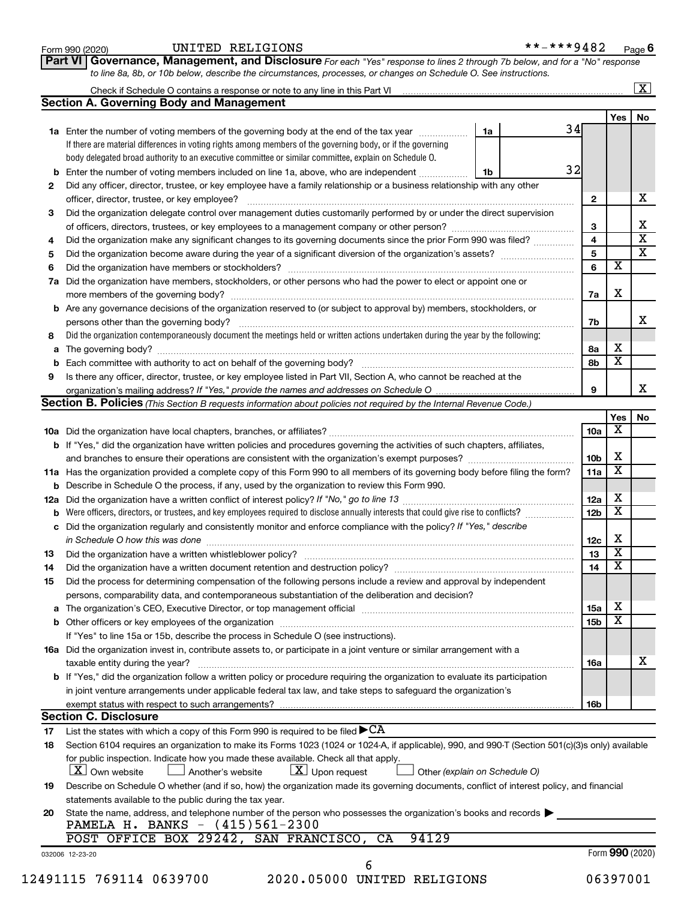Form 990 (2020) UNITED RELIGIONS \*\*-\*\*\*9482 <sub>Page</sub>

**Part VI** Governance, Management, and Disclosure For each "Yes" response to lines 2 through 7b below, and for a "No" response *to line 8a, 8b, or 10b below, describe the circumstances, processes, or changes on Schedule O. See instructions.*

|     | Check if Schedule O contains a response or note to any line in this Part VI                                                                                                                           |    |    |                 |                         | $\overline{\mathbf{x}}$ |
|-----|-------------------------------------------------------------------------------------------------------------------------------------------------------------------------------------------------------|----|----|-----------------|-------------------------|-------------------------|
|     | <b>Section A. Governing Body and Management</b>                                                                                                                                                       |    |    |                 |                         |                         |
|     |                                                                                                                                                                                                       |    |    |                 | <b>Yes</b>              | No                      |
|     | 1a Enter the number of voting members of the governing body at the end of the tax year <i>manument</i>                                                                                                | 1a | 34 |                 |                         |                         |
|     | If there are material differences in voting rights among members of the governing body, or if the governing                                                                                           |    |    |                 |                         |                         |
|     | body delegated broad authority to an executive committee or similar committee, explain on Schedule O.                                                                                                 |    |    |                 |                         |                         |
| b   | Enter the number of voting members included on line 1a, above, who are independent                                                                                                                    | 1b | 32 |                 |                         |                         |
| 2   | Did any officer, director, trustee, or key employee have a family relationship or a business relationship with any other                                                                              |    |    |                 |                         |                         |
|     | officer, director, trustee, or key employee?                                                                                                                                                          |    |    | $\mathbf{2}$    |                         | x                       |
| 3   | Did the organization delegate control over management duties customarily performed by or under the direct supervision                                                                                 |    |    |                 |                         |                         |
|     |                                                                                                                                                                                                       |    |    | 3               |                         | х                       |
| 4   | Did the organization make any significant changes to its governing documents since the prior Form 990 was filed?                                                                                      |    |    | $\overline{4}$  |                         | $\overline{\textbf{x}}$ |
| 5   |                                                                                                                                                                                                       |    |    | 5               |                         | $\overline{\mathtt{x}}$ |
| 6   |                                                                                                                                                                                                       |    |    | 6               | $\overline{\mathbf{x}}$ |                         |
| 7a  | Did the organization have members, stockholders, or other persons who had the power to elect or appoint one or                                                                                        |    |    |                 |                         |                         |
|     |                                                                                                                                                                                                       |    |    | 7a              | X                       |                         |
| b   | Are any governance decisions of the organization reserved to (or subject to approval by) members, stockholders, or                                                                                    |    |    |                 |                         |                         |
|     | persons other than the governing body?                                                                                                                                                                |    |    | 7b              |                         | x                       |
| 8   | Did the organization contemporaneously document the meetings held or written actions undertaken during the year by the following:                                                                     |    |    |                 |                         |                         |
|     |                                                                                                                                                                                                       |    |    |                 | х                       |                         |
| а   |                                                                                                                                                                                                       |    |    | 8а              | $\overline{\mathbf{x}}$ |                         |
| b   |                                                                                                                                                                                                       |    |    | 8b              |                         |                         |
| 9   | Is there any officer, director, trustee, or key employee listed in Part VII, Section A, who cannot be reached at the                                                                                  |    |    |                 |                         | x                       |
|     |                                                                                                                                                                                                       |    |    | 9               |                         |                         |
|     | <b>Section B. Policies</b> (This Section B requests information about policies not required by the Internal Revenue Code.)                                                                            |    |    |                 |                         |                         |
|     |                                                                                                                                                                                                       |    |    |                 | Yes                     | No                      |
|     |                                                                                                                                                                                                       |    |    | 10a             | х                       |                         |
|     | <b>b</b> If "Yes," did the organization have written policies and procedures governing the activities of such chapters, affiliates,                                                                   |    |    |                 |                         |                         |
|     |                                                                                                                                                                                                       |    |    | 10 <sub>b</sub> | X                       |                         |
|     | 11a Has the organization provided a complete copy of this Form 990 to all members of its governing body before filing the form?                                                                       |    |    | 11a             | $\overline{\textbf{x}}$ |                         |
|     | Describe in Schedule O the process, if any, used by the organization to review this Form 990.                                                                                                         |    |    |                 |                         |                         |
| 12a |                                                                                                                                                                                                       |    |    | 12a             | х                       |                         |
|     | Were officers, directors, or trustees, and key employees required to disclose annually interests that could give rise to conflicts?                                                                   |    |    | 12 <sub>b</sub> | $\overline{\textbf{x}}$ |                         |
| с   | Did the organization regularly and consistently monitor and enforce compliance with the policy? If "Yes," describe                                                                                    |    |    |                 |                         |                         |
|     | in Schedule O how this was done <i>maching and accordination of the schedule O</i> how this was done                                                                                                  |    |    | 12c             | х                       |                         |
| 13  |                                                                                                                                                                                                       |    |    | 13              | $\overline{\textbf{x}}$ |                         |
| 14  |                                                                                                                                                                                                       |    |    | 14              | $\overline{\textbf{x}}$ |                         |
| 15  | Did the process for determining compensation of the following persons include a review and approval by independent                                                                                    |    |    |                 |                         |                         |
|     | persons, comparability data, and contemporaneous substantiation of the deliberation and decision?                                                                                                     |    |    |                 |                         |                         |
| а   |                                                                                                                                                                                                       |    |    | 15a             | х                       |                         |
|     |                                                                                                                                                                                                       |    |    | 15 <sub>b</sub> | $\overline{\textbf{x}}$ |                         |
|     | If "Yes" to line 15a or 15b, describe the process in Schedule O (see instructions).                                                                                                                   |    |    |                 |                         |                         |
|     | 16a Did the organization invest in, contribute assets to, or participate in a joint venture or similar arrangement with a                                                                             |    |    |                 |                         |                         |
|     |                                                                                                                                                                                                       |    |    |                 |                         | X                       |
|     | taxable entity during the year?                                                                                                                                                                       |    |    | 16a             |                         |                         |
|     | b If "Yes," did the organization follow a written policy or procedure requiring the organization to evaluate its participation                                                                        |    |    |                 |                         |                         |
|     | in joint venture arrangements under applicable federal tax law, and take steps to safeguard the organization's                                                                                        |    |    |                 |                         |                         |
|     | exempt status with respect to such arrangements?                                                                                                                                                      |    |    | 16b             |                         |                         |
|     | <b>Section C. Disclosure</b>                                                                                                                                                                          |    |    |                 |                         |                         |
| 17  | List the states with which a copy of this Form 990 is required to be filed $\blacktriangleright$ CA                                                                                                   |    |    |                 |                         |                         |
| 18  | Section 6104 requires an organization to make its Forms 1023 (1024 or 1024-A, if applicable), 990, and 990-T (Section 501(c)(3)s only) available                                                      |    |    |                 |                         |                         |
|     | for public inspection. Indicate how you made these available. Check all that apply.<br>$\lfloor x \rfloor$ Upon request<br><b>X</b> Own website<br>Another's website<br>Other (explain on Schedule O) |    |    |                 |                         |                         |
| 19  | Describe on Schedule O whether (and if so, how) the organization made its governing documents, conflict of interest policy, and financial                                                             |    |    |                 |                         |                         |
|     | statements available to the public during the tax year.                                                                                                                                               |    |    |                 |                         |                         |
| 20  | State the name, address, and telephone number of the person who possesses the organization's books and records                                                                                        |    |    |                 |                         |                         |
|     | PAMELA H. BANKS - (415)561-2300                                                                                                                                                                       |    |    |                 |                         |                         |
|     | POST OFFICE BOX 29242, SAN FRANCISCO, CA<br>94129                                                                                                                                                     |    |    |                 |                         |                         |
|     |                                                                                                                                                                                                       |    |    |                 |                         |                         |
|     | 032006 12-23-20<br>6                                                                                                                                                                                  |    |    |                 | Form 990 (2020)         |                         |
|     |                                                                                                                                                                                                       |    |    |                 |                         |                         |
|     | 12491115 769114 0639700<br>2020.05000 UNITED RELIGIONS                                                                                                                                                |    |    |                 | 06397001                |                         |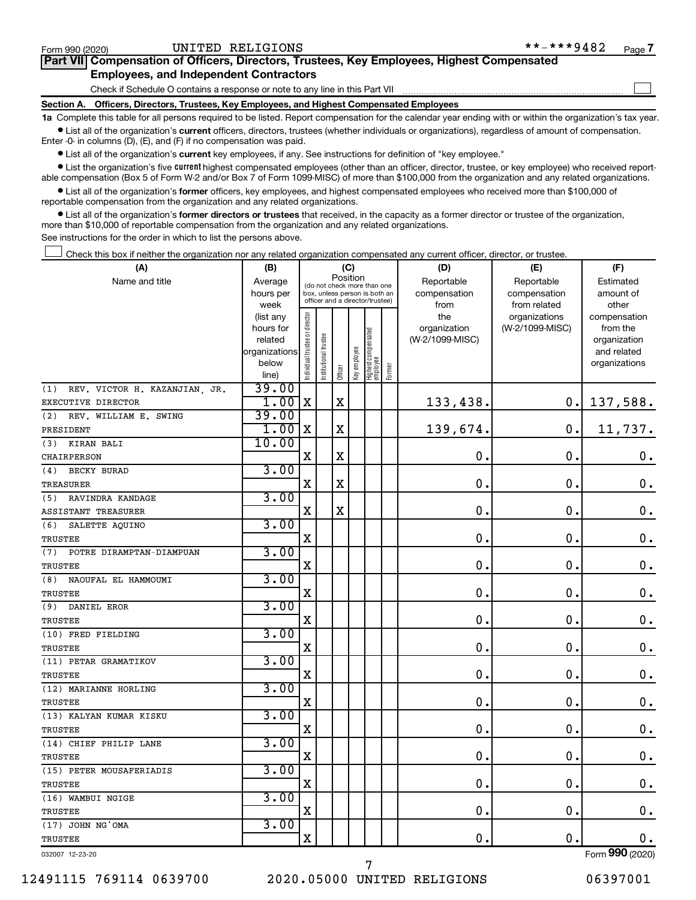$\Box$ 

| Part VII Compensation of Officers, Directors, Trustees, Key Employees, Highest Compensated |  |  |
|--------------------------------------------------------------------------------------------|--|--|
| <b>Employees, and Independent Contractors</b>                                              |  |  |

Check if Schedule O contains a response or note to any line in this Part VII

**Section A. Officers, Directors, Trustees, Key Employees, and Highest Compensated Employees**

**1a**  Complete this table for all persons required to be listed. Report compensation for the calendar year ending with or within the organization's tax year.  $\bullet$  List all of the organization's current officers, directors, trustees (whether individuals or organizations), regardless of amount of compensation.

Enter -0- in columns (D), (E), and (F) if no compensation was paid.

**•** List all of the organization's current key employees, if any. See instructions for definition of "key employee."

• List the organization's five *current* highest compensated employees (other than an officer, director, trustee, or key employee) who received reportable compensation (Box 5 of Form W-2 and/or Box 7 of Form 1099-MISC) of more than \$100,000 from the organization and any related organizations.

 $\bullet$  List all of the organization's former officers, key employees, and highest compensated employees who received more than \$100,000 of reportable compensation from the organization and any related organizations.

**•** List all of the organization's former directors or trustees that received, in the capacity as a former director or trustee of the organization, more than \$10,000 of reportable compensation from the organization and any related organizations.

See instructions for the order in which to list the persons above.

Check this box if neither the organization nor any related organization compensated any current officer, director, or trustee.  $\Box$ 

| Position<br>Name and title<br>Reportable<br>Reportable<br>Average<br>Estimated<br>(do not check more than one<br>hours per<br>compensation<br>compensation<br>amount of<br>box, unless person is both an<br>officer and a director/trustee)<br>week<br>from<br>from related<br>other<br>Individual trustee or director<br>(list any<br>the<br>organizations<br>compensation<br>(W-2/1099-MISC)<br>hours for<br>organization<br>from the<br>  Highest compensated<br>  employee<br>nstitutional trustee<br>related<br>(W-2/1099-MISC)<br>organization<br>Key employee<br>organizations<br>and related<br>below<br>organizations<br>Former<br>Officer<br>line)<br>39.00<br>REV. VICTOR H. KAZANJIAN, JR.<br>(1)<br>$\mathbf x$<br>$\mathbf X$<br>133,438.<br>0.<br>1.00<br>137,588.<br>EXECUTIVE DIRECTOR<br>39.00<br>REV. WILLIAM E. SWING<br>(2)<br>139,674.<br>11,737.<br>$1.00$ X<br>$\mathbf X$<br>0.<br>PRESIDENT<br>10.00<br>KIRAN BALI<br>(3)<br>X<br>X<br>$\mathbf 0$ .<br>0.<br>0.<br>CHAIRPERSON<br>3.00<br><b>BECKY BURAD</b><br>(4)<br>$\mathbf X$<br>X<br>$\mathbf 0$ .<br>$\mathbf 0$ .<br>$\mathbf 0$ .<br>TREASURER<br>3.00<br>(5)<br>RAVINDRA KANDAGE<br>$\mathbf X$<br>X<br>$\mathbf 0$ .<br>$\mathbf 0$ .<br>$\mathbf 0$ .<br><b>ASSISTANT TREASURER</b><br>3.00<br>SALETTE AQUINO<br>(6)<br>$\mathbf X$<br>$\mathbf 0$ .<br>$\mathbf 0$ .<br>$\mathbf 0$ .<br><b>TRUSTEE</b><br>3.00<br>(7)<br>POTRE DIRAMPTAN-DIAMPUAN<br>X<br>$\mathbf 0$ .<br>$\mathbf 0$ .<br>$\mathbf 0$ .<br>TRUSTEE<br>3.00<br>NAOUFAL EL HAMMOUMI<br>(8)<br>X<br>$\mathbf 0$ .<br>$\mathbf 0$ .<br>$\mathbf 0$ .<br>TRUSTEE<br>3.00<br>DANIEL EROR<br>(9)<br>0.<br>$\mathbf 0$ .<br>$\mathbf X$<br>$\mathbf 0$ .<br><b>TRUSTEE</b><br>3.00<br>(10) FRED FIELDING<br>$\mathbf 0$ .<br>$\mathbf 0$ .<br>0.<br>X<br><b>TRUSTEE</b><br>3.00<br>(11) PETAR GRAMATIKOV<br>0.<br>$\mathbf 0$<br>$\mathbf 0$ .<br>X<br><b>TRUSTEE</b><br>3.00<br>(12) MARIANNE HORLING<br>$\mathbf X$<br>$\mathbf 0$ .<br>$\mathbf 0$ .<br>0.<br>TRUSTEE<br>3.00<br>(13) KALYAN KUMAR KISKU<br>$\mathbf X$<br>$\mathbf 0$ .<br>$\mathbf 0$ .<br>$\mathbf 0$ .<br><b>TRUSTEE</b><br>3.00<br>(14) CHIEF PHILIP LANE<br>$\mathbf X$<br>0.<br>$\mathbf 0$ .<br>$\mathbf 0$ .<br>TRUSTEE<br>3.00<br>(15) PETER MOUSAFERIADIS<br>$\mathbf X$<br>$\mathbf 0$ .<br>0.<br>$\mathbf 0$ .<br>TRUSTEE<br>3.00<br>(16) WAMBUI NGIGE<br>0.<br>$\mathbf 0$ .<br>$\mathbf 0$ .<br>$\mathbf X$<br>TRUSTEE<br>3.00<br>(17) JOHN NG'OMA<br>0.<br>$\mathbf 0$ .<br>$0$ .<br>X<br>TRUSTEE<br>Form 990 (2020)<br>032007 12-23-20 | (A) | (B) |  | (C) |  | (D) | (E) | (F) |
|-------------------------------------------------------------------------------------------------------------------------------------------------------------------------------------------------------------------------------------------------------------------------------------------------------------------------------------------------------------------------------------------------------------------------------------------------------------------------------------------------------------------------------------------------------------------------------------------------------------------------------------------------------------------------------------------------------------------------------------------------------------------------------------------------------------------------------------------------------------------------------------------------------------------------------------------------------------------------------------------------------------------------------------------------------------------------------------------------------------------------------------------------------------------------------------------------------------------------------------------------------------------------------------------------------------------------------------------------------------------------------------------------------------------------------------------------------------------------------------------------------------------------------------------------------------------------------------------------------------------------------------------------------------------------------------------------------------------------------------------------------------------------------------------------------------------------------------------------------------------------------------------------------------------------------------------------------------------------------------------------------------------------------------------------------------------------------------------------------------------------------------------------------------------------------------------------------------------------------------------------------------------------------------------------------------------------------------------------------------------------------------------------------------------------------------------------------------------------------------------------------------------------------------------------------------------------------|-----|-----|--|-----|--|-----|-----|-----|
|                                                                                                                                                                                                                                                                                                                                                                                                                                                                                                                                                                                                                                                                                                                                                                                                                                                                                                                                                                                                                                                                                                                                                                                                                                                                                                                                                                                                                                                                                                                                                                                                                                                                                                                                                                                                                                                                                                                                                                                                                                                                                                                                                                                                                                                                                                                                                                                                                                                                                                                                                                               |     |     |  |     |  |     |     |     |
|                                                                                                                                                                                                                                                                                                                                                                                                                                                                                                                                                                                                                                                                                                                                                                                                                                                                                                                                                                                                                                                                                                                                                                                                                                                                                                                                                                                                                                                                                                                                                                                                                                                                                                                                                                                                                                                                                                                                                                                                                                                                                                                                                                                                                                                                                                                                                                                                                                                                                                                                                                               |     |     |  |     |  |     |     |     |
|                                                                                                                                                                                                                                                                                                                                                                                                                                                                                                                                                                                                                                                                                                                                                                                                                                                                                                                                                                                                                                                                                                                                                                                                                                                                                                                                                                                                                                                                                                                                                                                                                                                                                                                                                                                                                                                                                                                                                                                                                                                                                                                                                                                                                                                                                                                                                                                                                                                                                                                                                                               |     |     |  |     |  |     |     |     |
|                                                                                                                                                                                                                                                                                                                                                                                                                                                                                                                                                                                                                                                                                                                                                                                                                                                                                                                                                                                                                                                                                                                                                                                                                                                                                                                                                                                                                                                                                                                                                                                                                                                                                                                                                                                                                                                                                                                                                                                                                                                                                                                                                                                                                                                                                                                                                                                                                                                                                                                                                                               |     |     |  |     |  |     |     |     |
|                                                                                                                                                                                                                                                                                                                                                                                                                                                                                                                                                                                                                                                                                                                                                                                                                                                                                                                                                                                                                                                                                                                                                                                                                                                                                                                                                                                                                                                                                                                                                                                                                                                                                                                                                                                                                                                                                                                                                                                                                                                                                                                                                                                                                                                                                                                                                                                                                                                                                                                                                                               |     |     |  |     |  |     |     |     |
|                                                                                                                                                                                                                                                                                                                                                                                                                                                                                                                                                                                                                                                                                                                                                                                                                                                                                                                                                                                                                                                                                                                                                                                                                                                                                                                                                                                                                                                                                                                                                                                                                                                                                                                                                                                                                                                                                                                                                                                                                                                                                                                                                                                                                                                                                                                                                                                                                                                                                                                                                                               |     |     |  |     |  |     |     |     |
|                                                                                                                                                                                                                                                                                                                                                                                                                                                                                                                                                                                                                                                                                                                                                                                                                                                                                                                                                                                                                                                                                                                                                                                                                                                                                                                                                                                                                                                                                                                                                                                                                                                                                                                                                                                                                                                                                                                                                                                                                                                                                                                                                                                                                                                                                                                                                                                                                                                                                                                                                                               |     |     |  |     |  |     |     |     |
|                                                                                                                                                                                                                                                                                                                                                                                                                                                                                                                                                                                                                                                                                                                                                                                                                                                                                                                                                                                                                                                                                                                                                                                                                                                                                                                                                                                                                                                                                                                                                                                                                                                                                                                                                                                                                                                                                                                                                                                                                                                                                                                                                                                                                                                                                                                                                                                                                                                                                                                                                                               |     |     |  |     |  |     |     |     |
|                                                                                                                                                                                                                                                                                                                                                                                                                                                                                                                                                                                                                                                                                                                                                                                                                                                                                                                                                                                                                                                                                                                                                                                                                                                                                                                                                                                                                                                                                                                                                                                                                                                                                                                                                                                                                                                                                                                                                                                                                                                                                                                                                                                                                                                                                                                                                                                                                                                                                                                                                                               |     |     |  |     |  |     |     |     |
|                                                                                                                                                                                                                                                                                                                                                                                                                                                                                                                                                                                                                                                                                                                                                                                                                                                                                                                                                                                                                                                                                                                                                                                                                                                                                                                                                                                                                                                                                                                                                                                                                                                                                                                                                                                                                                                                                                                                                                                                                                                                                                                                                                                                                                                                                                                                                                                                                                                                                                                                                                               |     |     |  |     |  |     |     |     |
|                                                                                                                                                                                                                                                                                                                                                                                                                                                                                                                                                                                                                                                                                                                                                                                                                                                                                                                                                                                                                                                                                                                                                                                                                                                                                                                                                                                                                                                                                                                                                                                                                                                                                                                                                                                                                                                                                                                                                                                                                                                                                                                                                                                                                                                                                                                                                                                                                                                                                                                                                                               |     |     |  |     |  |     |     |     |
|                                                                                                                                                                                                                                                                                                                                                                                                                                                                                                                                                                                                                                                                                                                                                                                                                                                                                                                                                                                                                                                                                                                                                                                                                                                                                                                                                                                                                                                                                                                                                                                                                                                                                                                                                                                                                                                                                                                                                                                                                                                                                                                                                                                                                                                                                                                                                                                                                                                                                                                                                                               |     |     |  |     |  |     |     |     |
|                                                                                                                                                                                                                                                                                                                                                                                                                                                                                                                                                                                                                                                                                                                                                                                                                                                                                                                                                                                                                                                                                                                                                                                                                                                                                                                                                                                                                                                                                                                                                                                                                                                                                                                                                                                                                                                                                                                                                                                                                                                                                                                                                                                                                                                                                                                                                                                                                                                                                                                                                                               |     |     |  |     |  |     |     |     |
|                                                                                                                                                                                                                                                                                                                                                                                                                                                                                                                                                                                                                                                                                                                                                                                                                                                                                                                                                                                                                                                                                                                                                                                                                                                                                                                                                                                                                                                                                                                                                                                                                                                                                                                                                                                                                                                                                                                                                                                                                                                                                                                                                                                                                                                                                                                                                                                                                                                                                                                                                                               |     |     |  |     |  |     |     |     |
|                                                                                                                                                                                                                                                                                                                                                                                                                                                                                                                                                                                                                                                                                                                                                                                                                                                                                                                                                                                                                                                                                                                                                                                                                                                                                                                                                                                                                                                                                                                                                                                                                                                                                                                                                                                                                                                                                                                                                                                                                                                                                                                                                                                                                                                                                                                                                                                                                                                                                                                                                                               |     |     |  |     |  |     |     |     |
|                                                                                                                                                                                                                                                                                                                                                                                                                                                                                                                                                                                                                                                                                                                                                                                                                                                                                                                                                                                                                                                                                                                                                                                                                                                                                                                                                                                                                                                                                                                                                                                                                                                                                                                                                                                                                                                                                                                                                                                                                                                                                                                                                                                                                                                                                                                                                                                                                                                                                                                                                                               |     |     |  |     |  |     |     |     |
|                                                                                                                                                                                                                                                                                                                                                                                                                                                                                                                                                                                                                                                                                                                                                                                                                                                                                                                                                                                                                                                                                                                                                                                                                                                                                                                                                                                                                                                                                                                                                                                                                                                                                                                                                                                                                                                                                                                                                                                                                                                                                                                                                                                                                                                                                                                                                                                                                                                                                                                                                                               |     |     |  |     |  |     |     |     |
|                                                                                                                                                                                                                                                                                                                                                                                                                                                                                                                                                                                                                                                                                                                                                                                                                                                                                                                                                                                                                                                                                                                                                                                                                                                                                                                                                                                                                                                                                                                                                                                                                                                                                                                                                                                                                                                                                                                                                                                                                                                                                                                                                                                                                                                                                                                                                                                                                                                                                                                                                                               |     |     |  |     |  |     |     |     |
|                                                                                                                                                                                                                                                                                                                                                                                                                                                                                                                                                                                                                                                                                                                                                                                                                                                                                                                                                                                                                                                                                                                                                                                                                                                                                                                                                                                                                                                                                                                                                                                                                                                                                                                                                                                                                                                                                                                                                                                                                                                                                                                                                                                                                                                                                                                                                                                                                                                                                                                                                                               |     |     |  |     |  |     |     |     |
|                                                                                                                                                                                                                                                                                                                                                                                                                                                                                                                                                                                                                                                                                                                                                                                                                                                                                                                                                                                                                                                                                                                                                                                                                                                                                                                                                                                                                                                                                                                                                                                                                                                                                                                                                                                                                                                                                                                                                                                                                                                                                                                                                                                                                                                                                                                                                                                                                                                                                                                                                                               |     |     |  |     |  |     |     |     |
|                                                                                                                                                                                                                                                                                                                                                                                                                                                                                                                                                                                                                                                                                                                                                                                                                                                                                                                                                                                                                                                                                                                                                                                                                                                                                                                                                                                                                                                                                                                                                                                                                                                                                                                                                                                                                                                                                                                                                                                                                                                                                                                                                                                                                                                                                                                                                                                                                                                                                                                                                                               |     |     |  |     |  |     |     |     |
|                                                                                                                                                                                                                                                                                                                                                                                                                                                                                                                                                                                                                                                                                                                                                                                                                                                                                                                                                                                                                                                                                                                                                                                                                                                                                                                                                                                                                                                                                                                                                                                                                                                                                                                                                                                                                                                                                                                                                                                                                                                                                                                                                                                                                                                                                                                                                                                                                                                                                                                                                                               |     |     |  |     |  |     |     |     |
|                                                                                                                                                                                                                                                                                                                                                                                                                                                                                                                                                                                                                                                                                                                                                                                                                                                                                                                                                                                                                                                                                                                                                                                                                                                                                                                                                                                                                                                                                                                                                                                                                                                                                                                                                                                                                                                                                                                                                                                                                                                                                                                                                                                                                                                                                                                                                                                                                                                                                                                                                                               |     |     |  |     |  |     |     |     |
|                                                                                                                                                                                                                                                                                                                                                                                                                                                                                                                                                                                                                                                                                                                                                                                                                                                                                                                                                                                                                                                                                                                                                                                                                                                                                                                                                                                                                                                                                                                                                                                                                                                                                                                                                                                                                                                                                                                                                                                                                                                                                                                                                                                                                                                                                                                                                                                                                                                                                                                                                                               |     |     |  |     |  |     |     |     |
|                                                                                                                                                                                                                                                                                                                                                                                                                                                                                                                                                                                                                                                                                                                                                                                                                                                                                                                                                                                                                                                                                                                                                                                                                                                                                                                                                                                                                                                                                                                                                                                                                                                                                                                                                                                                                                                                                                                                                                                                                                                                                                                                                                                                                                                                                                                                                                                                                                                                                                                                                                               |     |     |  |     |  |     |     |     |
|                                                                                                                                                                                                                                                                                                                                                                                                                                                                                                                                                                                                                                                                                                                                                                                                                                                                                                                                                                                                                                                                                                                                                                                                                                                                                                                                                                                                                                                                                                                                                                                                                                                                                                                                                                                                                                                                                                                                                                                                                                                                                                                                                                                                                                                                                                                                                                                                                                                                                                                                                                               |     |     |  |     |  |     |     |     |
|                                                                                                                                                                                                                                                                                                                                                                                                                                                                                                                                                                                                                                                                                                                                                                                                                                                                                                                                                                                                                                                                                                                                                                                                                                                                                                                                                                                                                                                                                                                                                                                                                                                                                                                                                                                                                                                                                                                                                                                                                                                                                                                                                                                                                                                                                                                                                                                                                                                                                                                                                                               |     |     |  |     |  |     |     |     |
|                                                                                                                                                                                                                                                                                                                                                                                                                                                                                                                                                                                                                                                                                                                                                                                                                                                                                                                                                                                                                                                                                                                                                                                                                                                                                                                                                                                                                                                                                                                                                                                                                                                                                                                                                                                                                                                                                                                                                                                                                                                                                                                                                                                                                                                                                                                                                                                                                                                                                                                                                                               |     |     |  |     |  |     |     |     |
|                                                                                                                                                                                                                                                                                                                                                                                                                                                                                                                                                                                                                                                                                                                                                                                                                                                                                                                                                                                                                                                                                                                                                                                                                                                                                                                                                                                                                                                                                                                                                                                                                                                                                                                                                                                                                                                                                                                                                                                                                                                                                                                                                                                                                                                                                                                                                                                                                                                                                                                                                                               |     |     |  |     |  |     |     |     |
|                                                                                                                                                                                                                                                                                                                                                                                                                                                                                                                                                                                                                                                                                                                                                                                                                                                                                                                                                                                                                                                                                                                                                                                                                                                                                                                                                                                                                                                                                                                                                                                                                                                                                                                                                                                                                                                                                                                                                                                                                                                                                                                                                                                                                                                                                                                                                                                                                                                                                                                                                                               |     |     |  |     |  |     |     |     |
|                                                                                                                                                                                                                                                                                                                                                                                                                                                                                                                                                                                                                                                                                                                                                                                                                                                                                                                                                                                                                                                                                                                                                                                                                                                                                                                                                                                                                                                                                                                                                                                                                                                                                                                                                                                                                                                                                                                                                                                                                                                                                                                                                                                                                                                                                                                                                                                                                                                                                                                                                                               |     |     |  |     |  |     |     |     |
|                                                                                                                                                                                                                                                                                                                                                                                                                                                                                                                                                                                                                                                                                                                                                                                                                                                                                                                                                                                                                                                                                                                                                                                                                                                                                                                                                                                                                                                                                                                                                                                                                                                                                                                                                                                                                                                                                                                                                                                                                                                                                                                                                                                                                                                                                                                                                                                                                                                                                                                                                                               |     |     |  |     |  |     |     |     |
|                                                                                                                                                                                                                                                                                                                                                                                                                                                                                                                                                                                                                                                                                                                                                                                                                                                                                                                                                                                                                                                                                                                                                                                                                                                                                                                                                                                                                                                                                                                                                                                                                                                                                                                                                                                                                                                                                                                                                                                                                                                                                                                                                                                                                                                                                                                                                                                                                                                                                                                                                                               |     |     |  |     |  |     |     |     |
|                                                                                                                                                                                                                                                                                                                                                                                                                                                                                                                                                                                                                                                                                                                                                                                                                                                                                                                                                                                                                                                                                                                                                                                                                                                                                                                                                                                                                                                                                                                                                                                                                                                                                                                                                                                                                                                                                                                                                                                                                                                                                                                                                                                                                                                                                                                                                                                                                                                                                                                                                                               |     |     |  |     |  |     |     |     |
|                                                                                                                                                                                                                                                                                                                                                                                                                                                                                                                                                                                                                                                                                                                                                                                                                                                                                                                                                                                                                                                                                                                                                                                                                                                                                                                                                                                                                                                                                                                                                                                                                                                                                                                                                                                                                                                                                                                                                                                                                                                                                                                                                                                                                                                                                                                                                                                                                                                                                                                                                                               |     |     |  |     |  |     |     |     |
|                                                                                                                                                                                                                                                                                                                                                                                                                                                                                                                                                                                                                                                                                                                                                                                                                                                                                                                                                                                                                                                                                                                                                                                                                                                                                                                                                                                                                                                                                                                                                                                                                                                                                                                                                                                                                                                                                                                                                                                                                                                                                                                                                                                                                                                                                                                                                                                                                                                                                                                                                                               |     |     |  |     |  |     |     |     |
|                                                                                                                                                                                                                                                                                                                                                                                                                                                                                                                                                                                                                                                                                                                                                                                                                                                                                                                                                                                                                                                                                                                                                                                                                                                                                                                                                                                                                                                                                                                                                                                                                                                                                                                                                                                                                                                                                                                                                                                                                                                                                                                                                                                                                                                                                                                                                                                                                                                                                                                                                                               |     |     |  |     |  |     |     |     |
|                                                                                                                                                                                                                                                                                                                                                                                                                                                                                                                                                                                                                                                                                                                                                                                                                                                                                                                                                                                                                                                                                                                                                                                                                                                                                                                                                                                                                                                                                                                                                                                                                                                                                                                                                                                                                                                                                                                                                                                                                                                                                                                                                                                                                                                                                                                                                                                                                                                                                                                                                                               |     |     |  |     |  |     |     |     |
|                                                                                                                                                                                                                                                                                                                                                                                                                                                                                                                                                                                                                                                                                                                                                                                                                                                                                                                                                                                                                                                                                                                                                                                                                                                                                                                                                                                                                                                                                                                                                                                                                                                                                                                                                                                                                                                                                                                                                                                                                                                                                                                                                                                                                                                                                                                                                                                                                                                                                                                                                                               |     |     |  |     |  |     |     |     |
|                                                                                                                                                                                                                                                                                                                                                                                                                                                                                                                                                                                                                                                                                                                                                                                                                                                                                                                                                                                                                                                                                                                                                                                                                                                                                                                                                                                                                                                                                                                                                                                                                                                                                                                                                                                                                                                                                                                                                                                                                                                                                                                                                                                                                                                                                                                                                                                                                                                                                                                                                                               |     |     |  |     |  |     |     |     |
|                                                                                                                                                                                                                                                                                                                                                                                                                                                                                                                                                                                                                                                                                                                                                                                                                                                                                                                                                                                                                                                                                                                                                                                                                                                                                                                                                                                                                                                                                                                                                                                                                                                                                                                                                                                                                                                                                                                                                                                                                                                                                                                                                                                                                                                                                                                                                                                                                                                                                                                                                                               |     |     |  |     |  |     |     |     |
|                                                                                                                                                                                                                                                                                                                                                                                                                                                                                                                                                                                                                                                                                                                                                                                                                                                                                                                                                                                                                                                                                                                                                                                                                                                                                                                                                                                                                                                                                                                                                                                                                                                                                                                                                                                                                                                                                                                                                                                                                                                                                                                                                                                                                                                                                                                                                                                                                                                                                                                                                                               |     |     |  |     |  |     |     |     |
|                                                                                                                                                                                                                                                                                                                                                                                                                                                                                                                                                                                                                                                                                                                                                                                                                                                                                                                                                                                                                                                                                                                                                                                                                                                                                                                                                                                                                                                                                                                                                                                                                                                                                                                                                                                                                                                                                                                                                                                                                                                                                                                                                                                                                                                                                                                                                                                                                                                                                                                                                                               |     |     |  |     |  |     |     |     |
|                                                                                                                                                                                                                                                                                                                                                                                                                                                                                                                                                                                                                                                                                                                                                                                                                                                                                                                                                                                                                                                                                                                                                                                                                                                                                                                                                                                                                                                                                                                                                                                                                                                                                                                                                                                                                                                                                                                                                                                                                                                                                                                                                                                                                                                                                                                                                                                                                                                                                                                                                                               |     |     |  |     |  |     |     |     |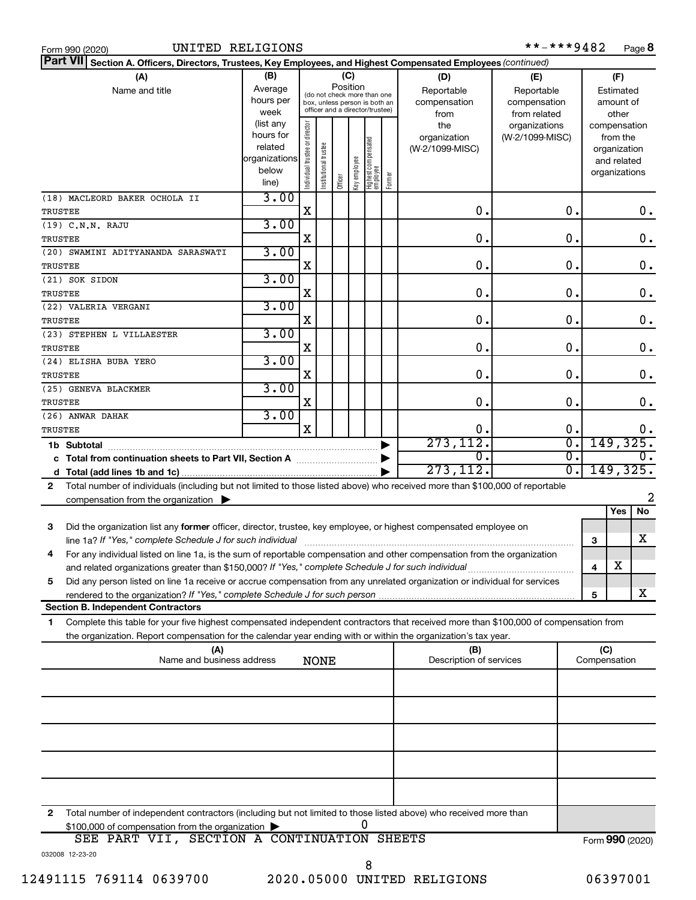| Form 990 (2020 |  |
|----------------|--|

| Part VII Section A. Officers, Directors, Trustees, Key Employees, and Highest Compensated Employees (continued)                           |                        |                                |                       |          |              |                                  |        |                         |                 |   |                             |                  |
|-------------------------------------------------------------------------------------------------------------------------------------------|------------------------|--------------------------------|-----------------------|----------|--------------|----------------------------------|--------|-------------------------|-----------------|---|-----------------------------|------------------|
| (A)                                                                                                                                       | (B)                    |                                |                       |          | (C)          |                                  |        | (D)                     | (E)             |   | (F)                         |                  |
| Name and title                                                                                                                            | Average                |                                |                       | Position |              | (do not check more than one      |        | Reportable              | Reportable      |   | Estimated                   |                  |
|                                                                                                                                           | hours per              |                                |                       |          |              | box, unless person is both an    |        | compensation            | compensation    |   | amount of                   |                  |
|                                                                                                                                           | week                   |                                |                       |          |              | officer and a director/trustee)  |        | from                    | from related    |   | other                       |                  |
|                                                                                                                                           | (list any<br>hours for |                                |                       |          |              |                                  |        | the                     | organizations   |   | compensation                |                  |
|                                                                                                                                           | related                |                                |                       |          |              |                                  |        | organization            | (W-2/1099-MISC) |   | from the                    |                  |
|                                                                                                                                           | organizations          |                                |                       |          |              |                                  |        | (W-2/1099-MISC)         |                 |   | organization<br>and related |                  |
|                                                                                                                                           | below                  |                                |                       |          |              |                                  |        |                         |                 |   | organizations               |                  |
|                                                                                                                                           | line)                  | Individual trustee or director | Institutional trustee | Officer  | Key employee | Highest compensated<br> employee | Former |                         |                 |   |                             |                  |
| (18) MACLEORD BAKER OCHOLA II                                                                                                             | 3.00                   |                                |                       |          |              |                                  |        |                         |                 |   |                             |                  |
| TRUSTEE                                                                                                                                   |                        | Χ                              |                       |          |              |                                  |        | 0.                      | О.              |   |                             | 0.               |
| (19) C.N.N. RAJU                                                                                                                          | 3.00                   |                                |                       |          |              |                                  |        |                         |                 |   |                             |                  |
| TRUSTEE                                                                                                                                   |                        | х                              |                       |          |              |                                  |        | 0.                      | О.              |   |                             | 0.               |
| (20) SWAMINI ADITYANANDA SARASWATI                                                                                                        | 3.00                   |                                |                       |          |              |                                  |        |                         |                 |   |                             |                  |
| TRUSTEE                                                                                                                                   |                        | х                              |                       |          |              |                                  |        | 0.                      | О.              |   |                             | 0.               |
| (21) SOK SIDON                                                                                                                            | 3.00                   |                                |                       |          |              |                                  |        |                         |                 |   |                             |                  |
| TRUSTEE                                                                                                                                   |                        | X                              |                       |          |              |                                  |        | 0.                      | О.              |   |                             | $\mathbf 0$ .    |
| (22) VALERIA VERGANI                                                                                                                      | 3.00                   |                                |                       |          |              |                                  |        |                         |                 |   |                             |                  |
| TRUSTEE                                                                                                                                   |                        | X                              |                       |          |              |                                  |        | 0.                      | О.              |   |                             | $\mathbf 0$ .    |
| (23) STEPHEN L VILLAESTER                                                                                                                 | 3.00                   |                                |                       |          |              |                                  |        |                         |                 |   |                             |                  |
| TRUSTEE                                                                                                                                   |                        | X                              |                       |          |              |                                  |        | 0.                      | О.              |   |                             | $\mathbf 0$ .    |
| (24) ELISHA BUBA YERO                                                                                                                     | 3.00                   |                                |                       |          |              |                                  |        |                         |                 |   |                             |                  |
| <b>TRUSTEE</b>                                                                                                                            |                        | х                              |                       |          |              |                                  |        | 0.                      | О.              |   |                             | $\mathbf 0$ .    |
| (25) GENEVA BLACKMER                                                                                                                      | 3.00                   |                                |                       |          |              |                                  |        |                         |                 |   |                             |                  |
| TRUSTEE                                                                                                                                   |                        | х                              |                       |          |              |                                  |        | 0.                      | $\mathbf 0$ .   |   |                             | 0.               |
| (26) ANWAR DAHAK                                                                                                                          | 3.00                   |                                |                       |          |              |                                  |        |                         |                 |   |                             |                  |
| TRUSTEE                                                                                                                                   |                        | $\mathbf X$                    |                       |          |              |                                  |        | 0.                      | О.              |   |                             | 0.               |
| 1b Subtotal                                                                                                                               |                        |                                |                       |          |              |                                  |        | 273, 112.               | σ.              |   | 149, 325.                   |                  |
| c Total from continuation sheets to Part VII, Section A [11, 11, 11, 11, 11]                                                              |                        |                                |                       |          |              |                                  |        | 0.                      | σ.              |   |                             | $\overline{0}$ . |
|                                                                                                                                           |                        |                                |                       |          |              |                                  |        | 273, 112.               | σ.              |   | 149,325.                    |                  |
| Total number of individuals (including but not limited to those listed above) who received more than \$100,000 of reportable<br>2         |                        |                                |                       |          |              |                                  |        |                         |                 |   |                             |                  |
| compensation from the organization                                                                                                        |                        |                                |                       |          |              |                                  |        |                         |                 |   |                             | 2                |
|                                                                                                                                           |                        |                                |                       |          |              |                                  |        |                         |                 |   | Yes                         | No               |
| Did the organization list any former officer, director, trustee, key employee, or highest compensated employee on<br>3                    |                        |                                |                       |          |              |                                  |        |                         |                 |   |                             |                  |
| line 1a? If "Yes," complete Schedule J for such individual [11] [11] [12] [12] [12] [12] [13] [13] [13] [13] [                            |                        |                                |                       |          |              |                                  |        |                         |                 | 3 |                             | х                |
| For any individual listed on line 1a, is the sum of reportable compensation and other compensation from the organization<br>4             |                        |                                |                       |          |              |                                  |        |                         |                 |   |                             |                  |
| and related organizations greater than \$150,000? If "Yes," complete Schedule J for such individual                                       |                        |                                |                       |          |              |                                  |        |                         |                 | 4 | X                           |                  |
| Did any person listed on line 1a receive or accrue compensation from any unrelated organization or individual for services<br>5           |                        |                                |                       |          |              |                                  |        |                         |                 |   |                             |                  |
|                                                                                                                                           |                        |                                |                       |          |              |                                  |        |                         |                 | 5 |                             | x                |
| <b>Section B. Independent Contractors</b>                                                                                                 |                        |                                |                       |          |              |                                  |        |                         |                 |   |                             |                  |
| Complete this table for your five highest compensated independent contractors that received more than \$100,000 of compensation from<br>1 |                        |                                |                       |          |              |                                  |        |                         |                 |   |                             |                  |
| the organization. Report compensation for the calendar year ending with or within the organization's tax year.                            |                        |                                |                       |          |              |                                  |        |                         |                 |   |                             |                  |
| (A)                                                                                                                                       |                        |                                |                       |          |              |                                  |        | (B)                     |                 |   | (C)                         |                  |
| Name and business address                                                                                                                 |                        |                                | <b>NONE</b>           |          |              |                                  |        | Description of services |                 |   | Compensation                |                  |
|                                                                                                                                           |                        |                                |                       |          |              |                                  |        |                         |                 |   |                             |                  |
|                                                                                                                                           |                        |                                |                       |          |              |                                  |        |                         |                 |   |                             |                  |
|                                                                                                                                           |                        |                                |                       |          |              |                                  |        |                         |                 |   |                             |                  |
|                                                                                                                                           |                        |                                |                       |          |              |                                  |        |                         |                 |   |                             |                  |
|                                                                                                                                           |                        |                                |                       |          |              |                                  |        |                         |                 |   |                             |                  |
|                                                                                                                                           |                        |                                |                       |          |              |                                  |        |                         |                 |   |                             |                  |
|                                                                                                                                           |                        |                                |                       |          |              |                                  |        |                         |                 |   |                             |                  |
|                                                                                                                                           |                        |                                |                       |          |              |                                  |        |                         |                 |   |                             |                  |
|                                                                                                                                           |                        |                                |                       |          |              |                                  |        |                         |                 |   |                             |                  |
|                                                                                                                                           |                        |                                |                       |          |              |                                  |        |                         |                 |   |                             |                  |
| Total number of independent contractors (including but not limited to those listed above) who received more than<br>2                     |                        |                                |                       |          |              |                                  |        |                         |                 |   |                             |                  |
| \$100,000 of compensation from the organization<br>SEE PART VII, SECTION A CONTINUATION SHEETS                                            |                        |                                |                       |          |              | O                                |        |                         |                 |   |                             |                  |
|                                                                                                                                           |                        |                                |                       |          |              |                                  |        |                         |                 |   |                             | Form 990 (2020)  |
| 032008 12-23-20                                                                                                                           |                        |                                |                       |          |              |                                  |        |                         |                 |   |                             |                  |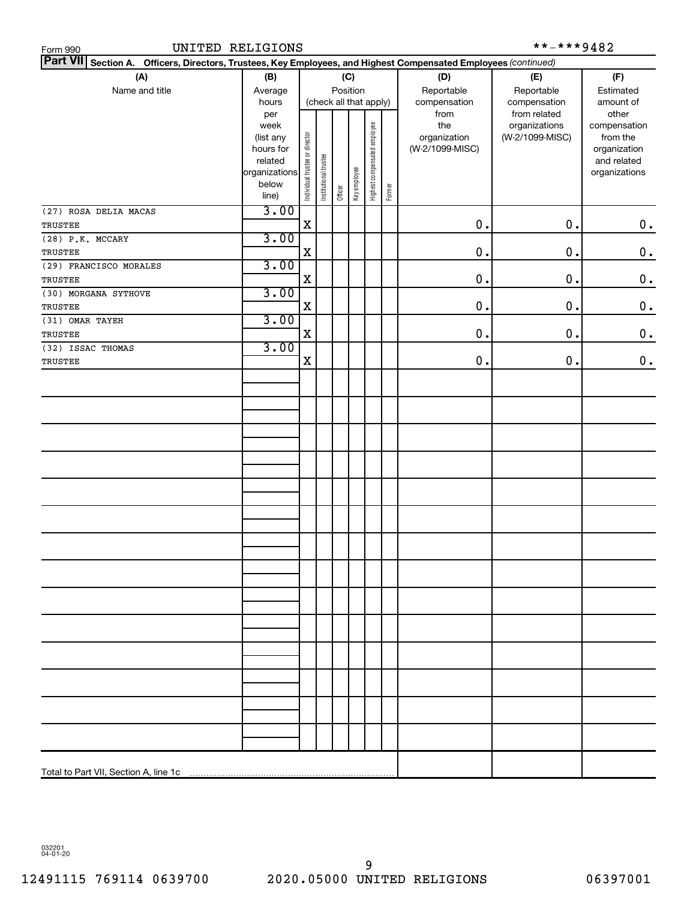| UNITED RELIGIONS<br>Form 990                                                                                              |                                                                     |             |                       |                |              |                              |        |                 | **-***9482                    |                       |
|---------------------------------------------------------------------------------------------------------------------------|---------------------------------------------------------------------|-------------|-----------------------|----------------|--------------|------------------------------|--------|-----------------|-------------------------------|-----------------------|
| <b>Part VII</b><br>Section A. Officers, Directors, Trustees, Key Employees, and Highest Compensated Employees (continued) |                                                                     |             |                       |                |              |                              |        |                 |                               |                       |
| (A)                                                                                                                       | (B)                                                                 |             |                       |                | (C)          |                              |        | (D)             | (E)                           | (F)                   |
| Name and title                                                                                                            | Average                                                             |             |                       | Position       |              |                              |        | Reportable      | Reportable                    | Estimated             |
|                                                                                                                           | hours                                                               |             |                       |                |              | (check all that apply)       |        | compensation    | compensation                  | amount of             |
|                                                                                                                           | per<br>week                                                         |             |                       |                |              |                              |        | from<br>the     | from related<br>organizations | other<br>compensation |
|                                                                                                                           |                                                                     |             |                       |                |              |                              |        | organization    | (W-2/1099-MISC)               | from the              |
|                                                                                                                           |                                                                     |             |                       |                |              |                              |        | (W-2/1099-MISC) |                               | organization          |
|                                                                                                                           |                                                                     |             |                       |                |              |                              |        |                 |                               | and related           |
|                                                                                                                           |                                                                     |             |                       |                |              |                              |        |                 |                               | organizations         |
|                                                                                                                           | (list any<br>hours for<br>leated<br>organizations<br>below<br>line) |             | Institutional trustee | <b>Officer</b> | Key employee | Highest compensated employee | Former |                 |                               |                       |
| (27) ROSA DELIA MACAS                                                                                                     | 3.00                                                                |             |                       |                |              |                              |        |                 |                               |                       |
| TRUSTEE                                                                                                                   |                                                                     | $\mathbf X$ |                       |                |              |                              |        | 0.              | 0.                            | $0$ .                 |
| (28) P.K. MCCARY                                                                                                          | 3.00                                                                |             |                       |                |              |                              |        |                 |                               |                       |
| TRUSTEE                                                                                                                   |                                                                     | $\mathbf X$ |                       |                |              |                              |        | 0.              | 0.                            | $\mathbf 0$ .         |
| (29) FRANCISCO MORALES                                                                                                    | 3.00                                                                |             |                       |                |              |                              |        |                 |                               |                       |
| <b>TRUSTEE</b>                                                                                                            |                                                                     | $\mathbf X$ |                       |                |              |                              |        | 0.              | 0.                            | $\mathbf 0$ .         |
| (30) MORGANA SYTHOVE                                                                                                      | 3.00                                                                |             |                       |                |              |                              |        |                 |                               |                       |
| TRUSTEE                                                                                                                   |                                                                     | $\mathbf X$ |                       |                |              |                              |        | $0$ .           | 0.                            | $\mathbf 0$ .         |
| (31) OMAR TAYEH                                                                                                           | 3.00                                                                |             |                       |                |              |                              |        |                 |                               |                       |
| TRUSTEE                                                                                                                   |                                                                     | $\mathbf X$ |                       |                |              |                              |        | 0.              | 0.                            | 0.                    |
| (32) ISSAC THOMAS                                                                                                         | 3.00                                                                | $\mathbf X$ |                       |                |              |                              |        | 0.              | 0.                            | 0.                    |
| TRUSTEE                                                                                                                   |                                                                     |             |                       |                |              |                              |        |                 |                               |                       |
|                                                                                                                           |                                                                     |             |                       |                |              |                              |        |                 |                               |                       |
|                                                                                                                           |                                                                     |             |                       |                |              |                              |        |                 |                               |                       |
|                                                                                                                           |                                                                     |             |                       |                |              |                              |        |                 |                               |                       |
|                                                                                                                           |                                                                     |             |                       |                |              |                              |        |                 |                               |                       |
|                                                                                                                           |                                                                     |             |                       |                |              |                              |        |                 |                               |                       |
|                                                                                                                           |                                                                     |             |                       |                |              |                              |        |                 |                               |                       |
|                                                                                                                           |                                                                     |             |                       |                |              |                              |        |                 |                               |                       |
|                                                                                                                           |                                                                     |             |                       |                |              |                              |        |                 |                               |                       |
|                                                                                                                           |                                                                     |             |                       |                |              |                              |        |                 |                               |                       |
|                                                                                                                           |                                                                     |             |                       |                |              |                              |        |                 |                               |                       |
|                                                                                                                           |                                                                     |             |                       |                |              |                              |        |                 |                               |                       |
|                                                                                                                           |                                                                     |             |                       |                |              |                              |        |                 |                               |                       |
|                                                                                                                           |                                                                     |             |                       |                |              |                              |        |                 |                               |                       |
|                                                                                                                           |                                                                     |             |                       |                |              |                              |        |                 |                               |                       |
|                                                                                                                           |                                                                     |             |                       |                |              |                              |        |                 |                               |                       |
|                                                                                                                           |                                                                     |             |                       |                |              |                              |        |                 |                               |                       |
|                                                                                                                           |                                                                     |             |                       |                |              |                              |        |                 |                               |                       |
|                                                                                                                           |                                                                     |             |                       |                |              |                              |        |                 |                               |                       |
|                                                                                                                           |                                                                     |             |                       |                |              |                              |        |                 |                               |                       |
|                                                                                                                           |                                                                     |             |                       |                |              |                              |        |                 |                               |                       |
|                                                                                                                           |                                                                     |             |                       |                |              |                              |        |                 |                               |                       |
|                                                                                                                           |                                                                     |             |                       |                |              |                              |        |                 |                               |                       |
|                                                                                                                           |                                                                     |             |                       |                |              |                              |        |                 |                               |                       |
|                                                                                                                           |                                                                     |             |                       |                |              |                              |        |                 |                               |                       |
|                                                                                                                           |                                                                     |             |                       |                |              |                              |        |                 |                               |                       |
| Total to Part VII, Section A, line 1c                                                                                     |                                                                     |             |                       |                |              |                              |        |                 |                               |                       |

032201 04-01-20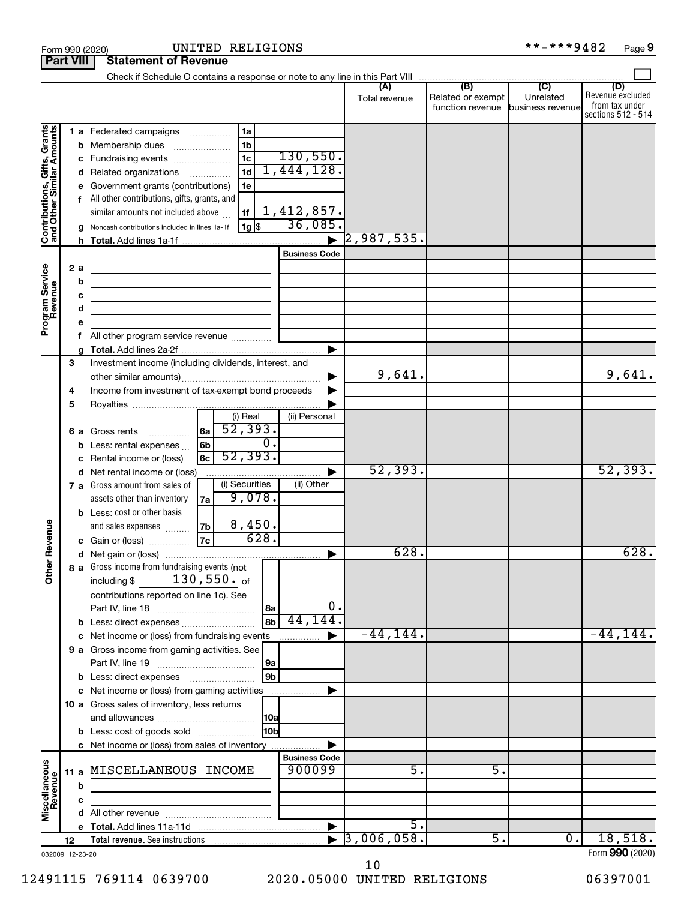| (B)<br>$\overline{C}$<br>(A)<br>(D)<br>Revenue excluded<br>Unrelated<br>Related or exempt<br>Total revenue<br>from tax under<br>function revenue business revenue<br>sections 512 - 514<br>Contributions, Gifts, Grants<br>and Other Similar Amounts<br>1 a Federated campaigns<br>1a<br>1 <sub>b</sub><br><b>b</b> Membership dues<br>130,550.<br>1 <sub>c</sub><br>c Fundraising events<br>1,444,128.<br>1 <sub>d</sub><br>d Related organizations<br>e Government grants (contributions)<br>1e<br>f All other contributions, gifts, grants, and<br>1,412,857.<br>similar amounts not included above<br>1f<br>36,085.<br>$1g$ s<br>Noncash contributions included in lines 1a-1f<br>$\overline{)2}$ ,987,535.<br><b>Business Code</b><br>Program Service<br>Revenue<br>2 a<br>b<br><u> 1980 - Jan Samuel Barbara, martin din shekara 1980 - An tsa mashrida a shekara 1980 - An tsa mashrida</u><br>C<br><u> 1989 - Johann Barbara, martxa alemaniar arg</u><br>d<br><u> 1980 - Johann Barbara, martxa alemaniar a</u><br>f<br>Investment income (including dividends, interest, and<br>3<br>9,641.<br>9,641.<br>Income from investment of tax-exempt bond proceeds<br>4<br>5<br>(ii) Personal<br>(i) Real<br>52, 393.<br> 6a<br>6 a Gross rents<br>σ.<br>6b<br><b>b</b> Less: rental expenses<br>52, 393.<br>6c<br>Rental income or (loss)<br>c<br>52, 393.<br>d Net rental income or (loss)<br>(i) Securities<br>(ii) Other<br>7 a Gross amount from sales of<br>9,078.<br>assets other than inventory<br>7a<br><b>b</b> Less: cost or other basis<br>Revenue<br>8,450.<br> 7b <br>and sales expenses<br>628.<br> 7c <br>c Gain or (loss)<br>628.<br>628.<br>৯<br><b>8 a</b> Gross income from fundraising events (not<br>ā<br>including $$ 130,550.$ of<br>contributions reported on line 1c). See<br>Ο.<br>8a<br>44, 144.<br>8b<br>$-44,144.$<br>$-44, 144$ .<br>c Net income or (loss) from fundraising events<br>.<br>9 a Gross income from gaming activities. See<br>9а<br>9 <sub>b</sub><br>c Net income or (loss) from gaming activities<br>10 a Gross sales of inventory, less returns<br> 10a<br><b>b</b> Less: cost of goods sold<br>10bl<br>c Net income or (loss) from sales of inventory<br><b>Business Code</b><br>Miscellaneous<br>Revenue<br>900099<br>MISCELLANEOUS INCOME<br>5.<br>5.<br>11 a<br>b<br>с<br>5.<br>18,518.<br> 3,006,058.<br>5.<br>$0$ .<br>Total revenue. See instructions<br>manufactures and the contract of the contract of the set in the contract of the contract of the contract of the contract of the contract of the contract of the contract of the contract of t<br>12<br>032009 12-23-20 | Part VIII | <b>Statement of Revenue</b> |  |  |                 |
|-------------------------------------------------------------------------------------------------------------------------------------------------------------------------------------------------------------------------------------------------------------------------------------------------------------------------------------------------------------------------------------------------------------------------------------------------------------------------------------------------------------------------------------------------------------------------------------------------------------------------------------------------------------------------------------------------------------------------------------------------------------------------------------------------------------------------------------------------------------------------------------------------------------------------------------------------------------------------------------------------------------------------------------------------------------------------------------------------------------------------------------------------------------------------------------------------------------------------------------------------------------------------------------------------------------------------------------------------------------------------------------------------------------------------------------------------------------------------------------------------------------------------------------------------------------------------------------------------------------------------------------------------------------------------------------------------------------------------------------------------------------------------------------------------------------------------------------------------------------------------------------------------------------------------------------------------------------------------------------------------------------------------------------------------------------------------------------------------------------------------------------------------------------------------------------------------------------------------------------------------------------------------------------------------------------------------------------------------------------------------------------------------------------------------------------------------------------------------------------------------------------------------------------------------------------------------------------------------------------------------------------------|-----------|-----------------------------|--|--|-----------------|
|                                                                                                                                                                                                                                                                                                                                                                                                                                                                                                                                                                                                                                                                                                                                                                                                                                                                                                                                                                                                                                                                                                                                                                                                                                                                                                                                                                                                                                                                                                                                                                                                                                                                                                                                                                                                                                                                                                                                                                                                                                                                                                                                                                                                                                                                                                                                                                                                                                                                                                                                                                                                                                           |           |                             |  |  |                 |
|                                                                                                                                                                                                                                                                                                                                                                                                                                                                                                                                                                                                                                                                                                                                                                                                                                                                                                                                                                                                                                                                                                                                                                                                                                                                                                                                                                                                                                                                                                                                                                                                                                                                                                                                                                                                                                                                                                                                                                                                                                                                                                                                                                                                                                                                                                                                                                                                                                                                                                                                                                                                                                           |           |                             |  |  |                 |
|                                                                                                                                                                                                                                                                                                                                                                                                                                                                                                                                                                                                                                                                                                                                                                                                                                                                                                                                                                                                                                                                                                                                                                                                                                                                                                                                                                                                                                                                                                                                                                                                                                                                                                                                                                                                                                                                                                                                                                                                                                                                                                                                                                                                                                                                                                                                                                                                                                                                                                                                                                                                                                           |           |                             |  |  |                 |
|                                                                                                                                                                                                                                                                                                                                                                                                                                                                                                                                                                                                                                                                                                                                                                                                                                                                                                                                                                                                                                                                                                                                                                                                                                                                                                                                                                                                                                                                                                                                                                                                                                                                                                                                                                                                                                                                                                                                                                                                                                                                                                                                                                                                                                                                                                                                                                                                                                                                                                                                                                                                                                           |           |                             |  |  |                 |
|                                                                                                                                                                                                                                                                                                                                                                                                                                                                                                                                                                                                                                                                                                                                                                                                                                                                                                                                                                                                                                                                                                                                                                                                                                                                                                                                                                                                                                                                                                                                                                                                                                                                                                                                                                                                                                                                                                                                                                                                                                                                                                                                                                                                                                                                                                                                                                                                                                                                                                                                                                                                                                           |           |                             |  |  |                 |
|                                                                                                                                                                                                                                                                                                                                                                                                                                                                                                                                                                                                                                                                                                                                                                                                                                                                                                                                                                                                                                                                                                                                                                                                                                                                                                                                                                                                                                                                                                                                                                                                                                                                                                                                                                                                                                                                                                                                                                                                                                                                                                                                                                                                                                                                                                                                                                                                                                                                                                                                                                                                                                           |           |                             |  |  |                 |
|                                                                                                                                                                                                                                                                                                                                                                                                                                                                                                                                                                                                                                                                                                                                                                                                                                                                                                                                                                                                                                                                                                                                                                                                                                                                                                                                                                                                                                                                                                                                                                                                                                                                                                                                                                                                                                                                                                                                                                                                                                                                                                                                                                                                                                                                                                                                                                                                                                                                                                                                                                                                                                           |           |                             |  |  |                 |
|                                                                                                                                                                                                                                                                                                                                                                                                                                                                                                                                                                                                                                                                                                                                                                                                                                                                                                                                                                                                                                                                                                                                                                                                                                                                                                                                                                                                                                                                                                                                                                                                                                                                                                                                                                                                                                                                                                                                                                                                                                                                                                                                                                                                                                                                                                                                                                                                                                                                                                                                                                                                                                           |           |                             |  |  |                 |
|                                                                                                                                                                                                                                                                                                                                                                                                                                                                                                                                                                                                                                                                                                                                                                                                                                                                                                                                                                                                                                                                                                                                                                                                                                                                                                                                                                                                                                                                                                                                                                                                                                                                                                                                                                                                                                                                                                                                                                                                                                                                                                                                                                                                                                                                                                                                                                                                                                                                                                                                                                                                                                           |           |                             |  |  |                 |
|                                                                                                                                                                                                                                                                                                                                                                                                                                                                                                                                                                                                                                                                                                                                                                                                                                                                                                                                                                                                                                                                                                                                                                                                                                                                                                                                                                                                                                                                                                                                                                                                                                                                                                                                                                                                                                                                                                                                                                                                                                                                                                                                                                                                                                                                                                                                                                                                                                                                                                                                                                                                                                           |           |                             |  |  |                 |
|                                                                                                                                                                                                                                                                                                                                                                                                                                                                                                                                                                                                                                                                                                                                                                                                                                                                                                                                                                                                                                                                                                                                                                                                                                                                                                                                                                                                                                                                                                                                                                                                                                                                                                                                                                                                                                                                                                                                                                                                                                                                                                                                                                                                                                                                                                                                                                                                                                                                                                                                                                                                                                           |           |                             |  |  |                 |
|                                                                                                                                                                                                                                                                                                                                                                                                                                                                                                                                                                                                                                                                                                                                                                                                                                                                                                                                                                                                                                                                                                                                                                                                                                                                                                                                                                                                                                                                                                                                                                                                                                                                                                                                                                                                                                                                                                                                                                                                                                                                                                                                                                                                                                                                                                                                                                                                                                                                                                                                                                                                                                           |           |                             |  |  |                 |
|                                                                                                                                                                                                                                                                                                                                                                                                                                                                                                                                                                                                                                                                                                                                                                                                                                                                                                                                                                                                                                                                                                                                                                                                                                                                                                                                                                                                                                                                                                                                                                                                                                                                                                                                                                                                                                                                                                                                                                                                                                                                                                                                                                                                                                                                                                                                                                                                                                                                                                                                                                                                                                           |           |                             |  |  |                 |
|                                                                                                                                                                                                                                                                                                                                                                                                                                                                                                                                                                                                                                                                                                                                                                                                                                                                                                                                                                                                                                                                                                                                                                                                                                                                                                                                                                                                                                                                                                                                                                                                                                                                                                                                                                                                                                                                                                                                                                                                                                                                                                                                                                                                                                                                                                                                                                                                                                                                                                                                                                                                                                           |           |                             |  |  |                 |
|                                                                                                                                                                                                                                                                                                                                                                                                                                                                                                                                                                                                                                                                                                                                                                                                                                                                                                                                                                                                                                                                                                                                                                                                                                                                                                                                                                                                                                                                                                                                                                                                                                                                                                                                                                                                                                                                                                                                                                                                                                                                                                                                                                                                                                                                                                                                                                                                                                                                                                                                                                                                                                           |           |                             |  |  |                 |
|                                                                                                                                                                                                                                                                                                                                                                                                                                                                                                                                                                                                                                                                                                                                                                                                                                                                                                                                                                                                                                                                                                                                                                                                                                                                                                                                                                                                                                                                                                                                                                                                                                                                                                                                                                                                                                                                                                                                                                                                                                                                                                                                                                                                                                                                                                                                                                                                                                                                                                                                                                                                                                           |           |                             |  |  |                 |
|                                                                                                                                                                                                                                                                                                                                                                                                                                                                                                                                                                                                                                                                                                                                                                                                                                                                                                                                                                                                                                                                                                                                                                                                                                                                                                                                                                                                                                                                                                                                                                                                                                                                                                                                                                                                                                                                                                                                                                                                                                                                                                                                                                                                                                                                                                                                                                                                                                                                                                                                                                                                                                           |           |                             |  |  |                 |
|                                                                                                                                                                                                                                                                                                                                                                                                                                                                                                                                                                                                                                                                                                                                                                                                                                                                                                                                                                                                                                                                                                                                                                                                                                                                                                                                                                                                                                                                                                                                                                                                                                                                                                                                                                                                                                                                                                                                                                                                                                                                                                                                                                                                                                                                                                                                                                                                                                                                                                                                                                                                                                           |           |                             |  |  |                 |
|                                                                                                                                                                                                                                                                                                                                                                                                                                                                                                                                                                                                                                                                                                                                                                                                                                                                                                                                                                                                                                                                                                                                                                                                                                                                                                                                                                                                                                                                                                                                                                                                                                                                                                                                                                                                                                                                                                                                                                                                                                                                                                                                                                                                                                                                                                                                                                                                                                                                                                                                                                                                                                           |           |                             |  |  |                 |
|                                                                                                                                                                                                                                                                                                                                                                                                                                                                                                                                                                                                                                                                                                                                                                                                                                                                                                                                                                                                                                                                                                                                                                                                                                                                                                                                                                                                                                                                                                                                                                                                                                                                                                                                                                                                                                                                                                                                                                                                                                                                                                                                                                                                                                                                                                                                                                                                                                                                                                                                                                                                                                           |           |                             |  |  |                 |
|                                                                                                                                                                                                                                                                                                                                                                                                                                                                                                                                                                                                                                                                                                                                                                                                                                                                                                                                                                                                                                                                                                                                                                                                                                                                                                                                                                                                                                                                                                                                                                                                                                                                                                                                                                                                                                                                                                                                                                                                                                                                                                                                                                                                                                                                                                                                                                                                                                                                                                                                                                                                                                           |           |                             |  |  |                 |
|                                                                                                                                                                                                                                                                                                                                                                                                                                                                                                                                                                                                                                                                                                                                                                                                                                                                                                                                                                                                                                                                                                                                                                                                                                                                                                                                                                                                                                                                                                                                                                                                                                                                                                                                                                                                                                                                                                                                                                                                                                                                                                                                                                                                                                                                                                                                                                                                                                                                                                                                                                                                                                           |           |                             |  |  |                 |
|                                                                                                                                                                                                                                                                                                                                                                                                                                                                                                                                                                                                                                                                                                                                                                                                                                                                                                                                                                                                                                                                                                                                                                                                                                                                                                                                                                                                                                                                                                                                                                                                                                                                                                                                                                                                                                                                                                                                                                                                                                                                                                                                                                                                                                                                                                                                                                                                                                                                                                                                                                                                                                           |           |                             |  |  |                 |
|                                                                                                                                                                                                                                                                                                                                                                                                                                                                                                                                                                                                                                                                                                                                                                                                                                                                                                                                                                                                                                                                                                                                                                                                                                                                                                                                                                                                                                                                                                                                                                                                                                                                                                                                                                                                                                                                                                                                                                                                                                                                                                                                                                                                                                                                                                                                                                                                                                                                                                                                                                                                                                           |           |                             |  |  |                 |
|                                                                                                                                                                                                                                                                                                                                                                                                                                                                                                                                                                                                                                                                                                                                                                                                                                                                                                                                                                                                                                                                                                                                                                                                                                                                                                                                                                                                                                                                                                                                                                                                                                                                                                                                                                                                                                                                                                                                                                                                                                                                                                                                                                                                                                                                                                                                                                                                                                                                                                                                                                                                                                           |           |                             |  |  |                 |
|                                                                                                                                                                                                                                                                                                                                                                                                                                                                                                                                                                                                                                                                                                                                                                                                                                                                                                                                                                                                                                                                                                                                                                                                                                                                                                                                                                                                                                                                                                                                                                                                                                                                                                                                                                                                                                                                                                                                                                                                                                                                                                                                                                                                                                                                                                                                                                                                                                                                                                                                                                                                                                           |           |                             |  |  |                 |
|                                                                                                                                                                                                                                                                                                                                                                                                                                                                                                                                                                                                                                                                                                                                                                                                                                                                                                                                                                                                                                                                                                                                                                                                                                                                                                                                                                                                                                                                                                                                                                                                                                                                                                                                                                                                                                                                                                                                                                                                                                                                                                                                                                                                                                                                                                                                                                                                                                                                                                                                                                                                                                           |           |                             |  |  |                 |
|                                                                                                                                                                                                                                                                                                                                                                                                                                                                                                                                                                                                                                                                                                                                                                                                                                                                                                                                                                                                                                                                                                                                                                                                                                                                                                                                                                                                                                                                                                                                                                                                                                                                                                                                                                                                                                                                                                                                                                                                                                                                                                                                                                                                                                                                                                                                                                                                                                                                                                                                                                                                                                           |           |                             |  |  |                 |
|                                                                                                                                                                                                                                                                                                                                                                                                                                                                                                                                                                                                                                                                                                                                                                                                                                                                                                                                                                                                                                                                                                                                                                                                                                                                                                                                                                                                                                                                                                                                                                                                                                                                                                                                                                                                                                                                                                                                                                                                                                                                                                                                                                                                                                                                                                                                                                                                                                                                                                                                                                                                                                           |           |                             |  |  | 52, 393.        |
|                                                                                                                                                                                                                                                                                                                                                                                                                                                                                                                                                                                                                                                                                                                                                                                                                                                                                                                                                                                                                                                                                                                                                                                                                                                                                                                                                                                                                                                                                                                                                                                                                                                                                                                                                                                                                                                                                                                                                                                                                                                                                                                                                                                                                                                                                                                                                                                                                                                                                                                                                                                                                                           |           |                             |  |  |                 |
|                                                                                                                                                                                                                                                                                                                                                                                                                                                                                                                                                                                                                                                                                                                                                                                                                                                                                                                                                                                                                                                                                                                                                                                                                                                                                                                                                                                                                                                                                                                                                                                                                                                                                                                                                                                                                                                                                                                                                                                                                                                                                                                                                                                                                                                                                                                                                                                                                                                                                                                                                                                                                                           |           |                             |  |  |                 |
|                                                                                                                                                                                                                                                                                                                                                                                                                                                                                                                                                                                                                                                                                                                                                                                                                                                                                                                                                                                                                                                                                                                                                                                                                                                                                                                                                                                                                                                                                                                                                                                                                                                                                                                                                                                                                                                                                                                                                                                                                                                                                                                                                                                                                                                                                                                                                                                                                                                                                                                                                                                                                                           |           |                             |  |  |                 |
|                                                                                                                                                                                                                                                                                                                                                                                                                                                                                                                                                                                                                                                                                                                                                                                                                                                                                                                                                                                                                                                                                                                                                                                                                                                                                                                                                                                                                                                                                                                                                                                                                                                                                                                                                                                                                                                                                                                                                                                                                                                                                                                                                                                                                                                                                                                                                                                                                                                                                                                                                                                                                                           |           |                             |  |  |                 |
|                                                                                                                                                                                                                                                                                                                                                                                                                                                                                                                                                                                                                                                                                                                                                                                                                                                                                                                                                                                                                                                                                                                                                                                                                                                                                                                                                                                                                                                                                                                                                                                                                                                                                                                                                                                                                                                                                                                                                                                                                                                                                                                                                                                                                                                                                                                                                                                                                                                                                                                                                                                                                                           |           |                             |  |  |                 |
|                                                                                                                                                                                                                                                                                                                                                                                                                                                                                                                                                                                                                                                                                                                                                                                                                                                                                                                                                                                                                                                                                                                                                                                                                                                                                                                                                                                                                                                                                                                                                                                                                                                                                                                                                                                                                                                                                                                                                                                                                                                                                                                                                                                                                                                                                                                                                                                                                                                                                                                                                                                                                                           |           |                             |  |  |                 |
|                                                                                                                                                                                                                                                                                                                                                                                                                                                                                                                                                                                                                                                                                                                                                                                                                                                                                                                                                                                                                                                                                                                                                                                                                                                                                                                                                                                                                                                                                                                                                                                                                                                                                                                                                                                                                                                                                                                                                                                                                                                                                                                                                                                                                                                                                                                                                                                                                                                                                                                                                                                                                                           |           |                             |  |  |                 |
|                                                                                                                                                                                                                                                                                                                                                                                                                                                                                                                                                                                                                                                                                                                                                                                                                                                                                                                                                                                                                                                                                                                                                                                                                                                                                                                                                                                                                                                                                                                                                                                                                                                                                                                                                                                                                                                                                                                                                                                                                                                                                                                                                                                                                                                                                                                                                                                                                                                                                                                                                                                                                                           |           |                             |  |  |                 |
|                                                                                                                                                                                                                                                                                                                                                                                                                                                                                                                                                                                                                                                                                                                                                                                                                                                                                                                                                                                                                                                                                                                                                                                                                                                                                                                                                                                                                                                                                                                                                                                                                                                                                                                                                                                                                                                                                                                                                                                                                                                                                                                                                                                                                                                                                                                                                                                                                                                                                                                                                                                                                                           |           |                             |  |  |                 |
|                                                                                                                                                                                                                                                                                                                                                                                                                                                                                                                                                                                                                                                                                                                                                                                                                                                                                                                                                                                                                                                                                                                                                                                                                                                                                                                                                                                                                                                                                                                                                                                                                                                                                                                                                                                                                                                                                                                                                                                                                                                                                                                                                                                                                                                                                                                                                                                                                                                                                                                                                                                                                                           |           |                             |  |  |                 |
|                                                                                                                                                                                                                                                                                                                                                                                                                                                                                                                                                                                                                                                                                                                                                                                                                                                                                                                                                                                                                                                                                                                                                                                                                                                                                                                                                                                                                                                                                                                                                                                                                                                                                                                                                                                                                                                                                                                                                                                                                                                                                                                                                                                                                                                                                                                                                                                                                                                                                                                                                                                                                                           |           |                             |  |  |                 |
|                                                                                                                                                                                                                                                                                                                                                                                                                                                                                                                                                                                                                                                                                                                                                                                                                                                                                                                                                                                                                                                                                                                                                                                                                                                                                                                                                                                                                                                                                                                                                                                                                                                                                                                                                                                                                                                                                                                                                                                                                                                                                                                                                                                                                                                                                                                                                                                                                                                                                                                                                                                                                                           |           |                             |  |  |                 |
|                                                                                                                                                                                                                                                                                                                                                                                                                                                                                                                                                                                                                                                                                                                                                                                                                                                                                                                                                                                                                                                                                                                                                                                                                                                                                                                                                                                                                                                                                                                                                                                                                                                                                                                                                                                                                                                                                                                                                                                                                                                                                                                                                                                                                                                                                                                                                                                                                                                                                                                                                                                                                                           |           |                             |  |  |                 |
|                                                                                                                                                                                                                                                                                                                                                                                                                                                                                                                                                                                                                                                                                                                                                                                                                                                                                                                                                                                                                                                                                                                                                                                                                                                                                                                                                                                                                                                                                                                                                                                                                                                                                                                                                                                                                                                                                                                                                                                                                                                                                                                                                                                                                                                                                                                                                                                                                                                                                                                                                                                                                                           |           |                             |  |  |                 |
|                                                                                                                                                                                                                                                                                                                                                                                                                                                                                                                                                                                                                                                                                                                                                                                                                                                                                                                                                                                                                                                                                                                                                                                                                                                                                                                                                                                                                                                                                                                                                                                                                                                                                                                                                                                                                                                                                                                                                                                                                                                                                                                                                                                                                                                                                                                                                                                                                                                                                                                                                                                                                                           |           |                             |  |  |                 |
|                                                                                                                                                                                                                                                                                                                                                                                                                                                                                                                                                                                                                                                                                                                                                                                                                                                                                                                                                                                                                                                                                                                                                                                                                                                                                                                                                                                                                                                                                                                                                                                                                                                                                                                                                                                                                                                                                                                                                                                                                                                                                                                                                                                                                                                                                                                                                                                                                                                                                                                                                                                                                                           |           |                             |  |  |                 |
|                                                                                                                                                                                                                                                                                                                                                                                                                                                                                                                                                                                                                                                                                                                                                                                                                                                                                                                                                                                                                                                                                                                                                                                                                                                                                                                                                                                                                                                                                                                                                                                                                                                                                                                                                                                                                                                                                                                                                                                                                                                                                                                                                                                                                                                                                                                                                                                                                                                                                                                                                                                                                                           |           |                             |  |  |                 |
|                                                                                                                                                                                                                                                                                                                                                                                                                                                                                                                                                                                                                                                                                                                                                                                                                                                                                                                                                                                                                                                                                                                                                                                                                                                                                                                                                                                                                                                                                                                                                                                                                                                                                                                                                                                                                                                                                                                                                                                                                                                                                                                                                                                                                                                                                                                                                                                                                                                                                                                                                                                                                                           |           |                             |  |  |                 |
|                                                                                                                                                                                                                                                                                                                                                                                                                                                                                                                                                                                                                                                                                                                                                                                                                                                                                                                                                                                                                                                                                                                                                                                                                                                                                                                                                                                                                                                                                                                                                                                                                                                                                                                                                                                                                                                                                                                                                                                                                                                                                                                                                                                                                                                                                                                                                                                                                                                                                                                                                                                                                                           |           |                             |  |  |                 |
|                                                                                                                                                                                                                                                                                                                                                                                                                                                                                                                                                                                                                                                                                                                                                                                                                                                                                                                                                                                                                                                                                                                                                                                                                                                                                                                                                                                                                                                                                                                                                                                                                                                                                                                                                                                                                                                                                                                                                                                                                                                                                                                                                                                                                                                                                                                                                                                                                                                                                                                                                                                                                                           |           |                             |  |  |                 |
|                                                                                                                                                                                                                                                                                                                                                                                                                                                                                                                                                                                                                                                                                                                                                                                                                                                                                                                                                                                                                                                                                                                                                                                                                                                                                                                                                                                                                                                                                                                                                                                                                                                                                                                                                                                                                                                                                                                                                                                                                                                                                                                                                                                                                                                                                                                                                                                                                                                                                                                                                                                                                                           |           |                             |  |  |                 |
|                                                                                                                                                                                                                                                                                                                                                                                                                                                                                                                                                                                                                                                                                                                                                                                                                                                                                                                                                                                                                                                                                                                                                                                                                                                                                                                                                                                                                                                                                                                                                                                                                                                                                                                                                                                                                                                                                                                                                                                                                                                                                                                                                                                                                                                                                                                                                                                                                                                                                                                                                                                                                                           |           |                             |  |  |                 |
|                                                                                                                                                                                                                                                                                                                                                                                                                                                                                                                                                                                                                                                                                                                                                                                                                                                                                                                                                                                                                                                                                                                                                                                                                                                                                                                                                                                                                                                                                                                                                                                                                                                                                                                                                                                                                                                                                                                                                                                                                                                                                                                                                                                                                                                                                                                                                                                                                                                                                                                                                                                                                                           |           |                             |  |  |                 |
|                                                                                                                                                                                                                                                                                                                                                                                                                                                                                                                                                                                                                                                                                                                                                                                                                                                                                                                                                                                                                                                                                                                                                                                                                                                                                                                                                                                                                                                                                                                                                                                                                                                                                                                                                                                                                                                                                                                                                                                                                                                                                                                                                                                                                                                                                                                                                                                                                                                                                                                                                                                                                                           |           |                             |  |  |                 |
|                                                                                                                                                                                                                                                                                                                                                                                                                                                                                                                                                                                                                                                                                                                                                                                                                                                                                                                                                                                                                                                                                                                                                                                                                                                                                                                                                                                                                                                                                                                                                                                                                                                                                                                                                                                                                                                                                                                                                                                                                                                                                                                                                                                                                                                                                                                                                                                                                                                                                                                                                                                                                                           |           |                             |  |  |                 |
|                                                                                                                                                                                                                                                                                                                                                                                                                                                                                                                                                                                                                                                                                                                                                                                                                                                                                                                                                                                                                                                                                                                                                                                                                                                                                                                                                                                                                                                                                                                                                                                                                                                                                                                                                                                                                                                                                                                                                                                                                                                                                                                                                                                                                                                                                                                                                                                                                                                                                                                                                                                                                                           |           |                             |  |  |                 |
|                                                                                                                                                                                                                                                                                                                                                                                                                                                                                                                                                                                                                                                                                                                                                                                                                                                                                                                                                                                                                                                                                                                                                                                                                                                                                                                                                                                                                                                                                                                                                                                                                                                                                                                                                                                                                                                                                                                                                                                                                                                                                                                                                                                                                                                                                                                                                                                                                                                                                                                                                                                                                                           |           |                             |  |  | Form 990 (2020) |

032009 12-23-20

12491115 769114 0639700 2020.05000 UNITED RELIGIONS 06397001 10

Form 990 (2020) Page UNITED RELIGIONS \*\*-\*\*\*9482

**Part VIII Statement Statement**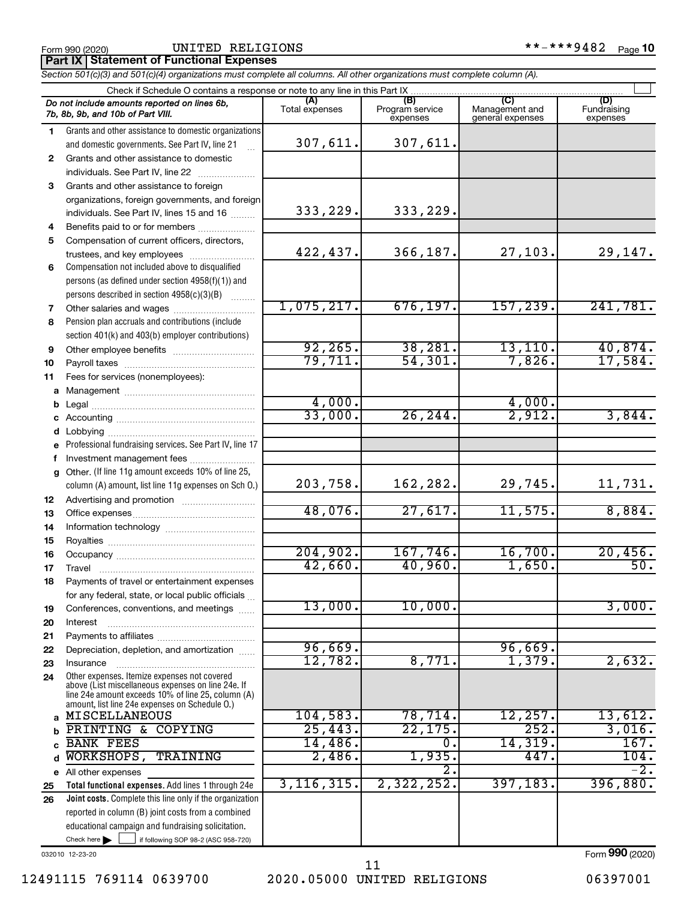### Form 990 (2020) UNITED RELIGIONS \* \* – \* \* \* 9 4 8 2 <sub>Page</sub>

**Part IX Statement of Functional Expenses**

*Section 501(c)(3) and 501(c)(4) organizations must complete all columns. All other organizations must complete column (A).*

|              | Check if Schedule O contains a response or note to any line in this Part IX                                                                                |                       |                                    |                                           |                                |
|--------------|------------------------------------------------------------------------------------------------------------------------------------------------------------|-----------------------|------------------------------------|-------------------------------------------|--------------------------------|
|              | Do not include amounts reported on lines 6b,<br>7b, 8b, 9b, and 10b of Part VIII.                                                                          | (A)<br>Total expenses | (B)<br>Program service<br>expenses | (C)<br>Management and<br>general expenses | (D)<br>Fundraising<br>expenses |
| 1.           | Grants and other assistance to domestic organizations                                                                                                      |                       |                                    |                                           |                                |
|              | and domestic governments. See Part IV, line 21                                                                                                             | 307,611.              | 307,611.                           |                                           |                                |
| $\mathbf{2}$ | Grants and other assistance to domestic                                                                                                                    |                       |                                    |                                           |                                |
|              | individuals. See Part IV, line 22                                                                                                                          |                       |                                    |                                           |                                |
| 3            | Grants and other assistance to foreign                                                                                                                     |                       |                                    |                                           |                                |
|              | organizations, foreign governments, and foreign                                                                                                            |                       |                                    |                                           |                                |
|              | individuals. See Part IV, lines 15 and 16                                                                                                                  | 333,229.              | 333,229.                           |                                           |                                |
| 4            | Benefits paid to or for members                                                                                                                            |                       |                                    |                                           |                                |
| 5            | Compensation of current officers, directors,                                                                                                               |                       |                                    |                                           |                                |
|              | trustees, and key employees                                                                                                                                | 422,437.              | 366,187.                           | 27,103.                                   | 29,147.                        |
| 6            | Compensation not included above to disqualified                                                                                                            |                       |                                    |                                           |                                |
|              | persons (as defined under section 4958(f)(1)) and                                                                                                          |                       |                                    |                                           |                                |
|              | persons described in section 4958(c)(3)(B)                                                                                                                 | 1,075,217.            | 676, 197.                          | 157,239.                                  | 241,781.                       |
| 7            |                                                                                                                                                            |                       |                                    |                                           |                                |
| 8            | Pension plan accruals and contributions (include                                                                                                           |                       |                                    |                                           |                                |
|              | section 401(k) and 403(b) employer contributions)                                                                                                          | 92, 265.              | 38,281.                            | 13, 110.                                  | 40,874.                        |
| 9<br>10      | Other employee benefits                                                                                                                                    | 79,711.               | 54,301.                            | 7,826.                                    | 17,584.                        |
| 11           | Fees for services (nonemployees):                                                                                                                          |                       |                                    |                                           |                                |
| a            |                                                                                                                                                            |                       |                                    |                                           |                                |
| b            |                                                                                                                                                            | 4,000.                |                                    | 4,000.                                    |                                |
| с            |                                                                                                                                                            | 33,000.               | 26, 244.                           | 2,912.                                    | 3,844.                         |
| d            |                                                                                                                                                            |                       |                                    |                                           |                                |
| е            | Professional fundraising services. See Part IV, line 17                                                                                                    |                       |                                    |                                           |                                |
| f            | Investment management fees                                                                                                                                 |                       |                                    |                                           |                                |
| g            | Other. (If line 11g amount exceeds 10% of line 25,                                                                                                         |                       |                                    |                                           |                                |
|              | column (A) amount, list line 11g expenses on Sch O.)                                                                                                       | 203,758.              | 162,282.                           | 29,745.                                   | 11,731.                        |
| 12           |                                                                                                                                                            |                       |                                    |                                           |                                |
| 13           |                                                                                                                                                            | 48,076.               | 27,617.                            | 11,575.                                   | 8,884.                         |
| 14           |                                                                                                                                                            |                       |                                    |                                           |                                |
| 15           |                                                                                                                                                            |                       |                                    |                                           |                                |
| 16           |                                                                                                                                                            | 204,902.              | 167,746.                           | 16,700.                                   | 20,456.                        |
| 17           |                                                                                                                                                            | 42,660.               | 40,960.                            | 1,650.                                    | 50.                            |
| 18           | Payments of travel or entertainment expenses                                                                                                               |                       |                                    |                                           |                                |
|              | for any federal, state, or local public officials                                                                                                          |                       |                                    |                                           |                                |
| 19           | Conferences, conventions, and meetings                                                                                                                     | 13,000.               | 10,000.                            |                                           | 3,000.                         |
| 20           | Interest                                                                                                                                                   |                       |                                    |                                           |                                |
| 21           |                                                                                                                                                            | 96,669.               |                                    | 96,669.                                   |                                |
| 22           | Depreciation, depletion, and amortization                                                                                                                  | 12,782.               | 8,771.                             | 1,379.                                    | 2,632.                         |
| 23           | Insurance<br>Other expenses. Itemize expenses not covered                                                                                                  |                       |                                    |                                           |                                |
| 24           | above (List miscellaneous expenses on line 24e. If<br>line 24e amount exceeds 10% of line 25, column (A)<br>amount, list line 24e expenses on Schedule O.) |                       |                                    |                                           |                                |
| a            | MISCELLANEOUS                                                                                                                                              | 104,583.              | 78,714.                            | 12,257.                                   | 13,612.                        |
| b            | PRINTING & COPYING                                                                                                                                         | 25,443.               | 22, 175.                           | 252.                                      | 3,016.                         |
|              | <b>BANK FEES</b>                                                                                                                                           | 14,486.               | 0.                                 | $14,319$ .                                | 167.                           |
| d            | WORKSHOPS,<br>TRAINING                                                                                                                                     | 2,486.                | 1,935.                             | 447.                                      | 104.                           |
|              | e All other expenses                                                                                                                                       |                       | $2\,$                              |                                           | $-2.$                          |
| 25           | Total functional expenses. Add lines 1 through 24e                                                                                                         | 3, 116, 315.          | 2,322,252.                         | 397, 183.                                 | 396,880.                       |
| 26           | Joint costs. Complete this line only if the organization                                                                                                   |                       |                                    |                                           |                                |
|              | reported in column (B) joint costs from a combined                                                                                                         |                       |                                    |                                           |                                |
|              | educational campaign and fundraising solicitation.                                                                                                         |                       |                                    |                                           |                                |
|              | Check here<br>if following SOP 98-2 (ASC 958-720)                                                                                                          |                       |                                    |                                           |                                |
|              | 032010 12-23-20                                                                                                                                            |                       |                                    |                                           | Form 990 (2020)                |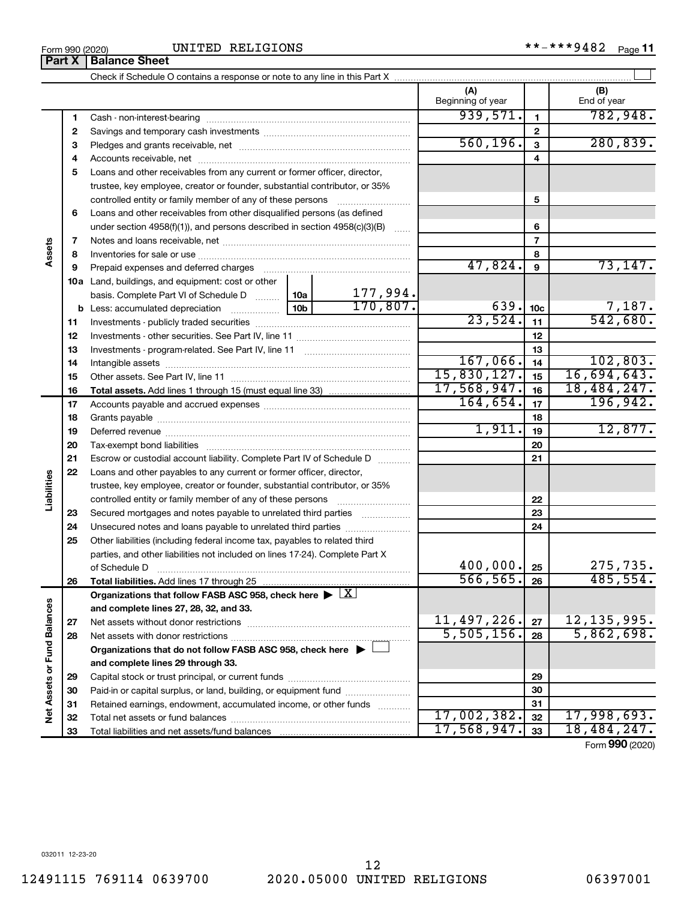|                             |    |                                                                                                        |                 |          | (A)<br>Beginning of year |                 | (B)<br>End of year |
|-----------------------------|----|--------------------------------------------------------------------------------------------------------|-----------------|----------|--------------------------|-----------------|--------------------|
|                             | 1  |                                                                                                        |                 |          | 939,571.                 | 1               | 782,948.           |
|                             | 2  |                                                                                                        |                 |          |                          | 2               |                    |
|                             | З  |                                                                                                        |                 |          | 560, 196.                | 3               | 280, 839.          |
|                             | 4  |                                                                                                        |                 |          |                          | 4               |                    |
|                             | 5  | Loans and other receivables from any current or former officer, director,                              |                 |          |                          |                 |                    |
|                             |    | trustee, key employee, creator or founder, substantial contributor, or 35%                             |                 |          |                          |                 |                    |
|                             |    | controlled entity or family member of any of these persons                                             |                 |          |                          | 5               |                    |
|                             | 6  | Loans and other receivables from other disqualified persons (as defined                                |                 |          |                          |                 |                    |
|                             |    | under section $4958(f)(1)$ , and persons described in section $4958(c)(3)(B)$                          |                 |          |                          | 6               |                    |
|                             | 7  |                                                                                                        |                 |          |                          | 7               |                    |
| Assets                      | 8  |                                                                                                        |                 |          |                          | 8               |                    |
|                             | 9  | Prepaid expenses and deferred charges                                                                  |                 |          | 47,824.                  | 9               | 73, 147.           |
|                             |    | 10a Land, buildings, and equipment: cost or other                                                      |                 |          |                          |                 |                    |
|                             |    | basis. Complete Part VI of Schedule D  10a                                                             |                 | 177,994. |                          |                 |                    |
|                             |    |                                                                                                        | 10 <sub>b</sub> | 170,807. | 639.                     | 10 <sub>c</sub> | 7,187.             |
|                             | 11 |                                                                                                        |                 |          | 23,524.                  | 11              | 542,680.           |
|                             | 12 |                                                                                                        |                 |          |                          | 12              |                    |
|                             | 13 |                                                                                                        |                 |          |                          | 13              |                    |
|                             | 14 |                                                                                                        |                 |          | 167,066.                 | 14              | 102,803.           |
|                             | 15 |                                                                                                        |                 |          | 15,830,127.              | 15              | 16,694,643.        |
|                             | 16 |                                                                                                        |                 |          | 17,568,947.              | 16              | 18,484,247.        |
|                             | 17 |                                                                                                        |                 |          | 164,654.                 | 17              | 196,942.           |
|                             | 18 |                                                                                                        |                 |          |                          | 18              |                    |
|                             | 19 |                                                                                                        |                 |          | 1,911.                   | 19              | 12,877.            |
|                             | 20 |                                                                                                        |                 |          |                          | 20              |                    |
|                             | 21 | Escrow or custodial account liability. Complete Part IV of Schedule D                                  |                 |          |                          | 21              |                    |
|                             | 22 | Loans and other payables to any current or former officer, director,                                   |                 |          |                          |                 |                    |
| Liabilities                 |    | trustee, key employee, creator or founder, substantial contributor, or 35%                             |                 |          |                          |                 |                    |
|                             |    |                                                                                                        |                 |          |                          | 22              |                    |
|                             | 23 | Secured mortgages and notes payable to unrelated third parties                                         |                 |          |                          | 23              |                    |
|                             | 24 | Unsecured notes and loans payable to unrelated third parties                                           |                 |          |                          | 24              |                    |
|                             | 25 | Other liabilities (including federal income tax, payables to related third                             |                 |          |                          |                 |                    |
|                             |    | parties, and other liabilities not included on lines 17-24). Complete Part X                           |                 |          | 400,000.                 |                 | 275,735.           |
|                             |    | of Schedule D<br>Total liabilities. Add lines 17 through 25                                            |                 |          | 566, 565.                | 25<br>26        | 485,554.           |
|                             | 26 | Organizations that follow FASB ASC 958, check here $\blacktriangleright \lfloor \underline{X} \rfloor$ |                 |          |                          |                 |                    |
|                             |    | and complete lines 27, 28, 32, and 33.                                                                 |                 |          |                          |                 |                    |
|                             | 27 | Net assets without donor restrictions                                                                  |                 |          | 11,497,226.              | 27              | 12, 135, 995.      |
|                             | 28 |                                                                                                        |                 |          | 5,505,156.               | 28              | 5,862,698.         |
|                             |    | Organizations that do not follow FASB ASC 958, check here $\blacktriangleright$                        |                 |          |                          |                 |                    |
|                             |    | and complete lines 29 through 33.                                                                      |                 |          |                          |                 |                    |
| Net Assets or Fund Balances | 29 |                                                                                                        |                 |          |                          | 29              |                    |
|                             | 30 | Paid-in or capital surplus, or land, building, or equipment fund                                       |                 |          |                          | 30              |                    |
|                             | 31 | Retained earnings, endowment, accumulated income, or other funds                                       |                 |          |                          | 31              |                    |
|                             | 32 |                                                                                                        |                 |          | 17,002,382.              | 32              | 17,998,693.        |
|                             | 33 |                                                                                                        |                 |          | 17,568,947.              | 33              | 18,484,247.        |
|                             |    |                                                                                                        |                 |          |                          |                 |                    |

Form (2020) **990**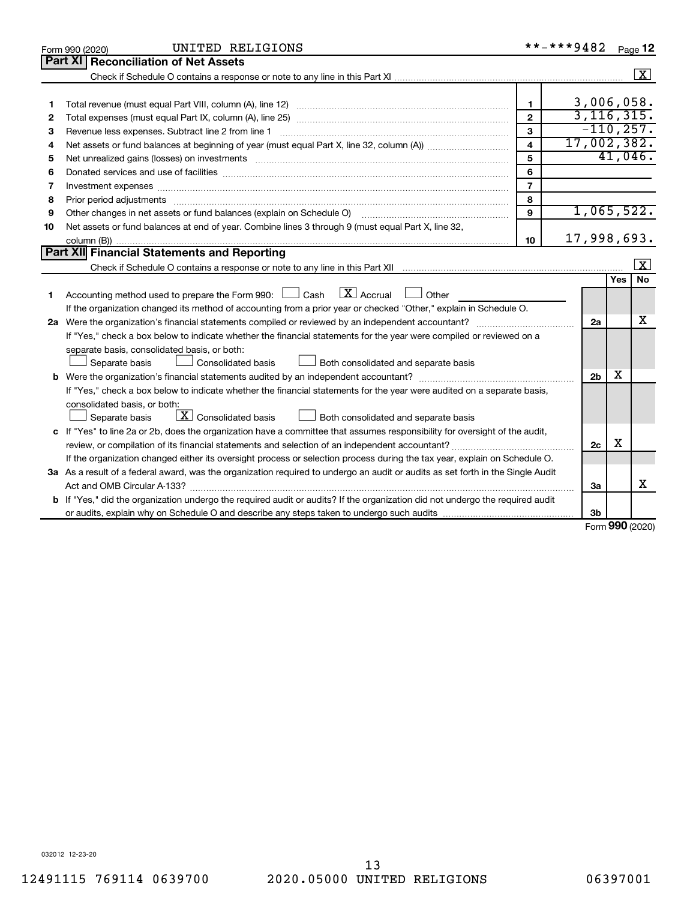|    | UNITED RELIGIONS<br>Form 990 (2020)                                                                                                                                                                                            |                         | **-***9482     |     | Page 12              |
|----|--------------------------------------------------------------------------------------------------------------------------------------------------------------------------------------------------------------------------------|-------------------------|----------------|-----|----------------------|
|    | Part XI<br><b>Reconciliation of Net Assets</b>                                                                                                                                                                                 |                         |                |     |                      |
|    |                                                                                                                                                                                                                                |                         |                |     | $\boxed{\mathbf{X}}$ |
|    |                                                                                                                                                                                                                                |                         |                |     |                      |
| 1  |                                                                                                                                                                                                                                | $\mathbf{1}$            |                |     | 3,006,058.           |
| 2  |                                                                                                                                                                                                                                | $\overline{2}$          |                |     | 3, 116, 315.         |
| 3  | Revenue less expenses. Subtract line 2 from line 1                                                                                                                                                                             | 3                       |                |     | $-110, 257.$         |
| 4  |                                                                                                                                                                                                                                | $\overline{\mathbf{4}}$ | 17,002,382.    |     |                      |
| 5  | Net unrealized gains (losses) on investments [111] matter in the contract of the contract of the contract of the contract of the contract of the contract of the contract of the contract of the contract of the contract of t | 5                       |                |     | 41,046.              |
| 6  |                                                                                                                                                                                                                                | 6                       |                |     |                      |
| 7  | Investment expenses www.communication.com/www.communication.com/www.communication.com/www.com                                                                                                                                  | $\overline{7}$          |                |     |                      |
| 8  |                                                                                                                                                                                                                                | 8                       |                |     |                      |
| 9  | Other changes in net assets or fund balances (explain on Schedule O)                                                                                                                                                           | 9                       |                |     | 1,065,522.           |
| 10 | Net assets or fund balances at end of year. Combine lines 3 through 9 (must equal Part X, line 32,                                                                                                                             |                         |                |     |                      |
|    |                                                                                                                                                                                                                                | 10                      | 17,998,693.    |     |                      |
|    | Part XII Financial Statements and Reporting                                                                                                                                                                                    |                         |                |     |                      |
|    |                                                                                                                                                                                                                                |                         |                |     | l X                  |
|    |                                                                                                                                                                                                                                |                         |                | Yes | No                   |
| 1  | $\lfloor \mathbf{X} \rfloor$ Accrual<br>Accounting method used to prepare the Form 990: [130] Cash<br>Other                                                                                                                    |                         |                |     |                      |
|    | If the organization changed its method of accounting from a prior year or checked "Other," explain in Schedule O.                                                                                                              |                         |                |     |                      |
|    |                                                                                                                                                                                                                                |                         | 2a             |     | x                    |
|    | If "Yes," check a box below to indicate whether the financial statements for the year were compiled or reviewed on a                                                                                                           |                         |                |     |                      |
|    | separate basis, consolidated basis, or both:                                                                                                                                                                                   |                         |                |     |                      |
|    | Both consolidated and separate basis<br>Separate basis<br>Consolidated basis                                                                                                                                                   |                         |                |     |                      |
|    |                                                                                                                                                                                                                                |                         | 2 <sub>b</sub> | х   |                      |
|    | If "Yes," check a box below to indicate whether the financial statements for the year were audited on a separate basis,                                                                                                        |                         |                |     |                      |
|    | consolidated basis, or both:                                                                                                                                                                                                   |                         |                |     |                      |
|    | $\boxed{\textbf{X}}$ Consolidated basis<br>Both consolidated and separate basis<br>Separate basis                                                                                                                              |                         |                |     |                      |
|    | c If "Yes" to line 2a or 2b, does the organization have a committee that assumes responsibility for oversight of the audit,                                                                                                    |                         |                |     |                      |
|    |                                                                                                                                                                                                                                |                         | 2c             | х   |                      |
|    | If the organization changed either its oversight process or selection process during the tax year, explain on Schedule O.                                                                                                      |                         |                |     |                      |
|    | 3a As a result of a federal award, was the organization required to undergo an audit or audits as set forth in the Single Audit                                                                                                |                         |                |     |                      |
|    |                                                                                                                                                                                                                                |                         | 3a             |     | X                    |
|    | <b>b</b> If "Yes," did the organization undergo the required audit or audits? If the organization did not undergo the required audit                                                                                           |                         |                |     |                      |
|    |                                                                                                                                                                                                                                |                         | 3b             |     | $000 \text{ hours}$  |

Form (2020) **990**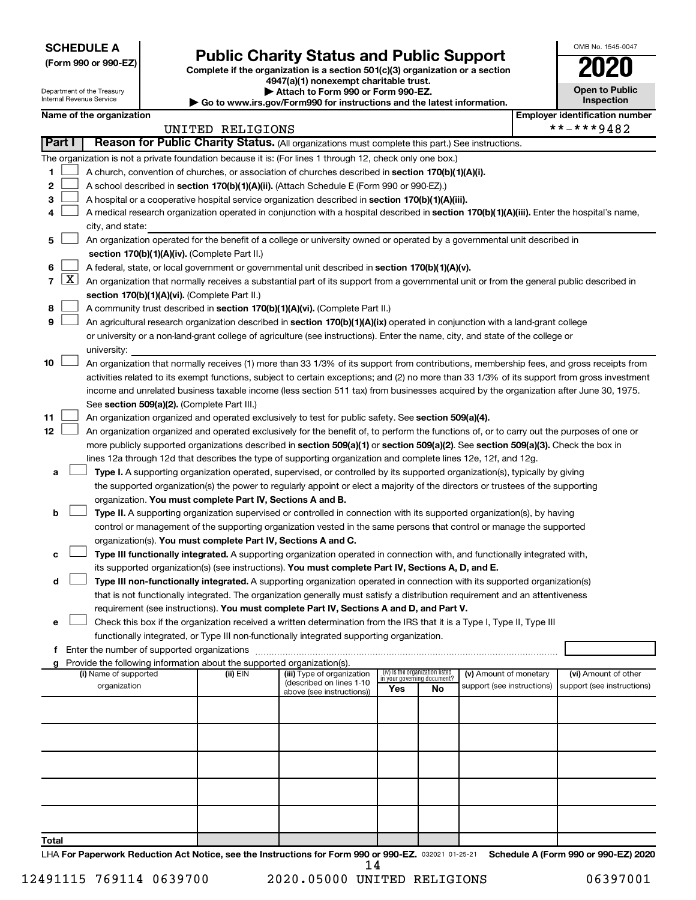**SCHEDULE A**

# Form 990 or 990-EZ) **Public Charity Status and Public Support**<br>
Complete if the organization is a section 501(c)(3) organization or a section<br> **2020**

**4947(a)(1) nonexempt charitable trust. | Attach to Form 990 or Form 990-EZ.** 

| <b>Open to Public</b><br>Inspection |
|-------------------------------------|
| er identification numbe             |

OMB No. 1545-0047

|        |              | Department of the Treasury<br>Internal Revenue Service |                                                                        | Attach to Form 990 or Form 990-EZ.<br>Go to www.irs.gov/Form990 for instructions and the latest information.                                                                                                                                                    |     |                                   |                            | <b>Open to Public</b><br><b>Inspection</b> |
|--------|--------------|--------------------------------------------------------|------------------------------------------------------------------------|-----------------------------------------------------------------------------------------------------------------------------------------------------------------------------------------------------------------------------------------------------------------|-----|-----------------------------------|----------------------------|--------------------------------------------|
|        |              | Name of the organization                               |                                                                        |                                                                                                                                                                                                                                                                 |     |                                   |                            | <b>Employer identification number</b>      |
|        |              |                                                        | UNITED RELIGIONS                                                       |                                                                                                                                                                                                                                                                 |     |                                   |                            | **-***9482                                 |
| Part I |              |                                                        |                                                                        | Reason for Public Charity Status. (All organizations must complete this part.) See instructions.                                                                                                                                                                |     |                                   |                            |                                            |
|        |              |                                                        |                                                                        | The organization is not a private foundation because it is: (For lines 1 through 12, check only one box.)                                                                                                                                                       |     |                                   |                            |                                            |
| 1      |              |                                                        |                                                                        | A church, convention of churches, or association of churches described in section 170(b)(1)(A)(i).                                                                                                                                                              |     |                                   |                            |                                            |
| 2      |              |                                                        |                                                                        | A school described in section 170(b)(1)(A)(ii). (Attach Schedule E (Form 990 or 990-EZ).)                                                                                                                                                                       |     |                                   |                            |                                            |
| 3      |              |                                                        |                                                                        | A hospital or a cooperative hospital service organization described in section 170(b)(1)(A)(iii).                                                                                                                                                               |     |                                   |                            |                                            |
| 4      |              |                                                        |                                                                        | A medical research organization operated in conjunction with a hospital described in section 170(b)(1)(A)(iii). Enter the hospital's name,                                                                                                                      |     |                                   |                            |                                            |
|        |              | city, and state:                                       |                                                                        |                                                                                                                                                                                                                                                                 |     |                                   |                            |                                            |
| 5      |              |                                                        |                                                                        | An organization operated for the benefit of a college or university owned or operated by a governmental unit described in                                                                                                                                       |     |                                   |                            |                                            |
|        |              |                                                        | section 170(b)(1)(A)(iv). (Complete Part II.)                          |                                                                                                                                                                                                                                                                 |     |                                   |                            |                                            |
| 6      |              |                                                        |                                                                        | A federal, state, or local government or governmental unit described in section 170(b)(1)(A)(v).                                                                                                                                                                |     |                                   |                            |                                            |
| 7      | $\mathbf{X}$ |                                                        |                                                                        | An organization that normally receives a substantial part of its support from a governmental unit or from the general public described in                                                                                                                       |     |                                   |                            |                                            |
|        |              |                                                        | section 170(b)(1)(A)(vi). (Complete Part II.)                          |                                                                                                                                                                                                                                                                 |     |                                   |                            |                                            |
| 8<br>9 |              |                                                        |                                                                        | A community trust described in section 170(b)(1)(A)(vi). (Complete Part II.)                                                                                                                                                                                    |     |                                   |                            |                                            |
|        |              |                                                        |                                                                        | An agricultural research organization described in section 170(b)(1)(A)(ix) operated in conjunction with a land-grant college<br>or university or a non-land-grant college of agriculture (see instructions). Enter the name, city, and state of the college or |     |                                   |                            |                                            |
|        |              | university:                                            |                                                                        |                                                                                                                                                                                                                                                                 |     |                                   |                            |                                            |
| 10     |              |                                                        |                                                                        | An organization that normally receives (1) more than 33 1/3% of its support from contributions, membership fees, and gross receipts from                                                                                                                        |     |                                   |                            |                                            |
|        |              |                                                        |                                                                        | activities related to its exempt functions, subject to certain exceptions; and (2) no more than 33 1/3% of its support from gross investment                                                                                                                    |     |                                   |                            |                                            |
|        |              |                                                        |                                                                        | income and unrelated business taxable income (less section 511 tax) from businesses acquired by the organization after June 30, 1975.                                                                                                                           |     |                                   |                            |                                            |
|        |              |                                                        | See section 509(a)(2). (Complete Part III.)                            |                                                                                                                                                                                                                                                                 |     |                                   |                            |                                            |
| 11     |              |                                                        |                                                                        | An organization organized and operated exclusively to test for public safety. See section 509(a)(4).                                                                                                                                                            |     |                                   |                            |                                            |
| 12     |              |                                                        |                                                                        | An organization organized and operated exclusively for the benefit of, to perform the functions of, or to carry out the purposes of one or                                                                                                                      |     |                                   |                            |                                            |
|        |              |                                                        |                                                                        | more publicly supported organizations described in section 509(a)(1) or section 509(a)(2). See section 509(a)(3). Check the box in                                                                                                                              |     |                                   |                            |                                            |
|        |              |                                                        |                                                                        | lines 12a through 12d that describes the type of supporting organization and complete lines 12e, 12f, and 12g.                                                                                                                                                  |     |                                   |                            |                                            |
| а      |              |                                                        |                                                                        | Type I. A supporting organization operated, supervised, or controlled by its supported organization(s), typically by giving                                                                                                                                     |     |                                   |                            |                                            |
|        |              |                                                        |                                                                        | the supported organization(s) the power to regularly appoint or elect a majority of the directors or trustees of the supporting                                                                                                                                 |     |                                   |                            |                                            |
|        |              |                                                        | organization. You must complete Part IV, Sections A and B.             |                                                                                                                                                                                                                                                                 |     |                                   |                            |                                            |
| b      |              |                                                        |                                                                        | Type II. A supporting organization supervised or controlled in connection with its supported organization(s), by having                                                                                                                                         |     |                                   |                            |                                            |
|        |              |                                                        |                                                                        | control or management of the supporting organization vested in the same persons that control or manage the supported                                                                                                                                            |     |                                   |                            |                                            |
|        |              |                                                        | organization(s). You must complete Part IV, Sections A and C.          |                                                                                                                                                                                                                                                                 |     |                                   |                            |                                            |
| с      |              |                                                        |                                                                        | Type III functionally integrated. A supporting organization operated in connection with, and functionally integrated with,                                                                                                                                      |     |                                   |                            |                                            |
|        |              |                                                        |                                                                        | its supported organization(s) (see instructions). You must complete Part IV, Sections A, D, and E.                                                                                                                                                              |     |                                   |                            |                                            |
| d      |              |                                                        |                                                                        | Type III non-functionally integrated. A supporting organization operated in connection with its supported organization(s)                                                                                                                                       |     |                                   |                            |                                            |
|        |              |                                                        |                                                                        | that is not functionally integrated. The organization generally must satisfy a distribution requirement and an attentiveness                                                                                                                                    |     |                                   |                            |                                            |
|        |              |                                                        |                                                                        | requirement (see instructions). You must complete Part IV, Sections A and D, and Part V.                                                                                                                                                                        |     |                                   |                            |                                            |
| е      |              |                                                        |                                                                        | Check this box if the organization received a written determination from the IRS that it is a Type I, Type II, Type III                                                                                                                                         |     |                                   |                            |                                            |
|        |              |                                                        |                                                                        | functionally integrated, or Type III non-functionally integrated supporting organization.                                                                                                                                                                       |     |                                   |                            |                                            |
| f      |              |                                                        | Provide the following information about the supported organization(s). |                                                                                                                                                                                                                                                                 |     |                                   |                            |                                            |
| g      |              | (i) Name of supported                                  | (ii) EIN                                                               | (iii) Type of organization                                                                                                                                                                                                                                      |     | (iv) Is the organization listed   | (v) Amount of monetary     | (vi) Amount of other                       |
|        |              | organization                                           |                                                                        | (described on lines 1-10<br>above (see instructions))                                                                                                                                                                                                           | Yes | in your governing document?<br>No | support (see instructions) | support (see instructions)                 |
|        |              |                                                        |                                                                        |                                                                                                                                                                                                                                                                 |     |                                   |                            |                                            |
|        |              |                                                        |                                                                        |                                                                                                                                                                                                                                                                 |     |                                   |                            |                                            |
|        |              |                                                        |                                                                        |                                                                                                                                                                                                                                                                 |     |                                   |                            |                                            |
|        |              |                                                        |                                                                        |                                                                                                                                                                                                                                                                 |     |                                   |                            |                                            |
|        |              |                                                        |                                                                        |                                                                                                                                                                                                                                                                 |     |                                   |                            |                                            |
|        |              |                                                        |                                                                        |                                                                                                                                                                                                                                                                 |     |                                   |                            |                                            |
|        |              |                                                        |                                                                        |                                                                                                                                                                                                                                                                 |     |                                   |                            |                                            |
|        |              |                                                        |                                                                        |                                                                                                                                                                                                                                                                 |     |                                   |                            |                                            |
|        |              |                                                        |                                                                        |                                                                                                                                                                                                                                                                 |     |                                   |                            |                                            |
|        |              |                                                        |                                                                        |                                                                                                                                                                                                                                                                 |     |                                   |                            |                                            |

LHA For Paperwork Reduction Act Notice, see the Instructions for Form 990 or 990-EZ. 032021 01-25-21 Schedule A (Form 990 or 990-EZ) 2020 14

**Total**

12491115 769114 0639700 2020.05000 UNITED RELIGIONS 06397001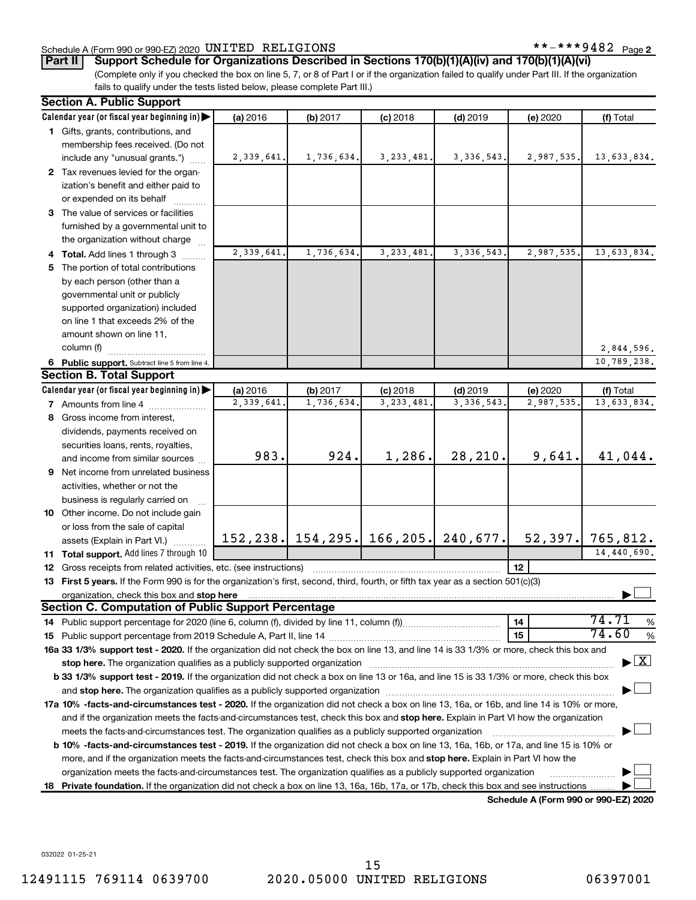### Schedule A (Form 990 or 990-EZ) 2020 Page UNITED RELIGIONS \*\*-\*\*\*9482

**Part II Support Schedule for Organizations Described in Sections 170(b)(1)(A)(iv) and 170(b)(1)(A)(vi)**

(Complete only if you checked the box on line 5, 7, or 8 of Part I or if the organization failed to qualify under Part III. If the organization fails to qualify under the tests listed below, please complete Part III.)

|    | <b>Section A. Public Support</b>                                                                                                                                                                                               |                        |            |                                  |              |                                      |                                |
|----|--------------------------------------------------------------------------------------------------------------------------------------------------------------------------------------------------------------------------------|------------------------|------------|----------------------------------|--------------|--------------------------------------|--------------------------------|
|    | Calendar year (or fiscal year beginning in)                                                                                                                                                                                    | (a) 2016               | (b) 2017   | $(c)$ 2018                       | $(d)$ 2019   | (e) 2020                             | (f) Total                      |
|    | 1 Gifts, grants, contributions, and                                                                                                                                                                                            |                        |            |                                  |              |                                      |                                |
|    | membership fees received. (Do not                                                                                                                                                                                              |                        |            |                                  |              |                                      |                                |
|    | include any "unusual grants.")                                                                                                                                                                                                 | 2,339,641.             | 1,736,634. | 3, 233, 481.                     | 3, 336, 543. | 2,987,535.                           | 13,633,834.                    |
|    | 2 Tax revenues levied for the organ-                                                                                                                                                                                           |                        |            |                                  |              |                                      |                                |
|    | ization's benefit and either paid to                                                                                                                                                                                           |                        |            |                                  |              |                                      |                                |
|    | or expended on its behalf                                                                                                                                                                                                      |                        |            |                                  |              |                                      |                                |
|    | 3 The value of services or facilities                                                                                                                                                                                          |                        |            |                                  |              |                                      |                                |
|    | furnished by a governmental unit to                                                                                                                                                                                            |                        |            |                                  |              |                                      |                                |
|    | the organization without charge                                                                                                                                                                                                |                        |            |                                  |              |                                      |                                |
|    | 4 Total. Add lines 1 through 3                                                                                                                                                                                                 | 2,339,641.             | 1,736,634  | 3, 233, 481.                     | 3, 336, 543. | 2,987,535.                           | 13,633,834.                    |
|    | 5 The portion of total contributions                                                                                                                                                                                           |                        |            |                                  |              |                                      |                                |
|    | by each person (other than a                                                                                                                                                                                                   |                        |            |                                  |              |                                      |                                |
|    | governmental unit or publicly                                                                                                                                                                                                  |                        |            |                                  |              |                                      |                                |
|    | supported organization) included                                                                                                                                                                                               |                        |            |                                  |              |                                      |                                |
|    | on line 1 that exceeds 2% of the                                                                                                                                                                                               |                        |            |                                  |              |                                      |                                |
|    | amount shown on line 11,                                                                                                                                                                                                       |                        |            |                                  |              |                                      |                                |
|    | column (f)                                                                                                                                                                                                                     |                        |            |                                  |              |                                      | 2,844,596.                     |
|    | 6 Public support. Subtract line 5 from line 4.                                                                                                                                                                                 |                        |            |                                  |              |                                      | 10,789,238.                    |
|    | <b>Section B. Total Support</b>                                                                                                                                                                                                |                        |            |                                  |              |                                      |                                |
|    | Calendar year (or fiscal year beginning in)                                                                                                                                                                                    | (a) 2016               | (b) 2017   | $(c)$ 2018                       | $(d)$ 2019   | (e) 2020                             | (f) Total                      |
|    | <b>7</b> Amounts from line 4                                                                                                                                                                                                   | $\overline{2,339,641}$ | 1,736,634  | 3, 233, 481                      | 3, 336, 543. | 2,987,535.                           | 13,633,834.                    |
| 8  | Gross income from interest,                                                                                                                                                                                                    |                        |            |                                  |              |                                      |                                |
|    | dividends, payments received on                                                                                                                                                                                                |                        |            |                                  |              |                                      |                                |
|    | securities loans, rents, royalties,                                                                                                                                                                                            |                        |            |                                  |              |                                      |                                |
|    | and income from similar sources                                                                                                                                                                                                | 983.                   | 924.       | 1,286.                           | 28,210.      | 9,641.                               | 41,044.                        |
|    | 9 Net income from unrelated business                                                                                                                                                                                           |                        |            |                                  |              |                                      |                                |
|    | activities, whether or not the                                                                                                                                                                                                 |                        |            |                                  |              |                                      |                                |
|    | business is regularly carried on                                                                                                                                                                                               |                        |            |                                  |              |                                      |                                |
|    | 10 Other income. Do not include gain                                                                                                                                                                                           |                        |            |                                  |              |                                      |                                |
|    | or loss from the sale of capital                                                                                                                                                                                               |                        |            |                                  |              |                                      |                                |
|    | assets (Explain in Part VI.)                                                                                                                                                                                                   |                        |            | $152, 238$ , 154, 295, 166, 205, | 240,677.     | 52, 397.                             | 765,812.                       |
|    | 11 Total support. Add lines 7 through 10                                                                                                                                                                                       |                        |            |                                  |              |                                      | 14,440,690.                    |
|    | 12 Gross receipts from related activities, etc. (see instructions)                                                                                                                                                             |                        |            |                                  |              | 12                                   |                                |
|    | 13 First 5 years. If the Form 990 is for the organization's first, second, third, fourth, or fifth tax year as a section 501(c)(3)                                                                                             |                        |            |                                  |              |                                      |                                |
|    | organization, check this box and stop here                                                                                                                                                                                     |                        |            |                                  |              |                                      |                                |
|    | <b>Section C. Computation of Public Support Percentage</b>                                                                                                                                                                     |                        |            |                                  |              |                                      |                                |
|    | 14 Public support percentage for 2020 (line 6, column (f), divided by line 11, column (f))                                                                                                                                     |                        |            |                                  |              | 14                                   | 74.71<br>%                     |
|    |                                                                                                                                                                                                                                |                        |            |                                  |              | 15                                   | 74.60<br>$\%$                  |
|    | 16a 33 1/3% support test - 2020. If the organization did not check the box on line 13, and line 14 is 33 1/3% or more, check this box and                                                                                      |                        |            |                                  |              |                                      |                                |
|    | stop here. The organization qualifies as a publicly supported organization manufactured content and the organization of the state of the state of the state of the state of the state of the state of the state of the state o |                        |            |                                  |              |                                      | $\blacktriangleright$ $\mid$ X |
|    | b 33 1/3% support test - 2019. If the organization did not check a box on line 13 or 16a, and line 15 is 33 1/3% or more, check this box                                                                                       |                        |            |                                  |              |                                      |                                |
|    |                                                                                                                                                                                                                                |                        |            |                                  |              |                                      |                                |
|    | 17a 10% -facts-and-circumstances test - 2020. If the organization did not check a box on line 13, 16a, or 16b, and line 14 is 10% or more,                                                                                     |                        |            |                                  |              |                                      |                                |
|    | and if the organization meets the facts-and-circumstances test, check this box and stop here. Explain in Part VI how the organization                                                                                          |                        |            |                                  |              |                                      |                                |
|    | meets the facts-and-circumstances test. The organization qualifies as a publicly supported organization                                                                                                                        |                        |            |                                  |              |                                      |                                |
|    | b 10% -facts-and-circumstances test - 2019. If the organization did not check a box on line 13, 16a, 16b, or 17a, and line 15 is 10% or                                                                                        |                        |            |                                  |              |                                      |                                |
|    | more, and if the organization meets the facts-and-circumstances test, check this box and stop here. Explain in Part VI how the                                                                                                 |                        |            |                                  |              |                                      |                                |
|    | organization meets the facts-and-circumstances test. The organization qualifies as a publicly supported organization                                                                                                           |                        |            |                                  |              |                                      |                                |
| 18 | Private foundation. If the organization did not check a box on line 13, 16a, 16b, 17a, or 17b, check this box and see instructions                                                                                             |                        |            |                                  |              |                                      |                                |
|    |                                                                                                                                                                                                                                |                        |            |                                  |              | Schodule A (Form 000 or 000 EZ) 2020 |                                |

**Schedule A (Form 990 or 990-EZ) 2020**

032022 01-25-21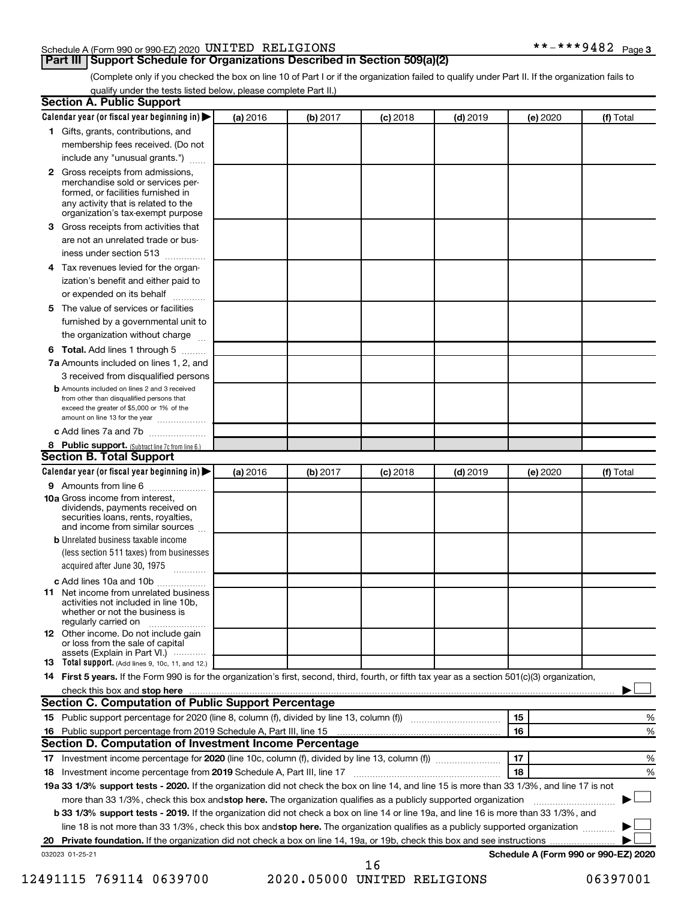### Schedule A (Form 990 or 990-EZ) 2020 Page UNITED RELIGIONS \*\*-\*\*\*9482

### **Part III Support Schedule for Organizations Described in Section 509(a)(2)**

 $***$   $***$  9482 Page 3

(Complete only if you checked the box on line 10 of Part I or if the organization failed to qualify under Part II. If the organization fails to qualify under the tests listed below, please complete Part II.)

| <b>Section A. Public Support</b>                                                                                                                                                         |          |          |            |            |          |                                      |
|------------------------------------------------------------------------------------------------------------------------------------------------------------------------------------------|----------|----------|------------|------------|----------|--------------------------------------|
| Calendar year (or fiscal year beginning in)                                                                                                                                              | (a) 2016 | (b) 2017 | $(c)$ 2018 | $(d)$ 2019 | (e) 2020 | (f) Total                            |
| 1 Gifts, grants, contributions, and                                                                                                                                                      |          |          |            |            |          |                                      |
| membership fees received. (Do not                                                                                                                                                        |          |          |            |            |          |                                      |
| include any "unusual grants.")                                                                                                                                                           |          |          |            |            |          |                                      |
| 2 Gross receipts from admissions,<br>merchandise sold or services per-<br>formed, or facilities furnished in<br>any activity that is related to the<br>organization's tax-exempt purpose |          |          |            |            |          |                                      |
| 3 Gross receipts from activities that                                                                                                                                                    |          |          |            |            |          |                                      |
| are not an unrelated trade or bus-                                                                                                                                                       |          |          |            |            |          |                                      |
| iness under section 513                                                                                                                                                                  |          |          |            |            |          |                                      |
| 4 Tax revenues levied for the organ-                                                                                                                                                     |          |          |            |            |          |                                      |
| ization's benefit and either paid to                                                                                                                                                     |          |          |            |            |          |                                      |
| or expended on its behalf                                                                                                                                                                |          |          |            |            |          |                                      |
| 5 The value of services or facilities                                                                                                                                                    |          |          |            |            |          |                                      |
| furnished by a governmental unit to                                                                                                                                                      |          |          |            |            |          |                                      |
| the organization without charge                                                                                                                                                          |          |          |            |            |          |                                      |
| <b>6 Total.</b> Add lines 1 through 5                                                                                                                                                    |          |          |            |            |          |                                      |
| 7a Amounts included on lines 1, 2, and                                                                                                                                                   |          |          |            |            |          |                                      |
| 3 received from disqualified persons                                                                                                                                                     |          |          |            |            |          |                                      |
| <b>b</b> Amounts included on lines 2 and 3 received<br>from other than disqualified persons that<br>exceed the greater of \$5,000 or 1% of the<br>amount on line 13 for the year         |          |          |            |            |          |                                      |
| c Add lines 7a and 7b                                                                                                                                                                    |          |          |            |            |          |                                      |
| 8 Public support. (Subtract line 7c from line 6.)                                                                                                                                        |          |          |            |            |          |                                      |
| <b>Section B. Total Support</b>                                                                                                                                                          |          |          |            |            |          |                                      |
| Calendar year (or fiscal year beginning in)                                                                                                                                              | (a) 2016 | (b) 2017 | (c) 2018   | $(d)$ 2019 | (e) 2020 | (f) Total                            |
| 9 Amounts from line 6                                                                                                                                                                    |          |          |            |            |          |                                      |
| <b>10a</b> Gross income from interest,<br>dividends, payments received on<br>securities loans, rents, royalties,<br>and income from similar sources                                      |          |          |            |            |          |                                      |
| <b>b</b> Unrelated business taxable income<br>(less section 511 taxes) from businesses<br>acquired after June 30, 1975<br>$\frac{1}{2}$                                                  |          |          |            |            |          |                                      |
| c Add lines 10a and 10b                                                                                                                                                                  |          |          |            |            |          |                                      |
| 11 Net income from unrelated business<br>activities not included in line 10b.<br>whether or not the business is<br>regularly carried on                                                  |          |          |            |            |          |                                      |
| <b>12</b> Other income. Do not include gain<br>or loss from the sale of capital<br>assets (Explain in Part VI.)                                                                          |          |          |            |            |          |                                      |
| <b>13</b> Total support. (Add lines 9, 10c, 11, and 12.)                                                                                                                                 |          |          |            |            |          |                                      |
| 14 First 5 years. If the Form 990 is for the organization's first, second, third, fourth, or fifth tax year as a section 501(c)(3) organization,                                         |          |          |            |            |          |                                      |
|                                                                                                                                                                                          |          |          |            |            |          |                                      |
| Section C. Computation of Public Support Percentage                                                                                                                                      |          |          |            |            |          |                                      |
|                                                                                                                                                                                          |          |          |            |            | 15       | %                                    |
| 16 Public support percentage from 2019 Schedule A, Part III, line 15                                                                                                                     |          |          |            |            | 16       | %                                    |
| Section D. Computation of Investment Income Percentage                                                                                                                                   |          |          |            |            |          |                                      |
|                                                                                                                                                                                          |          |          |            |            | 17       | %                                    |
| 18 Investment income percentage from 2019 Schedule A, Part III, line 17                                                                                                                  |          |          |            |            | 18       | %                                    |
| 19a 33 1/3% support tests - 2020. If the organization did not check the box on line 14, and line 15 is more than 33 1/3%, and line 17 is not                                             |          |          |            |            |          |                                      |
| more than 33 1/3%, check this box and stop here. The organization qualifies as a publicly supported organization                                                                         |          |          |            |            |          |                                      |
| b 33 1/3% support tests - 2019. If the organization did not check a box on line 14 or line 19a, and line 16 is more than 33 1/3%, and                                                    |          |          |            |            |          |                                      |
| line 18 is not more than 33 1/3%, check this box and stop here. The organization qualifies as a publicly supported organization                                                          |          |          |            |            |          |                                      |
|                                                                                                                                                                                          |          |          |            |            |          |                                      |
| 032023 01-25-21                                                                                                                                                                          |          |          |            |            |          | Schedule A (Form 990 or 990-EZ) 2020 |
|                                                                                                                                                                                          |          |          | 16         |            |          |                                      |

<sup>12491115 769114 0639700 2020.05000</sup> UNITED RELIGIONS 06397001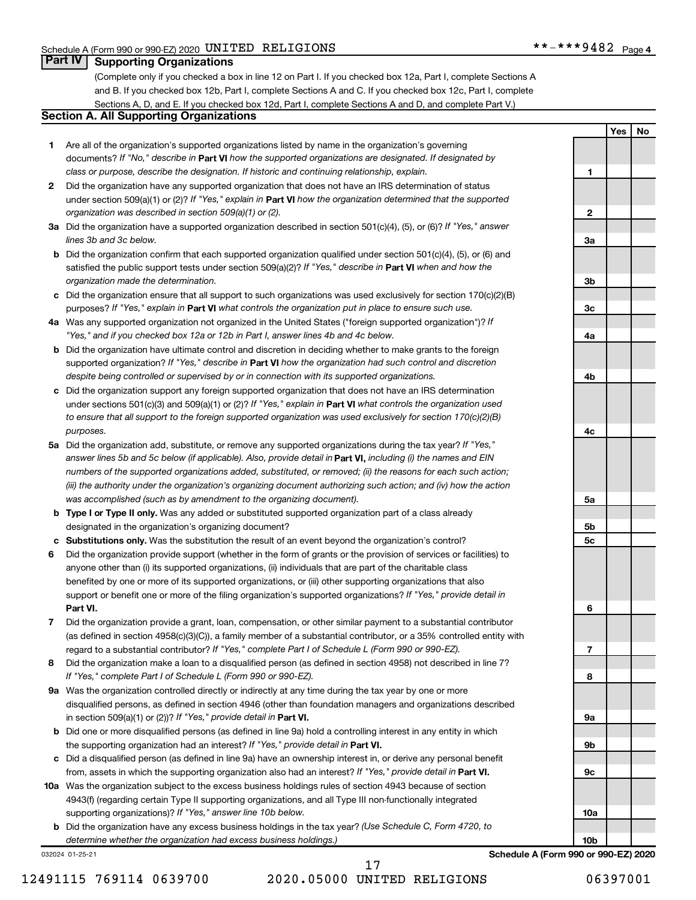**1**

**2**

**3a**

**3b**

**3c**

**4a**

**4b**

**4c**

**5a**

**5b 5c**

**6**

**7**

**8**

**9a**

**9b**

**9c**

**10a**

**10b**

**Yes No**

### **Part IV Supporting Organizations**

(Complete only if you checked a box in line 12 on Part I. If you checked box 12a, Part I, complete Sections A and B. If you checked box 12b, Part I, complete Sections A and C. If you checked box 12c, Part I, complete Sections A, D, and E. If you checked box 12d, Part I, complete Sections A and D, and complete Part V.)

### **Section A. All Supporting Organizations**

- **1** Are all of the organization's supported organizations listed by name in the organization's governing documents? If "No," describe in Part VI how the supported organizations are designated. If designated by *class or purpose, describe the designation. If historic and continuing relationship, explain.*
- **2** Did the organization have any supported organization that does not have an IRS determination of status under section 509(a)(1) or (2)? If "Yes," explain in Part **VI** how the organization determined that the supported *organization was described in section 509(a)(1) or (2).*
- **3a** Did the organization have a supported organization described in section 501(c)(4), (5), or (6)? If "Yes," answer *lines 3b and 3c below.*
- **b** Did the organization confirm that each supported organization qualified under section 501(c)(4), (5), or (6) and satisfied the public support tests under section 509(a)(2)? If "Yes," describe in Part VI when and how the *organization made the determination.*
- **c** Did the organization ensure that all support to such organizations was used exclusively for section 170(c)(2)(B) purposes? If "Yes," explain in Part VI what controls the organization put in place to ensure such use.
- **4 a** *If* Was any supported organization not organized in the United States ("foreign supported organization")? *"Yes," and if you checked box 12a or 12b in Part I, answer lines 4b and 4c below.*
- **b** Did the organization have ultimate control and discretion in deciding whether to make grants to the foreign supported organization? If "Yes," describe in Part VI how the organization had such control and discretion *despite being controlled or supervised by or in connection with its supported organizations.*
- **c** Did the organization support any foreign supported organization that does not have an IRS determination under sections 501(c)(3) and 509(a)(1) or (2)? If "Yes," explain in Part VI what controls the organization used *to ensure that all support to the foreign supported organization was used exclusively for section 170(c)(2)(B) purposes.*
- **5a** Did the organization add, substitute, or remove any supported organizations during the tax year? If "Yes," answer lines 5b and 5c below (if applicable). Also, provide detail in **Part VI,** including (i) the names and EIN *numbers of the supported organizations added, substituted, or removed; (ii) the reasons for each such action; (iii) the authority under the organization's organizing document authorizing such action; and (iv) how the action was accomplished (such as by amendment to the organizing document).*
- **b** Type I or Type II only. Was any added or substituted supported organization part of a class already designated in the organization's organizing document?
- **c Substitutions only.**  Was the substitution the result of an event beyond the organization's control?
- **6** Did the organization provide support (whether in the form of grants or the provision of services or facilities) to **Part VI.** support or benefit one or more of the filing organization's supported organizations? If "Yes," provide detail in anyone other than (i) its supported organizations, (ii) individuals that are part of the charitable class benefited by one or more of its supported organizations, or (iii) other supporting organizations that also
- **7** Did the organization provide a grant, loan, compensation, or other similar payment to a substantial contributor regard to a substantial contributor? If "Yes," complete Part I of Schedule L (Form 990 or 990-EZ). (as defined in section 4958(c)(3)(C)), a family member of a substantial contributor, or a 35% controlled entity with
- **8** Did the organization make a loan to a disqualified person (as defined in section 4958) not described in line 7? *If "Yes," complete Part I of Schedule L (Form 990 or 990-EZ).*
- **9 a** Was the organization controlled directly or indirectly at any time during the tax year by one or more in section 509(a)(1) or (2))? If "Yes," provide detail in **Part VI.** disqualified persons, as defined in section 4946 (other than foundation managers and organizations described
- **b** Did one or more disqualified persons (as defined in line 9a) hold a controlling interest in any entity in which the supporting organization had an interest? If "Yes," provide detail in Part VI.
- **c** Did a disqualified person (as defined in line 9a) have an ownership interest in, or derive any personal benefit from, assets in which the supporting organization also had an interest? If "Yes," provide detail in Part VI.
- **10 a** Was the organization subject to the excess business holdings rules of section 4943 because of section supporting organizations)? If "Yes," answer line 10b below. 4943(f) (regarding certain Type II supporting organizations, and all Type III non-functionally integrated
	- **b** Did the organization have any excess business holdings in the tax year? (Use Schedule C, Form 4720, to *determine whether the organization had excess business holdings.)*

032024 01-25-21

12491115 769114 0639700 2020.05000 UNITED RELIGIONS 06397001 17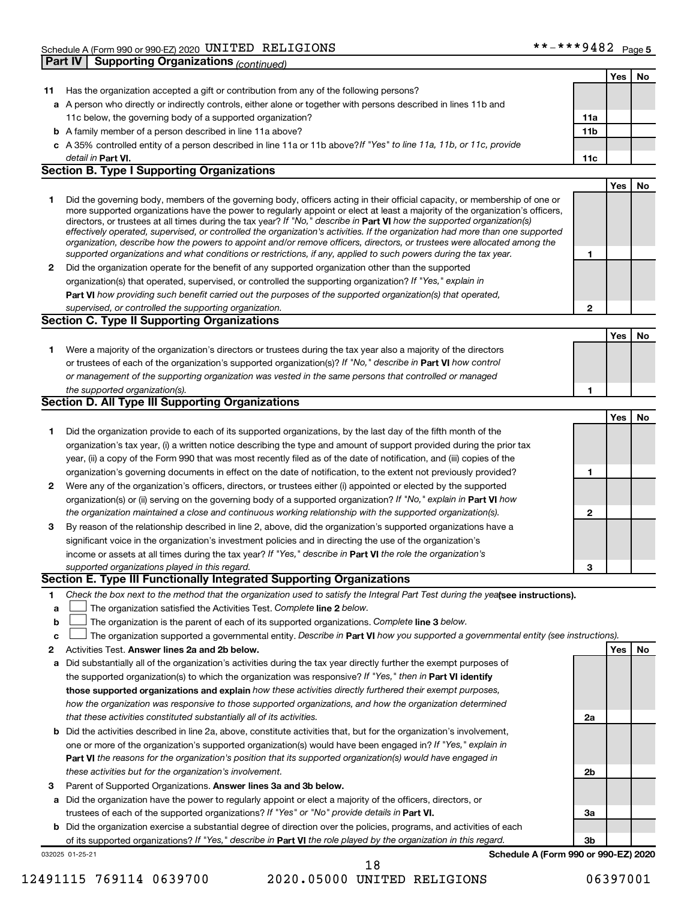|              | <b>Supporting Organizations (continued)</b><br>Part IV                                                                                                                                                                                                                                                                                                                                                                                                                                                                                                                                                                                                                                                                                                                   |                 |     |    |
|--------------|--------------------------------------------------------------------------------------------------------------------------------------------------------------------------------------------------------------------------------------------------------------------------------------------------------------------------------------------------------------------------------------------------------------------------------------------------------------------------------------------------------------------------------------------------------------------------------------------------------------------------------------------------------------------------------------------------------------------------------------------------------------------------|-----------------|-----|----|
|              |                                                                                                                                                                                                                                                                                                                                                                                                                                                                                                                                                                                                                                                                                                                                                                          |                 | Yes | No |
| 11           | Has the organization accepted a gift or contribution from any of the following persons?                                                                                                                                                                                                                                                                                                                                                                                                                                                                                                                                                                                                                                                                                  |                 |     |    |
|              | a A person who directly or indirectly controls, either alone or together with persons described in lines 11b and                                                                                                                                                                                                                                                                                                                                                                                                                                                                                                                                                                                                                                                         |                 |     |    |
|              | 11c below, the governing body of a supported organization?                                                                                                                                                                                                                                                                                                                                                                                                                                                                                                                                                                                                                                                                                                               | 11a             |     |    |
|              | <b>b</b> A family member of a person described in line 11a above?                                                                                                                                                                                                                                                                                                                                                                                                                                                                                                                                                                                                                                                                                                        | 11 <sub>b</sub> |     |    |
|              | c A 35% controlled entity of a person described in line 11a or 11b above?If "Yes" to line 11a, 11b, or 11c, provide                                                                                                                                                                                                                                                                                                                                                                                                                                                                                                                                                                                                                                                      |                 |     |    |
|              | detail in Part VI.                                                                                                                                                                                                                                                                                                                                                                                                                                                                                                                                                                                                                                                                                                                                                       | 11c             |     |    |
|              | <b>Section B. Type I Supporting Organizations</b>                                                                                                                                                                                                                                                                                                                                                                                                                                                                                                                                                                                                                                                                                                                        |                 |     |    |
|              |                                                                                                                                                                                                                                                                                                                                                                                                                                                                                                                                                                                                                                                                                                                                                                          |                 | Yes | No |
| 1            | Did the governing body, members of the governing body, officers acting in their official capacity, or membership of one or<br>more supported organizations have the power to regularly appoint or elect at least a majority of the organization's officers,<br>directors, or trustees at all times during the tax year? If "No," describe in Part VI how the supported organization(s)<br>effectively operated, supervised, or controlled the organization's activities. If the organization had more than one supported<br>organization, describe how the powers to appoint and/or remove officers, directors, or trustees were allocated among the<br>supported organizations and what conditions or restrictions, if any, applied to such powers during the tax year. | 1               |     |    |
| $\mathbf{2}$ | Did the organization operate for the benefit of any supported organization other than the supported                                                                                                                                                                                                                                                                                                                                                                                                                                                                                                                                                                                                                                                                      |                 |     |    |
|              | organization(s) that operated, supervised, or controlled the supporting organization? If "Yes," explain in                                                                                                                                                                                                                                                                                                                                                                                                                                                                                                                                                                                                                                                               |                 |     |    |
|              | Part VI how providing such benefit carried out the purposes of the supported organization(s) that operated.                                                                                                                                                                                                                                                                                                                                                                                                                                                                                                                                                                                                                                                              |                 |     |    |
|              | supervised, or controlled the supporting organization.                                                                                                                                                                                                                                                                                                                                                                                                                                                                                                                                                                                                                                                                                                                   | $\mathbf{2}$    |     |    |
|              | <b>Section C. Type II Supporting Organizations</b>                                                                                                                                                                                                                                                                                                                                                                                                                                                                                                                                                                                                                                                                                                                       |                 |     |    |
|              |                                                                                                                                                                                                                                                                                                                                                                                                                                                                                                                                                                                                                                                                                                                                                                          |                 | Yes | No |
| 1            | Were a majority of the organization's directors or trustees during the tax year also a majority of the directors                                                                                                                                                                                                                                                                                                                                                                                                                                                                                                                                                                                                                                                         |                 |     |    |
|              | or trustees of each of the organization's supported organization(s)? If "No," describe in Part VI how control                                                                                                                                                                                                                                                                                                                                                                                                                                                                                                                                                                                                                                                            |                 |     |    |
|              | or management of the supporting organization was vested in the same persons that controlled or managed                                                                                                                                                                                                                                                                                                                                                                                                                                                                                                                                                                                                                                                                   |                 |     |    |
|              | the supported organization(s).                                                                                                                                                                                                                                                                                                                                                                                                                                                                                                                                                                                                                                                                                                                                           | 1               |     |    |
|              | <b>Section D. All Type III Supporting Organizations</b>                                                                                                                                                                                                                                                                                                                                                                                                                                                                                                                                                                                                                                                                                                                  |                 |     |    |
|              |                                                                                                                                                                                                                                                                                                                                                                                                                                                                                                                                                                                                                                                                                                                                                                          |                 | Yes | No |
| 1            | Did the organization provide to each of its supported organizations, by the last day of the fifth month of the                                                                                                                                                                                                                                                                                                                                                                                                                                                                                                                                                                                                                                                           |                 |     |    |
|              | organization's tax year, (i) a written notice describing the type and amount of support provided during the prior tax                                                                                                                                                                                                                                                                                                                                                                                                                                                                                                                                                                                                                                                    |                 |     |    |
|              | year, (ii) a copy of the Form 990 that was most recently filed as of the date of notification, and (iii) copies of the                                                                                                                                                                                                                                                                                                                                                                                                                                                                                                                                                                                                                                                   |                 |     |    |
|              | organization's governing documents in effect on the date of notification, to the extent not previously provided?                                                                                                                                                                                                                                                                                                                                                                                                                                                                                                                                                                                                                                                         | 1               |     |    |
| $\mathbf{2}$ | Were any of the organization's officers, directors, or trustees either (i) appointed or elected by the supported                                                                                                                                                                                                                                                                                                                                                                                                                                                                                                                                                                                                                                                         |                 |     |    |
|              | organization(s) or (ii) serving on the governing body of a supported organization? If "No," explain in Part VI how                                                                                                                                                                                                                                                                                                                                                                                                                                                                                                                                                                                                                                                       |                 |     |    |
|              | the organization maintained a close and continuous working relationship with the supported organization(s).                                                                                                                                                                                                                                                                                                                                                                                                                                                                                                                                                                                                                                                              | $\mathbf{2}$    |     |    |
| 3            | By reason of the relationship described in line 2, above, did the organization's supported organizations have a                                                                                                                                                                                                                                                                                                                                                                                                                                                                                                                                                                                                                                                          |                 |     |    |
|              | significant voice in the organization's investment policies and in directing the use of the organization's                                                                                                                                                                                                                                                                                                                                                                                                                                                                                                                                                                                                                                                               |                 |     |    |
|              | income or assets at all times during the tax year? If "Yes," describe in Part VI the role the organization's                                                                                                                                                                                                                                                                                                                                                                                                                                                                                                                                                                                                                                                             |                 |     |    |
|              | supported organizations played in this regard.<br>Section E. Type III Functionally Integrated Supporting Organizations                                                                                                                                                                                                                                                                                                                                                                                                                                                                                                                                                                                                                                                   | 3               |     |    |
|              |                                                                                                                                                                                                                                                                                                                                                                                                                                                                                                                                                                                                                                                                                                                                                                          |                 |     |    |
| 1<br>a       | Check the box next to the method that the organization used to satisfy the Integral Part Test during the yealsee instructions).<br>The organization satisfied the Activities Test. Complete line 2 below.                                                                                                                                                                                                                                                                                                                                                                                                                                                                                                                                                                |                 |     |    |
|              | The organization is the parent of each of its supported organizations. Complete line 3 below.                                                                                                                                                                                                                                                                                                                                                                                                                                                                                                                                                                                                                                                                            |                 |     |    |
| b            |                                                                                                                                                                                                                                                                                                                                                                                                                                                                                                                                                                                                                                                                                                                                                                          |                 |     |    |
| c<br>2       | The organization supported a governmental entity. Describe in Part VI how you supported a governmental entity (see instructions).<br>Activities Test. Answer lines 2a and 2b below.                                                                                                                                                                                                                                                                                                                                                                                                                                                                                                                                                                                      |                 | Yes | No |
|              | Did substantially all of the organization's activities during the tax year directly further the exempt purposes of                                                                                                                                                                                                                                                                                                                                                                                                                                                                                                                                                                                                                                                       |                 |     |    |
| а            | the supported organization(s) to which the organization was responsive? If "Yes," then in Part VI identify                                                                                                                                                                                                                                                                                                                                                                                                                                                                                                                                                                                                                                                               |                 |     |    |
|              | those supported organizations and explain how these activities directly furthered their exempt purposes,                                                                                                                                                                                                                                                                                                                                                                                                                                                                                                                                                                                                                                                                 |                 |     |    |
|              | how the organization was responsive to those supported organizations, and how the organization determined                                                                                                                                                                                                                                                                                                                                                                                                                                                                                                                                                                                                                                                                |                 |     |    |
|              |                                                                                                                                                                                                                                                                                                                                                                                                                                                                                                                                                                                                                                                                                                                                                                          |                 |     |    |
|              | that these activities constituted substantially all of its activities.                                                                                                                                                                                                                                                                                                                                                                                                                                                                                                                                                                                                                                                                                                   | 2a              |     |    |
| b            | Did the activities described in line 2a, above, constitute activities that, but for the organization's involvement,<br>one or more of the organization's supported organization(s) would have been engaged in? If "Yes," explain in                                                                                                                                                                                                                                                                                                                                                                                                                                                                                                                                      |                 |     |    |
|              | Part VI the reasons for the organization's position that its supported organization(s) would have engaged in                                                                                                                                                                                                                                                                                                                                                                                                                                                                                                                                                                                                                                                             |                 |     |    |
|              | these activities but for the organization's involvement.                                                                                                                                                                                                                                                                                                                                                                                                                                                                                                                                                                                                                                                                                                                 | 2b              |     |    |
| з            | Parent of Supported Organizations. Answer lines 3a and 3b below.                                                                                                                                                                                                                                                                                                                                                                                                                                                                                                                                                                                                                                                                                                         |                 |     |    |
|              | a. Did the organization have the nower to requisity appoint or elect a majority of the officers, directors, or                                                                                                                                                                                                                                                                                                                                                                                                                                                                                                                                                                                                                                                           |                 |     |    |

**a** trustees of each of the supported organizations? If "Yes" or "No" provide details in Part VI. Did the organization have the power to regularly appoint or elect a majority of the officers, directors, or

**b** Did the organization exercise a substantial degree of direction over the policies, programs, and activities of each of its supported organizations? If "Yes," describe in Part VI the role played by the organization in this regard. **Schedule A (Form 990 or 990-EZ) 2020**

032025 01-25-21

**3a**

**3b**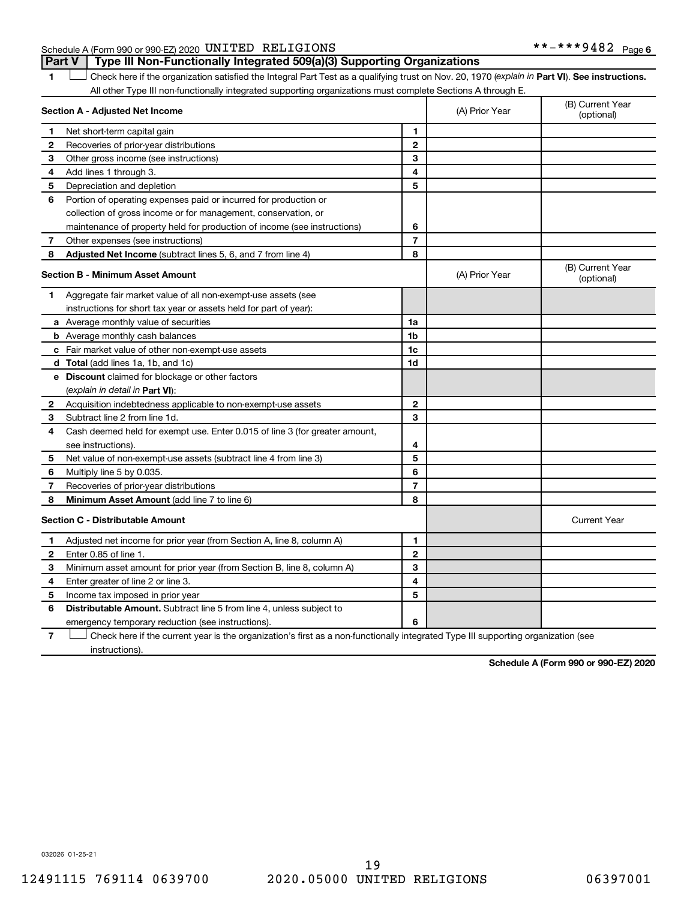Schedule A (Form 990 or 990-EZ) 2020 Page UNITED RELIGIONS \*\*-\*\*\*9482 **Part V Type III Non-Functionally Integrated 509(a)(3) Supporting Organizations** 

1 **Letter See instructions.** Check here if the organization satisfied the Integral Part Test as a qualifying trust on Nov. 20, 1970 (*explain in* Part **VI**). See instructions. All other Type III non-functionally integrated supporting organizations must complete Sections A through E.

|              | Section A - Adjusted Net Income                                             |                | (A) Prior Year | (B) Current Year<br>(optional) |
|--------------|-----------------------------------------------------------------------------|----------------|----------------|--------------------------------|
| 1            | Net short-term capital gain                                                 | 1              |                |                                |
| 2            | Recoveries of prior-year distributions                                      | $\mathbf{2}$   |                |                                |
| 3            | Other gross income (see instructions)                                       | 3              |                |                                |
| 4            | Add lines 1 through 3.                                                      | 4              |                |                                |
| 5            | Depreciation and depletion                                                  | 5              |                |                                |
| 6            | Portion of operating expenses paid or incurred for production or            |                |                |                                |
|              | collection of gross income or for management, conservation, or              |                |                |                                |
|              | maintenance of property held for production of income (see instructions)    | 6              |                |                                |
| 7            | Other expenses (see instructions)                                           | $\overline{7}$ |                |                                |
| 8            | Adjusted Net Income (subtract lines 5, 6, and 7 from line 4)                | 8              |                |                                |
|              | <b>Section B - Minimum Asset Amount</b>                                     |                | (A) Prior Year | (B) Current Year<br>(optional) |
| 1.           | Aggregate fair market value of all non-exempt-use assets (see               |                |                |                                |
|              | instructions for short tax year or assets held for part of year):           |                |                |                                |
|              | a Average monthly value of securities                                       | 1a             |                |                                |
|              | <b>b</b> Average monthly cash balances                                      | 1 <sub>b</sub> |                |                                |
|              | c Fair market value of other non-exempt-use assets                          | 1c             |                |                                |
|              | <b>d</b> Total (add lines 1a, 1b, and 1c)                                   | 1d             |                |                                |
|              | e Discount claimed for blockage or other factors                            |                |                |                                |
|              | (explain in detail in Part VI):                                             |                |                |                                |
| 2            | Acquisition indebtedness applicable to non-exempt-use assets                | $\mathbf{2}$   |                |                                |
| 3            | Subtract line 2 from line 1d.                                               | 3              |                |                                |
| 4            | Cash deemed held for exempt use. Enter 0.015 of line 3 (for greater amount, |                |                |                                |
|              | see instructions)                                                           | 4              |                |                                |
| 5            | Net value of non-exempt-use assets (subtract line 4 from line 3)            | 5              |                |                                |
| 6            | Multiply line 5 by 0.035.                                                   | 6              |                |                                |
| 7            | Recoveries of prior-year distributions                                      | $\overline{7}$ |                |                                |
| 8            | <b>Minimum Asset Amount (add line 7 to line 6)</b>                          | 8              |                |                                |
|              | <b>Section C - Distributable Amount</b>                                     |                |                | <b>Current Year</b>            |
| 1            | Adjusted net income for prior year (from Section A, line 8, column A)       | 1              |                |                                |
| $\mathbf{2}$ | Enter 0.85 of line 1.                                                       | $\mathbf{2}$   |                |                                |
| 3            | Minimum asset amount for prior year (from Section B, line 8, column A)      | 3              |                |                                |
| 4            | Enter greater of line 2 or line 3.                                          | 4              |                |                                |
| 5            | Income tax imposed in prior year                                            | 5              |                |                                |
| 6            | Distributable Amount. Subtract line 5 from line 4, unless subject to        |                |                |                                |
|              | emergency temporary reduction (see instructions).                           | 6              |                |                                |
|              |                                                                             |                |                |                                |

**7** Check here if the current year is the organization's first as a non-functionally integrated Type III supporting organization (see † instructions).

**Schedule A (Form 990 or 990-EZ) 2020**

032026 01-25-21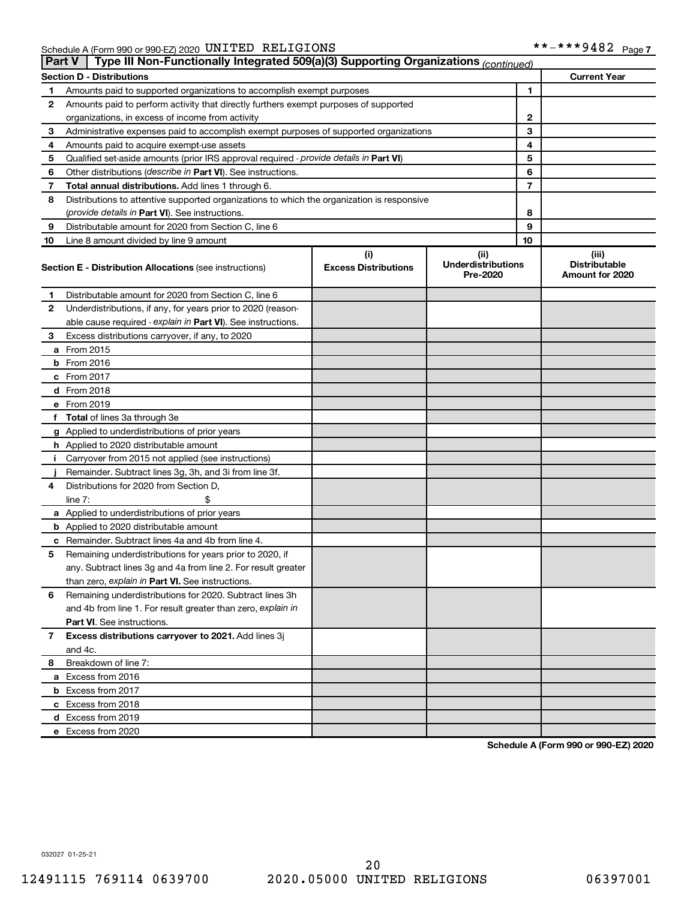| <b>Part V</b> | Type III Non-Functionally Integrated 509(a)(3) Supporting Organizations (continued)        |                                    |                                               |    |                                                  |
|---------------|--------------------------------------------------------------------------------------------|------------------------------------|-----------------------------------------------|----|--------------------------------------------------|
|               | <b>Section D - Distributions</b>                                                           |                                    |                                               |    | <b>Current Year</b>                              |
| 1             | Amounts paid to supported organizations to accomplish exempt purposes                      |                                    |                                               | 1  |                                                  |
| 2             | Amounts paid to perform activity that directly furthers exempt purposes of supported       |                                    |                                               |    |                                                  |
|               | organizations, in excess of income from activity                                           |                                    |                                               | 2  |                                                  |
| 3             | Administrative expenses paid to accomplish exempt purposes of supported organizations      |                                    |                                               | 3  |                                                  |
| 4             | Amounts paid to acquire exempt-use assets                                                  |                                    |                                               | 4  |                                                  |
| 5             | Qualified set-aside amounts (prior IRS approval required - provide details in Part VI)     |                                    |                                               | 5  |                                                  |
| 6             | Other distributions ( <i>describe in Part VI</i> ). See instructions.                      |                                    |                                               | 6  |                                                  |
| 7             | Total annual distributions. Add lines 1 through 6.                                         |                                    |                                               | 7  |                                                  |
| 8             | Distributions to attentive supported organizations to which the organization is responsive |                                    |                                               |    |                                                  |
|               | (provide details in Part VI). See instructions.                                            |                                    |                                               | 8  |                                                  |
| 9             | Distributable amount for 2020 from Section C, line 6                                       |                                    |                                               | 9  |                                                  |
| 10            | Line 8 amount divided by line 9 amount                                                     |                                    |                                               | 10 |                                                  |
|               | <b>Section E - Distribution Allocations (see instructions)</b>                             | (i)<br><b>Excess Distributions</b> | (ii)<br><b>Underdistributions</b><br>Pre-2020 |    | (iii)<br><b>Distributable</b><br>Amount for 2020 |
| 1             | Distributable amount for 2020 from Section C, line 6                                       |                                    |                                               |    |                                                  |
| 2             | Underdistributions, if any, for years prior to 2020 (reason-                               |                                    |                                               |    |                                                  |
|               | able cause required - explain in Part VI). See instructions.                               |                                    |                                               |    |                                                  |
| 3             | Excess distributions carryover, if any, to 2020                                            |                                    |                                               |    |                                                  |
|               | a From 2015                                                                                |                                    |                                               |    |                                                  |
|               | <b>b</b> From 2016                                                                         |                                    |                                               |    |                                                  |
|               | c From 2017                                                                                |                                    |                                               |    |                                                  |
|               | d From 2018                                                                                |                                    |                                               |    |                                                  |
|               | e From 2019                                                                                |                                    |                                               |    |                                                  |
|               | f Total of lines 3a through 3e                                                             |                                    |                                               |    |                                                  |
|               | g Applied to underdistributions of prior years                                             |                                    |                                               |    |                                                  |
|               | <b>h</b> Applied to 2020 distributable amount                                              |                                    |                                               |    |                                                  |
| Ť.            | Carryover from 2015 not applied (see instructions)                                         |                                    |                                               |    |                                                  |
|               | Remainder. Subtract lines 3g, 3h, and 3i from line 3f.                                     |                                    |                                               |    |                                                  |
| 4             | Distributions for 2020 from Section D,                                                     |                                    |                                               |    |                                                  |
|               | line $7:$                                                                                  |                                    |                                               |    |                                                  |
|               | a Applied to underdistributions of prior years                                             |                                    |                                               |    |                                                  |
|               | <b>b</b> Applied to 2020 distributable amount                                              |                                    |                                               |    |                                                  |
|               | c Remainder. Subtract lines 4a and 4b from line 4.                                         |                                    |                                               |    |                                                  |
| 5             | Remaining underdistributions for years prior to 2020, if                                   |                                    |                                               |    |                                                  |
|               | any. Subtract lines 3g and 4a from line 2. For result greater                              |                                    |                                               |    |                                                  |
|               | than zero, explain in Part VI. See instructions.                                           |                                    |                                               |    |                                                  |
| 6             | Remaining underdistributions for 2020. Subtract lines 3h                                   |                                    |                                               |    |                                                  |
|               | and 4b from line 1. For result greater than zero, explain in                               |                                    |                                               |    |                                                  |
|               | <b>Part VI.</b> See instructions.                                                          |                                    |                                               |    |                                                  |
| 7             | Excess distributions carryover to 2021. Add lines 3j                                       |                                    |                                               |    |                                                  |
|               | and 4c.                                                                                    |                                    |                                               |    |                                                  |
| 8             | Breakdown of line 7:                                                                       |                                    |                                               |    |                                                  |
|               | a Excess from 2016                                                                         |                                    |                                               |    |                                                  |
|               | <b>b</b> Excess from 2017                                                                  |                                    |                                               |    |                                                  |
|               | c Excess from 2018                                                                         |                                    |                                               |    |                                                  |
|               | d Excess from 2019                                                                         |                                    |                                               |    |                                                  |
|               | e Excess from 2020                                                                         |                                    |                                               |    |                                                  |

**Schedule A (Form 990 or 990-EZ) 2020**

032027 01-25-21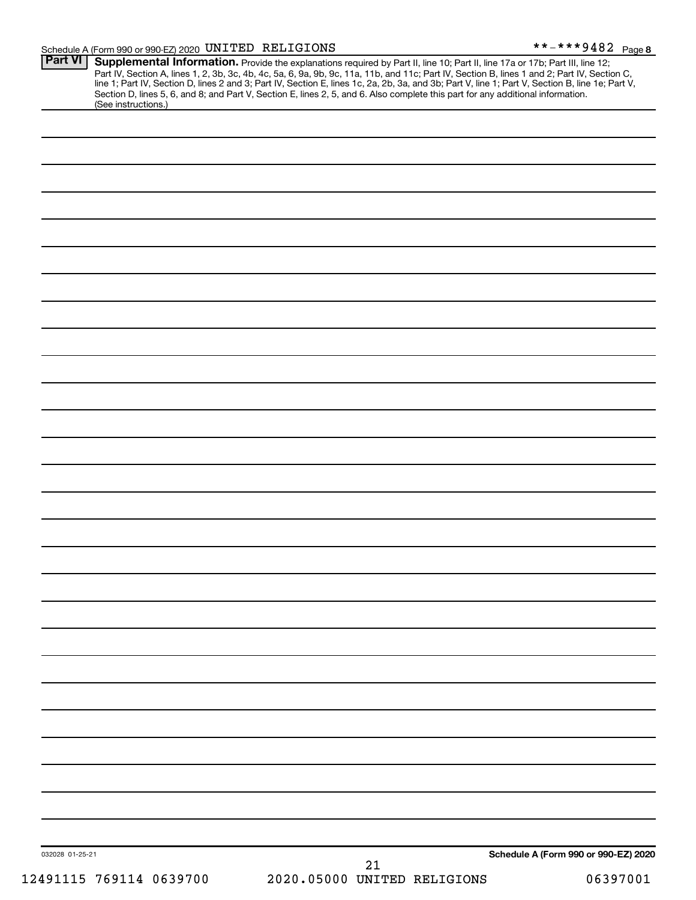### Schedule A (Form 990 or 990-EZ) 2020 UNITED RELIGIONS Associated a material of the state of the Page UNITED RELIGIONS \*\*-\*\*\*9482

| <b>Part VI</b>          | <b>Supplemental Information.</b> Provide the explanations required by Part II, line 10; Part II, line 17a or 17b; Part III, line 12;<br>Part IV, Section A, lines 1, 2, 3b, 3c, 4b, 4c, 5a, 6, 9a, 9b, 9c, 11a, 11b, and 11c; Part IV,<br>Section D, lines 5, 6, and 8; and Part V, Section E, lines 2, 5, and 6. Also complete this part for any additional information. |
|-------------------------|---------------------------------------------------------------------------------------------------------------------------------------------------------------------------------------------------------------------------------------------------------------------------------------------------------------------------------------------------------------------------|
| (See instructions.)     |                                                                                                                                                                                                                                                                                                                                                                           |
|                         |                                                                                                                                                                                                                                                                                                                                                                           |
|                         |                                                                                                                                                                                                                                                                                                                                                                           |
|                         |                                                                                                                                                                                                                                                                                                                                                                           |
|                         |                                                                                                                                                                                                                                                                                                                                                                           |
|                         |                                                                                                                                                                                                                                                                                                                                                                           |
|                         |                                                                                                                                                                                                                                                                                                                                                                           |
|                         |                                                                                                                                                                                                                                                                                                                                                                           |
|                         |                                                                                                                                                                                                                                                                                                                                                                           |
|                         |                                                                                                                                                                                                                                                                                                                                                                           |
|                         |                                                                                                                                                                                                                                                                                                                                                                           |
|                         |                                                                                                                                                                                                                                                                                                                                                                           |
|                         |                                                                                                                                                                                                                                                                                                                                                                           |
|                         |                                                                                                                                                                                                                                                                                                                                                                           |
|                         |                                                                                                                                                                                                                                                                                                                                                                           |
|                         |                                                                                                                                                                                                                                                                                                                                                                           |
|                         |                                                                                                                                                                                                                                                                                                                                                                           |
|                         |                                                                                                                                                                                                                                                                                                                                                                           |
|                         |                                                                                                                                                                                                                                                                                                                                                                           |
|                         |                                                                                                                                                                                                                                                                                                                                                                           |
|                         |                                                                                                                                                                                                                                                                                                                                                                           |
|                         |                                                                                                                                                                                                                                                                                                                                                                           |
|                         |                                                                                                                                                                                                                                                                                                                                                                           |
|                         |                                                                                                                                                                                                                                                                                                                                                                           |
|                         |                                                                                                                                                                                                                                                                                                                                                                           |
|                         |                                                                                                                                                                                                                                                                                                                                                                           |
|                         |                                                                                                                                                                                                                                                                                                                                                                           |
|                         |                                                                                                                                                                                                                                                                                                                                                                           |
|                         |                                                                                                                                                                                                                                                                                                                                                                           |
| 032028 01-25-21         | Schedule A (Form 990 or 990-EZ) 2020                                                                                                                                                                                                                                                                                                                                      |
| 12491115 769114 0639700 | 21<br>2020.05000 UNITED RELIGIONS<br>06397001                                                                                                                                                                                                                                                                                                                             |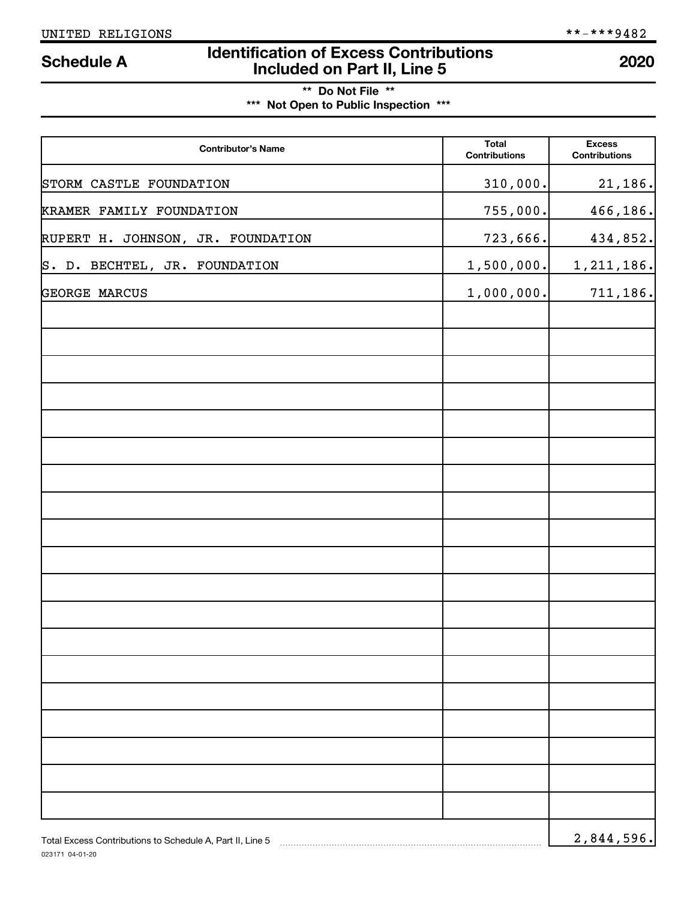## **Identification of Excess Contributions Included on Part II, Line 5 Schedule A <sup>2020</sup>**

### **\*\* Do Not File \*\* \*\*\* Not Open to Public Inspection \*\*\***

| <b>Contributor's Name</b>                                 | <b>Total</b><br><b>Contributions</b> | <b>Excess</b><br><b>Contributions</b> |
|-----------------------------------------------------------|--------------------------------------|---------------------------------------|
| STORM CASTLE FOUNDATION                                   | 310,000.                             | 21,186.                               |
| KRAMER FAMILY FOUNDATION                                  | 755,000.                             | 466,186.                              |
| RUPERT H. JOHNSON, JR. FOUNDATION                         | 723,666.                             | 434,852.                              |
| S. D. BECHTEL, JR. FOUNDATION                             | 1,500,000.                           | 1, 211, 186.                          |
| GEORGE MARCUS                                             | 1,000,000.                           | 711,186.                              |
|                                                           |                                      |                                       |
|                                                           |                                      |                                       |
|                                                           |                                      |                                       |
|                                                           |                                      |                                       |
|                                                           |                                      |                                       |
|                                                           |                                      |                                       |
|                                                           |                                      |                                       |
|                                                           |                                      |                                       |
|                                                           |                                      |                                       |
|                                                           |                                      |                                       |
|                                                           |                                      |                                       |
|                                                           |                                      |                                       |
|                                                           |                                      |                                       |
|                                                           |                                      |                                       |
|                                                           |                                      |                                       |
|                                                           |                                      |                                       |
|                                                           |                                      |                                       |
|                                                           |                                      |                                       |
| Total Excess Contributions to Schedule A, Part II, Line 5 |                                      | 2,844,596.                            |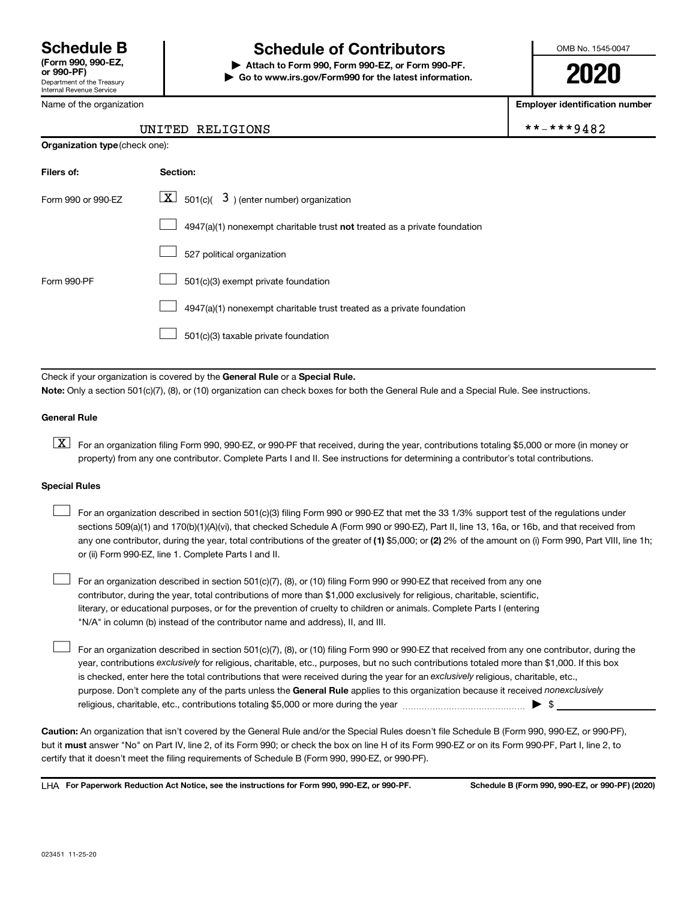Name of the organization

Department of the Treasury Internal Revenue Service

# **Schedule B Schedule of Contributors**

**or 990-PF) | Attach to Form 990, Form 990-EZ, or Form 990-PF. | Go to www.irs.gov/Form990 for the latest information.** OMB No. 1545-0047

**2020**

**Employer identification number**

| <b>Organization type (check one):</b> |                                                                                    |
|---------------------------------------|------------------------------------------------------------------------------------|
| Filers of:                            | Section:                                                                           |
| Form 990 or 990-EZ                    | $\lfloor x \rfloor$ 501(c)( 3) (enter number) organization                         |
|                                       | $4947(a)(1)$ nonexempt charitable trust <b>not</b> treated as a private foundation |
|                                       | 527 political organization                                                         |
| Form 990-PF                           | 501(c)(3) exempt private foundation                                                |
|                                       | 4947(a)(1) nonexempt charitable trust treated as a private foundation              |
|                                       | 501(c)(3) taxable private foundation                                               |
|                                       |                                                                                    |

Check if your organization is covered by the General Rule or a Special Rule.

**Note:**  Only a section 501(c)(7), (8), or (10) organization can check boxes for both the General Rule and a Special Rule. See instructions.

### **General Rule**

**K** For an organization filing Form 990, 990-EZ, or 990-PF that received, during the year, contributions totaling \$5,000 or more (in money or property) from any one contributor. Complete Parts I and II. See instructions for determining a contributor's total contributions.

### **Special Rules**

 $\Box$ 

- any one contributor, during the year, total contributions of the greater of (1) \$5,000; or (2) 2% of the amount on (i) Form 990, Part VIII, line 1h; For an organization described in section 501(c)(3) filing Form 990 or 990-EZ that met the 33 1/3% support test of the regulations under sections 509(a)(1) and 170(b)(1)(A)(vi), that checked Schedule A (Form 990 or 990-EZ), Part II, line 13, 16a, or 16b, and that received from or (ii) Form 990-EZ, line 1. Complete Parts I and II.  $\Box$
- For an organization described in section 501(c)(7), (8), or (10) filing Form 990 or 990-EZ that received from any one contributor, during the year, total contributions of more than \$1,000 exclusively for religious, charitable, scientific, literary, or educational purposes, or for the prevention of cruelty to children or animals. Complete Parts I (entering "N/A" in column (b) instead of the contributor name and address), II, and III.  $\Box$

purpose. Don't complete any of the parts unless the General Rule applies to this organization because it received nonexclusively year, contributions exclusively for religious, charitable, etc., purposes, but no such contributions totaled more than \$1,000. If this box is checked, enter here the total contributions that were received during the year for an exclusively religious, charitable, etc., For an organization described in section 501(c)(7), (8), or (10) filing Form 990 or 990-EZ that received from any one contributor, during the religious, charitable, etc., contributions totaling \$5,000 or more during the year  $~\ldots\ldots\ldots\ldots\ldots\ldots\ldots\ldots\blacktriangleright~$ \$

**Caution:**  An organization that isn't covered by the General Rule and/or the Special Rules doesn't file Schedule B (Form 990, 990-EZ, or 990-PF),  **must** but it answer "No" on Part IV, line 2, of its Form 990; or check the box on line H of its Form 990-EZ or on its Form 990-PF, Part I, line 2, to certify that it doesn't meet the filing requirements of Schedule B (Form 990, 990-EZ, or 990-PF).

**For Paperwork Reduction Act Notice, see the instructions for Form 990, 990-EZ, or 990-PF. Schedule B (Form 990, 990-EZ, or 990-PF) (2020)** LHA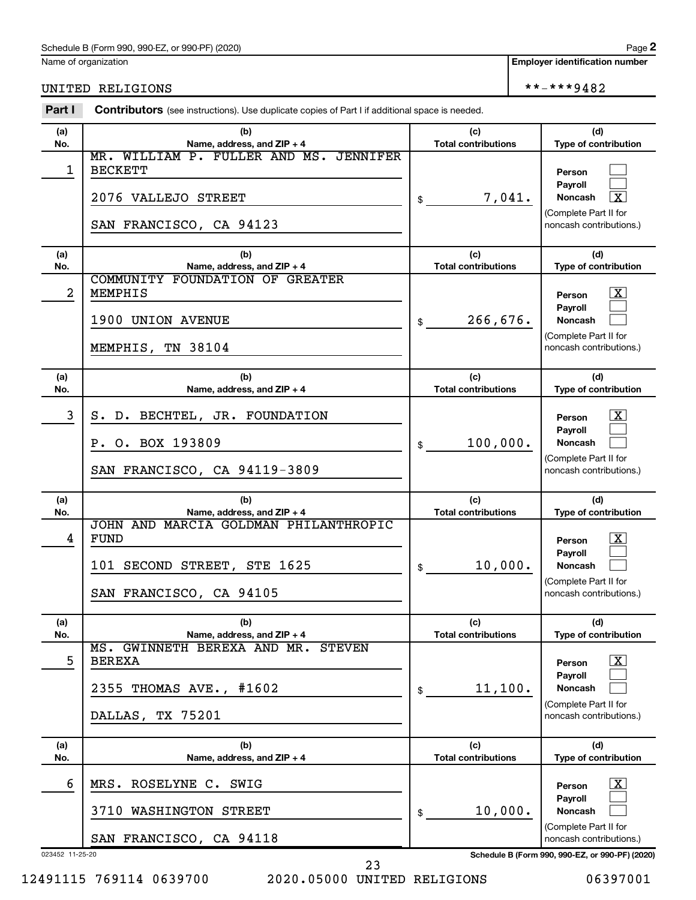Name of organization

**Employer identification number**

### UNITED RELIGIONS  $\begin{array}{ccc} & & & \ast \ast \ast \ast \ast & 9482 \\ \end{array}$

| Part I          | <b>Contributors</b> (see instructions). Use duplicate copies of Part I if additional space is needed.          |                                   |                                                                                                           |
|-----------------|----------------------------------------------------------------------------------------------------------------|-----------------------------------|-----------------------------------------------------------------------------------------------------------|
| (a)<br>No.      | (b)<br>Name, address, and ZIP + 4                                                                              | (c)<br><b>Total contributions</b> | (d)<br>Type of contribution                                                                               |
| 1               | MR. WILLIAM P. FULLER AND MS. JENNIFER<br><b>BECKETT</b><br>2076 VALLEJO STREET<br>SAN FRANCISCO, CA 94123     | 7,041.<br>$\frac{1}{2}$           | Person<br>Payroll<br>区<br>Noncash<br>(Complete Part II for<br>noncash contributions.)                     |
| (a)<br>No.      | (b)                                                                                                            | (c)<br><b>Total contributions</b> | (d)<br>Type of contribution                                                                               |
| 2               | Name, address, and ZIP + 4<br>COMMUNITY FOUNDATION OF GREATER<br>MEMPHIS                                       |                                   | $\mathbf{X}$<br>Person<br><b>Payroll</b>                                                                  |
|                 | 1900 UNION AVENUE<br>MEMPHIS, TN 38104                                                                         | 266,676.<br>$\frac{1}{2}$         | Noncash<br>(Complete Part II for<br>noncash contributions.)                                               |
| (a)<br>No.      | (b)<br>Name, address, and ZIP + 4                                                                              | (c)<br><b>Total contributions</b> | (d)<br>Type of contribution                                                                               |
| 3               | S. D. BECHTEL, JR. FOUNDATION<br>P. O. BOX 193809<br>SAN FRANCISCO, CA 94119-3809                              | 100,000.<br>$\frac{1}{2}$         | $\mathbf{X}$<br>Person<br>Payroll<br>Noncash<br>(Complete Part II for<br>noncash contributions.)          |
| (a)<br>No.      | (b)<br>Name, address, and ZIP + 4                                                                              | (c)<br><b>Total contributions</b> | (d)<br>Type of contribution                                                                               |
| 4               | JOHN AND MARCIA GOLDMAN PHILANTHROPIC<br><b>FUND</b><br>101 SECOND STREET, STE 1625<br>SAN FRANCISCO, CA 94105 | 10,000.<br>$\$\$                  | $\mathbf{X}$<br>Person<br>Payroll<br><b>Noncash</b><br>(Complete Part II for<br>noncash contributions.)   |
| (a)<br>No.      | (b)<br>Name, address, and ZIP + 4                                                                              | (c)<br><b>Total contributions</b> | (d)<br>Type of contribution                                                                               |
| 5               | MS. GWINNETH BEREXA AND MR.<br><b>STEVEN</b><br><b>BEREXA</b><br>2355 THOMAS AVE., #1602<br>DALLAS, TX 75201   | 11,100.<br>\$                     | $\overline{\text{X}}$<br>Person<br>Payroll<br>Noncash<br>(Complete Part II for<br>noncash contributions.) |
| (a)<br>No.      | (b)<br>Name, address, and ZIP + 4                                                                              | (c)<br><b>Total contributions</b> | (d)<br>Type of contribution                                                                               |
| 6               | ROSELYNE C. SWIG<br>MRS.<br>WASHINGTON STREET<br>3710<br>SAN FRANCISCO, CA 94118                               | 10,000.<br>\$                     | <u>x</u><br>Person<br>Payroll<br>Noncash<br>(Complete Part II for<br>noncash contributions.)              |
| 023452 11-25-20 |                                                                                                                |                                   | Schedule B (Form 990, 990-EZ, or 990-PF) (2020)                                                           |

12491115 769114 0639700 2020.05000 UNITED RELIGIONS 06397001 23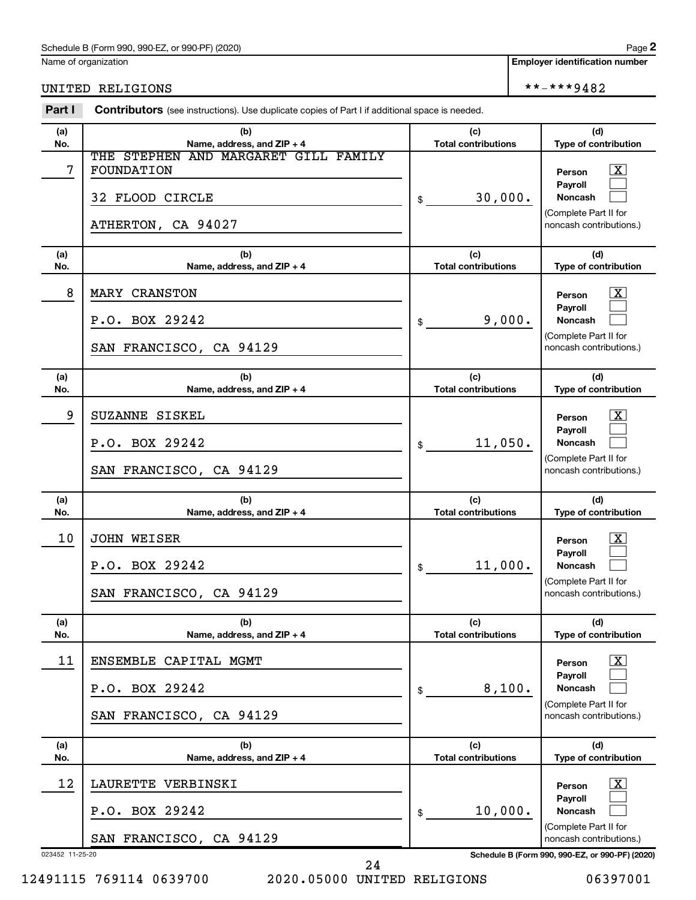Name of organization

UNITED RELIGIONS \*\*-\*\*\*9482

### 023452 11-25-20 **Schedule B (Form 990, 990-EZ, or 990-PF) (2020) (a) No. (b) Name, address, and ZIP + 4 (c) Total contributions (d) Type of contribution Person Payroll Noncash (a) No. (b) Name, address, and ZIP + 4 (c) Total contributions (d) Type of contribution Person Payroll Noncash (a) No. (b) Name, address, and ZIP + 4 (c) Total contributions (d) Type of contribution Person Payroll Noncash (a) No. (b) Name, address, and ZIP + 4 (c) Total contributions (d) Type of contribution Person Payroll Noncash (a) No. (b) Name, address, and ZIP + 4 (c) Total contributions (d) Type of contribution Person Payroll Noncash (a) No. (b) Name, address, and ZIP + 4 (c) Total contributions (d) Type of contribution Person Payroll Noncash Part I** Contributors (see instructions). Use duplicate copies of Part I if additional space is needed. \$ (Complete Part II for noncash contributions.) \$ (Complete Part II for noncash contributions.) \$ (Complete Part II for noncash contributions.) \$ (Complete Part II for noncash contributions.) \$ (Complete Part II for noncash contributions.) \$ (Complete Part II for noncash contributions.) †  $\Box$  $\Box$  $\overline{\mathbf{X}}$  $\Box$  $\Box$  $\boxed{\textbf{X}}$  $\Box$  $\Box$  $\boxed{\textbf{X}}$  $\Box$  $\Box$  $\boxed{\textbf{X}}$  $\Box$  $\Box$  $\boxed{\textbf{X}}$  $\Box$  $\Box$ 7 THE STEPHEN AND MARGARET GILL FAMILY FOUNDATION X  $32$  FLOOD CIRCLE  $\begin{array}{ccc} 32 & 30,000. \end{array}$ ATHERTON, CA 94027 8 | MARY CRANSTON P.O. BOX 29242  $\vert$  \$9,000. SAN FRANCISCO, CA 94129 9 | SUZANNE SISKEL P.O. BOX 29242 11,050. SAN FRANCISCO, CA 94129 10 JOHN WEISER X P.O. BOX 29242 11,000. SAN FRANCISCO, CA 94129 11 ENSEMBLE CAPITAL MGMT X **P.O.** BOX 29242  $\vert$  s 8,100. SAN FRANCISCO, CA 94129 12 LAURETTE VERBINSKI X P.O. BOX 29242 10,000. SAN FRANCISCO, CA 94129

12491115 769114 0639700 2020.05000 UNITED RELIGIONS 06397001

24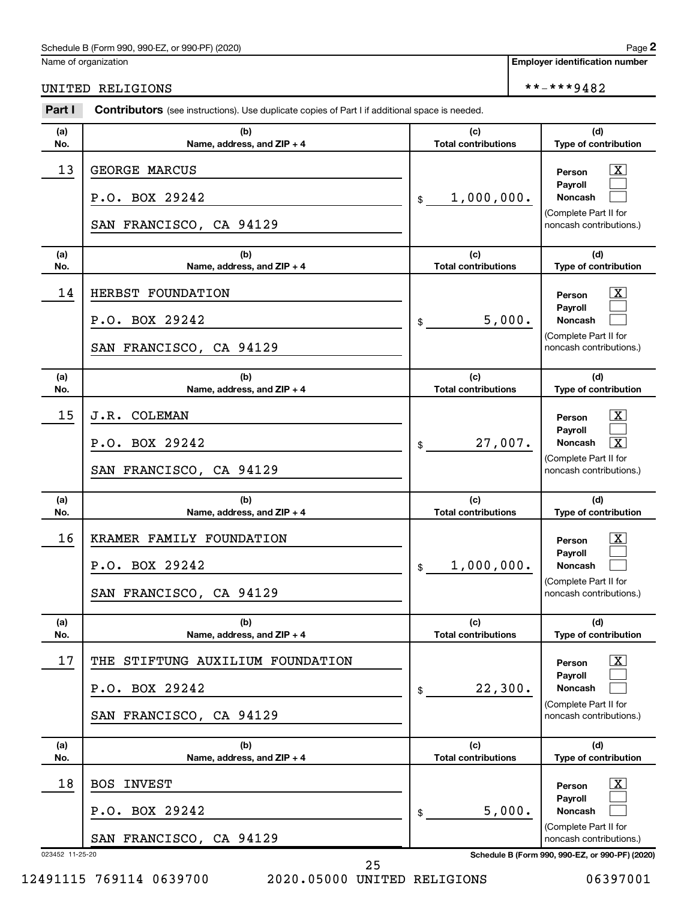### Schedule B (Form 990, 990-EZ, or 990-PF) (2020)

Name of organization

**Employer identification number**

|            | UNITED RELIGIONS                                                                                      |                                   | **-***9482                                                                                                                                    |
|------------|-------------------------------------------------------------------------------------------------------|-----------------------------------|-----------------------------------------------------------------------------------------------------------------------------------------------|
| Part I     | <b>Contributors</b> (see instructions). Use duplicate copies of Part I if additional space is needed. |                                   |                                                                                                                                               |
| (a)<br>No. | (b)<br>Name, address, and ZIP + 4                                                                     | (c)<br><b>Total contributions</b> | (d)<br>Type of contribution                                                                                                                   |
| 13         | GEORGE MARCUS<br>P.O. BOX 29242<br>SAN FRANCISCO, CA 94129                                            | 1,000,000.<br>\$                  | x<br>Person<br><b>Pavroll</b><br>Noncash<br>(Complete Part II for<br>noncash contributions.)                                                  |
| (a)<br>No. | (b)<br>Name, address, and ZIP + 4                                                                     | (c)<br><b>Total contributions</b> | (d)<br>Type of contribution                                                                                                                   |
| 14         | HERBST FOUNDATION<br>P.O. BOX 29242<br>SAN FRANCISCO, CA 94129                                        | 5,000.<br>\$                      | X<br>Person<br>Payroll<br><b>Noncash</b><br>(Complete Part II for<br>noncash contributions.)                                                  |
| (a)<br>No. | (b)<br>Name, address, and ZIP + 4                                                                     | (c)<br><b>Total contributions</b> | (d)<br>Type of contribution                                                                                                                   |
| 15         | J.R.<br><b>COLEMAN</b><br>P.O. BOX 29242<br>SAN FRANCISCO, CA 94129                                   | 27,007.<br>\$                     | $\overline{\mathbf{X}}$<br>Person<br>Payroll<br>$\overline{\mathbf{x}}$<br><b>Noncash</b><br>(Complete Part II for<br>noncash contributions.) |
| (a)<br>No. | (b)<br>Name, address, and ZIP + 4                                                                     | (c)<br><b>Total contributions</b> | (d)<br>Type of contribution                                                                                                                   |
| 16         | KRAMER FAMILY FOUNDATION<br>P.O. BOX 29242                                                            | 1,000,000.<br>\$                  | x<br>Person<br>Payroll<br><b>Noncash</b>                                                                                                      |

| 12491115 769114 0639700 |  |  |
|-------------------------|--|--|
|                         |  |  |

 $18$  | BOS INVEST

**(b) Name, address, and ZIP + 4**

SAN FRANCISCO, CA 94129

SAN FRANCISCO, CA 94129

SAN FRANCISCO, CA 94129

17 | THE STIFTUNG AUXILIUM FOUNDATION

**(b) Name, address, and ZIP + 4**

**P.O.** BOX 29242  $\frac{1}{3}$  22,300.

**P.O.** BOX 29242  $\vert \text{ }$  5,000.

**(a) No.**

**(a) No.**

023452 11-25-20 **Schedule B (Form 990, 990-EZ, or 990-PF) (2020)**

**(c) Total contributions**

\$

\$

**(c) Total contributions**

12491115 769114 0639700 2020.05000 UNITED RELIGIONS 06397001 25

 $\boxed{\text{X}}$  $\Box$  $\Box$ 

**(d) Type of contribution**

 $\boxed{\text{X}}$  $\Box$  $\Box$ 

(Complete Part II for noncash contributions.)

**(d) Type of contribution**

(Complete Part II for noncash contributions.)

**Person Payroll Noncash**

**Person Payroll Noncash**

(Complete Part II for noncash contributions.)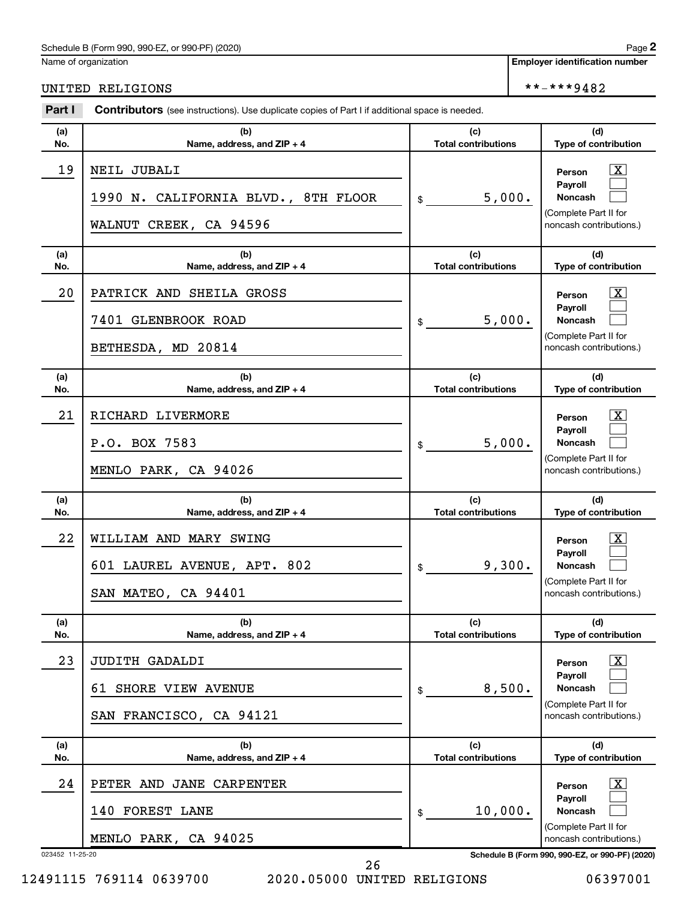### Schedule B (Form 990, 990-EZ, or 990-PF) (2020)

Name of organization

| Part I          | <b>Contributors</b> (see instructions). Use duplicate copies of Part I if additional space is needed.      |                                   |                                                                                                  |
|-----------------|------------------------------------------------------------------------------------------------------------|-----------------------------------|--------------------------------------------------------------------------------------------------|
| (a)             | (b)                                                                                                        | (c)<br><b>Total contributions</b> | (d)<br>Type of contribution                                                                      |
| No.<br>19       | Name, address, and ZIP + 4<br>NEIL JUBALI<br>1990 N. CALIFORNIA BLVD., 8TH FLOOR<br>WALNUT CREEK, CA 94596 | 5,000.<br>\$                      | $\mathbf{X}$<br>Person<br>Pavroll<br>Noncash<br>(Complete Part II for<br>noncash contributions.) |
| (a)             | (b)                                                                                                        | (c)<br><b>Total contributions</b> | (d)<br>Type of contribution                                                                      |
| No.<br>20       | Name, address, and ZIP + 4<br>PATRICK AND SHEILA GROSS<br>7401 GLENBROOK ROAD<br>BETHESDA, MD 20814        | 5,000.<br>\$                      | $\mathbf{X}$<br>Person<br>Payroll<br>Noncash<br>(Complete Part II for<br>noncash contributions.) |
| (a)<br>No.      | (b)<br>Name, address, and ZIP + 4                                                                          | (c)<br><b>Total contributions</b> | (d)<br>Type of contribution                                                                      |
| 21              | RICHARD LIVERMORE<br>P.O. BOX 7583<br>MENLO PARK, CA 94026                                                 | 5,000.<br>\$                      | $\mathbf{X}$<br>Person<br>Payroll<br>Noncash<br>(Complete Part II for<br>noncash contributions.) |
| (a)<br>No.      | (b)<br>Name, address, and ZIP + 4                                                                          | (c)<br><b>Total contributions</b> | (d)<br>Type of contribution                                                                      |
| 22              | WILLIAM AND MARY SWING<br>601 LAUREL AVENUE, APT. 802<br>SAN MATEO, CA 94401                               | 9,300.<br>\$                      | $\mathbf{X}$<br>Person<br>Payroll<br>Noncash<br>(Complete Part II for<br>noncash contributions.) |
| (a)<br>No.      | (b)<br>Name, address, and ZIP + 4                                                                          | (c)<br><b>Total contributions</b> | (d)<br>Type of contribution                                                                      |
| 23              | JUDITH GADALDI<br>61 SHORE VIEW AVENUE<br>SAN FRANCISCO, CA 94121                                          | 8,500.<br>\$                      | x<br>Person<br>Payroll<br><b>Noncash</b><br>(Complete Part II for<br>noncash contributions.)     |
| (a)<br>No.      | (b)<br>Name, address, and ZIP + 4                                                                          | (c)<br><b>Total contributions</b> | (d)<br>Type of contribution                                                                      |
| 24              | PETER AND JANE CARPENTER<br>140 FOREST LANE<br>MENLO PARK, CA 94025                                        | 10,000.<br>\$                     | х<br>Person<br>Payroll<br>Noncash<br>(Complete Part II for<br>noncash contributions.)            |
| 023452 11-25-20 |                                                                                                            |                                   | Schedule B (Form 990, 990-EZ, or 990-PF) (2020)                                                  |

12491115 769114 0639700 2020.05000 UNITED RELIGIONS 06397001 26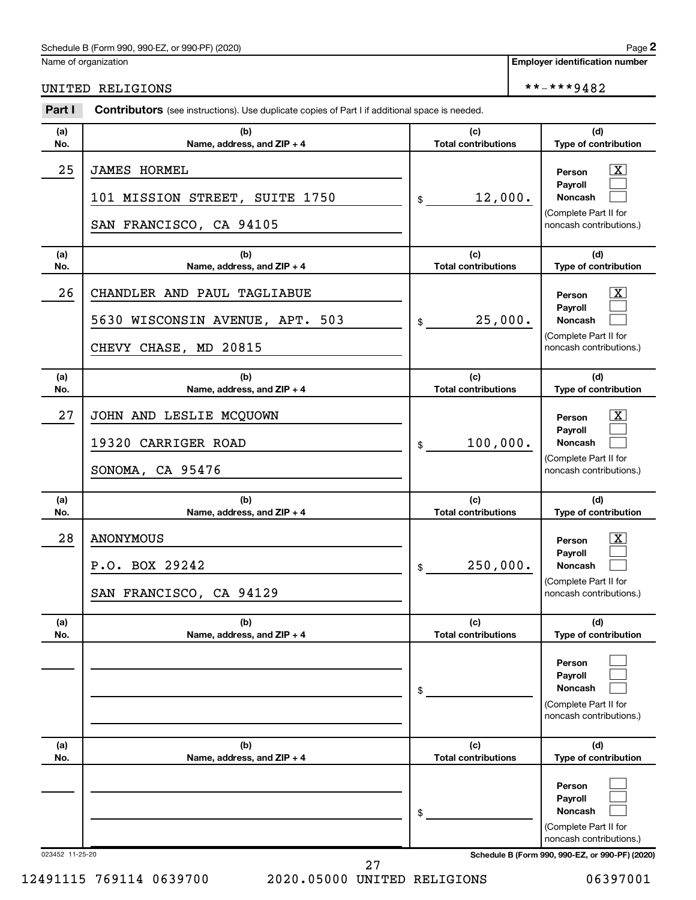### Schedule B (Form 990, 990-EZ, or 990-PF) (2020)

Name of organization

UNITED RELIGIONS \*\*-\*\*\*9482

| Part I          | Contributors (see instructions). Use duplicate copies of Part I if additional space is needed. |                                   |                                                                                                                                     |
|-----------------|------------------------------------------------------------------------------------------------|-----------------------------------|-------------------------------------------------------------------------------------------------------------------------------------|
| (a)<br>No.      | (b)<br>Name, address, and ZIP + 4                                                              | (c)<br><b>Total contributions</b> | (d)<br>Type of contribution                                                                                                         |
| 25              | <b>JAMES HORMEL</b><br>101 MISSION STREET, SUITE 1750<br>SAN FRANCISCO, CA 94105               | 12,000.<br>\$                     | $\mathbf{X}$<br>Person<br>Pavroll<br>Noncash<br>(Complete Part II for<br>noncash contributions.)                                    |
| (a)<br>No.      | (b)<br>Name, address, and ZIP + 4                                                              | (c)<br><b>Total contributions</b> | (d)<br>Type of contribution                                                                                                         |
| 26              | CHANDLER AND PAUL TAGLIABUE<br>5630 WISCONSIN AVENUE, APT. 503<br>CHEVY CHASE, MD 20815        | 25,000.<br>\$                     | $\mathbf{X}$<br>Person<br>Payroll<br><b>Noncash</b><br>(Complete Part II for<br>noncash contributions.)                             |
| (a)<br>No.      | (b)<br>Name, address, and ZIP + 4                                                              | (c)<br><b>Total contributions</b> | (d)<br>Type of contribution                                                                                                         |
| 27              | JOHN AND LESLIE MCQUOWN<br>19320 CARRIGER ROAD<br>SONOMA, CA 95476                             | 100,000.<br>\$                    | $\overline{\mathbf{X}}$<br>Person<br>Payroll<br><b>Noncash</b><br>(Complete Part II for<br>noncash contributions.)                  |
|                 | (b)                                                                                            |                                   |                                                                                                                                     |
| (a)<br>No.      | Name, address, and ZIP + 4                                                                     | (c)<br><b>Total contributions</b> | (d)<br>Type of contribution                                                                                                         |
| 28              | <b>ANONYMOUS</b><br>P.O. BOX 29242<br>SAN FRANCISCO, CA 94129                                  | 250,000.<br>\$                    | $\overline{\mathbf{X}}$<br>Person<br>Payroll<br><b>Noncash</b><br>(Complete Part II for<br>noncash contributions.)                  |
| (a)<br>No.      | (b)<br>Name, address, and ZIP + 4                                                              | (c)<br><b>Total contributions</b> | (d)<br>Type of contribution                                                                                                         |
|                 |                                                                                                | \$                                | Person<br>Payroll<br><b>Noncash</b><br>(Complete Part II for<br>noncash contributions.)                                             |
| (a)<br>No.      | (b)<br>Name, address, and ZIP + 4                                                              | (c)<br><b>Total contributions</b> | (d)<br>Type of contribution                                                                                                         |
| 023452 11-25-20 | 27                                                                                             | \$                                | Person<br>Payroll<br>Noncash<br>(Complete Part II for<br>noncash contributions.)<br>Schedule B (Form 990, 990-EZ, or 990-PF) (2020) |

12491115 769114 0639700 2020.05000 UNITED RELIGIONS 06397001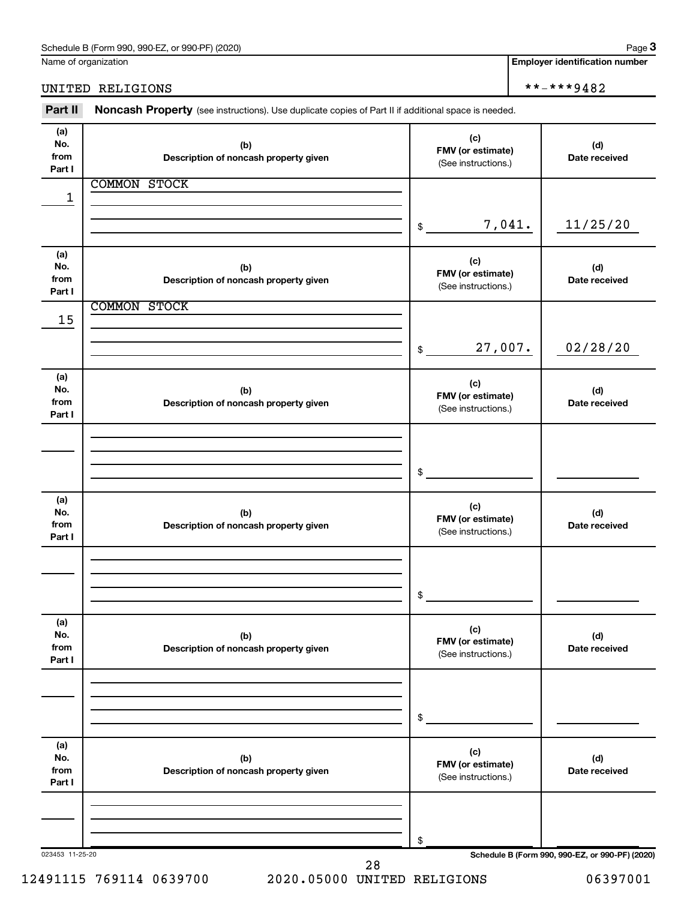| Schedule B (Form 990.<br>or 990-PF)<br>990-EZ<br>) (2020) | Page |
|-----------------------------------------------------------|------|
|                                                           |      |

Name of organization

**Employer identification number**

UNITED RELIGIONS \*\*-\*\*\*9482

| Part II                      | Noncash Property (see instructions). Use duplicate copies of Part II if additional space is needed. |                                                 |                                                 |
|------------------------------|-----------------------------------------------------------------------------------------------------|-------------------------------------------------|-------------------------------------------------|
| (a)<br>No.<br>from<br>Part I | (b)<br>Description of noncash property given                                                        | (c)<br>FMV (or estimate)<br>(See instructions.) | (d)<br>Date received                            |
|                              | <b>COMMON STOCK</b>                                                                                 |                                                 |                                                 |
| $\mathbf 1$                  |                                                                                                     |                                                 |                                                 |
|                              |                                                                                                     | 7,041.<br>\$                                    | 11/25/20                                        |
| (a)                          |                                                                                                     | (c)                                             |                                                 |
| No.<br>from                  | (b)<br>Description of noncash property given                                                        | FMV (or estimate)                               | (d)<br>Date received                            |
| Part I                       |                                                                                                     | (See instructions.)                             |                                                 |
|                              | <b>COMMON STOCK</b>                                                                                 |                                                 |                                                 |
| 15                           |                                                                                                     |                                                 |                                                 |
|                              |                                                                                                     | 27,007.<br>\$                                   | 02/28/20                                        |
|                              |                                                                                                     |                                                 |                                                 |
| (a)<br>No.                   |                                                                                                     | (c)                                             |                                                 |
| from                         | (b)<br>Description of noncash property given                                                        | FMV (or estimate)                               | (d)<br>Date received                            |
| Part I                       |                                                                                                     | (See instructions.)                             |                                                 |
|                              |                                                                                                     |                                                 |                                                 |
|                              |                                                                                                     |                                                 |                                                 |
|                              |                                                                                                     | \$                                              |                                                 |
|                              |                                                                                                     |                                                 |                                                 |
| (a)<br>No.                   | (b)                                                                                                 | (c)                                             | (d)                                             |
| from                         | Description of noncash property given                                                               | FMV (or estimate)<br>(See instructions.)        | Date received                                   |
| Part I                       |                                                                                                     |                                                 |                                                 |
|                              |                                                                                                     |                                                 |                                                 |
|                              |                                                                                                     |                                                 |                                                 |
|                              |                                                                                                     | \$                                              |                                                 |
|                              |                                                                                                     |                                                 |                                                 |
| (a)<br>No.                   | (b)                                                                                                 | (c)                                             | (d)                                             |
| from                         | Description of noncash property given                                                               | FMV (or estimate)<br>(See instructions.)        | Date received                                   |
| Part I                       |                                                                                                     |                                                 |                                                 |
|                              |                                                                                                     |                                                 |                                                 |
|                              |                                                                                                     |                                                 |                                                 |
|                              |                                                                                                     | \$                                              |                                                 |
|                              |                                                                                                     |                                                 |                                                 |
| (a)<br>No.                   | (b)                                                                                                 | (c)                                             | (d)                                             |
| from                         | Description of noncash property given                                                               | FMV (or estimate)<br>(See instructions.)        | Date received                                   |
| Part I                       |                                                                                                     |                                                 |                                                 |
|                              |                                                                                                     |                                                 |                                                 |
|                              |                                                                                                     |                                                 |                                                 |
|                              |                                                                                                     | \$                                              |                                                 |
| 023453 11-25-20              | 28                                                                                                  |                                                 | Schedule B (Form 990, 990-EZ, or 990-PF) (2020) |

12491115 769114 0639700 2020.05000 UNITED RELIGIONS 06397001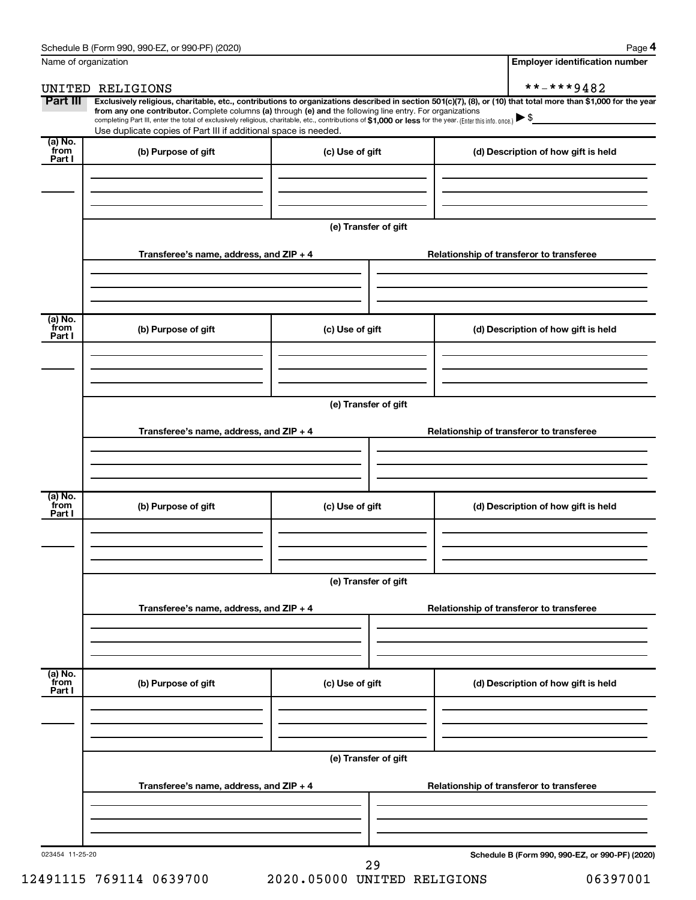**4**

|                           | Name of organization                                                                                                                                                                                                                                                                                                                      |                      | <b>Employer identification number</b>                                                                                                                          |
|---------------------------|-------------------------------------------------------------------------------------------------------------------------------------------------------------------------------------------------------------------------------------------------------------------------------------------------------------------------------------------|----------------------|----------------------------------------------------------------------------------------------------------------------------------------------------------------|
|                           | UNITED RELIGIONS                                                                                                                                                                                                                                                                                                                          |                      | **-***9482                                                                                                                                                     |
| Part III                  | from any one contributor. Complete columns (a) through (e) and the following line entry. For organizations<br>completing Part III, enter the total of exclusively religious, charitable, etc., contributions of \$1,000 or less for the year. (Enter this info. once.)<br>Use duplicate copies of Part III if additional space is needed. |                      | Exclusively religious, charitable, etc., contributions to organizations described in section 501(c)(7), (8), or (10) that total more than \$1,000 for the year |
| (a) No.<br>from<br>Part I | (b) Purpose of gift                                                                                                                                                                                                                                                                                                                       | (c) Use of gift      | (d) Description of how gift is held                                                                                                                            |
|                           |                                                                                                                                                                                                                                                                                                                                           |                      |                                                                                                                                                                |
|                           |                                                                                                                                                                                                                                                                                                                                           | (e) Transfer of gift |                                                                                                                                                                |
|                           | Transferee's name, address, and ZIP + 4                                                                                                                                                                                                                                                                                                   |                      | Relationship of transferor to transferee                                                                                                                       |
| (a) No.<br>from           | (b) Purpose of gift                                                                                                                                                                                                                                                                                                                       | (c) Use of gift      | (d) Description of how gift is held                                                                                                                            |
| Part I                    |                                                                                                                                                                                                                                                                                                                                           |                      |                                                                                                                                                                |
|                           |                                                                                                                                                                                                                                                                                                                                           | (e) Transfer of gift |                                                                                                                                                                |
|                           | Transferee's name, address, and ZIP + 4                                                                                                                                                                                                                                                                                                   |                      | Relationship of transferor to transferee                                                                                                                       |
| (a) No.<br>from           | (b) Purpose of gift                                                                                                                                                                                                                                                                                                                       | (c) Use of gift      | (d) Description of how gift is held                                                                                                                            |
| Part I                    |                                                                                                                                                                                                                                                                                                                                           |                      |                                                                                                                                                                |
|                           |                                                                                                                                                                                                                                                                                                                                           | (e) Transfer of gift |                                                                                                                                                                |
|                           | Transferee's name, address, and ZIP + 4                                                                                                                                                                                                                                                                                                   |                      | Relationship of transferor to transferee                                                                                                                       |
| (a) No.<br>from<br>Part I | (b) Purpose of gift                                                                                                                                                                                                                                                                                                                       | (c) Use of gift      | (d) Description of how gift is held                                                                                                                            |
|                           |                                                                                                                                                                                                                                                                                                                                           |                      |                                                                                                                                                                |
|                           |                                                                                                                                                                                                                                                                                                                                           | (e) Transfer of gift |                                                                                                                                                                |
|                           | Transferee's name, address, and ZIP + 4                                                                                                                                                                                                                                                                                                   |                      | Relationship of transferor to transferee                                                                                                                       |
|                           |                                                                                                                                                                                                                                                                                                                                           |                      |                                                                                                                                                                |
| 023454 11-25-20           |                                                                                                                                                                                                                                                                                                                                           | 29                   | Schedule B (Form 990, 990-EZ, or 990-PF) (2020)                                                                                                                |

12491115 769114 0639700 2020.05000 UNITED RELIGIONS 06397001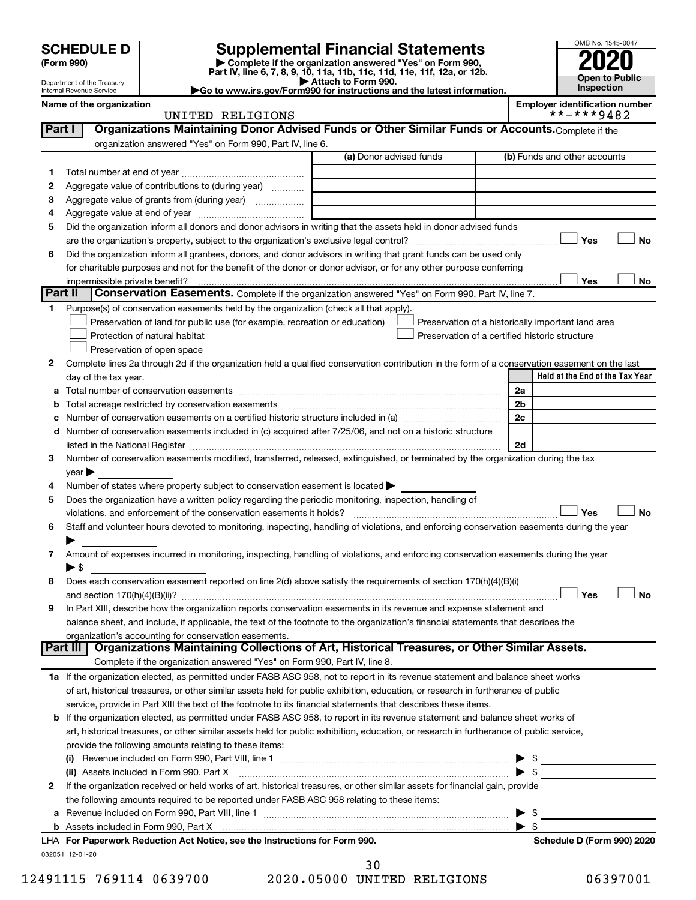| (Form 990) |  |
|------------|--|
|------------|--|

# **SCHEDULE D Supplemental Financial Statements**<br> **Form 990 2020**<br> **Part IV** line 6.7.8.9.10, 11a, 11b, 11d, 11d, 11d, 11d, 11d, 12a, 0r, 12b

**(Form 990) | Complete if the organization answered "Yes" on Form 990, Part IV, line 6, 7, 8, 9, 10, 11a, 11b, 11c, 11d, 11e, 11f, 12a, or 12b.**

**| Attach to Form 990. |Go to www.irs.gov/Form990 for instructions and the latest information.**



Department of the Treasury Internal Revenue Service

| UNITED RELIGIONS |  |
|------------------|--|
|                  |  |

**Name of the organization Employer identification number**  $***-***9482$ 

| Part I |                                                                                                                                                                 |                                                                                                   |                         |                                                | Organizations Maintaining Donor Advised Funds or Other Similar Funds or Accounts. Complete if the |
|--------|-----------------------------------------------------------------------------------------------------------------------------------------------------------------|---------------------------------------------------------------------------------------------------|-------------------------|------------------------------------------------|---------------------------------------------------------------------------------------------------|
|        |                                                                                                                                                                 | organization answered "Yes" on Form 990, Part IV, line 6.                                         |                         |                                                |                                                                                                   |
|        |                                                                                                                                                                 |                                                                                                   | (a) Donor advised funds |                                                | (b) Funds and other accounts                                                                      |
| 1      |                                                                                                                                                                 |                                                                                                   |                         |                                                |                                                                                                   |
| 2      | Aggregate value of contributions to (during year)                                                                                                               |                                                                                                   |                         |                                                |                                                                                                   |
| з      | Aggregate value of grants from (during year)                                                                                                                    |                                                                                                   |                         |                                                |                                                                                                   |
| 4      |                                                                                                                                                                 |                                                                                                   |                         |                                                |                                                                                                   |
| 5      | Did the organization inform all donors and donor advisors in writing that the assets held in donor advised funds                                                |                                                                                                   |                         |                                                |                                                                                                   |
|        |                                                                                                                                                                 |                                                                                                   |                         |                                                | Yes<br><b>No</b>                                                                                  |
| 6      | Did the organization inform all grantees, donors, and donor advisors in writing that grant funds can be used only                                               |                                                                                                   |                         |                                                |                                                                                                   |
|        | for charitable purposes and not for the benefit of the donor or donor advisor, or for any other purpose conferring                                              |                                                                                                   |                         |                                                |                                                                                                   |
|        | impermissible private benefit?                                                                                                                                  |                                                                                                   |                         |                                                | Yes<br>No                                                                                         |
|        | Part II                                                                                                                                                         | Conservation Easements. Complete if the organization answered "Yes" on Form 990, Part IV, line 7. |                         |                                                |                                                                                                   |
| 1      | Purpose(s) of conservation easements held by the organization (check all that apply).                                                                           |                                                                                                   |                         |                                                |                                                                                                   |
|        |                                                                                                                                                                 | Preservation of land for public use (for example, recreation or education)                        |                         |                                                | Preservation of a historically important land area                                                |
|        | Protection of natural habitat                                                                                                                                   |                                                                                                   |                         | Preservation of a certified historic structure |                                                                                                   |
|        | Preservation of open space                                                                                                                                      |                                                                                                   |                         |                                                |                                                                                                   |
| 2      | Complete lines 2a through 2d if the organization held a qualified conservation contribution in the form of a conservation easement on the last                  |                                                                                                   |                         |                                                |                                                                                                   |
|        | day of the tax year.                                                                                                                                            |                                                                                                   |                         |                                                | Held at the End of the Tax Year                                                                   |
| а      |                                                                                                                                                                 |                                                                                                   |                         |                                                | 2a                                                                                                |
|        |                                                                                                                                                                 |                                                                                                   |                         |                                                | 2 <sub>b</sub>                                                                                    |
| с      | Number of conservation easements on a certified historic structure included in (a) manufacture included in (a)                                                  |                                                                                                   |                         |                                                | 2c                                                                                                |
| d      | Number of conservation easements included in (c) acquired after 7/25/06, and not on a historic structure                                                        |                                                                                                   |                         |                                                |                                                                                                   |
|        |                                                                                                                                                                 |                                                                                                   |                         |                                                | 2d                                                                                                |
| 3      | Number of conservation easements modified, transferred, released, extinguished, or terminated by the organization during the tax                                |                                                                                                   |                         |                                                |                                                                                                   |
|        | year                                                                                                                                                            |                                                                                                   |                         |                                                |                                                                                                   |
| 4      | Number of states where property subject to conservation easement is located >                                                                                   |                                                                                                   |                         |                                                |                                                                                                   |
| 5      | Does the organization have a written policy regarding the periodic monitoring, inspection, handling of                                                          |                                                                                                   |                         |                                                |                                                                                                   |
|        | violations, and enforcement of the conservation easements it holds?                                                                                             |                                                                                                   |                         |                                                | Yes<br><b>No</b>                                                                                  |
| 6      | Staff and volunteer hours devoted to monitoring, inspecting, handling of violations, and enforcing conservation easements during the year                       |                                                                                                   |                         |                                                |                                                                                                   |
|        |                                                                                                                                                                 |                                                                                                   |                         |                                                |                                                                                                   |
| 7      | Amount of expenses incurred in monitoring, inspecting, handling of violations, and enforcing conservation easements during the year<br>$\blacktriangleright$ \$ |                                                                                                   |                         |                                                |                                                                                                   |
| 8      | Does each conservation easement reported on line 2(d) above satisfy the requirements of section 170(h)(4)(B)(i)                                                 |                                                                                                   |                         |                                                |                                                                                                   |
|        |                                                                                                                                                                 |                                                                                                   |                         |                                                | Yes<br>No                                                                                         |
| 9      | In Part XIII, describe how the organization reports conservation easements in its revenue and expense statement and                                             |                                                                                                   |                         |                                                |                                                                                                   |
|        | balance sheet, and include, if applicable, the text of the footnote to the organization's financial statements that describes the                               |                                                                                                   |                         |                                                |                                                                                                   |
|        | organization's accounting for conservation easements.                                                                                                           |                                                                                                   |                         |                                                |                                                                                                   |
|        | Part III                                                                                                                                                        | Organizations Maintaining Collections of Art, Historical Treasures, or Other Similar Assets.      |                         |                                                |                                                                                                   |
|        |                                                                                                                                                                 | Complete if the organization answered "Yes" on Form 990, Part IV, line 8.                         |                         |                                                |                                                                                                   |
|        | 1a If the organization elected, as permitted under FASB ASC 958, not to report in its revenue statement and balance sheet works                                 |                                                                                                   |                         |                                                |                                                                                                   |
|        | of art, historical treasures, or other similar assets held for public exhibition, education, or research in furtherance of public                               |                                                                                                   |                         |                                                |                                                                                                   |
|        | service, provide in Part XIII the text of the footnote to its financial statements that describes these items.                                                  |                                                                                                   |                         |                                                |                                                                                                   |
|        | <b>b</b> If the organization elected, as permitted under FASB ASC 958, to report in its revenue statement and balance sheet works of                            |                                                                                                   |                         |                                                |                                                                                                   |
|        | art, historical treasures, or other similar assets held for public exhibition, education, or research in furtherance of public service,                         |                                                                                                   |                         |                                                |                                                                                                   |
|        | provide the following amounts relating to these items:                                                                                                          |                                                                                                   |                         |                                                |                                                                                                   |
|        |                                                                                                                                                                 |                                                                                                   |                         |                                                | $\triangleright$ \$                                                                               |
|        | (ii) Assets included in Form 990, Part X                                                                                                                        |                                                                                                   |                         |                                                | $\blacktriangleright$ \$                                                                          |
| 2      | If the organization received or held works of art, historical treasures, or other similar assets for financial gain, provide                                    |                                                                                                   |                         |                                                |                                                                                                   |
|        | the following amounts required to be reported under FASB ASC 958 relating to these items:                                                                       |                                                                                                   |                         |                                                |                                                                                                   |
| а      |                                                                                                                                                                 |                                                                                                   |                         |                                                | -\$<br>▶                                                                                          |
|        |                                                                                                                                                                 |                                                                                                   |                         |                                                | $\blacktriangleright$ s                                                                           |
|        | LHA For Paperwork Reduction Act Notice, see the Instructions for Form 990.                                                                                      |                                                                                                   |                         |                                                | Schedule D (Form 990) 2020                                                                        |

|                         |  |                             | 30 |          |
|-------------------------|--|-----------------------------|----|----------|
| 12491115 769114 0639700 |  | 2020.05000 UNITED RELIGIONS |    | 06397001 |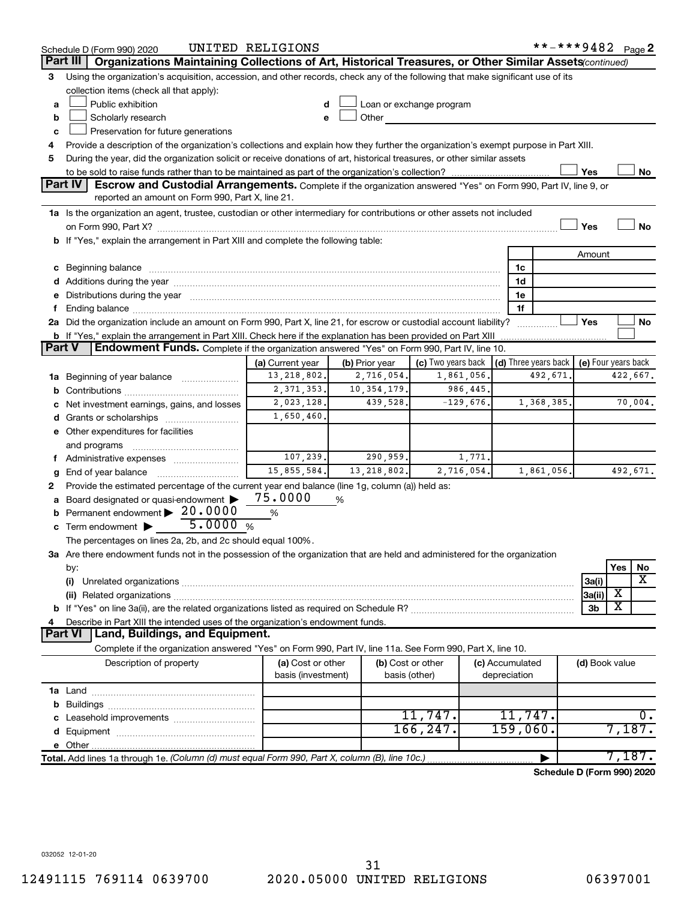|               | Schedule D (Form 990) 2020                                                                                                                                                                                                     | UNITED RELIGIONS   |                |                                                 |                 | **-***9482 Page 2          |                     |        |                         |
|---------------|--------------------------------------------------------------------------------------------------------------------------------------------------------------------------------------------------------------------------------|--------------------|----------------|-------------------------------------------------|-----------------|----------------------------|---------------------|--------|-------------------------|
|               | Part III<br>Organizations Maintaining Collections of Art, Historical Treasures, or Other Similar Assets(continued)                                                                                                             |                    |                |                                                 |                 |                            |                     |        |                         |
| З             | Using the organization's acquisition, accession, and other records, check any of the following that make significant use of its                                                                                                |                    |                |                                                 |                 |                            |                     |        |                         |
|               | collection items (check all that apply):                                                                                                                                                                                       |                    |                |                                                 |                 |                            |                     |        |                         |
| a             | Public exhibition                                                                                                                                                                                                              |                    |                | Loan or exchange program                        |                 |                            |                     |        |                         |
| b             | Scholarly research                                                                                                                                                                                                             | e                  | Other          |                                                 |                 |                            |                     |        |                         |
| c             | Preservation for future generations                                                                                                                                                                                            |                    |                |                                                 |                 |                            |                     |        |                         |
| 4             | Provide a description of the organization's collections and explain how they further the organization's exempt purpose in Part XIII.                                                                                           |                    |                |                                                 |                 |                            |                     |        |                         |
| 5             | During the year, did the organization solicit or receive donations of art, historical treasures, or other similar assets                                                                                                       |                    |                |                                                 |                 |                            |                     |        |                         |
|               |                                                                                                                                                                                                                                |                    |                |                                                 |                 |                            | Yes                 |        | No                      |
|               | <b>Part IV</b><br><b>Escrow and Custodial Arrangements.</b> Complete if the organization answered "Yes" on Form 990, Part IV, line 9, or<br>reported an amount on Form 990, Part X, line 21.                                   |                    |                |                                                 |                 |                            |                     |        |                         |
|               | 1a Is the organization an agent, trustee, custodian or other intermediary for contributions or other assets not included                                                                                                       |                    |                |                                                 |                 |                            |                     |        |                         |
|               |                                                                                                                                                                                                                                |                    |                |                                                 |                 |                            | Yes                 |        | No                      |
|               | b If "Yes," explain the arrangement in Part XIII and complete the following table:                                                                                                                                             |                    |                |                                                 |                 |                            |                     |        |                         |
|               |                                                                                                                                                                                                                                |                    |                |                                                 |                 |                            | Amount              |        |                         |
|               |                                                                                                                                                                                                                                |                    |                |                                                 | 1c              |                            |                     |        |                         |
|               |                                                                                                                                                                                                                                |                    |                |                                                 | 1d              |                            |                     |        |                         |
|               | e Distributions during the year manufactured and continuum and contact the year manufactured and contact the year manufactured and contact the year manufactured and contact the year manufactured and contact the year manufa |                    |                |                                                 | 1e              |                            |                     |        |                         |
|               |                                                                                                                                                                                                                                |                    |                |                                                 | 1f              |                            |                     |        |                         |
|               | 2a Did the organization include an amount on Form 990, Part X, line 21, for escrow or custodial account liability?                                                                                                             |                    |                |                                                 |                 |                            | Yes                 |        | No                      |
|               | <b>b</b> If "Yes," explain the arrangement in Part XIII. Check here if the explanation has been provided on Part XIII                                                                                                          |                    |                |                                                 |                 |                            |                     |        |                         |
| <b>Part V</b> | Endowment Funds. Complete if the organization answered "Yes" on Form 990, Part IV, line 10.                                                                                                                                    |                    |                |                                                 |                 |                            |                     |        |                         |
|               |                                                                                                                                                                                                                                | (a) Current year   | (b) Prior year | (c) Two years back $ $ (d) Three years back $ $ |                 |                            | (e) Four years back |        |                         |
|               | <b>1a</b> Beginning of year balance                                                                                                                                                                                            | 13,218,802.        | 2,716,054.     | 1,861,056.                                      |                 | 492,671                    |                     |        | 422,667.                |
|               |                                                                                                                                                                                                                                | 2, 371, 353.       | 10, 354, 179.  | 986,445.                                        |                 |                            |                     |        |                         |
|               | Net investment earnings, gains, and losses                                                                                                                                                                                     | 2,023,128.         | 439,528.       | $-129,676.$                                     |                 | 1,368,385.                 |                     |        | 70,004.                 |
|               |                                                                                                                                                                                                                                | 1,650,460.         |                |                                                 |                 |                            |                     |        |                         |
|               | e Other expenditures for facilities                                                                                                                                                                                            |                    |                |                                                 |                 |                            |                     |        |                         |
|               | and programs                                                                                                                                                                                                                   |                    |                |                                                 |                 |                            |                     |        |                         |
|               | f Administrative expenses                                                                                                                                                                                                      | 107,239.           | 290,959.       | 1,771.                                          |                 |                            |                     |        |                         |
| g             |                                                                                                                                                                                                                                | 15,855,584.        | 13, 218, 802.  | 2,716,054.                                      |                 | 1,861,056.                 |                     |        | 492,671.                |
| 2             | Provide the estimated percentage of the current year end balance (line 1g, column (a)) held as:                                                                                                                                | 75.0000            |                |                                                 |                 |                            |                     |        |                         |
|               | Board designated or quasi-endowment<br>Permanent endowment > 20.0000                                                                                                                                                           |                    | %              |                                                 |                 |                            |                     |        |                         |
| b             | 5.0000                                                                                                                                                                                                                         | %                  |                |                                                 |                 |                            |                     |        |                         |
|               | c Term endowment $\blacktriangleright$                                                                                                                                                                                         | %                  |                |                                                 |                 |                            |                     |        |                         |
|               | The percentages on lines 2a, 2b, and 2c should equal 100%.                                                                                                                                                                     |                    |                |                                                 |                 |                            |                     |        |                         |
|               | 3a Are there endowment funds not in the possession of the organization that are held and administered for the organization                                                                                                     |                    |                |                                                 |                 |                            |                     | Yes    | No                      |
|               | by:<br>(i)                                                                                                                                                                                                                     |                    |                |                                                 |                 |                            | 3a(i)               |        | $\overline{\mathbf{X}}$ |
|               |                                                                                                                                                                                                                                |                    |                |                                                 |                 |                            | 3a(ii)              | х      |                         |
|               |                                                                                                                                                                                                                                |                    |                |                                                 |                 |                            | 3b                  | X      |                         |
|               | Describe in Part XIII the intended uses of the organization's endowment funds.                                                                                                                                                 |                    |                |                                                 |                 |                            |                     |        |                         |
|               | Land, Buildings, and Equipment.<br>Part VI                                                                                                                                                                                     |                    |                |                                                 |                 |                            |                     |        |                         |
|               | Complete if the organization answered "Yes" on Form 990, Part IV, line 11a. See Form 990, Part X, line 10.                                                                                                                     |                    |                |                                                 |                 |                            |                     |        |                         |
|               | Description of property                                                                                                                                                                                                        | (a) Cost or other  |                | (b) Cost or other                               | (c) Accumulated |                            | (d) Book value      |        |                         |
|               |                                                                                                                                                                                                                                | basis (investment) |                | basis (other)                                   | depreciation    |                            |                     |        |                         |
|               |                                                                                                                                                                                                                                |                    |                |                                                 |                 |                            |                     |        |                         |
| b             |                                                                                                                                                                                                                                |                    |                |                                                 |                 |                            |                     |        |                         |
|               |                                                                                                                                                                                                                                |                    |                | 11,747.                                         | 11,747.         |                            |                     |        | $0$ .                   |
|               |                                                                                                                                                                                                                                |                    |                | 166, 247.                                       | 159,060.        |                            |                     | 7,187. |                         |
|               |                                                                                                                                                                                                                                |                    |                |                                                 |                 |                            |                     |        |                         |
|               | Total. Add lines 1a through 1e. (Column (d) must equal Form 990, Part X, column (B), line 10c.)                                                                                                                                |                    |                |                                                 |                 |                            |                     | 7,187. |                         |
|               |                                                                                                                                                                                                                                |                    |                |                                                 |                 | Schedule D (Form 990) 2020 |                     |        |                         |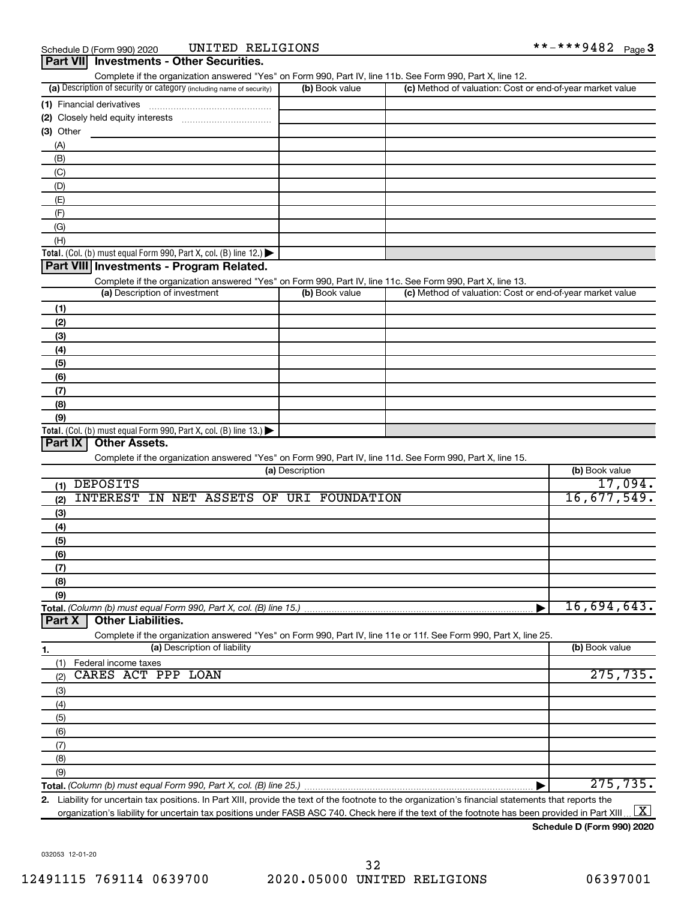| (b) Book value | (c) Method of valuation: Cost or end-of-year market value                                                         |                                                                                                                                                                                                                                                                                                            |
|----------------|-------------------------------------------------------------------------------------------------------------------|------------------------------------------------------------------------------------------------------------------------------------------------------------------------------------------------------------------------------------------------------------------------------------------------------------|
|                |                                                                                                                   |                                                                                                                                                                                                                                                                                                            |
|                |                                                                                                                   |                                                                                                                                                                                                                                                                                                            |
|                |                                                                                                                   |                                                                                                                                                                                                                                                                                                            |
|                |                                                                                                                   |                                                                                                                                                                                                                                                                                                            |
|                |                                                                                                                   |                                                                                                                                                                                                                                                                                                            |
|                |                                                                                                                   |                                                                                                                                                                                                                                                                                                            |
|                |                                                                                                                   |                                                                                                                                                                                                                                                                                                            |
|                |                                                                                                                   |                                                                                                                                                                                                                                                                                                            |
|                |                                                                                                                   |                                                                                                                                                                                                                                                                                                            |
|                |                                                                                                                   |                                                                                                                                                                                                                                                                                                            |
|                |                                                                                                                   |                                                                                                                                                                                                                                                                                                            |
|                |                                                                                                                   |                                                                                                                                                                                                                                                                                                            |
|                |                                                                                                                   |                                                                                                                                                                                                                                                                                                            |
|                |                                                                                                                   |                                                                                                                                                                                                                                                                                                            |
|                |                                                                                                                   |                                                                                                                                                                                                                                                                                                            |
| (b) Book value |                                                                                                                   |                                                                                                                                                                                                                                                                                                            |
|                |                                                                                                                   |                                                                                                                                                                                                                                                                                                            |
|                |                                                                                                                   |                                                                                                                                                                                                                                                                                                            |
|                |                                                                                                                   |                                                                                                                                                                                                                                                                                                            |
|                |                                                                                                                   |                                                                                                                                                                                                                                                                                                            |
|                |                                                                                                                   |                                                                                                                                                                                                                                                                                                            |
|                |                                                                                                                   |                                                                                                                                                                                                                                                                                                            |
|                |                                                                                                                   |                                                                                                                                                                                                                                                                                                            |
|                |                                                                                                                   |                                                                                                                                                                                                                                                                                                            |
|                |                                                                                                                   |                                                                                                                                                                                                                                                                                                            |
|                |                                                                                                                   |                                                                                                                                                                                                                                                                                                            |
|                |                                                                                                                   |                                                                                                                                                                                                                                                                                                            |
|                |                                                                                                                   |                                                                                                                                                                                                                                                                                                            |
|                |                                                                                                                   |                                                                                                                                                                                                                                                                                                            |
|                |                                                                                                                   | (b) Book value                                                                                                                                                                                                                                                                                             |
|                |                                                                                                                   | 17,094.                                                                                                                                                                                                                                                                                                    |
|                |                                                                                                                   | 16,677,549.                                                                                                                                                                                                                                                                                                |
|                |                                                                                                                   |                                                                                                                                                                                                                                                                                                            |
|                |                                                                                                                   |                                                                                                                                                                                                                                                                                                            |
|                |                                                                                                                   |                                                                                                                                                                                                                                                                                                            |
|                |                                                                                                                   |                                                                                                                                                                                                                                                                                                            |
|                |                                                                                                                   |                                                                                                                                                                                                                                                                                                            |
|                |                                                                                                                   |                                                                                                                                                                                                                                                                                                            |
|                |                                                                                                                   |                                                                                                                                                                                                                                                                                                            |
|                |                                                                                                                   |                                                                                                                                                                                                                                                                                                            |
|                |                                                                                                                   | 16,694,643.                                                                                                                                                                                                                                                                                                |
|                |                                                                                                                   |                                                                                                                                                                                                                                                                                                            |
|                |                                                                                                                   |                                                                                                                                                                                                                                                                                                            |
|                |                                                                                                                   |                                                                                                                                                                                                                                                                                                            |
|                | Complete if the organization answered "Yes" on Form 990, Part IV, line 11e or 11f. See Form 990, Part X, line 25. |                                                                                                                                                                                                                                                                                                            |
|                |                                                                                                                   | (b) Book value                                                                                                                                                                                                                                                                                             |
|                |                                                                                                                   |                                                                                                                                                                                                                                                                                                            |
|                |                                                                                                                   |                                                                                                                                                                                                                                                                                                            |
|                |                                                                                                                   |                                                                                                                                                                                                                                                                                                            |
|                |                                                                                                                   |                                                                                                                                                                                                                                                                                                            |
|                |                                                                                                                   |                                                                                                                                                                                                                                                                                                            |
|                |                                                                                                                   |                                                                                                                                                                                                                                                                                                            |
|                |                                                                                                                   |                                                                                                                                                                                                                                                                                                            |
|                |                                                                                                                   |                                                                                                                                                                                                                                                                                                            |
|                |                                                                                                                   | 275, 735.<br>275, 735.                                                                                                                                                                                                                                                                                     |
|                | (a) Description                                                                                                   | Complete if the organization answered "Yes" on Form 990, Part IV, line 11c. See Form 990, Part X, line 13.<br>(c) Method of valuation: Cost or end-of-year market value<br>Complete if the organization answered "Yes" on Form 990, Part IV, line 11d. See Form 990, Part X, line 15.<br>OF URI FOUNDATION |

Complete if the organization answered "Yes" on Form 990, Part IV, line 11b. See Form 990, Part X, line 12.

**2.** Liability for uncertain tax positions. In Part XIII, provide the text of the footnote to the organization's financial statements that reports the organization's liability for uncertain tax positions under FASB ASC 740. Check here if the text of the footnote has been provided in Part XIII ...  $\fbox{\bf X}$ 

**Schedule D (Form 990) 2020**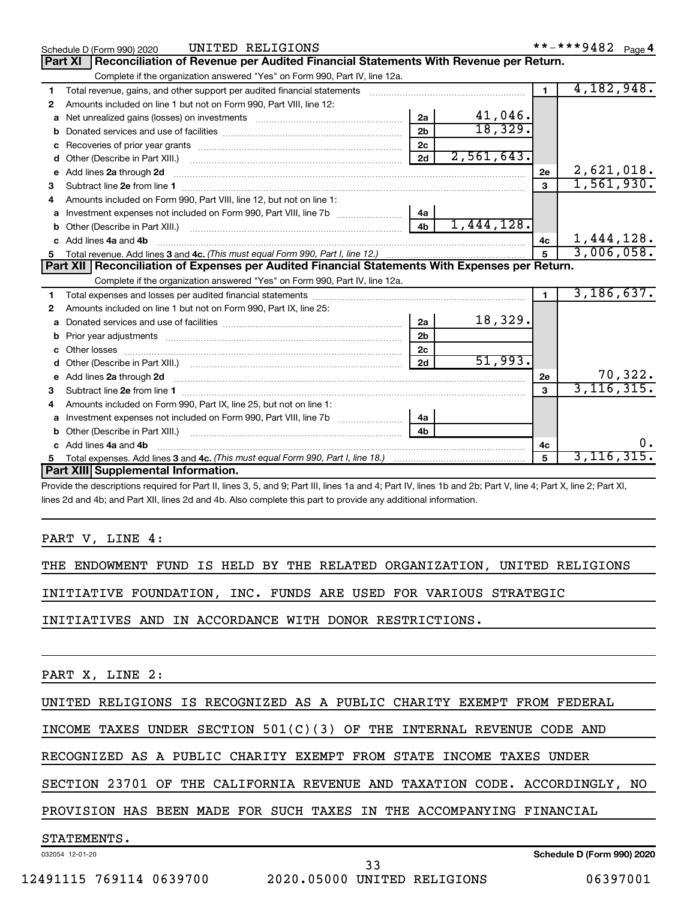|    | UNITED RELIGIONS<br>Schedule D (Form 990) 2020                                                                                                                                                                                       |                |            |                | **-***9482 Page 4 |
|----|--------------------------------------------------------------------------------------------------------------------------------------------------------------------------------------------------------------------------------------|----------------|------------|----------------|-------------------|
|    | Reconciliation of Revenue per Audited Financial Statements With Revenue per Return.<br>Part XI                                                                                                                                       |                |            |                |                   |
|    | Complete if the organization answered "Yes" on Form 990, Part IV, line 12a.                                                                                                                                                          |                |            |                |                   |
| 1  | Total revenue, gains, and other support per audited financial statements [[[[[[[[[[[[[[[[[[[[[[[]]]]]]]]]]]]]                                                                                                                        |                |            | $\blacksquare$ | 4,182,948.        |
| 2  | Amounts included on line 1 but not on Form 990, Part VIII, line 12:                                                                                                                                                                  |                |            |                |                   |
| a  |                                                                                                                                                                                                                                      | 2a             | 41,046.    |                |                   |
| b  |                                                                                                                                                                                                                                      | 2 <sub>b</sub> | 18,329.    |                |                   |
| c  | Recoveries of prior year grants [11,111] [12] Recoveries of prior year grants [14] [14] [14] [14] [14] [14] [1                                                                                                                       | 2 <sub>c</sub> |            |                |                   |
| d  | Other (Describe in Part XIII.)                                                                                                                                                                                                       | 2d             | 2,561,643. |                |                   |
| е  | Add lines 2a through 2d                                                                                                                                                                                                              |                |            | 2e             | 2,621,018.        |
| 3  |                                                                                                                                                                                                                                      |                |            | $\mathbf{a}$   | 1,561,930.        |
| 4  | Amounts included on Form 990, Part VIII, line 12, but not on line 1:                                                                                                                                                                 |                |            |                |                   |
|    | Investment expenses not included on Form 990, Part VIII, line 7b [100] [100] [100] [100] [100] [100] [100] [10                                                                                                                       | 4a             |            |                |                   |
| b  |                                                                                                                                                                                                                                      | 4 <sub>h</sub> | 1,444,128. |                |                   |
| C. | Add lines 4a and 4b                                                                                                                                                                                                                  |                |            | 4c             | 1,444,128.        |
| 5  |                                                                                                                                                                                                                                      |                |            | $5^{\circ}$    | 3,006,058.        |
|    | Part XII   Reconciliation of Expenses per Audited Financial Statements With Expenses per Return.                                                                                                                                     |                |            |                |                   |
|    | Complete if the organization answered "Yes" on Form 990, Part IV, line 12a.                                                                                                                                                          |                |            |                |                   |
| 1  |                                                                                                                                                                                                                                      |                |            | $\blacksquare$ | 3,186,637.        |
| 2  | Amounts included on line 1 but not on Form 990, Part IX, line 25:                                                                                                                                                                    |                |            |                |                   |
| a  |                                                                                                                                                                                                                                      | 2a             | 18,329.    |                |                   |
| b  |                                                                                                                                                                                                                                      | 2 <sub>b</sub> |            |                |                   |
| C. |                                                                                                                                                                                                                                      | 2с             |            |                |                   |
| d  |                                                                                                                                                                                                                                      | 2d             | 51,993.    |                |                   |
| е  | Add lines 2a through 2d <b>continuum continuum contract and all the contract of the contract of the contract of the contract of the contract of the contract of the contract of the contract of the contract of the contract of </b> |                |            | 2e             | <u>70,322.</u>    |
| 3  |                                                                                                                                                                                                                                      |                |            | 3              | 3, 116, 315.      |
| 4  | Amounts included on Form 990, Part IX, line 25, but not on line 1:                                                                                                                                                                   |                |            |                |                   |
| a  | Investment expenses not included on Form 990, Part VIII, line 7b                                                                                                                                                                     | 4a             |            |                |                   |
| b  | Other (Describe in Part XIII.) [100] [100] [100] [100] [100] [100] [100] [100] [100] [100] [100] [100] [100] [                                                                                                                       | 4h.            |            |                |                   |
| C. | Add lines 4a and 4b                                                                                                                                                                                                                  |                |            | 4c             |                   |
|    |                                                                                                                                                                                                                                      |                |            | 5              | 3,116,315.        |
|    | Part XIII Supplemental Information.                                                                                                                                                                                                  |                |            |                |                   |

Provide the descriptions required for Part II, lines 3, 5, and 9; Part III, lines 1a and 4; Part IV, lines 1b and 2b; Part V, line 4; Part X, line 2; Part XI, lines 2d and 4b; and Part XII, lines 2d and 4b. Also complete this part to provide any additional information.

#### PART V, LINE 4:

THE ENDOWMENT FUND IS HELD BY THE RELATED ORGANIZATION, UNITED RELIGIONS

INITIATIVE FOUNDATION, INC. FUNDS ARE USED FOR VARIOUS STRATEGIC

INITIATIVES AND IN ACCORDANCE WITH DONOR RESTRICTIONS.

PART X, LINE 2:

UNITED RELIGIONS IS RECOGNIZED AS A PUBLIC CHARITY EXEMPT FROM FEDERAL

INCOME TAXES UNDER SECTION  $501(C)(3)$  OF THE INTERNAL REVENUE CODE AND

RECOGNIZED AS A PUBLIC CHARITY EXEMPT FROM STATE INCOME TAXES UNDER

SECTION 23701 OF THE CALIFORNIA REVENUE AND TAXATION CODE. ACCORDINGLY, NO

PROVISION HAS BEEN MADE FOR SUCH TAXES IN THE ACCOMPANYING FINANCIAL

STATEMENTS.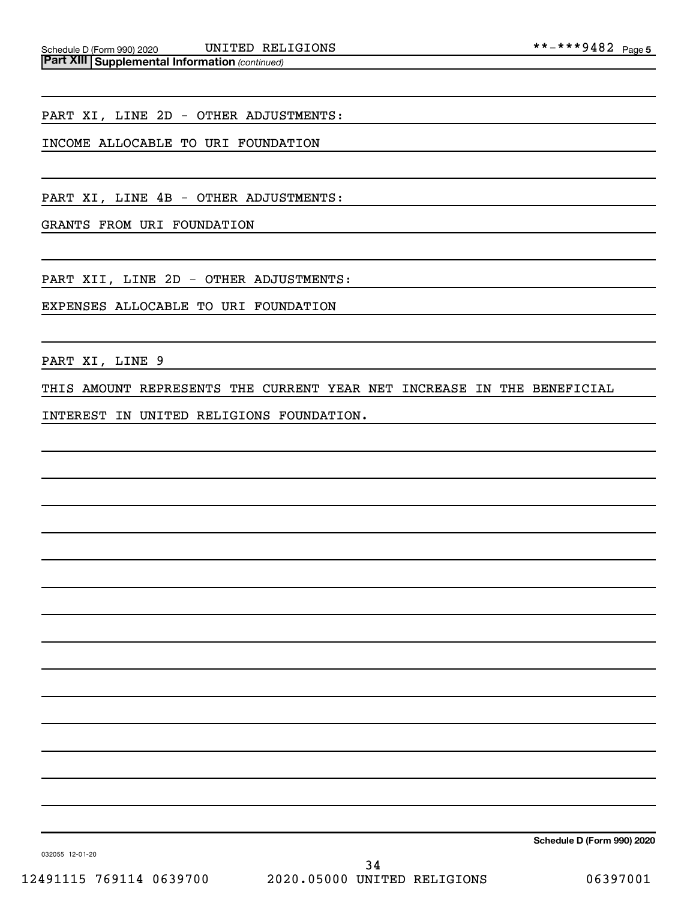PART XI, LINE 2D - OTHER ADJUSTMENTS:

INCOME ALLOCABLE TO URI FOUNDATION

PART XI, LINE 4B - OTHER ADJUSTMENTS:

GRANTS FROM URI FOUNDATION

PART XII, LINE 2D - OTHER ADJUSTMENTS:

EXPENSES ALLOCABLE TO URI FOUNDATION

PART XI, LINE 9

THIS AMOUNT REPRESENTS THE CURRENT YEAR NET INCREASE IN THE BENEFICIAL

INTEREST IN UNITED RELIGIONS FOUNDATION.

**Schedule D (Form 990) 2020**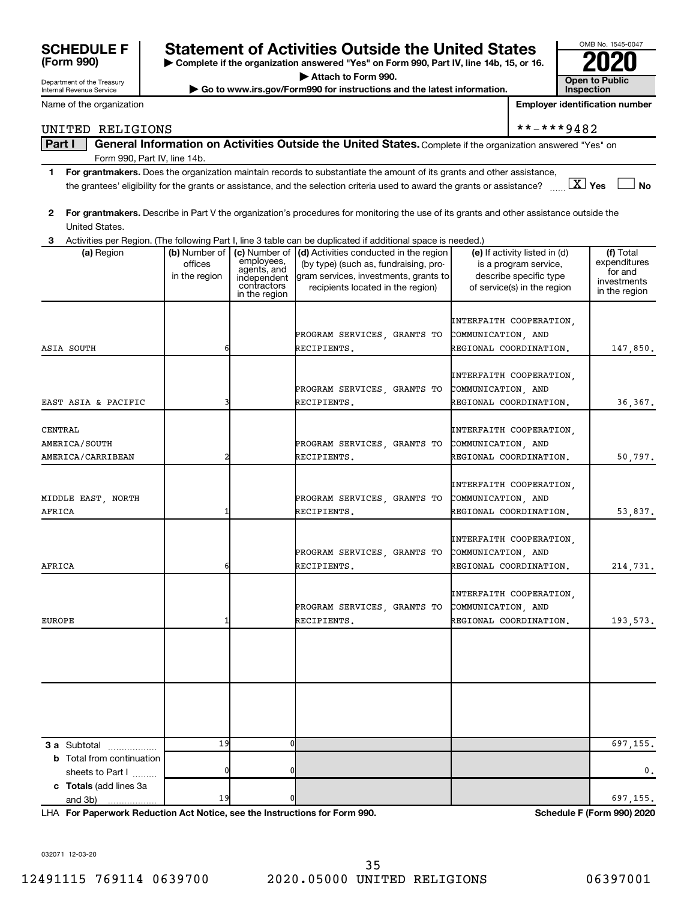|                                                                            |    |                             | INTERFAITH COOPERATION, |                                   |
|----------------------------------------------------------------------------|----|-----------------------------|-------------------------|-----------------------------------|
|                                                                            |    | PROGRAM SERVICES, GRANTS TO | COMMUNICATION, AND      |                                   |
| AFRICA                                                                     | 6  | RECIPIENTS.                 | REGIONAL COORDINATION.  | 214,731.                          |
|                                                                            |    |                             |                         |                                   |
|                                                                            |    |                             | INTERFAITH COOPERATION, |                                   |
|                                                                            |    | PROGRAM SERVICES, GRANTS TO | COMMUNICATION, AND      |                                   |
| EUROPE                                                                     |    | RECIPIENTS.                 | REGIONAL COORDINATION.  | 193,573.                          |
|                                                                            |    |                             |                         |                                   |
|                                                                            |    |                             |                         |                                   |
|                                                                            |    |                             |                         |                                   |
|                                                                            |    |                             |                         |                                   |
|                                                                            |    |                             |                         |                                   |
|                                                                            |    |                             |                         |                                   |
|                                                                            |    |                             |                         |                                   |
|                                                                            |    |                             |                         |                                   |
| 3 a Subtotal                                                               | 19 |                             |                         | 697,155.                          |
| <b>b</b> Total from continuation                                           |    |                             |                         |                                   |
| sheets to Part I                                                           |    |                             |                         | $\mathbf{0}$ .                    |
| c Totals (add lines 3a                                                     |    |                             |                         |                                   |
| and 3b)                                                                    | 19 |                             |                         | 697,155.                          |
| LHA For Paperwork Reduction Act Notice, see the Instructions for Form 990. |    |                             |                         | <b>Schedule F (Form 990) 2020</b> |
|                                                                            |    |                             |                         |                                   |

**3** Activities per Region. (The following Part I, line 3 table can be duplicated if additional space is needed.)

|                                                             | offices<br>in the region | employees,<br>agents, and<br>independent<br>contractors<br>in the region | (by type) (such as, fundraising, pro-<br>gram services, investments, grants to<br>recipients located in the region) | is a program service,<br>describe specific type<br>of service(s) in the region | expenditures<br>for and<br>investments<br>in the region |
|-------------------------------------------------------------|--------------------------|--------------------------------------------------------------------------|---------------------------------------------------------------------------------------------------------------------|--------------------------------------------------------------------------------|---------------------------------------------------------|
|                                                             |                          |                                                                          | PROGRAM SERVICES, GRANTS TO                                                                                         | INTERFAITH COOPERATION,<br>COMMUNICATION, AND                                  |                                                         |
| ASIA SOUTH                                                  | 6                        |                                                                          | RECIPIENTS.                                                                                                         | REGIONAL COORDINATION.                                                         | 147,850.                                                |
| EAST ASIA & PACIFIC                                         |                          |                                                                          | PROGRAM SERVICES, GRANTS TO<br>RECIPIENTS.                                                                          | INTERFAITH COOPERATION,<br>COMMUNICATION, AND<br>REGIONAL COORDINATION.        | 36,367.                                                 |
| CENTRAL<br><b>AMERICA/SOUTH</b><br><b>AMERICA/CARRIBEAN</b> | 2                        |                                                                          | PROGRAM SERVICES, GRANTS TO<br>RECIPIENTS.                                                                          | INTERFAITH COOPERATION,<br>COMMUNICATION, AND<br>REGIONAL COORDINATION.        | 50,797.                                                 |
| MIDDLE EAST, NORTH<br>AFRICA                                | 1                        |                                                                          | PROGRAM SERVICES, GRANTS TO<br>RECIPIENTS.                                                                          | INTERFAITH COOPERATION,<br>COMMUNICATION, AND<br>REGIONAL COORDINATION.        | 53,837.                                                 |
| AFRICA                                                      | 6                        |                                                                          | PROGRAM SERVICES, GRANTS TO<br>RECIPIENTS.                                                                          | INTERFAITH COOPERATION,<br>COMMUNICATION, AND<br>REGIONAL COORDINATION.        | 214,731.                                                |
| EUROPE                                                      |                          |                                                                          | PROGRAM SERVICES, GRANTS TO<br>RECIPIENTS.                                                                          | INTERFAITH COOPERATION,<br>COMMUNICATION, AND<br>REGIONAL COORDINATION.        | 193,573.                                                |
|                                                             |                          |                                                                          |                                                                                                                     |                                                                                |                                                         |
|                                                             |                          |                                                                          |                                                                                                                     |                                                                                |                                                         |
| 3 a Subtotal<br>.<br><b>b</b> Total from continuation       | 19                       | $\mathbf 0$                                                              |                                                                                                                     |                                                                                | 697,155.                                                |
|                                                             |                          |                                                                          |                                                                                                                     |                                                                                |                                                         |

Part I | General Information on Activities Outside the United States. Complete if the organization answered "Yes" on Form 990, Part IV, line 14b.

UNITED RELIGIONS \*\*-\*\*\*9482

- **1 For grantmakers.**  Does the organization maintain records to substantiate the amount of its grants and other assistance, **Yes No** the grantees' eligibility for the grants or assistance, and the selection criteria used to award the grants or assistance? ~~ † † X
- **2 For grantmakers.**  Describe in Part V the organization's procedures for monitoring the use of its grants and other assistance outside the United States.

**(a)** Region **a (b)** Number of **| (c)** Number of **| (d)** Activities conducted in the region **|** (e) If activity listed in (d) **| (f)** 

Department of the Treasury Internal Revenue Service Name of the organization

(a) Region (b) Number of

## **SCHEDULE F Statement of Activities Outside the United States 2020**

**| Complete if the organization answered "Yes" on Form 990, Part IV, line 14b, 15, or 16. | Attach to Form 990.**

**| Go to www.irs.gov/Form990 for instructions and the latest information. Open to Public** 



(f) Total expenditures for and investments

**Employer identification number**

(e) If activity listed in (d) is a program service, describe specific type

**(Form 990)**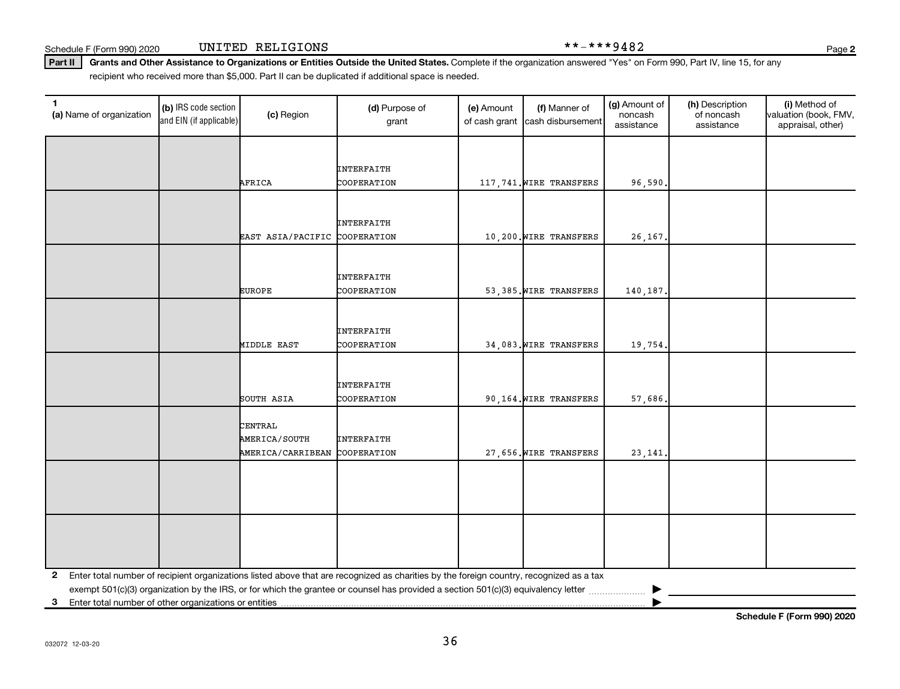Schedule F (Form 990) 2020 UNITED RELIGIONS \*\*-\*\*\*9482 \*\*-\*\*\*9482

**2**

Part II | Grants and Other Assistance to Organizations or Entities Outside the United States. Complete if the organization answered "Yes" on Form 990, Part IV, line 15, for any recipient who received more than \$5,000. Part II can be duplicated if additional space is needed.

| $\mathbf{1}$<br>(a) Name of organization                   | (b) IRS code section<br>and EIN (if applicable) | (c) Region                                | (d) Purpose of<br>grant                                                                                                                 | (e) Amount<br>of cash grant | (f) Manner of<br>cash disbursement | (g) Amount of<br>noncash<br>assistance | (h) Description<br>of noncash<br>assistance | (i) Method of<br>valuation (book, FMV,<br>appraisal, other) |
|------------------------------------------------------------|-------------------------------------------------|-------------------------------------------|-----------------------------------------------------------------------------------------------------------------------------------------|-----------------------------|------------------------------------|----------------------------------------|---------------------------------------------|-------------------------------------------------------------|
|                                                            |                                                 |                                           |                                                                                                                                         |                             |                                    |                                        |                                             |                                                             |
|                                                            |                                                 |                                           | INTERFAITH                                                                                                                              |                             |                                    |                                        |                                             |                                                             |
|                                                            |                                                 | AFRICA                                    | COOPERATION                                                                                                                             |                             | 117,741. WIRE TRANSFERS            | 96,590                                 |                                             |                                                             |
|                                                            |                                                 |                                           |                                                                                                                                         |                             |                                    |                                        |                                             |                                                             |
|                                                            |                                                 |                                           | <b>INTERFAITH</b>                                                                                                                       |                             |                                    |                                        |                                             |                                                             |
|                                                            |                                                 | EAST ASIA/PACIFIC COOPERATION             |                                                                                                                                         |                             | 10,200. WIRE TRANSFERS             | 26,167.                                |                                             |                                                             |
|                                                            |                                                 |                                           |                                                                                                                                         |                             |                                    |                                        |                                             |                                                             |
|                                                            |                                                 |                                           | INTERFAITH                                                                                                                              |                             |                                    |                                        |                                             |                                                             |
|                                                            |                                                 | <b>EUROPE</b>                             | COOPERATION                                                                                                                             |                             | 53,385. WIRE TRANSFERS             | 140,187.                               |                                             |                                                             |
|                                                            |                                                 |                                           |                                                                                                                                         |                             |                                    |                                        |                                             |                                                             |
|                                                            |                                                 |                                           | INTERFAITH                                                                                                                              |                             |                                    |                                        |                                             |                                                             |
|                                                            |                                                 | MIDDLE EAST                               | COOPERATION                                                                                                                             |                             | 34,083. WIRE TRANSFERS             | 19,754.                                |                                             |                                                             |
|                                                            |                                                 |                                           |                                                                                                                                         |                             |                                    |                                        |                                             |                                                             |
|                                                            |                                                 |                                           |                                                                                                                                         |                             |                                    |                                        |                                             |                                                             |
|                                                            |                                                 | SOUTH ASIA                                | INTERFAITH<br>COOPERATION                                                                                                               |                             | 90,164. WIRE TRANSFERS             | 57,686                                 |                                             |                                                             |
|                                                            |                                                 |                                           |                                                                                                                                         |                             |                                    |                                        |                                             |                                                             |
|                                                            |                                                 | CENTRAL                                   |                                                                                                                                         |                             |                                    |                                        |                                             |                                                             |
|                                                            |                                                 | <b>AMERICA/SOUTH</b><br>AMERICA/CARRIBEAN | INTERFAITH<br>COOPERATION                                                                                                               |                             | 27,656. WIRE TRANSFERS             | 23,141                                 |                                             |                                                             |
|                                                            |                                                 |                                           |                                                                                                                                         |                             |                                    |                                        |                                             |                                                             |
|                                                            |                                                 |                                           |                                                                                                                                         |                             |                                    |                                        |                                             |                                                             |
|                                                            |                                                 |                                           |                                                                                                                                         |                             |                                    |                                        |                                             |                                                             |
|                                                            |                                                 |                                           |                                                                                                                                         |                             |                                    |                                        |                                             |                                                             |
|                                                            |                                                 |                                           |                                                                                                                                         |                             |                                    |                                        |                                             |                                                             |
|                                                            |                                                 |                                           |                                                                                                                                         |                             |                                    |                                        |                                             |                                                             |
| 2                                                          |                                                 |                                           | Enter total number of recipient organizations listed above that are recognized as charities by the foreign country, recognized as a tax |                             |                                    |                                        |                                             |                                                             |
|                                                            |                                                 |                                           |                                                                                                                                         |                             |                                    |                                        |                                             |                                                             |
| Enter total number of other organizations or entities<br>3 |                                                 |                                           |                                                                                                                                         |                             |                                    |                                        |                                             |                                                             |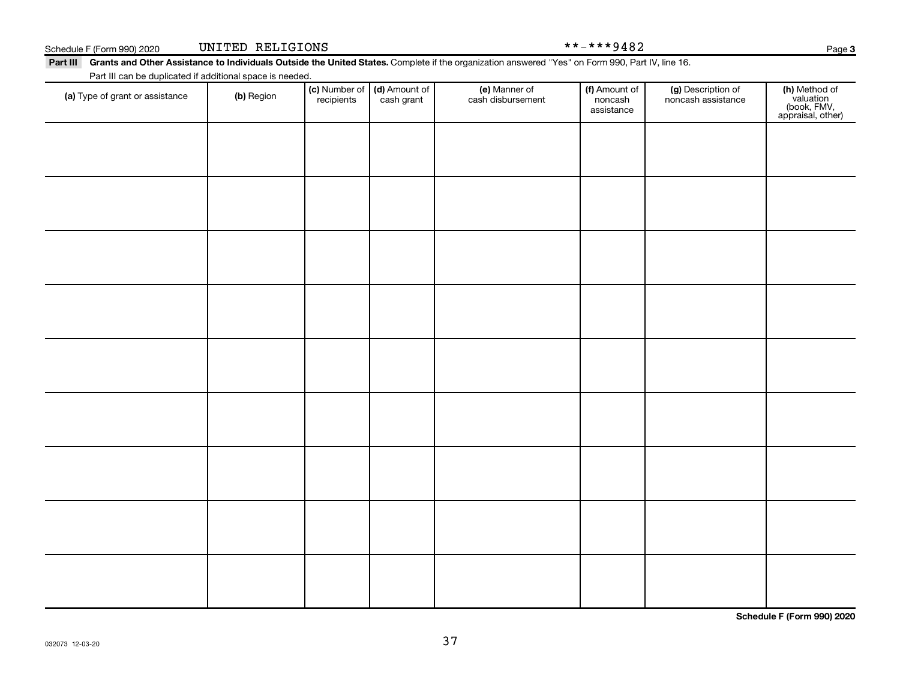Schedule F (Form 990) 2020 UNITED RELIGIONS \*\*-\*\*\*9482 \*\*-\*\*\*9482

**3**

| Part III |                                                           |  |  |                  | Grants and Other Assistance to Individuals Outside the United States. Complete if the organization answered "Yes" on Form 990, Part IV, line 16. |                                                                                                                                                                                                                                                                                                                                    |  |  |  |  |  |
|----------|-----------------------------------------------------------|--|--|------------------|--------------------------------------------------------------------------------------------------------------------------------------------------|------------------------------------------------------------------------------------------------------------------------------------------------------------------------------------------------------------------------------------------------------------------------------------------------------------------------------------|--|--|--|--|--|
|          | Part III can be duplicated if additional space is needed. |  |  |                  |                                                                                                                                                  |                                                                                                                                                                                                                                                                                                                                    |  |  |  |  |  |
|          |                                                           |  |  | $I = V \times V$ |                                                                                                                                                  | $\mathbf{f}$ $\mathbf{A}$ $\mathbf{A}$ $\mathbf{A}$ $\mathbf{A}$ $\mathbf{A}$ $\mathbf{A}$ $\mathbf{A}$ $\mathbf{A}$ $\mathbf{A}$ $\mathbf{A}$ $\mathbf{A}$ $\mathbf{A}$ $\mathbf{A}$ $\mathbf{A}$ $\mathbf{A}$ $\mathbf{A}$ $\mathbf{A}$ $\mathbf{A}$ $\mathbf{A}$ $\mathbf{A}$ $\mathbf{A}$ $\mathbf{A}$ $\mathbf{A}$ $\mathbf{$ |  |  |  |  |  |

| (a) Type of grant or assistance | (b) Region | (c) Number of<br>recipients | (d) Amount of<br>cash grant | (e) Manner of<br>cash disbursement | (f) Amount of<br>noncash<br>assistance | (g) Description of<br>noncash assistance | (h) Method of<br>valuation<br>(book, FMV,<br>appraisal, other) |
|---------------------------------|------------|-----------------------------|-----------------------------|------------------------------------|----------------------------------------|------------------------------------------|----------------------------------------------------------------|
|                                 |            |                             |                             |                                    |                                        |                                          |                                                                |
|                                 |            |                             |                             |                                    |                                        |                                          |                                                                |
|                                 |            |                             |                             |                                    |                                        |                                          |                                                                |
|                                 |            |                             |                             |                                    |                                        |                                          |                                                                |
|                                 |            |                             |                             |                                    |                                        |                                          |                                                                |
|                                 |            |                             |                             |                                    |                                        |                                          |                                                                |
|                                 |            |                             |                             |                                    |                                        |                                          |                                                                |
|                                 |            |                             |                             |                                    |                                        |                                          |                                                                |
|                                 |            |                             |                             |                                    |                                        |                                          |                                                                |

**Schedule F (Form 990) 2020**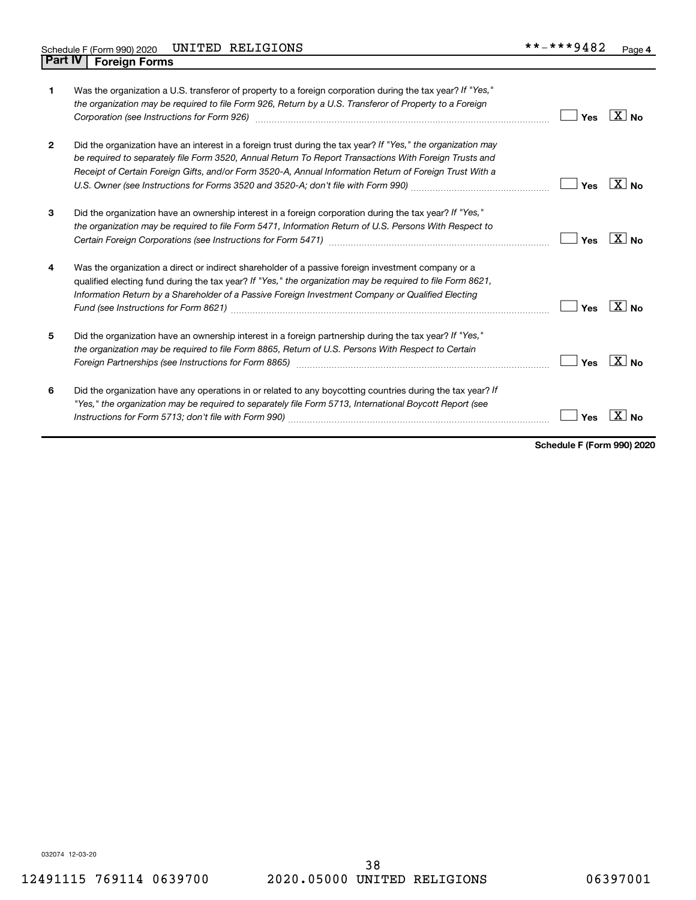| $\mathbf 1$    | Was the organization a U.S. transferor of property to a foreign corporation during the tax year? If "Yes,"<br>the organization may be required to file Form 926, Return by a U.S. Transferor of Property to a Foreign<br>Corporation (see Instructions for Form 926) manufactured controller controller than the control of the control of the control of the control of the control of the control of the control of the control of the control of the | Yes | $ X _{\mathsf{No}}$   |
|----------------|---------------------------------------------------------------------------------------------------------------------------------------------------------------------------------------------------------------------------------------------------------------------------------------------------------------------------------------------------------------------------------------------------------------------------------------------------------|-----|-----------------------|
| $\overline{2}$ | Did the organization have an interest in a foreign trust during the tax year? If "Yes," the organization may<br>be required to separately file Form 3520, Annual Return To Report Transactions With Foreign Trusts and<br>Receipt of Certain Foreign Gifts, and/or Form 3520-A, Annual Information Return of Foreign Trust With a                                                                                                                       | Yes | $X _{\text{No}}$      |
| 3              | Did the organization have an ownership interest in a foreign corporation during the tax year? If "Yes,"<br>the organization may be required to file Form 5471, Information Return of U.S. Persons With Respect to                                                                                                                                                                                                                                       | Yes | $X _{N_{\Omega}}$     |
| 4              | Was the organization a direct or indirect shareholder of a passive foreign investment company or a<br>qualified electing fund during the tax year? If "Yes," the organization may be required to file Form 8621,<br>Information Return by a Shareholder of a Passive Foreign Investment Company or Qualified Electing                                                                                                                                   | Yes | $\boxed{\text{X}}$ No |
| 5              | Did the organization have an ownership interest in a foreign partnership during the tax year? If "Yes,"<br>the organization may be required to file Form 8865, Return of U.S. Persons With Respect to Certain                                                                                                                                                                                                                                           | Yes | $X _{N_{\Omega}}$     |
| 6              | Did the organization have any operations in or related to any boycotting countries during the tax year? If<br>"Yes," the organization may be required to separately file Form 5713, International Boycott Report (see                                                                                                                                                                                                                                   | Yes |                       |

**Schedule F (Form 990) 2020**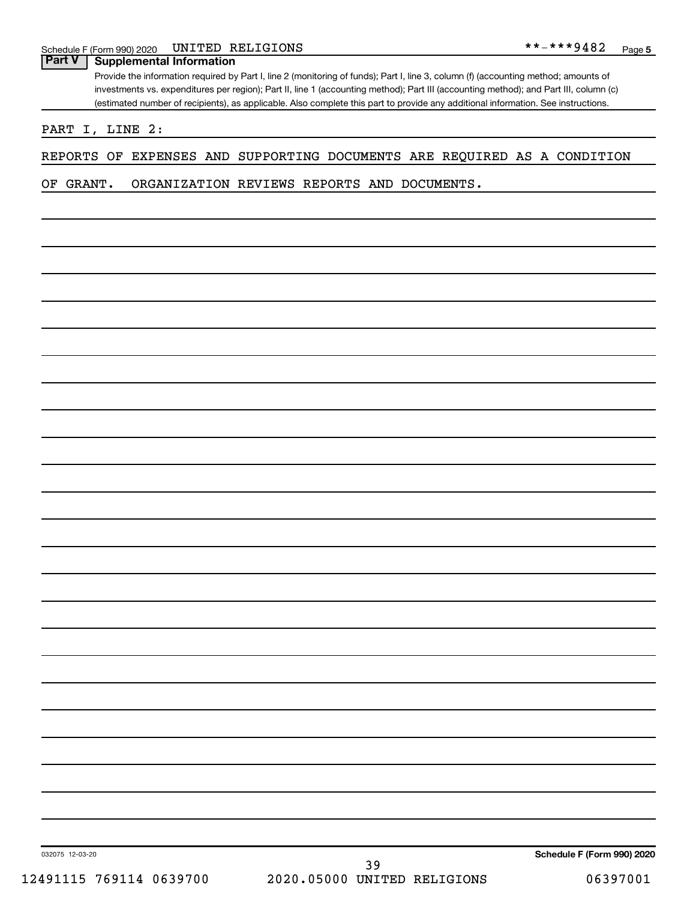### **Part V Supplemental Information**

Provide the information required by Part I, line 2 (monitoring of funds); Part I, line 3, column (f) (accounting method; amounts of investments vs. expenditures per region); Part II, line 1 (accounting method); Part III (accounting method); and Part III, column (c) (estimated number of recipients), as applicable. Also complete this part to provide any additional information. See instructions.

#### PART I, LINE 2:

### REPORTS OF EXPENSES AND SUPPORTING DOCUMENTS ARE REQUIRED AS A CONDITION

OF GRANT. ORGANIZATION REVIEWS REPORTS AND DOCUMENTS.

032075 12-03-20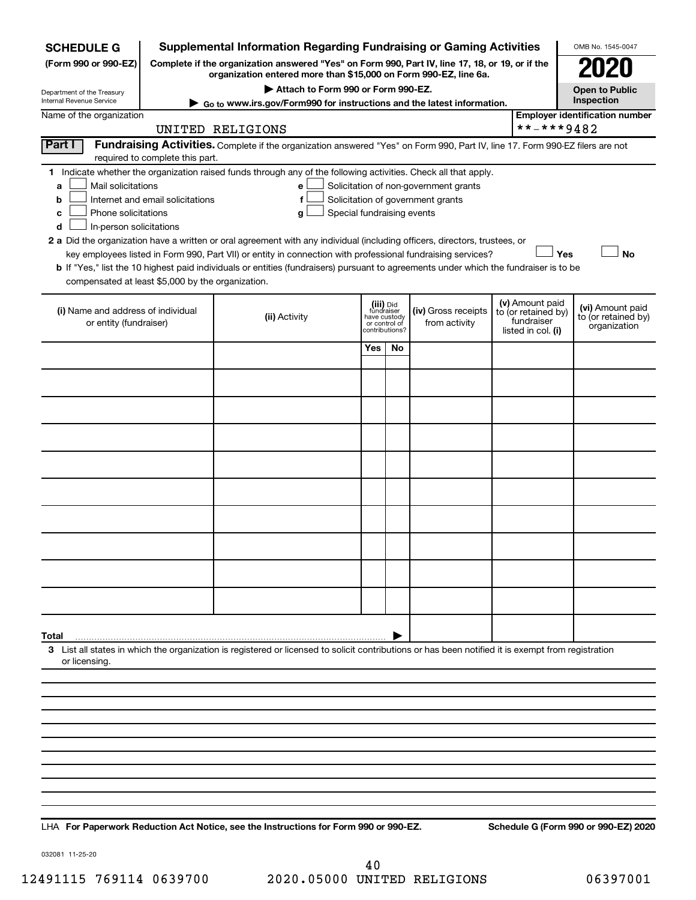| <b>SCHEDULE G</b>                                                                                                                                                                                                                                                                                                                                                                                                                                                                                                                                                                                                                                                                                                                                                                                                                  | <b>Supplemental Information Regarding Fundraising or Gaming Activities</b> |                                                                                                                                                                     | OMB No. 1545-0047                                         |               |                                      |  |                                                                            |                                                         |  |
|------------------------------------------------------------------------------------------------------------------------------------------------------------------------------------------------------------------------------------------------------------------------------------------------------------------------------------------------------------------------------------------------------------------------------------------------------------------------------------------------------------------------------------------------------------------------------------------------------------------------------------------------------------------------------------------------------------------------------------------------------------------------------------------------------------------------------------|----------------------------------------------------------------------------|---------------------------------------------------------------------------------------------------------------------------------------------------------------------|-----------------------------------------------------------|---------------|--------------------------------------|--|----------------------------------------------------------------------------|---------------------------------------------------------|--|
| (Form 990 or 990-EZ)                                                                                                                                                                                                                                                                                                                                                                                                                                                                                                                                                                                                                                                                                                                                                                                                               |                                                                            | Complete if the organization answered "Yes" on Form 990, Part IV, line 17, 18, or 19, or if the<br>organization entered more than \$15,000 on Form 990-EZ, line 6a. |                                                           |               |                                      |  |                                                                            |                                                         |  |
| Department of the Treasury                                                                                                                                                                                                                                                                                                                                                                                                                                                                                                                                                                                                                                                                                                                                                                                                         |                                                                            | Attach to Form 990 or Form 990-EZ.                                                                                                                                  |                                                           |               |                                      |  |                                                                            | <b>Open to Public</b>                                   |  |
| Internal Revenue Service                                                                                                                                                                                                                                                                                                                                                                                                                                                                                                                                                                                                                                                                                                                                                                                                           |                                                                            | Go to www.irs.gov/Form990 for instructions and the latest information.                                                                                              |                                                           |               |                                      |  |                                                                            | Inspection                                              |  |
| Name of the organization                                                                                                                                                                                                                                                                                                                                                                                                                                                                                                                                                                                                                                                                                                                                                                                                           |                                                                            | UNITED RELIGIONS                                                                                                                                                    |                                                           |               |                                      |  | **-***9482                                                                 | <b>Employer identification number</b>                   |  |
| Part I                                                                                                                                                                                                                                                                                                                                                                                                                                                                                                                                                                                                                                                                                                                                                                                                                             | required to complete this part.                                            | Fundraising Activities. Complete if the organization answered "Yes" on Form 990, Part IV, line 17. Form 990-EZ filers are not                                       |                                                           |               |                                      |  |                                                                            |                                                         |  |
| 1 Indicate whether the organization raised funds through any of the following activities. Check all that apply.<br>Mail solicitations<br>Solicitation of non-government grants<br>e<br>a<br>Internet and email solicitations<br>Solicitation of government grants<br>f<br>b<br>Phone solicitations<br>Special fundraising events<br>g<br>с<br>In-person solicitations<br>d<br>2 a Did the organization have a written or oral agreement with any individual (including officers, directors, trustees, or<br>Yes<br>No<br>key employees listed in Form 990, Part VII) or entity in connection with professional fundraising services?<br>b If "Yes," list the 10 highest paid individuals or entities (fundraisers) pursuant to agreements under which the fundraiser is to be<br>compensated at least \$5,000 by the organization. |                                                                            |                                                                                                                                                                     |                                                           |               |                                      |  |                                                                            |                                                         |  |
| (i) Name and address of individual<br>or entity (fundraiser)                                                                                                                                                                                                                                                                                                                                                                                                                                                                                                                                                                                                                                                                                                                                                                       |                                                                            | (ii) Activity                                                                                                                                                       | (iii) Did<br>fundraiser<br>have custody<br>contributions? | or control of | (iv) Gross receipts<br>from activity |  | (v) Amount paid<br>to (or retained by)<br>fundraiser<br>listed in col. (i) | (vi) Amount paid<br>to (or retained by)<br>organization |  |
|                                                                                                                                                                                                                                                                                                                                                                                                                                                                                                                                                                                                                                                                                                                                                                                                                                    |                                                                            |                                                                                                                                                                     | Yes                                                       | No            |                                      |  |                                                                            |                                                         |  |
|                                                                                                                                                                                                                                                                                                                                                                                                                                                                                                                                                                                                                                                                                                                                                                                                                                    |                                                                            |                                                                                                                                                                     |                                                           |               |                                      |  |                                                                            |                                                         |  |
|                                                                                                                                                                                                                                                                                                                                                                                                                                                                                                                                                                                                                                                                                                                                                                                                                                    |                                                                            |                                                                                                                                                                     |                                                           |               |                                      |  |                                                                            |                                                         |  |
|                                                                                                                                                                                                                                                                                                                                                                                                                                                                                                                                                                                                                                                                                                                                                                                                                                    |                                                                            |                                                                                                                                                                     |                                                           |               |                                      |  |                                                                            |                                                         |  |
|                                                                                                                                                                                                                                                                                                                                                                                                                                                                                                                                                                                                                                                                                                                                                                                                                                    |                                                                            |                                                                                                                                                                     |                                                           |               |                                      |  |                                                                            |                                                         |  |
|                                                                                                                                                                                                                                                                                                                                                                                                                                                                                                                                                                                                                                                                                                                                                                                                                                    |                                                                            |                                                                                                                                                                     |                                                           |               |                                      |  |                                                                            |                                                         |  |
|                                                                                                                                                                                                                                                                                                                                                                                                                                                                                                                                                                                                                                                                                                                                                                                                                                    |                                                                            |                                                                                                                                                                     |                                                           |               |                                      |  |                                                                            |                                                         |  |
|                                                                                                                                                                                                                                                                                                                                                                                                                                                                                                                                                                                                                                                                                                                                                                                                                                    |                                                                            |                                                                                                                                                                     |                                                           |               |                                      |  |                                                                            |                                                         |  |
|                                                                                                                                                                                                                                                                                                                                                                                                                                                                                                                                                                                                                                                                                                                                                                                                                                    |                                                                            |                                                                                                                                                                     |                                                           |               |                                      |  |                                                                            |                                                         |  |
|                                                                                                                                                                                                                                                                                                                                                                                                                                                                                                                                                                                                                                                                                                                                                                                                                                    |                                                                            |                                                                                                                                                                     |                                                           |               |                                      |  |                                                                            |                                                         |  |
| Total                                                                                                                                                                                                                                                                                                                                                                                                                                                                                                                                                                                                                                                                                                                                                                                                                              |                                                                            |                                                                                                                                                                     |                                                           |               |                                      |  |                                                                            |                                                         |  |
| or licensing.                                                                                                                                                                                                                                                                                                                                                                                                                                                                                                                                                                                                                                                                                                                                                                                                                      |                                                                            | 3 List all states in which the organization is registered or licensed to solicit contributions or has been notified it is exempt from registration                  |                                                           |               |                                      |  |                                                                            |                                                         |  |
|                                                                                                                                                                                                                                                                                                                                                                                                                                                                                                                                                                                                                                                                                                                                                                                                                                    |                                                                            |                                                                                                                                                                     |                                                           |               |                                      |  |                                                                            |                                                         |  |
|                                                                                                                                                                                                                                                                                                                                                                                                                                                                                                                                                                                                                                                                                                                                                                                                                                    |                                                                            |                                                                                                                                                                     |                                                           |               |                                      |  |                                                                            |                                                         |  |
|                                                                                                                                                                                                                                                                                                                                                                                                                                                                                                                                                                                                                                                                                                                                                                                                                                    |                                                                            |                                                                                                                                                                     |                                                           |               |                                      |  |                                                                            |                                                         |  |
|                                                                                                                                                                                                                                                                                                                                                                                                                                                                                                                                                                                                                                                                                                                                                                                                                                    |                                                                            |                                                                                                                                                                     |                                                           |               |                                      |  |                                                                            |                                                         |  |
|                                                                                                                                                                                                                                                                                                                                                                                                                                                                                                                                                                                                                                                                                                                                                                                                                                    |                                                                            |                                                                                                                                                                     |                                                           |               |                                      |  |                                                                            |                                                         |  |
|                                                                                                                                                                                                                                                                                                                                                                                                                                                                                                                                                                                                                                                                                                                                                                                                                                    |                                                                            |                                                                                                                                                                     |                                                           |               |                                      |  |                                                                            |                                                         |  |
|                                                                                                                                                                                                                                                                                                                                                                                                                                                                                                                                                                                                                                                                                                                                                                                                                                    |                                                                            |                                                                                                                                                                     |                                                           |               |                                      |  |                                                                            |                                                         |  |
|                                                                                                                                                                                                                                                                                                                                                                                                                                                                                                                                                                                                                                                                                                                                                                                                                                    |                                                                            |                                                                                                                                                                     |                                                           |               |                                      |  |                                                                            |                                                         |  |

**For Paperwork Reduction Act Notice, see the Instructions for Form 990 or 990-EZ. Schedule G (Form 990 or 990-EZ) 2020** LHA

032081 11-25-20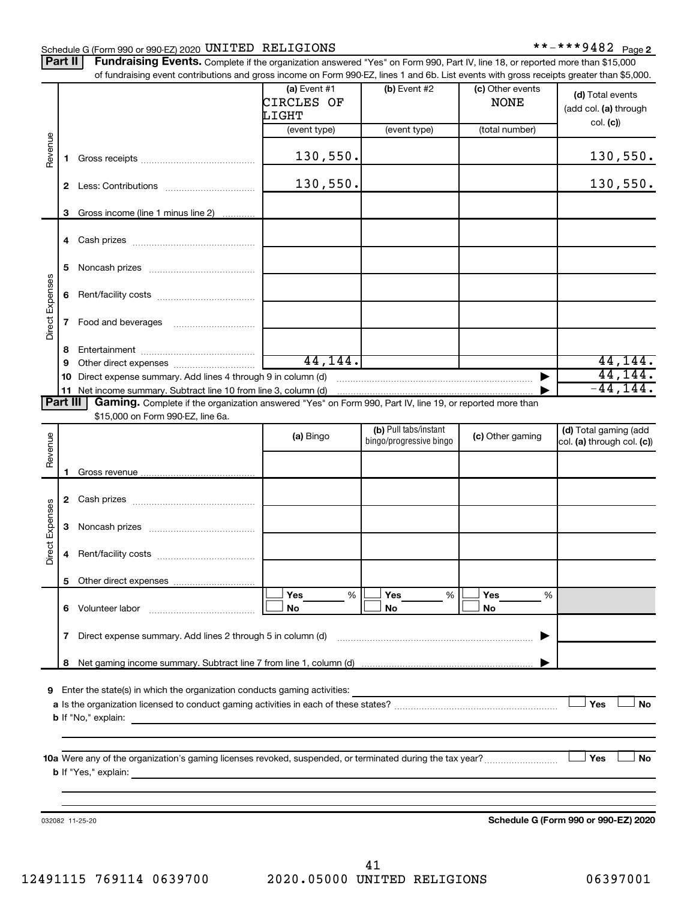#### Schedule G (Form 990 or 990-EZ) 2020  $\texttt{UNITED}$  RELIGIONS  $\texttt{***}\texttt{***}$ 9482  $_\texttt{Page}$

Part II | Fundraising Events. Complete if the organization answered "Yes" on Form 990, Part IV, line 18, or reported more than \$15,000

|                 |              | of fundraising event contributions and gross income on Form 990-EZ, lines 1 and 6b. List events with gross receipts greater than \$5,000.           |                |                         |                  |                                      |
|-----------------|--------------|-----------------------------------------------------------------------------------------------------------------------------------------------------|----------------|-------------------------|------------------|--------------------------------------|
|                 |              |                                                                                                                                                     | (a) Event $#1$ | (b) Event #2            | (c) Other events |                                      |
|                 |              |                                                                                                                                                     | CIRCLES OF     |                         | <b>NONE</b>      | (d) Total events                     |
|                 |              |                                                                                                                                                     | LIGHT          |                         |                  | (add col. (a) through                |
|                 |              |                                                                                                                                                     | (event type)   | (event type)            | (total number)   | col. (c))                            |
|                 |              |                                                                                                                                                     |                |                         |                  |                                      |
| Revenue         |              |                                                                                                                                                     | 130,550.       |                         |                  | 130,550.                             |
|                 | 1.           |                                                                                                                                                     |                |                         |                  |                                      |
|                 | $\mathbf{2}$ |                                                                                                                                                     | 130,550.       |                         |                  | 130,550.                             |
|                 |              |                                                                                                                                                     |                |                         |                  |                                      |
|                 | 3            | Gross income (line 1 minus line 2)                                                                                                                  |                |                         |                  |                                      |
|                 |              |                                                                                                                                                     |                |                         |                  |                                      |
|                 |              |                                                                                                                                                     |                |                         |                  |                                      |
|                 |              |                                                                                                                                                     |                |                         |                  |                                      |
|                 | 5            |                                                                                                                                                     |                |                         |                  |                                      |
|                 |              |                                                                                                                                                     |                |                         |                  |                                      |
| Direct Expenses | 6            |                                                                                                                                                     |                |                         |                  |                                      |
|                 |              |                                                                                                                                                     |                |                         |                  |                                      |
|                 | 7            | Food and beverages                                                                                                                                  |                |                         |                  |                                      |
|                 |              |                                                                                                                                                     |                |                         |                  |                                      |
|                 |              |                                                                                                                                                     |                |                         |                  |                                      |
|                 | 8<br>9       |                                                                                                                                                     | 44, 144.       |                         |                  | 44, 144.                             |
|                 | 10           | Direct expense summary. Add lines 4 through 9 in column (d)                                                                                         |                |                         |                  | 44, 144.                             |
|                 |              | 11 Net income summary. Subtract line 10 from line 3, column (d)                                                                                     |                |                         |                  | $-44, 144.$                          |
| <b>Part III</b> |              | Gaming. Complete if the organization answered "Yes" on Form 990, Part IV, line 19, or reported more than                                            |                |                         |                  |                                      |
|                 |              | \$15,000 on Form 990-EZ, line 6a.                                                                                                                   |                |                         |                  |                                      |
|                 |              |                                                                                                                                                     |                | (b) Pull tabs/instant   |                  | (d) Total gaming (add                |
| Revenue         |              |                                                                                                                                                     | (a) Bingo      | bingo/progressive bingo | (c) Other gaming | col. (a) through col. (c))           |
|                 |              |                                                                                                                                                     |                |                         |                  |                                      |
|                 |              |                                                                                                                                                     |                |                         |                  |                                      |
|                 | 1.           |                                                                                                                                                     |                |                         |                  |                                      |
|                 |              |                                                                                                                                                     |                |                         |                  |                                      |
|                 | $\mathbf{2}$ |                                                                                                                                                     |                |                         |                  |                                      |
| Direct Expenses | 3            |                                                                                                                                                     |                |                         |                  |                                      |
|                 |              |                                                                                                                                                     |                |                         |                  |                                      |
|                 |              |                                                                                                                                                     |                |                         |                  |                                      |
|                 | 4            |                                                                                                                                                     |                |                         |                  |                                      |
|                 |              |                                                                                                                                                     |                |                         |                  |                                      |
|                 |              |                                                                                                                                                     | %              | %                       |                  |                                      |
|                 |              |                                                                                                                                                     | Yes            | Yes                     | Yes<br>%         |                                      |
|                 |              | 6 Volunteer labor                                                                                                                                   | No             | No                      | No               |                                      |
|                 |              |                                                                                                                                                     |                |                         |                  |                                      |
|                 | 7            | Direct expense summary. Add lines 2 through 5 in column (d)                                                                                         |                |                         |                  |                                      |
|                 |              |                                                                                                                                                     |                |                         |                  |                                      |
|                 | 8            |                                                                                                                                                     |                |                         |                  |                                      |
|                 |              |                                                                                                                                                     |                |                         |                  |                                      |
| 9               |              | Enter the state(s) in which the organization conducts gaming activities:                                                                            |                |                         |                  | Yes<br><b>No</b>                     |
|                 |              |                                                                                                                                                     |                |                         |                  |                                      |
|                 |              | <b>b</b> If "No," explain:<br><u> 1989 - Johann Stoff, deutscher Stoff, der Stoff, der Stoff, der Stoff, der Stoff, der Stoff, der Stoff, der S</u> |                |                         |                  |                                      |
|                 |              |                                                                                                                                                     |                |                         |                  |                                      |
|                 |              |                                                                                                                                                     |                |                         |                  |                                      |
|                 |              |                                                                                                                                                     |                |                         |                  | Yes<br>No                            |
|                 |              |                                                                                                                                                     |                |                         |                  |                                      |
|                 |              |                                                                                                                                                     |                |                         |                  |                                      |
|                 |              |                                                                                                                                                     |                |                         |                  |                                      |
|                 |              | 032082 11-25-20                                                                                                                                     |                |                         |                  | Schedule G (Form 990 or 990-EZ) 2020 |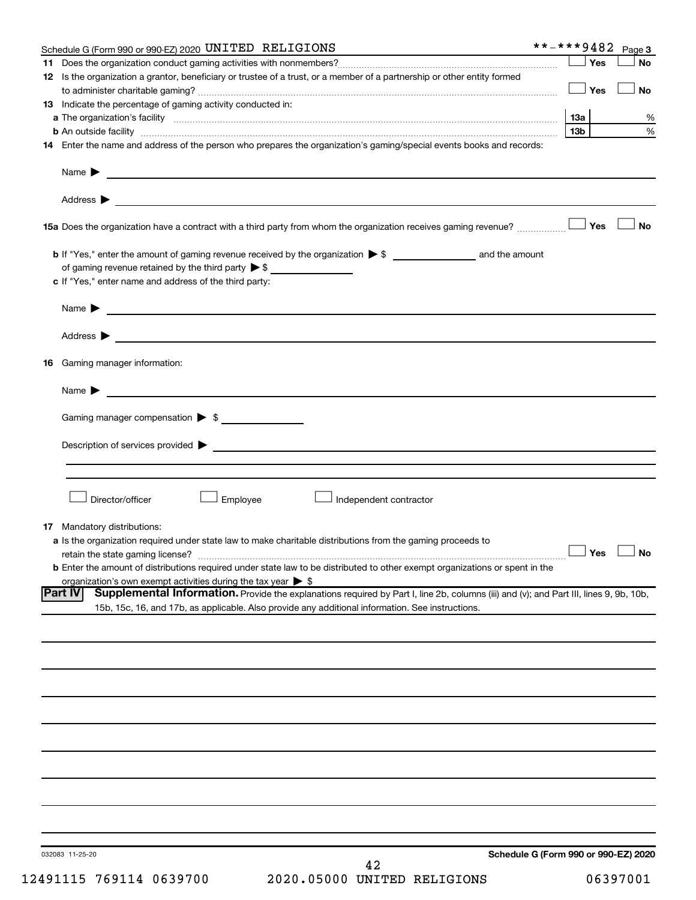|     | Schedule G (Form 990 or 990-EZ) 2020 UNITED RELIGIONS                                                                                                                                                               | **-***9482          | Page 3    |
|-----|---------------------------------------------------------------------------------------------------------------------------------------------------------------------------------------------------------------------|---------------------|-----------|
| 11. |                                                                                                                                                                                                                     | Yes                 | <b>No</b> |
|     | 12 Is the organization a grantor, beneficiary or trustee of a trust, or a member of a partnership or other entity formed                                                                                            | Yes                 | No        |
|     | <b>13</b> Indicate the percentage of gaming activity conducted in:                                                                                                                                                  |                     |           |
|     |                                                                                                                                                                                                                     | 13a                 | %         |
|     |                                                                                                                                                                                                                     | 13 <sub>b</sub>     | $\%$      |
|     | 14 Enter the name and address of the person who prepares the organization's gaming/special events books and records:                                                                                                |                     |           |
|     | Name $\blacktriangleright$<br><u> 1989 - Johann Barbara, martin amerikan basar dan berasal dan berasal dalam basar dalam basar dalam basar dala</u>                                                                 |                     |           |
|     |                                                                                                                                                                                                                     |                     |           |
|     |                                                                                                                                                                                                                     |                     | <b>No</b> |
|     | of gaming revenue retained by the third party $\triangleright$ \$                                                                                                                                                   |                     |           |
|     | c If "Yes," enter name and address of the third party:                                                                                                                                                              |                     |           |
|     | Name $\blacktriangleright$ $\blacksquare$                                                                                                                                                                           |                     |           |
|     |                                                                                                                                                                                                                     |                     |           |
| 16  | Gaming manager information:                                                                                                                                                                                         |                     |           |
|     | Name $\blacktriangleright$                                                                                                                                                                                          |                     |           |
|     | Gaming manager compensation > \$                                                                                                                                                                                    |                     |           |
|     | Description of services provided > example and the contract of the contract of the contract of the contract of                                                                                                      |                     |           |
|     |                                                                                                                                                                                                                     |                     |           |
|     | Director/officer<br>Employee<br>Independent contractor                                                                                                                                                              |                     |           |
|     | <b>17</b> Mandatory distributions:                                                                                                                                                                                  |                     |           |
|     | <b>a</b> Is the organization required under state law to make charitable distributions from the gaming proceeds to<br>retain the state gaming license?                                                              | $\Box$ Yes $\ \Box$ | $\Box$ No |
|     | <b>b</b> Enter the amount of distributions required under state law to be distributed to other exempt organizations or spent in the<br>organization's own exempt activities during the tax year $\triangleright$ \$ |                     |           |
|     | <b>Part IV</b><br>Supplemental Information. Provide the explanations required by Part I, line 2b, columns (iii) and (v); and Part III, lines 9, 9b, 10b,                                                            |                     |           |
|     | 15b, 15c, 16, and 17b, as applicable. Also provide any additional information. See instructions.                                                                                                                    |                     |           |
|     |                                                                                                                                                                                                                     |                     |           |
|     |                                                                                                                                                                                                                     |                     |           |
|     |                                                                                                                                                                                                                     |                     |           |
|     |                                                                                                                                                                                                                     |                     |           |
|     |                                                                                                                                                                                                                     |                     |           |
|     |                                                                                                                                                                                                                     |                     |           |
|     |                                                                                                                                                                                                                     |                     |           |
|     |                                                                                                                                                                                                                     |                     |           |
|     | Schedule G (Form 990 or 990-EZ) 2020<br>032083 11-25-20<br>1 ລ                                                                                                                                                      |                     |           |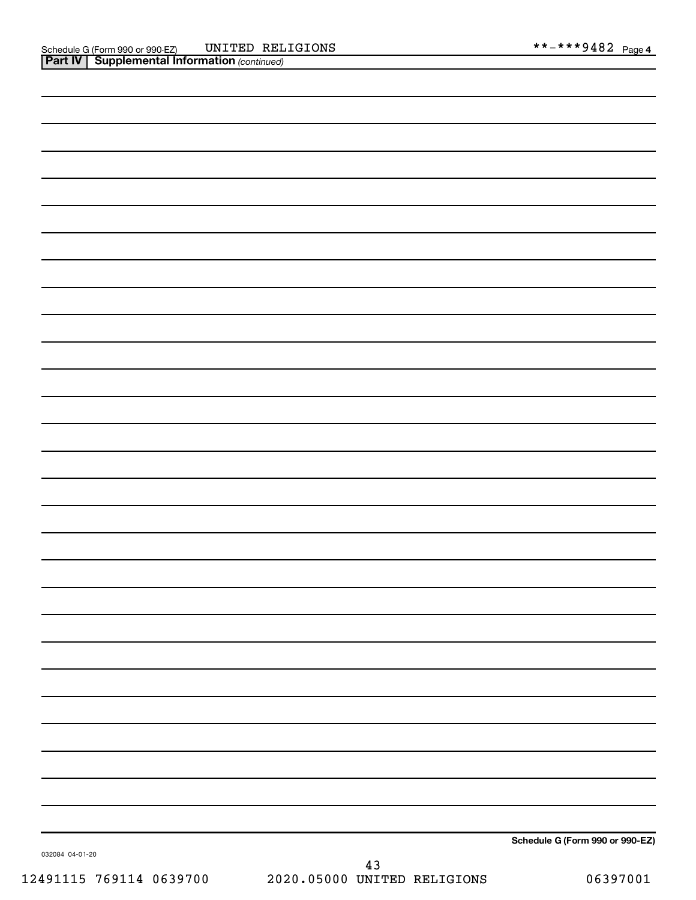| Schedule G (Form 990 or 990-EZ) |
|---------------------------------|

032084 04-01-20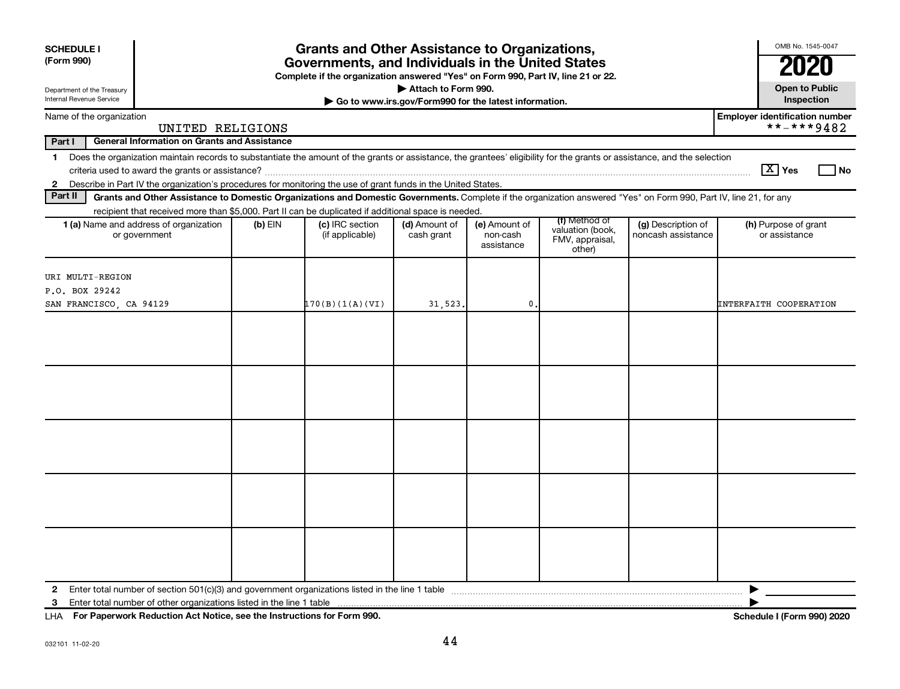| <b>SCHEDULE I</b><br>(Form 990) | Department of the Treasury                                                                                                                                                                                                                                                                         | <b>Grants and Other Assistance to Organizations,</b><br>Governments, and Individuals in the United States<br>Complete if the organization answered "Yes" on Form 990, Part IV, line 21 or 22.<br>Attach to Form 990.<br>Go to www.irs.gov/Form990 for the latest information.                                               |                 |         |   |  |  |                                       |                                                     |  |  |  |
|---------------------------------|----------------------------------------------------------------------------------------------------------------------------------------------------------------------------------------------------------------------------------------------------------------------------------------------------|-----------------------------------------------------------------------------------------------------------------------------------------------------------------------------------------------------------------------------------------------------------------------------------------------------------------------------|-----------------|---------|---|--|--|---------------------------------------|-----------------------------------------------------|--|--|--|
| Internal Revenue Service        |                                                                                                                                                                                                                                                                                                    |                                                                                                                                                                                                                                                                                                                             |                 |         |   |  |  |                                       | Inspection                                          |  |  |  |
|                                 | Name of the organization                                                                                                                                                                                                                                                                           | UNITED RELIGIONS                                                                                                                                                                                                                                                                                                            |                 |         |   |  |  |                                       | <b>Employer identification number</b><br>**-***9482 |  |  |  |
| Part I                          | <b>General Information on Grants and Assistance</b>                                                                                                                                                                                                                                                |                                                                                                                                                                                                                                                                                                                             |                 |         |   |  |  |                                       |                                                     |  |  |  |
| $\mathbf 1$<br>$\mathbf{2}$     |                                                                                                                                                                                                                                                                                                    | Does the organization maintain records to substantiate the amount of the grants or assistance, the grantees' eligibility for the grants or assistance, and the selection<br>$\boxed{\text{X}}$ Yes<br>l No<br>Describe in Part IV the organization's procedures for monitoring the use of grant funds in the United States. |                 |         |   |  |  |                                       |                                                     |  |  |  |
| Part II                         | Grants and Other Assistance to Domestic Organizations and Domestic Governments. Complete if the organization answered "Yes" on Form 990, Part IV, line 21, for any                                                                                                                                 |                                                                                                                                                                                                                                                                                                                             |                 |         |   |  |  |                                       |                                                     |  |  |  |
|                                 | recipient that received more than \$5,000. Part II can be duplicated if additional space is needed.                                                                                                                                                                                                |                                                                                                                                                                                                                                                                                                                             |                 |         |   |  |  |                                       |                                                     |  |  |  |
|                                 | (f) Method of<br>1 (a) Name and address of organization<br>(c) IRC section<br>(d) Amount of<br>(e) Amount of<br>(g) Description of<br>$(b)$ EIN<br>valuation (book,<br>(if applicable)<br>noncash assistance<br>or government<br>cash grant<br>non-cash<br>FMV, appraisal,<br>assistance<br>other) |                                                                                                                                                                                                                                                                                                                             |                 |         |   |  |  | (h) Purpose of grant<br>or assistance |                                                     |  |  |  |
| P.O. BOX 29242                  | URI MULTI-REGION<br>SAN FRANCISCO, CA 94129                                                                                                                                                                                                                                                        |                                                                                                                                                                                                                                                                                                                             | 170(B)(1(A)(VI) | 31,523. | 0 |  |  |                                       | <b>INTERFAITH COOPERATION</b>                       |  |  |  |
|                                 |                                                                                                                                                                                                                                                                                                    |                                                                                                                                                                                                                                                                                                                             |                 |         |   |  |  |                                       |                                                     |  |  |  |
| $\mathbf{2}$<br>3               | Enter total number of other organizations listed in the line 1 table                                                                                                                                                                                                                               |                                                                                                                                                                                                                                                                                                                             |                 |         |   |  |  | ▶                                     |                                                     |  |  |  |
|                                 |                                                                                                                                                                                                                                                                                                    |                                                                                                                                                                                                                                                                                                                             |                 |         |   |  |  |                                       |                                                     |  |  |  |

**For Paperwork Reduction Act Notice, see the Instructions for Form 990. Schedule I (Form 990) 2020** LHA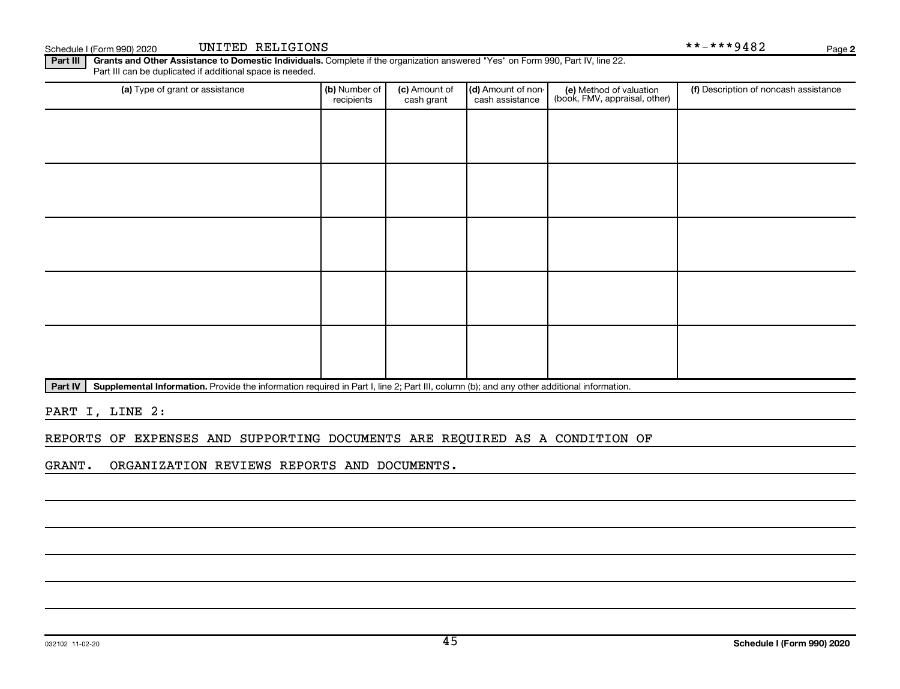Schedule I (Form 990) 2020 UNITED RELIGIONS \*\*-\*\*\*9482 UNITED RELIGIONS

**2**

Part III | Grants and Other Assistance to Domestic Individuals. Complete if the organization answered "Yes" on Form 990, Part IV, line 22. Part III can be duplicated if additional space is needed.

| (a) Type of grant or assistance | (b) Number of<br>recipients | (c) Amount of<br>cash grant | (d) Amount of non-<br>cash assistance | (e) Method of valuation<br>(book, FMV, appraisal, other) | (f) Description of noncash assistance |
|---------------------------------|-----------------------------|-----------------------------|---------------------------------------|----------------------------------------------------------|---------------------------------------|
|                                 |                             |                             |                                       |                                                          |                                       |
|                                 |                             |                             |                                       |                                                          |                                       |
|                                 |                             |                             |                                       |                                                          |                                       |
|                                 |                             |                             |                                       |                                                          |                                       |
|                                 |                             |                             |                                       |                                                          |                                       |
|                                 |                             |                             |                                       |                                                          |                                       |
|                                 |                             |                             |                                       |                                                          |                                       |
|                                 |                             |                             |                                       |                                                          |                                       |
|                                 |                             |                             |                                       |                                                          |                                       |
|                                 |                             |                             |                                       |                                                          |                                       |

Part IV | Supplemental Information. Provide the information required in Part I, line 2; Part III, column (b); and any other additional information.

PART I, LINE 2:

REPORTS OF EXPENSES AND SUPPORTING DOCUMENTS ARE REQUIRED AS A CONDITION OF

GRANT. ORGANIZATION REVIEWS REPORTS AND DOCUMENTS.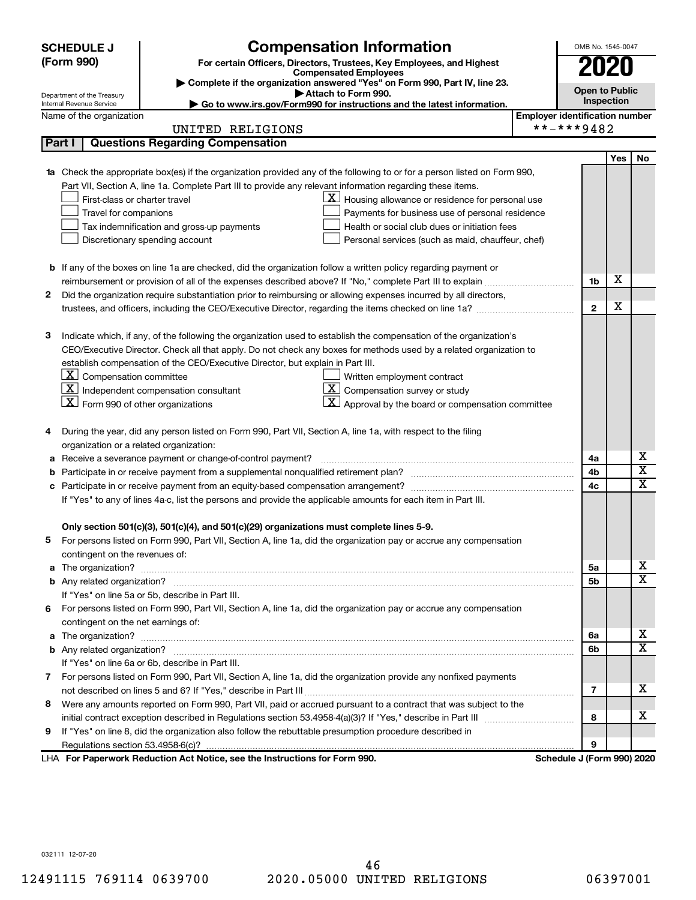|    | <b>Compensation Information</b><br><b>SCHEDULE J</b> |                                                                                                                           |                                       |                            |     |                              |  |
|----|------------------------------------------------------|---------------------------------------------------------------------------------------------------------------------------|---------------------------------------|----------------------------|-----|------------------------------|--|
|    | (Form 990)                                           | For certain Officers, Directors, Trustees, Key Employees, and Highest                                                     |                                       | 2020                       |     |                              |  |
|    |                                                      | <b>Compensated Employees</b><br>Complete if the organization answered "Yes" on Form 990, Part IV, line 23.                |                                       |                            |     |                              |  |
|    | Department of the Treasury                           | Attach to Form 990.                                                                                                       |                                       | <b>Open to Public</b>      |     |                              |  |
|    | Internal Revenue Service                             | Go to www.irs.gov/Form990 for instructions and the latest information.                                                    |                                       | Inspection                 |     |                              |  |
|    | Name of the organization                             |                                                                                                                           | <b>Employer identification number</b> |                            |     |                              |  |
|    |                                                      | UNITED RELIGIONS                                                                                                          |                                       | **-***9482                 |     |                              |  |
|    | Part I                                               | <b>Questions Regarding Compensation</b>                                                                                   |                                       |                            |     |                              |  |
|    |                                                      |                                                                                                                           |                                       |                            | Yes | No                           |  |
|    |                                                      | 1a Check the appropriate box(es) if the organization provided any of the following to or for a person listed on Form 990, |                                       |                            |     |                              |  |
|    |                                                      | Part VII, Section A, line 1a. Complete Part III to provide any relevant information regarding these items.                |                                       |                            |     |                              |  |
|    | First-class or charter travel                        | $\mathbf{X}$<br>Housing allowance or residence for personal use                                                           |                                       |                            |     |                              |  |
|    | Travel for companions                                | Payments for business use of personal residence                                                                           |                                       |                            |     |                              |  |
|    |                                                      | Health or social club dues or initiation fees<br>Tax indemnification and gross-up payments                                |                                       |                            |     |                              |  |
|    |                                                      | Discretionary spending account<br>Personal services (such as maid, chauffeur, chef)                                       |                                       |                            |     |                              |  |
|    |                                                      |                                                                                                                           |                                       |                            |     |                              |  |
|    |                                                      | <b>b</b> If any of the boxes on line 1a are checked, did the organization follow a written policy regarding payment or    |                                       |                            |     |                              |  |
|    |                                                      |                                                                                                                           |                                       | 1b                         | х   |                              |  |
| 2  |                                                      | Did the organization require substantiation prior to reimbursing or allowing expenses incurred by all directors,          |                                       |                            |     |                              |  |
|    |                                                      | trustees, and officers, including the CEO/Executive Director, regarding the items checked on line 1a?                     |                                       | $\mathbf{2}$               | х   |                              |  |
|    |                                                      |                                                                                                                           |                                       |                            |     |                              |  |
| з  |                                                      | Indicate which, if any, of the following the organization used to establish the compensation of the organization's        |                                       |                            |     |                              |  |
|    |                                                      | CEO/Executive Director. Check all that apply. Do not check any boxes for methods used by a related organization to        |                                       |                            |     |                              |  |
|    |                                                      | establish compensation of the CEO/Executive Director, but explain in Part III.                                            |                                       |                            |     |                              |  |
|    | $ \mathbf{X} $ Compensation committee                | Written employment contract                                                                                               |                                       |                            |     |                              |  |
|    |                                                      | $\underline{\mathbf{X}}$ Independent compensation consultant<br>$ \mathbf{X} $ Compensation survey or study               |                                       |                            |     |                              |  |
|    | $X$ Form 990 of other organizations                  | $\mathbf{X}$ Approval by the board or compensation committee                                                              |                                       |                            |     |                              |  |
|    |                                                      |                                                                                                                           |                                       |                            |     |                              |  |
| 4  |                                                      | During the year, did any person listed on Form 990, Part VII, Section A, line 1a, with respect to the filing              |                                       |                            |     |                              |  |
|    | organization or a related organization:              |                                                                                                                           |                                       |                            |     |                              |  |
| а  |                                                      | Receive a severance payment or change-of-control payment?                                                                 |                                       | 4a                         |     | х<br>$\overline{\textbf{x}}$ |  |
| b  |                                                      |                                                                                                                           |                                       | 4b                         |     | $\mathbf x$                  |  |
| с  |                                                      |                                                                                                                           |                                       | 4c                         |     |                              |  |
|    |                                                      | If "Yes" to any of lines 4a-c, list the persons and provide the applicable amounts for each item in Part III.             |                                       |                            |     |                              |  |
|    |                                                      |                                                                                                                           |                                       |                            |     |                              |  |
|    |                                                      | Only section 501(c)(3), 501(c)(4), and 501(c)(29) organizations must complete lines 5-9.                                  |                                       |                            |     |                              |  |
|    |                                                      | For persons listed on Form 990, Part VII, Section A, line 1a, did the organization pay or accrue any compensation         |                                       |                            |     |                              |  |
|    | contingent on the revenues of:                       |                                                                                                                           |                                       |                            |     | х                            |  |
|    |                                                      |                                                                                                                           |                                       | 5а                         |     | x                            |  |
|    |                                                      |                                                                                                                           |                                       | 5b                         |     |                              |  |
|    |                                                      | If "Yes" on line 5a or 5b, describe in Part III.                                                                          |                                       |                            |     |                              |  |
| 6. |                                                      | For persons listed on Form 990, Part VII, Section A, line 1a, did the organization pay or accrue any compensation         |                                       |                            |     |                              |  |
|    | contingent on the net earnings of:                   |                                                                                                                           |                                       |                            |     | х                            |  |
|    |                                                      |                                                                                                                           |                                       | 6a                         |     | x                            |  |
|    |                                                      |                                                                                                                           |                                       | 6b                         |     |                              |  |
|    |                                                      | If "Yes" on line 6a or 6b, describe in Part III.                                                                          |                                       |                            |     |                              |  |
|    |                                                      | 7 For persons listed on Form 990, Part VII, Section A, line 1a, did the organization provide any nonfixed payments        |                                       |                            |     |                              |  |
|    |                                                      |                                                                                                                           |                                       | 7                          |     | х                            |  |
| 8  |                                                      | Were any amounts reported on Form 990, Part VII, paid or accrued pursuant to a contract that was subject to the           |                                       |                            |     |                              |  |
|    |                                                      |                                                                                                                           |                                       | 8                          |     | х                            |  |
| 9  |                                                      | If "Yes" on line 8, did the organization also follow the rebuttable presumption procedure described in                    |                                       |                            |     |                              |  |
|    |                                                      |                                                                                                                           |                                       | 9                          |     |                              |  |
|    |                                                      | LHA For Paperwork Reduction Act Notice, see the Instructions for Form 990.                                                |                                       | Schedule J (Form 990) 2020 |     |                              |  |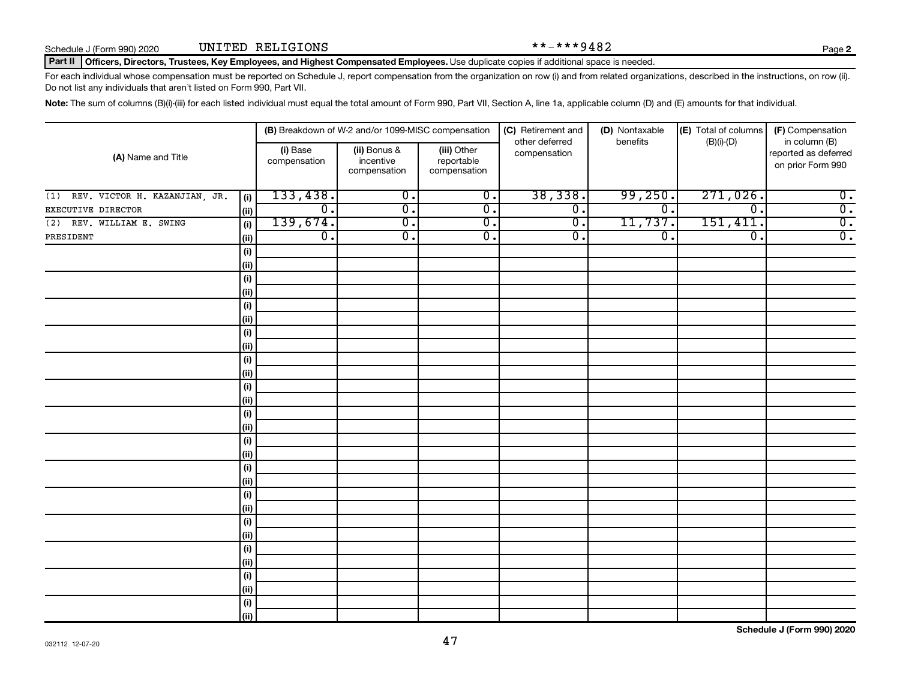#### Part II | Officers, Directors, Trustees, Key Employees, and Highest Compensated Employees. Use duplicate copies if additional space is needed.

For each individual whose compensation must be reported on Schedule J, report compensation from the organization on row (i) and from related organizations, described in the instructions, on row (ii). Do not list any individuals that aren't listed on Form 990, Part VII.

Note: The sum of columns (B)(i)-(iii) for each listed individual must equal the total amount of Form 990, Part VII, Section A, line 1a, applicable column (D) and (E) amounts for that individual.

|                                      |                    |                             | (B) Breakdown of W-2 and/or 1099-MISC compensation |                                           | (C) Retirement and             | (D) Nontaxable              | (E) Total of columns | (F) Compensation                                           |  |
|--------------------------------------|--------------------|-----------------------------|----------------------------------------------------|-------------------------------------------|--------------------------------|-----------------------------|----------------------|------------------------------------------------------------|--|
| (A) Name and Title                   |                    | (i) Base<br>compensation    | (ii) Bonus &<br>incentive<br>compensation          | (iii) Other<br>reportable<br>compensation | other deferred<br>compensation | benefits                    | $(B)(i)$ - $(D)$     | in column (B)<br>reported as deferred<br>on prior Form 990 |  |
| REV. VICTOR H. KAZANJIAN, JR.<br>(1) | (i)                | 133,438.                    | $\overline{0}$ .                                   | $\overline{0}$ .                          | 38,338.                        | 99,250                      | 271,026.             | $\overline{0}$ .                                           |  |
| EXECUTIVE DIRECTOR                   | (ii)               | $\overline{\mathfrak{o}}$ . | $\overline{0}$ .                                   | $\overline{0}$ .                          | $\overline{0}$ .               | $\overline{0}$ .            | $\overline{0}$ .     | $\overline{0}$ .                                           |  |
| REV. WILLIAM E. SWING<br>(2)         | (i)                | 139,674.                    | $\overline{0}$ .                                   | $\overline{0}$ .                          | $\overline{0}$ .               | 11,737.                     | 151,411.             | $\overline{0}$ .                                           |  |
| PRESIDENT                            | (ii)               | $\overline{0}$ .            | $\overline{0}$ .                                   | $\overline{0}$ .                          | $\overline{0}$ .               | $\overline{\mathfrak{o}}$ . | $\overline{0}$ .     | $\overline{0}$ .                                           |  |
|                                      | $(\sf{i})$         |                             |                                                    |                                           |                                |                             |                      |                                                            |  |
|                                      | (ii)               |                             |                                                    |                                           |                                |                             |                      |                                                            |  |
|                                      | $(\sf{i})$         |                             |                                                    |                                           |                                |                             |                      |                                                            |  |
|                                      | (ii)               |                             |                                                    |                                           |                                |                             |                      |                                                            |  |
|                                      | (i)                |                             |                                                    |                                           |                                |                             |                      |                                                            |  |
|                                      | (ii)               |                             |                                                    |                                           |                                |                             |                      |                                                            |  |
|                                      | (i)                |                             |                                                    |                                           |                                |                             |                      |                                                            |  |
|                                      | (i)                |                             |                                                    |                                           |                                |                             |                      |                                                            |  |
|                                      | (i)                |                             |                                                    |                                           |                                |                             |                      |                                                            |  |
|                                      | (i)                |                             |                                                    |                                           |                                |                             |                      |                                                            |  |
|                                      | (i)                |                             |                                                    |                                           |                                |                             |                      |                                                            |  |
|                                      | (i)                |                             |                                                    |                                           |                                |                             |                      |                                                            |  |
|                                      | (i)                |                             |                                                    |                                           |                                |                             |                      |                                                            |  |
|                                      | (i)                |                             |                                                    |                                           |                                |                             |                      |                                                            |  |
|                                      | $(\sf{i})$<br>(ii) |                             |                                                    |                                           |                                |                             |                      |                                                            |  |
|                                      | (i)                |                             |                                                    |                                           |                                |                             |                      |                                                            |  |
|                                      | (ii)               |                             |                                                    |                                           |                                |                             |                      |                                                            |  |
|                                      | (i)                |                             |                                                    |                                           |                                |                             |                      |                                                            |  |
|                                      | (i)                |                             |                                                    |                                           |                                |                             |                      |                                                            |  |
|                                      | (i)                |                             |                                                    |                                           |                                |                             |                      |                                                            |  |
|                                      | (i)                |                             |                                                    |                                           |                                |                             |                      |                                                            |  |
|                                      | (i)                |                             |                                                    |                                           |                                |                             |                      |                                                            |  |
|                                      | (ii)               |                             |                                                    |                                           |                                |                             |                      |                                                            |  |
|                                      | (i)                |                             |                                                    |                                           |                                |                             |                      |                                                            |  |
|                                      | (ii)               |                             |                                                    |                                           |                                |                             |                      |                                                            |  |
|                                      | (i)                |                             |                                                    |                                           |                                |                             |                      |                                                            |  |
|                                      | (ii)               |                             |                                                    |                                           |                                |                             |                      |                                                            |  |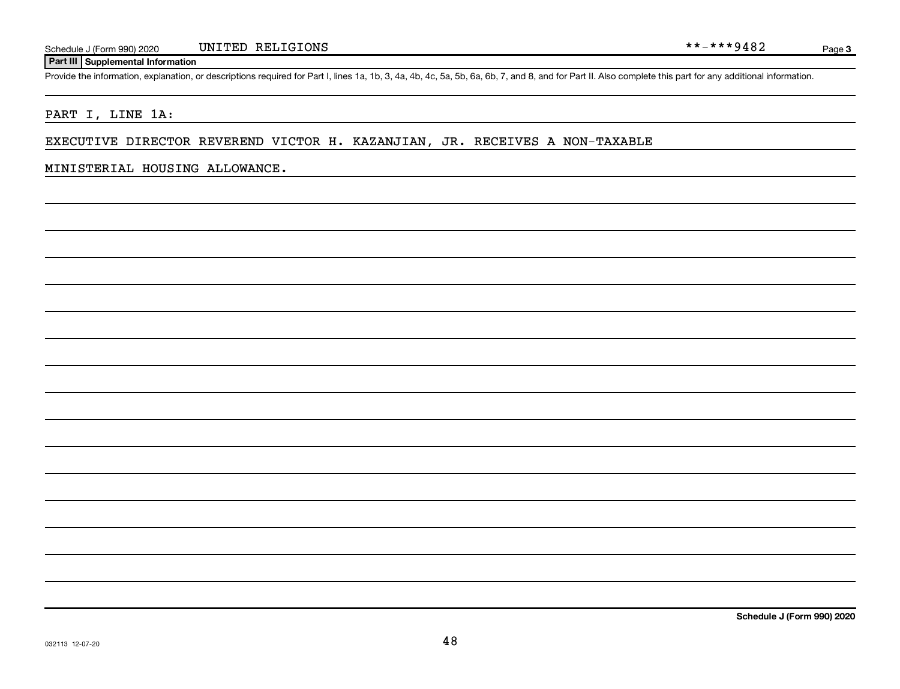#### **Part III Supplemental Information**

Provide the information, explanation, or descriptions required for Part I, lines 1a, 1b, 3, 4a, 4b, 4c, 5a, 5b, 6a, 6b, 7, and 8, and for Part II. Also complete this part for any additional information.

### PART I, LINE 1A:

EXECUTIVE DIRECTOR REVEREND VICTOR H. KAZANJIAN, JR. RECEIVES A NON-TAXABLE

### MINISTERIAL HOUSING ALLOWANCE.

**Schedule J (Form 990) 2020**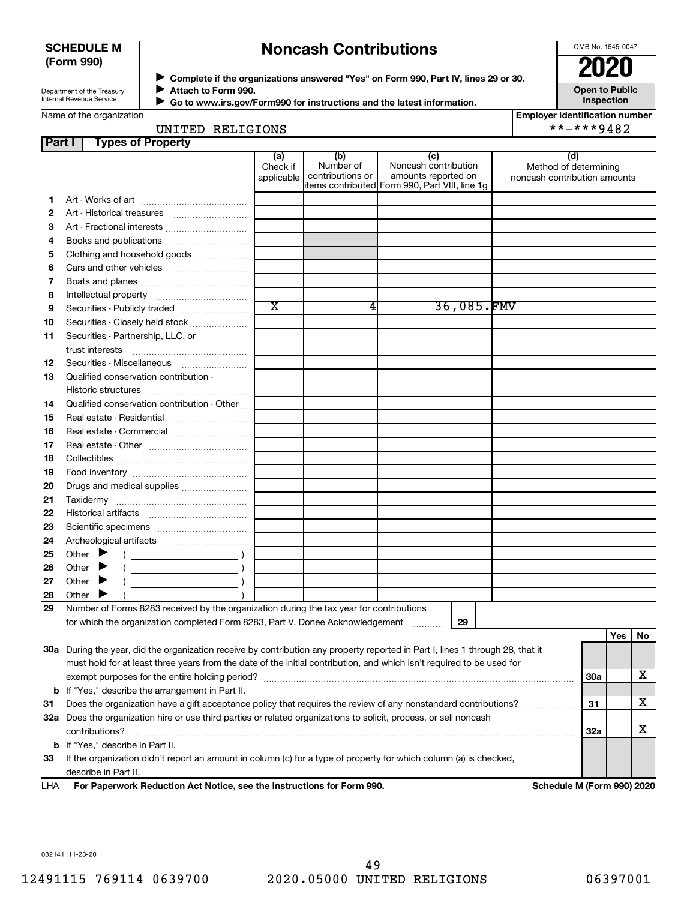#### **SCHEDULE M (Form 990)**

# **Noncash Contributions**

OMB No. 1545-0047

Department of the Treasury Internal Revenue Service

◆ Complete if the organizations answered "Yes" on Form 990, Part IV, lines 29 or 30.<br>● Complete if the organizations answered "Yes" on Form 990, Part IV, lines 29 or 30. **Attach to Form 990.**  $\blacktriangleright$ 

**Open to Public Inspection**

| Internal Revenue Service | ► Go to www.irs.gov/Form990 for instructions and the latest information. |
|--------------------------|--------------------------------------------------------------------------|
| Name of the organization |                                                                          |

**Employer identification number**  $***-***9482$ 

|  | UNITED RELIGIONS |  |
|--|------------------|--|
|  |                  |  |
|  |                  |  |

| <b>Part I</b> | <b>Types of Property</b>                                                                                                       |                               |                                      |                                                                                                      |                                                              |     |     |    |
|---------------|--------------------------------------------------------------------------------------------------------------------------------|-------------------------------|--------------------------------------|------------------------------------------------------------------------------------------------------|--------------------------------------------------------------|-----|-----|----|
|               |                                                                                                                                | (a)<br>Check if<br>applicable | (b)<br>Number of<br>contributions or | (c)<br>Noncash contribution<br>amounts reported on<br>items contributed Form 990, Part VIII, line 1g | (d)<br>Method of determining<br>noncash contribution amounts |     |     |    |
| 1.            |                                                                                                                                |                               |                                      |                                                                                                      |                                                              |     |     |    |
| 2             |                                                                                                                                |                               |                                      |                                                                                                      |                                                              |     |     |    |
| З             | Art - Fractional interests                                                                                                     |                               |                                      |                                                                                                      |                                                              |     |     |    |
| 4             |                                                                                                                                |                               |                                      |                                                                                                      |                                                              |     |     |    |
| 5             | Clothing and household goods                                                                                                   |                               |                                      |                                                                                                      |                                                              |     |     |    |
| 6             | Cars and other vehicles                                                                                                        |                               |                                      |                                                                                                      |                                                              |     |     |    |
| 7             |                                                                                                                                |                               |                                      |                                                                                                      |                                                              |     |     |    |
| 8             |                                                                                                                                |                               |                                      |                                                                                                      |                                                              |     |     |    |
| 9             | Securities - Publicly traded                                                                                                   | $\overline{\text{x}}$         | 4                                    | 36,085.FMV                                                                                           |                                                              |     |     |    |
| 10            | Securities - Closely held stock                                                                                                |                               |                                      |                                                                                                      |                                                              |     |     |    |
| 11            | Securities - Partnership, LLC, or<br>trust interests                                                                           |                               |                                      |                                                                                                      |                                                              |     |     |    |
| 12            | Securities - Miscellaneous                                                                                                     |                               |                                      |                                                                                                      |                                                              |     |     |    |
| 13            | Qualified conservation contribution -                                                                                          |                               |                                      |                                                                                                      |                                                              |     |     |    |
|               |                                                                                                                                |                               |                                      |                                                                                                      |                                                              |     |     |    |
| 14            | Qualified conservation contribution - Other                                                                                    |                               |                                      |                                                                                                      |                                                              |     |     |    |
| 15            | Real estate - Residential                                                                                                      |                               |                                      |                                                                                                      |                                                              |     |     |    |
| 16            | Real estate - Commercial                                                                                                       |                               |                                      |                                                                                                      |                                                              |     |     |    |
| 17            |                                                                                                                                |                               |                                      |                                                                                                      |                                                              |     |     |    |
| 18            |                                                                                                                                |                               |                                      |                                                                                                      |                                                              |     |     |    |
| 19            |                                                                                                                                |                               |                                      |                                                                                                      |                                                              |     |     |    |
| 20            | Drugs and medical supplies                                                                                                     |                               |                                      |                                                                                                      |                                                              |     |     |    |
| 21            |                                                                                                                                |                               |                                      |                                                                                                      |                                                              |     |     |    |
| 22            |                                                                                                                                |                               |                                      |                                                                                                      |                                                              |     |     |    |
| 23            |                                                                                                                                |                               |                                      |                                                                                                      |                                                              |     |     |    |
| 24            |                                                                                                                                |                               |                                      |                                                                                                      |                                                              |     |     |    |
| 25            | Other $\blacktriangleright$                                                                                                    |                               |                                      |                                                                                                      |                                                              |     |     |    |
| 26            | Other                                                                                                                          |                               |                                      |                                                                                                      |                                                              |     |     |    |
| 27            | Other                                                                                                                          |                               |                                      |                                                                                                      |                                                              |     |     |    |
| 28            | Other $\blacktriangleright$                                                                                                    |                               |                                      |                                                                                                      |                                                              |     |     |    |
| 29            | Number of Forms 8283 received by the organization during the tax year for contributions                                        |                               |                                      |                                                                                                      |                                                              |     |     |    |
|               | for which the organization completed Form 8283, Part V, Donee Acknowledgement                                                  |                               |                                      | 29                                                                                                   |                                                              |     |     |    |
|               |                                                                                                                                |                               |                                      |                                                                                                      |                                                              |     | Yes | No |
|               | 30a During the year, did the organization receive by contribution any property reported in Part I, lines 1 through 28, that it |                               |                                      |                                                                                                      |                                                              |     |     |    |
|               | must hold for at least three years from the date of the initial contribution, and which isn't required to be used for          |                               |                                      |                                                                                                      |                                                              |     |     |    |
|               |                                                                                                                                |                               |                                      |                                                                                                      |                                                              | 30a |     | х  |
|               | <b>b</b> If "Yes," describe the arrangement in Part II.                                                                        |                               |                                      |                                                                                                      |                                                              |     |     |    |
| 31            | Does the organization have a gift acceptance policy that requires the review of any nonstandard contributions?                 |                               |                                      |                                                                                                      |                                                              | 31  |     | х  |
|               | 32a Does the organization hire or use third parties or related organizations to solicit, process, or sell noncash              |                               |                                      |                                                                                                      |                                                              |     |     |    |
|               | contributions?                                                                                                                 |                               |                                      |                                                                                                      |                                                              | 32a |     | х  |
|               | <b>b</b> If "Yes," describe in Part II.                                                                                        |                               |                                      |                                                                                                      |                                                              |     |     |    |
| 33            | If the organization didn't report an amount in column (c) for a type of property for which column (a) is checked,              |                               |                                      |                                                                                                      |                                                              |     |     |    |
|               | describe in Part II.                                                                                                           |                               |                                      |                                                                                                      |                                                              |     |     |    |

**For Paperwork Reduction Act Notice, see the Instructions for Form 990. Schedule M (Form 990) 2020** LHA

032141 11-23-20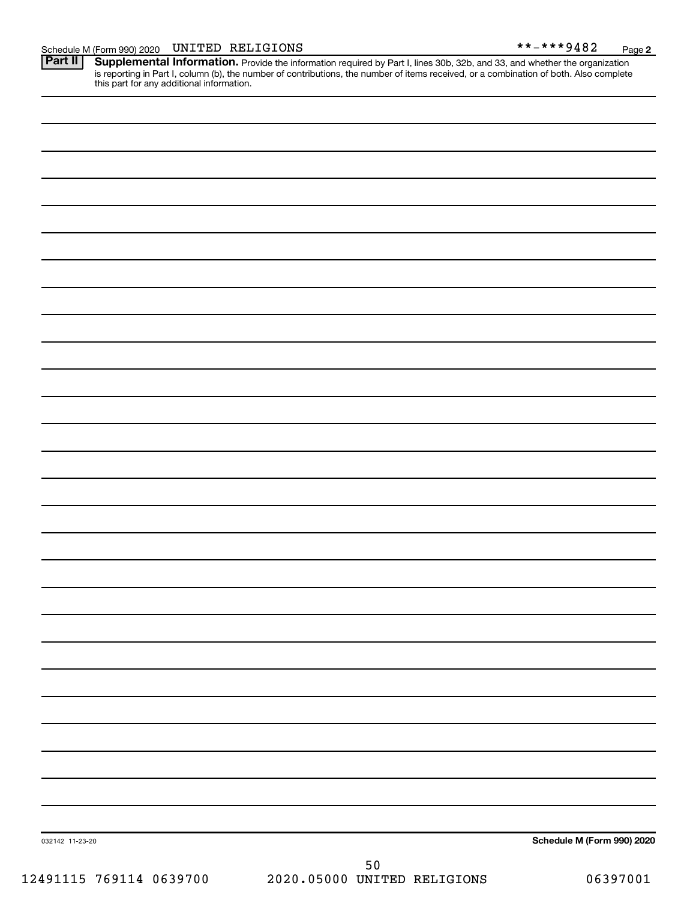Provide the information required by Part I, lines 30b, 32b, and 33, and whether the organization is reporting in Part I, column (b), the number of contributions, the number of items received, or a combination of both. Also complete this part for any additional information. **Part II Supplemental Information.** 

032142 11-23-20 **Schedule M (Form 990) 2020** 50

12491115 769114 0639700 2020.05000 UNITED RELIGIONS 06397001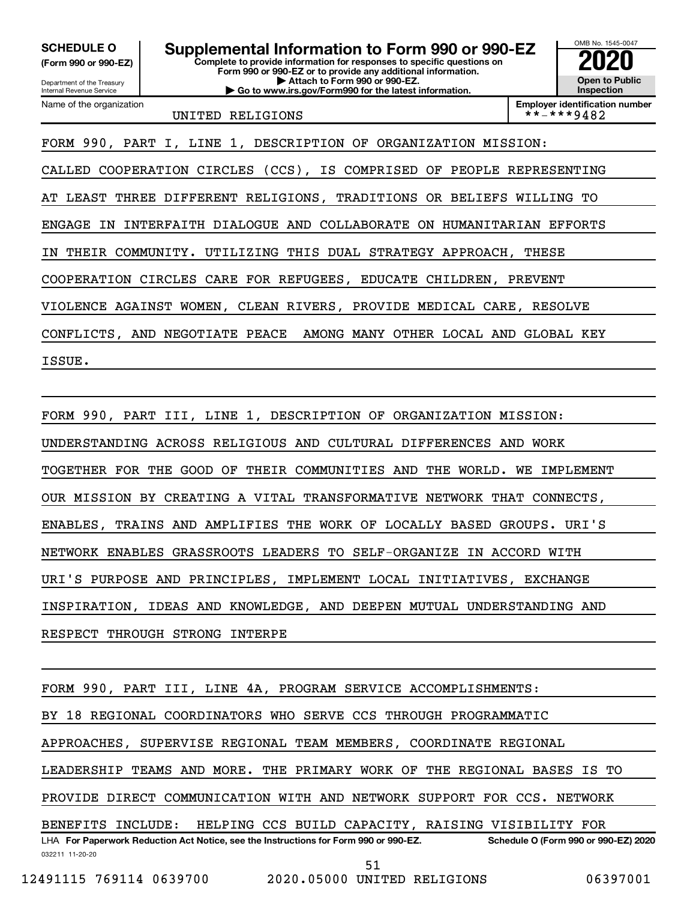Department of the Treasury **(Form 990 or 990-EZ)**

Name of the organization

Internal Revenue Service

**Complete to provide information for responses to specific questions on Form 990 or 990-EZ or to provide any additional information. | Attach to Form 990 or 990-EZ. | Go to www.irs.gov/Form990 for the latest information. SCHEDULE O Supplemental Information to Form 990 or 990-EZ 2020**<br>(Form 990 or 990-EZ) Complete to provide information for responses to specific questions on

OMB No. 1545-0047 **Open to Public Inspection**

UNITED RELIGIONS

**Employer identification number**<br>\*\*-\*\*\*9482

FORM 990, PART I, LINE 1, DESCRIPTION OF ORGANIZATION MISSION: CALLED COOPERATION CIRCLES (CCS), IS COMPRISED OF PEOPLE REPRESENTING AT LEAST THREE DIFFERENT RELIGIONS, TRADITIONS OR BELIEFS WILLING TO ENGAGE IN INTERFAITH DIALOGUE AND COLLABORATE ON HUMANITARIAN EFFORTS IN THEIR COMMUNITY. UTILIZING THIS DUAL STRATEGY APPROACH, THESE COOPERATION CIRCLES CARE FOR REFUGEES, EDUCATE CHILDREN, PREVENT VIOLENCE AGAINST WOMEN, CLEAN RIVERS, PROVIDE MEDICAL CARE, RESOLVE CONFLICTS, AND NEGOTIATE PEACE AMONG MANY OTHER LOCAL AND GLOBAL KEY ISSUE.

FORM 990, PART III, LINE 1, DESCRIPTION OF ORGANIZATION MISSION: UNDERSTANDING ACROSS RELIGIOUS AND CULTURAL DIFFERENCES AND WORK TOGETHER FOR THE GOOD OF THEIR COMMUNITIES AND THE WORLD. WE IMPLEMENT OUR MISSION BY CREATING A VITAL TRANSFORMATIVE NETWORK THAT CONNECTS, ENABLES, TRAINS AND AMPLIFIES THE WORK OF LOCALLY BASED GROUPS. URI'S NETWORK ENABLES GRASSROOTS LEADERS TO SELF-ORGANIZE IN ACCORD WITH URI'S PURPOSE AND PRINCIPLES, IMPLEMENT LOCAL INITIATIVES, EXCHANGE INSPIRATION, IDEAS AND KNOWLEDGE, AND DEEPEN MUTUAL UNDERSTANDING AND RESPECT THROUGH STRONG INTERPE

032211 11-20-20 **For Paperwork Reduction Act Notice, see the Instructions for Form 990 or 990-EZ. Schedule O (Form 990 or 990-EZ) 2020** LHA FORM 990, PART III, LINE 4A, PROGRAM SERVICE ACCOMPLISHMENTS: BY 18 REGIONAL COORDINATORS WHO SERVE CCS THROUGH PROGRAMMATIC APPROACHES, SUPERVISE REGIONAL TEAM MEMBERS, COORDINATE REGIONAL LEADERSHIP TEAMS AND MORE. THE PRIMARY WORK OF THE REGIONAL BASES IS TO PROVIDE DIRECT COMMUNICATION WITH AND NETWORK SUPPORT FOR CCS. NETWORK BENEFITS INCLUDE: HELPING CCS BUILD CAPACITY, RAISING VISIBILITY FOR 51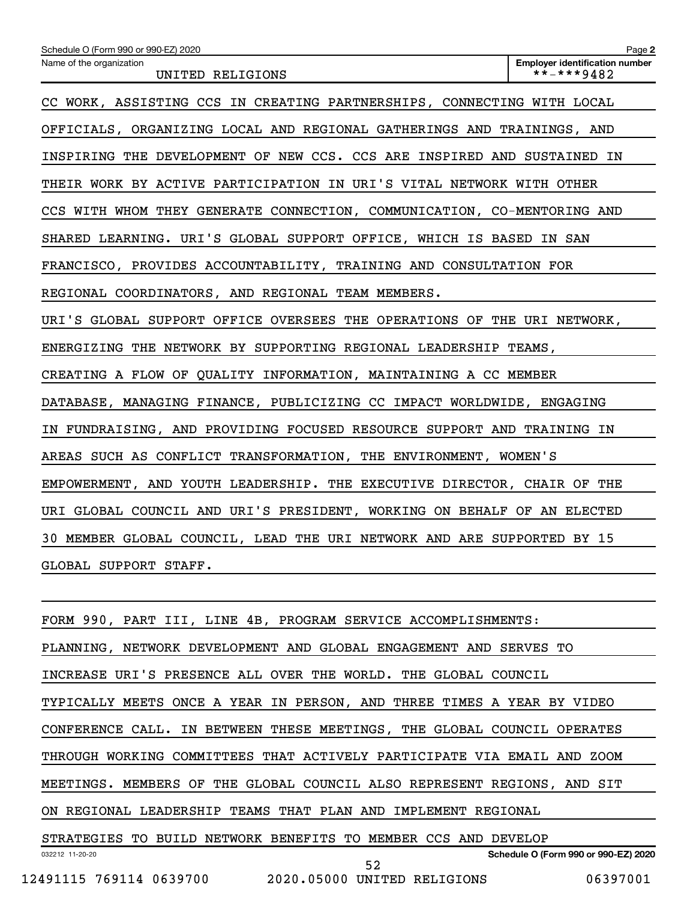| Schedule O (Form 990 or 990-EZ) 2020                                    | Page 2                                                    |
|-------------------------------------------------------------------------|-----------------------------------------------------------|
| Name of the organization<br>UNITED RELIGIONS                            | <b>Employer identification number</b><br>$***$ $***$ 9482 |
| CC WORK, ASSISTING CCS IN CREATING PARTNERSHIPS, CONNECTING WITH LOCAL  |                                                           |
| OFFICIALS, ORGANIZING LOCAL AND REGIONAL GATHERINGS AND TRAININGS, AND  |                                                           |
| INSPIRING THE DEVELOPMENT OF NEW CCS. CCS ARE INSPIRED AND SUSTAINED IN |                                                           |
| THEIR WORK BY ACTIVE PARTICIPATION IN URI'S VITAL NETWORK WITH OTHER    |                                                           |
| CCS WITH WHOM THEY GENERATE CONNECTION, COMMUNICATION, CO-MENTORING AND |                                                           |
| SHARED LEARNING. URI'S GLOBAL SUPPORT OFFICE, WHICH IS BASED IN SAN     |                                                           |
| FRANCISCO, PROVIDES ACCOUNTABILITY, TRAINING AND CONSULTATION FOR       |                                                           |
| REGIONAL COORDINATORS, AND REGIONAL TEAM MEMBERS.                       |                                                           |
| URI'S GLOBAL SUPPORT OFFICE OVERSEES THE OPERATIONS OF THE URI NETWORK, |                                                           |
| ENERGIZING THE NETWORK BY SUPPORTING REGIONAL LEADERSHIP TEAMS,         |                                                           |
| CREATING A FLOW OF QUALITY INFORMATION, MAINTAINING A CC MEMBER         |                                                           |
| DATABASE, MANAGING FINANCE, PUBLICIZING CC IMPACT WORLDWIDE, ENGAGING   |                                                           |
| IN FUNDRAISING, AND PROVIDING FOCUSED RESOURCE SUPPORT AND TRAINING IN  |                                                           |
| AREAS SUCH AS CONFLICT TRANSFORMATION, THE ENVIRONMENT, WOMEN'S         |                                                           |
| EMPOWERMENT, AND YOUTH LEADERSHIP. THE EXECUTIVE DIRECTOR, CHAIR OF THE |                                                           |
| URI GLOBAL COUNCIL AND URI'S PRESIDENT, WORKING ON BEHALF OF AN ELECTED |                                                           |
| 30 MEMBER GLOBAL COUNCIL, LEAD THE URI NETWORK AND ARE SUPPORTED BY 15  |                                                           |
| GLOBAL SUPPORT STAFF.                                                   |                                                           |
|                                                                         |                                                           |

| FORM 990, PART III, LINE 4B, PROGRAM SERVICE ACCOMPLISHMENTS:           |
|-------------------------------------------------------------------------|
| PLANNING, NETWORK DEVELOPMENT AND GLOBAL ENGAGEMENT AND SERVES TO       |
| INCREASE URI'S PRESENCE ALL OVER THE WORLD. THE GLOBAL COUNCIL          |
| TYPICALLY MEETS ONCE A YEAR IN PERSON, AND THREE TIMES A YEAR BY VIDEO  |
| CONFERENCE CALL. IN BETWEEN THESE MEETINGS, THE GLOBAL COUNCIL OPERATES |
| THROUGH WORKING COMMITTEES THAT ACTIVELY PARTICIPATE VIA EMAIL AND ZOOM |
| MEETINGS. MEMBERS OF THE GLOBAL COUNCIL ALSO REPRESENT REGIONS, AND SIT |
| ON REGIONAL LEADERSHIP TEAMS THAT PLAN AND IMPLEMENT REGIONAL           |
| STRATEGIES TO BUILD NETWORK BENEFITS TO MEMBER CCS AND DEVELOP          |
| Schedule O (Form 990 or 990-EZ) 2020<br>032212 11-20-20<br>52           |

12491115 769114 0639700 2020.05000 UNITED RELIGIONS 06397001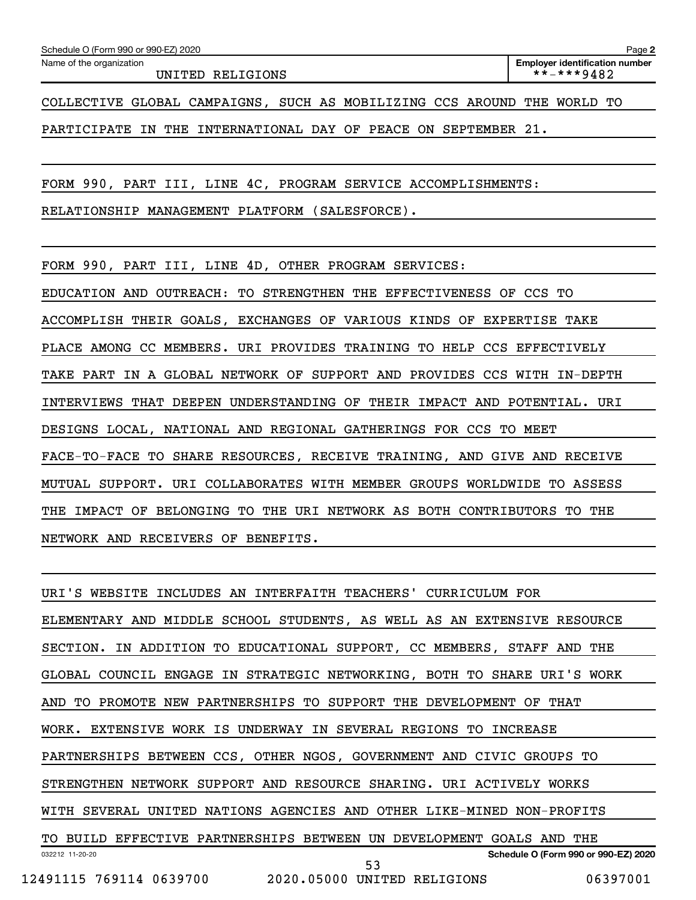UNITED RELIGIONS \*\*-\*\*\*9482

COLLECTIVE GLOBAL CAMPAIGNS, SUCH AS MOBILIZING CCS AROUND THE WORLD TO

PARTICIPATE IN THE INTERNATIONAL DAY OF PEACE ON SEPTEMBER 21.

FORM 990, PART III, LINE 4C, PROGRAM SERVICE ACCOMPLISHMENTS:

RELATIONSHIP MANAGEMENT PLATFORM (SALESFORCE).

FORM 990, PART III, LINE 4D, OTHER PROGRAM SERVICES:

EDUCATION AND OUTREACH: TO STRENGTHEN THE EFFECTIVENESS OF CCS TO ACCOMPLISH THEIR GOALS, EXCHANGES OF VARIOUS KINDS OF EXPERTISE TAKE PLACE AMONG CC MEMBERS. URI PROVIDES TRAINING TO HELP CCS EFFECTIVELY TAKE PART IN A GLOBAL NETWORK OF SUPPORT AND PROVIDES CCS WITH IN-DEPTH INTERVIEWS THAT DEEPEN UNDERSTANDING OF THEIR IMPACT AND POTENTIAL. URI DESIGNS LOCAL, NATIONAL AND REGIONAL GATHERINGS FOR CCS TO MEET FACE-TO-FACE TO SHARE RESOURCES, RECEIVE TRAINING, AND GIVE AND RECEIVE MUTUAL SUPPORT. URI COLLABORATES WITH MEMBER GROUPS WORLDWIDE TO ASSESS THE IMPACT OF BELONGING TO THE URI NETWORK AS BOTH CONTRIBUTORS TO THE NETWORK AND RECEIVERS OF BENEFITS.

032212 11-20-20 **Schedule O (Form 990 or 990-EZ) 2020** URI'S WEBSITE INCLUDES AN INTERFAITH TEACHERS' CURRICULUM FOR ELEMENTARY AND MIDDLE SCHOOL STUDENTS, AS WELL AS AN EXTENSIVE RESOURCE SECTION. IN ADDITION TO EDUCATIONAL SUPPORT, CC MEMBERS, STAFF AND THE GLOBAL COUNCIL ENGAGE IN STRATEGIC NETWORKING, BOTH TO SHARE URI'S WORK AND TO PROMOTE NEW PARTNERSHIPS TO SUPPORT THE DEVELOPMENT OF THAT WORK. EXTENSIVE WORK IS UNDERWAY IN SEVERAL REGIONS TO INCREASE PARTNERSHIPS BETWEEN CCS, OTHER NGOS, GOVERNMENT AND CIVIC GROUPS TO STRENGTHEN NETWORK SUPPORT AND RESOURCE SHARING. URI ACTIVELY WORKS WITH SEVERAL UNITED NATIONS AGENCIES AND OTHER LIKE-MINED NON-PROFITS TO BUILD EFFECTIVE PARTNERSHIPS BETWEEN UN DEVELOPMENT GOALS AND THE 12491115 769114 0639700 2020.05000 UNITED RELIGIONS 06397001 53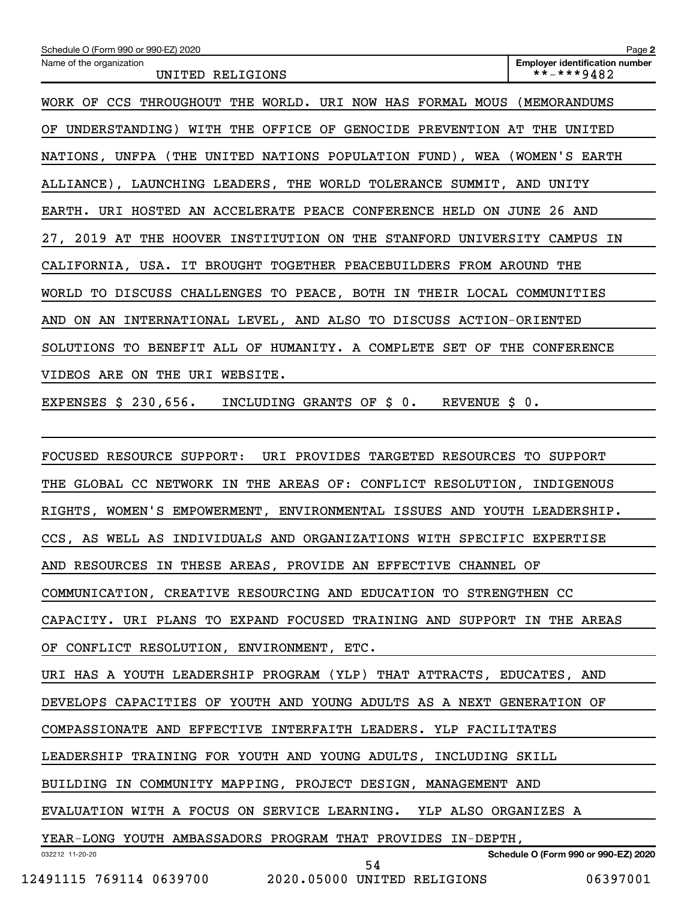| Schedule O (Form 990 or 990-EZ) 2020                                           | Page 2                                              |
|--------------------------------------------------------------------------------|-----------------------------------------------------|
| Name of the organization<br>UNITED RELIGIONS                                   | <b>Employer identification number</b><br>**-***9482 |
| WORK OF CCS THROUGHOUT THE WORLD. URI NOW HAS FORMAL MOUS (MEMORANDUMS         |                                                     |
| OF UNDERSTANDING) WITH THE OFFICE OF GENOCIDE PREVENTION AT THE UNITED         |                                                     |
| NATIONS, UNFPA (THE UNITED NATIONS POPULATION FUND), WEA (WOMEN'S EARTH        |                                                     |
| ALLIANCE), LAUNCHING LEADERS, THE WORLD TOLERANCE SUMMIT, AND UNITY            |                                                     |
| EARTH. URI HOSTED AN ACCELERATE PEACE CONFERENCE HELD ON JUNE 26 AND           |                                                     |
| 27, 2019 AT THE HOOVER INSTITUTION ON THE STANFORD UNIVERSITY CAMPUS IN        |                                                     |
| CALIFORNIA, USA. IT BROUGHT TOGETHER PEACEBUILDERS FROM AROUND THE             |                                                     |
| WORLD TO DISCUSS CHALLENGES TO PEACE, BOTH IN THEIR LOCAL COMMUNITIES          |                                                     |
| AND ON AN INTERNATIONAL LEVEL, AND ALSO TO DISCUSS ACTION-ORIENTED             |                                                     |
| SOLUTIONS TO BENEFIT ALL OF HUMANITY. A COMPLETE SET OF THE CONFERENCE         |                                                     |
| VIDEOS ARE ON THE URI WEBSITE.                                                 |                                                     |
| EXPENSES $\sharp$ 230,656. INCLUDING GRANTS OF $\sharp$ 0. REVENUE $\sharp$ 0. |                                                     |
|                                                                                |                                                     |
| FOCUSED RESOURCE SUPPORT: URI PROVIDES TARGETED RESOURCES TO SUPPORT           |                                                     |
| THE GLOBAL CC NETWORK IN THE AREAS OF: CONFLICT RESOLUTION, INDIGENOUS         |                                                     |
| RIGHTS, WOMEN'S EMPOWERMENT, ENVIRONMENTAL ISSUES AND YOUTH LEADERSHIP.        |                                                     |
| CCS, AS WELL AS INDIVIDUALS AND ORGANIZATIONS WITH SPECIFIC EXPERTISE          |                                                     |
| AND RESOURCES IN THESE AREAS, PROVIDE AN EFFECTIVE CHANNEL OF                  |                                                     |
| COMMUNICATION, CREATIVE RESOURCING AND EDUCATION TO STRENGTHEN CC              |                                                     |
| CAPACITY. URI PLANS TO EXPAND FOCUSED TRAINING AND SUPPORT IN THE AREAS        |                                                     |
| OF CONFLICT RESOLUTION, ENVIRONMENT, ETC.                                      |                                                     |
| URI HAS A YOUTH LEADERSHIP PROGRAM (YLP) THAT ATTRACTS, EDUCATES, AND          |                                                     |
| DEVELOPS CAPACITIES OF YOUTH AND YOUNG ADULTS AS A NEXT GENERATION OF          |                                                     |
| COMPASSIONATE AND EFFECTIVE INTERFAITH LEADERS. YLP FACILITATES                |                                                     |
| LEADERSHIP TRAINING FOR YOUTH AND YOUNG ADULTS, INCLUDING SKILL                |                                                     |
| BUILDING IN COMMUNITY MAPPING, PROJECT DESIGN, MANAGEMENT AND                  |                                                     |
| EVALUATION WITH A FOCUS ON SERVICE LEARNING. YLP ALSO ORGANIZES A              |                                                     |
| YEAR-LONG YOUTH AMBASSADORS PROGRAM THAT PROVIDES IN-DEPTH,                    |                                                     |
| 032212 11-20-20<br>54                                                          | Schedule O (Form 990 or 990-EZ) 2020                |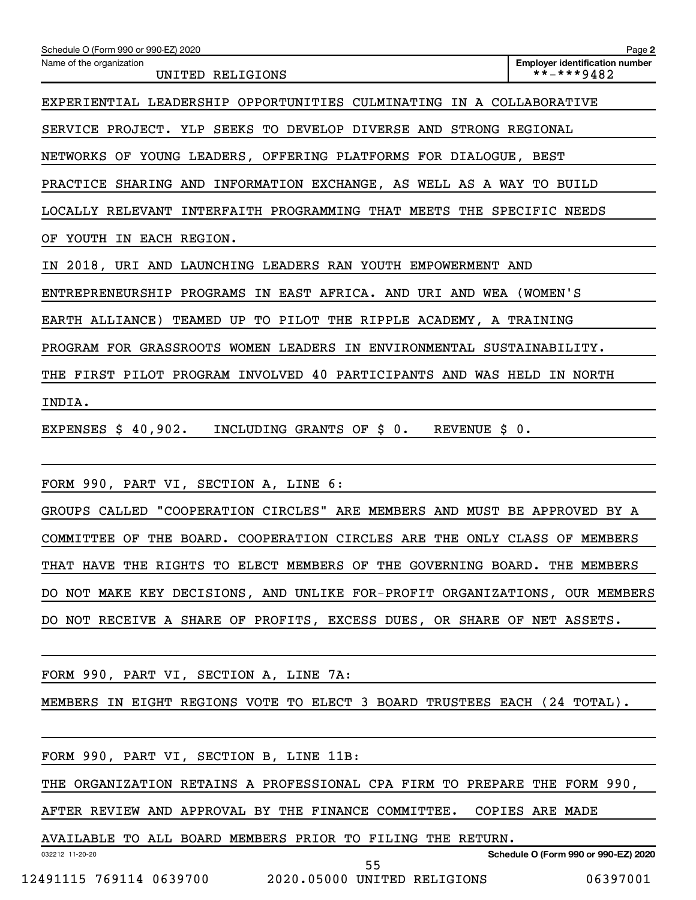| Schedule O (Form 990 or 990-EZ) 2020                                        | Page 2                                              |
|-----------------------------------------------------------------------------|-----------------------------------------------------|
| Name of the organization<br>UNITED RELIGIONS                                | <b>Employer identification number</b><br>**-***9482 |
| EXPERIENTIAL LEADERSHIP OPPORTUNITIES CULMINATING IN A COLLABORATIVE        |                                                     |
| SERVICE PROJECT. YLP SEEKS TO DEVELOP DIVERSE AND STRONG REGIONAL           |                                                     |
| NETWORKS OF YOUNG LEADERS, OFFERING PLATFORMS FOR DIALOGUE, BEST            |                                                     |
| PRACTICE SHARING AND INFORMATION EXCHANGE, AS WELL AS A WAY TO BUILD        |                                                     |
| LOCALLY RELEVANT INTERFAITH PROGRAMMING THAT MEETS THE SPECIFIC NEEDS       |                                                     |
| OF YOUTH IN EACH REGION.                                                    |                                                     |
| IN 2018, URI AND LAUNCHING LEADERS RAN YOUTH EMPOWERMENT AND                |                                                     |
| ENTREPRENEURSHIP PROGRAMS IN EAST AFRICA. AND URI AND WEA                   | (WOMEN'S                                            |
| EARTH ALLIANCE) TEAMED UP<br>TO PILOT THE RIPPLE ACADEMY, A TRAINING        |                                                     |
| PROGRAM FOR GRASSROOTS WOMEN LEADERS IN ENVIRONMENTAL SUSTAINABILITY.       |                                                     |
| THE FIRST PILOT PROGRAM INVOLVED 40 PARTICIPANTS AND WAS HELD IN NORTH      |                                                     |
| INDIA.                                                                      |                                                     |
| EXPENSES $$40,902$ . INCLUDING GRANTS OF $$0$ . REVENUE $$0$ .              |                                                     |
|                                                                             |                                                     |
| FORM 990, PART VI, SECTION A, LINE 6:                                       |                                                     |
| GROUPS CALLED "COOPERATION CIRCLES" ARE MEMBERS AND MUST BE APPROVED BY A   |                                                     |
| COMMITTEE OF THE BOARD. COOPERATION CIRCLES ARE THE ONLY CLASS OF MEMBERS   |                                                     |
| THAT HAVE THE RIGHTS TO ELECT MEMBERS OF THE GOVERNING BOARD. THE MEMBERS   |                                                     |
| DO NOT MAKE KEY DECISIONS, AND UNLIKE FOR-PROFIT ORGANIZATIONS, OUR MEMBERS |                                                     |
| DO NOT RECEIVE A SHARE OF PROFITS, EXCESS DUES, OR SHARE OF NET ASSETS.     |                                                     |
|                                                                             |                                                     |
| FORM 990, PART VI, SECTION A, LINE 7A:                                      |                                                     |
| MEMBERS IN EIGHT REGIONS VOTE TO ELECT 3 BOARD TRUSTEES EACH (24 TOTAL).    |                                                     |
|                                                                             |                                                     |

FORM 990, PART VI, SECTION B, LINE 11B:

THE ORGANIZATION RETAINS A PROFESSIONAL CPA FIRM TO PREPARE THE FORM 990,

AFTER REVIEW AND APPROVAL BY THE FINANCE COMMITTEE. COPIES ARE MADE

AVAILABLE TO ALL BOARD MEMBERS PRIOR TO FILING THE RETURN.

**Schedule O (Form 990 or 990-EZ) 2020**

032212 11-20-20

55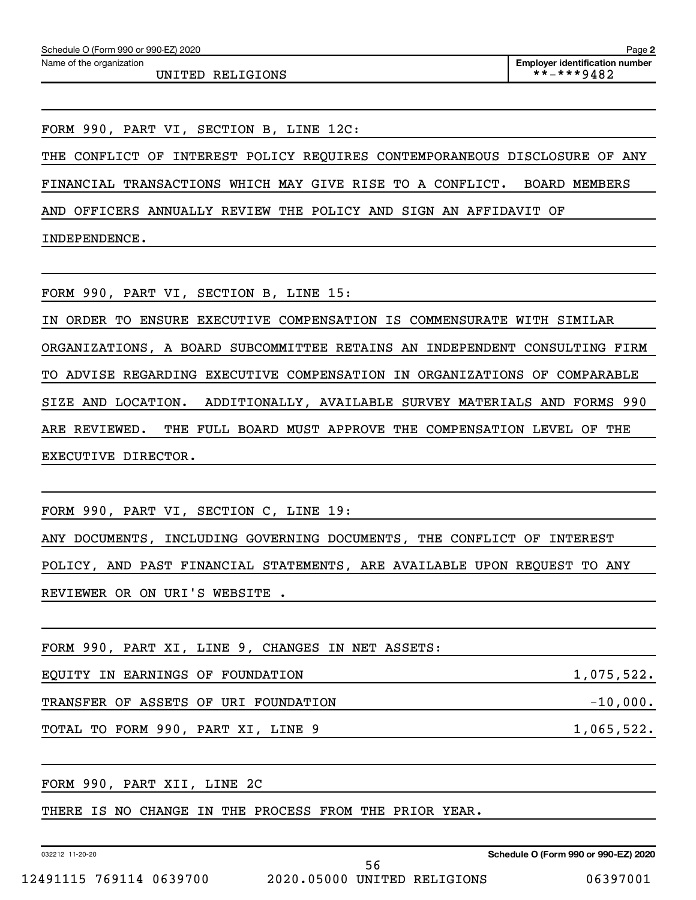UNITED RELIGIONS \*\*-\*\*\*9482

FORM 990, PART VI, SECTION B, LINE 12C:

THE CONFLICT OF INTEREST POLICY REQUIRES CONTEMPORANEOUS DISCLOSURE OF ANY

FINANCIAL TRANSACTIONS WHICH MAY GIVE RISE TO A CONFLICT. BOARD MEMBERS

AND OFFICERS ANNUALLY REVIEW THE POLICY AND SIGN AN AFFIDAVIT OF

INDEPENDENCE.

FORM 990, PART VI, SECTION B, LINE 15:

IN ORDER TO ENSURE EXECUTIVE COMPENSATION IS COMMENSURATE WITH SIMILAR ORGANIZATIONS, A BOARD SUBCOMMITTEE RETAINS AN INDEPENDENT CONSULTING FIRM TO ADVISE REGARDING EXECUTIVE COMPENSATION IN ORGANIZATIONS OF COMPARABLE SIZE AND LOCATION. ADDITIONALLY, AVAILABLE SURVEY MATERIALS AND FORMS 990 ARE REVIEWED. THE FULL BOARD MUST APPROVE THE COMPENSATION LEVEL OF THE EXECUTIVE DIRECTOR.

FORM 990, PART VI, SECTION C, LINE 19:

ANY DOCUMENTS, INCLUDING GOVERNING DOCUMENTS, THE CONFLICT OF INTEREST POLICY, AND PAST FINANCIAL STATEMENTS, ARE AVAILABLE UPON REQUEST TO ANY REVIEWER OR ON URI'S WEBSITE .

| FORM 990, PART XI, LINE 9, CHANGES IN NET ASSETS: |            |
|---------------------------------------------------|------------|
| EQUITY IN EARNINGS OF FOUNDATION                  | 1,075,522. |
| TRANSFER OF ASSETS OF URI FOUNDATION              | $-10,000.$ |
| TOTAL TO FORM 990, PART XI, LINE 9                | 1,065,522. |
|                                                   |            |

FORM 990, PART XII, LINE 2C

THERE IS NO CHANGE IN THE PROCESS FROM THE PRIOR YEAR.

032212 11-20-20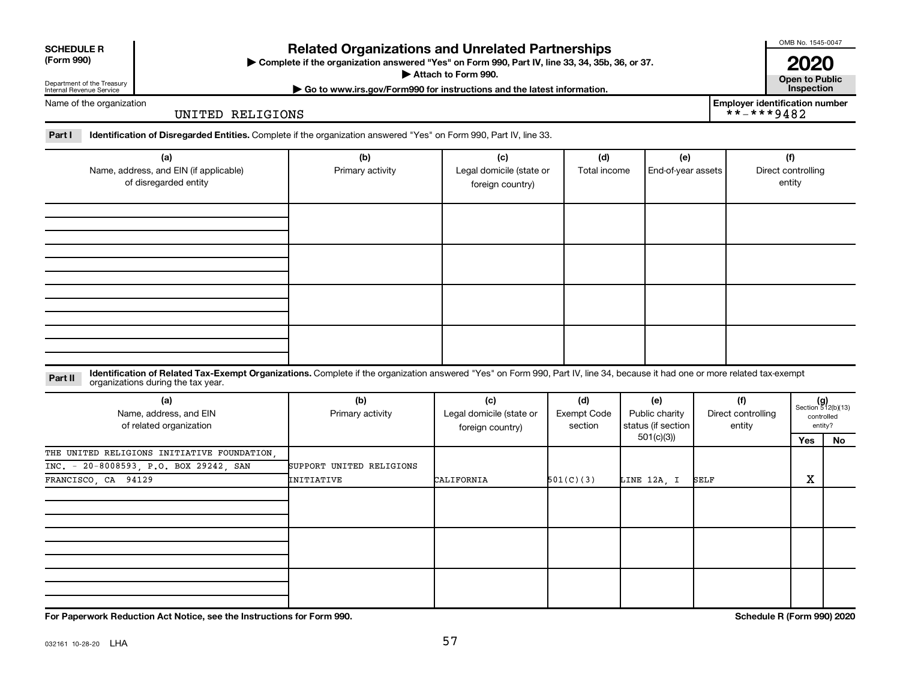| <b>SCHEDULE R</b> |  |
|-------------------|--|
|                   |  |

Department of the Treasury Internal Revenue Service

Name of the organization

### **Related Organizations and Unrelated Partnerships**

**(Form 990) Complete if the organization answered "Yes" on Form 990, Part IV, line 33, 34, 35b, 36, or 37.** |

■ Attach to Form 990. **Dependent of Attach to Form 990.** Open to Public

**| Go to www.irs.gov/Form990 for instructions and the latest information. Inspection**

**Employer identification number**<br> $\star \star - \star \star \star 9482$ 

UNITED RELIGIONS

Part I ldentification of Disregarded Entities. Complete if the organization answered "Yes" on Form 990, Part IV, line 33.

| (a)                                    | (b)              | (c)                      | (d)          | (e)                | (f)                |
|----------------------------------------|------------------|--------------------------|--------------|--------------------|--------------------|
| Name, address, and EIN (if applicable) | Primary activity | Legal domicile (state or | Total income | End-of-year assets | Direct controlling |
| of disregarded entity                  |                  | foreign country)         |              |                    | entity             |
|                                        |                  |                          |              |                    |                    |
|                                        |                  |                          |              |                    |                    |
|                                        |                  |                          |              |                    |                    |
|                                        |                  |                          |              |                    |                    |
|                                        |                  |                          |              |                    |                    |
|                                        |                  |                          |              |                    |                    |
|                                        |                  |                          |              |                    |                    |
|                                        |                  |                          |              |                    |                    |
|                                        |                  |                          |              |                    |                    |
|                                        |                  |                          |              |                    |                    |
|                                        |                  |                          |              |                    |                    |
|                                        |                  |                          |              |                    |                    |
|                                        |                  |                          |              |                    |                    |
|                                        |                  |                          |              |                    |                    |
|                                        |                  |                          |              |                    |                    |
|                                        |                  |                          |              |                    |                    |
|                                        |                  |                          |              |                    |                    |

#### **Part II** Identification of Related Tax-Exempt Organizations. Complete if the organization answered "Yes" on Form 990, Part IV, line 34, because it had one or more related tax-exempt<br>Part II acconizations during the tax ye organizations during the tax year.

| (a)<br>Name, address, and EIN<br>of related organization | (b)<br>Primary activity  | (c)<br>Legal domicile (state or<br>foreign country) | (d)<br>Exempt Code<br>section | (e)<br>Public charity<br>status (if section | (f)<br>Direct controlling<br>entity | $(g)$<br>Section 512(b)(13)<br>controlled<br>entity? |    |
|----------------------------------------------------------|--------------------------|-----------------------------------------------------|-------------------------------|---------------------------------------------|-------------------------------------|------------------------------------------------------|----|
|                                                          |                          |                                                     |                               | 501(c)(3))                                  |                                     | Yes                                                  | No |
| THE UNITED RELIGIONS INITIATIVE FOUNDATION.              |                          |                                                     |                               |                                             |                                     |                                                      |    |
| INC. - 20-8008593, P.O. BOX 29242, SAN                   | SUPPORT UNITED RELIGIONS |                                                     |                               |                                             |                                     |                                                      |    |
| FRANCISCO, CA 94129                                      | INITIATIVE               | CALIFORNIA                                          | 501(C)(3)                     | LINE 12A, I                                 | SELF                                | Χ                                                    |    |
|                                                          |                          |                                                     |                               |                                             |                                     |                                                      |    |
|                                                          |                          |                                                     |                               |                                             |                                     |                                                      |    |
|                                                          |                          |                                                     |                               |                                             |                                     |                                                      |    |

**For Paperwork Reduction Act Notice, see the Instructions for Form 990. Schedule R (Form 990) 2020**

OMB No. 1545-0047

**2020**<br>Open to Public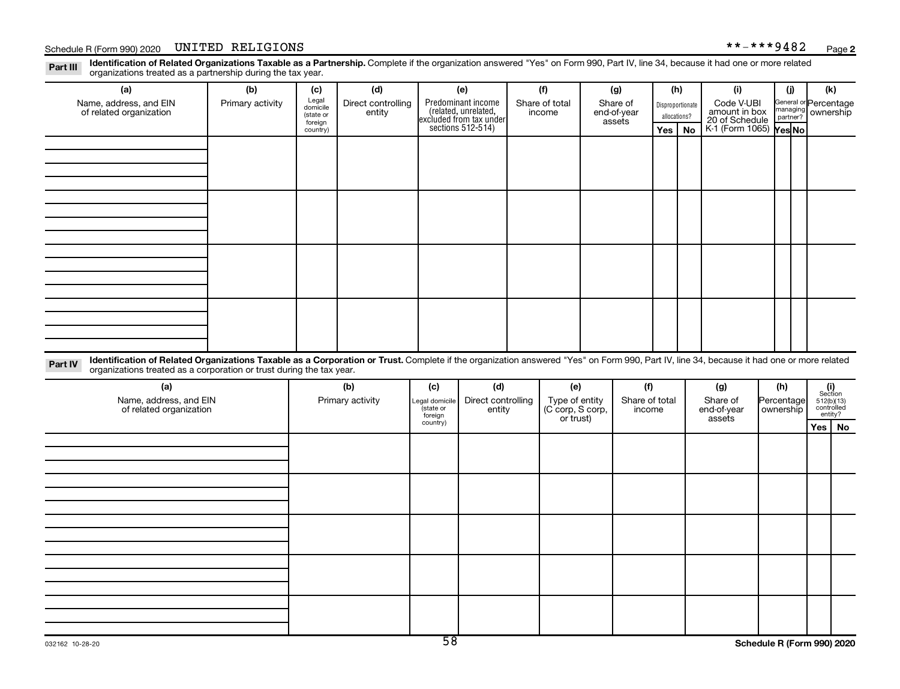**Disproportionate** allocations? Legal domicile (state or foreign country) General or Percentage managing partner? Section 512(b)(13) controlled entity? Legal domicile (state or foreign country) Part III Identification of Related Organizations Taxable as a Partnership. Complete if the organization answered "Yes" on Form 990, Part IV, line 34, because it had one or more related<br>Read to the organizations tracted as **(a) (b) (c) (d) (e) (f) (g) (h) (i) (j) (k) Yes No Yes No** K-1 (Form 1065) Part IV Identification of Related Organizations Taxable as a Corporation or Trust. Complete if the organization answered "Yes" on Form 990, Part IV, line 34, because it had one or more related **(a) (b) (c) (d) (e) (f) (g) (h) (i) Yes No** Predominant income<br>(related, unrelated, excluded from tax under sections 512-514) Schedule R (Form 990) 2020 UNITED RELIGIONS  $***-***9482$  Page organizations treated as a partnership during the tax year. Name, address, and EIN of related organization Primary activity  $\left| \begin{array}{c} \text{Legal} \\ \text{diamial} \end{array} \right|$  Direct controlling entity Share of total income Share of end-of-year assets Code V-UBI<br>amount in box 20 of Schedule ownership organizations treated as a corporation or trust during the tax year. Name, address, and EIN of related organization Primary activity |Legal domicile | Direct controlling entity Type of entity (C corp, S corp, or trust) Share of total income Share of end-of-year assets Percentage ownership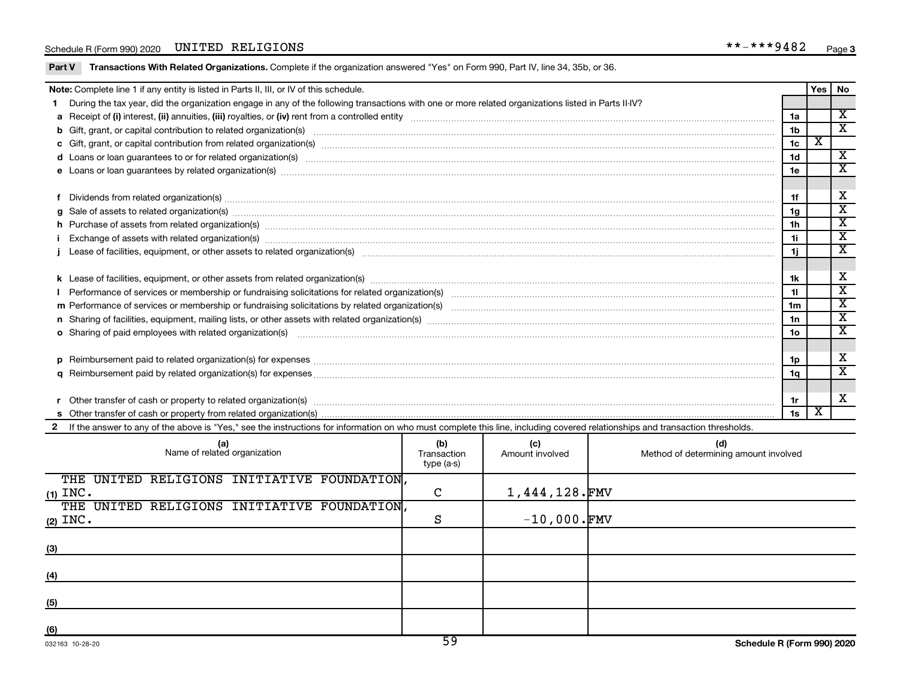#### Schedule R (Form 990) 2020 UNITED RELIGIONS  $***-***9482$  Page

|  |  |  | Part V Transactions With Related Organizations. Complete if the organization answered "Yes" on Form 990, Part IV, line 34, 35b, or 36. |
|--|--|--|----------------------------------------------------------------------------------------------------------------------------------------|
|--|--|--|----------------------------------------------------------------------------------------------------------------------------------------|

| Note: Complete line 1 if any entity is listed in Parts II, III, or IV of this schedule. |                                                                                                                                                                                                                                |                |   |                             |
|-----------------------------------------------------------------------------------------|--------------------------------------------------------------------------------------------------------------------------------------------------------------------------------------------------------------------------------|----------------|---|-----------------------------|
|                                                                                         | 1 During the tax year, did the organization engage in any of the following transactions with one or more related organizations listed in Parts II-IV?                                                                          |                |   |                             |
|                                                                                         |                                                                                                                                                                                                                                | 1a             |   | X                           |
|                                                                                         |                                                                                                                                                                                                                                | 1 <sub>b</sub> |   | $\overline{\mathbf{X}}$     |
|                                                                                         | c Gift, grant, or capital contribution from related organization(s) manufaction content to content the content of the contribution from related organization(s) manufaction content to content the content of the content of t | 1c             | х |                             |
|                                                                                         |                                                                                                                                                                                                                                | 1d             |   | x                           |
|                                                                                         | e Loans or loan guarantees by related organization(s) manufactured content to the content of the content of the content of the content of the content of the content of the content of the content of the content of the conte | 1e             |   | X                           |
|                                                                                         |                                                                                                                                                                                                                                |                |   |                             |
|                                                                                         |                                                                                                                                                                                                                                | 1f             |   | x                           |
|                                                                                         | g Sale of assets to related organization(s) www.assettion.com/www.assettion.com/www.assettion.com/www.assettion.com/www.assettion.com/www.assettion.com/www.assettion.com/www.assettion.com/www.assettion.com/www.assettion.co | 1g             |   | $\overline{\texttt{x}}$     |
|                                                                                         | h Purchase of assets from related organization(s) manufactured manufactured manufactured manufactured manufactured manufactured manufactured manufactured manufactured manufactured manufactured manufactured manufactured man | 1 <sub>h</sub> |   | X                           |
|                                                                                         | Exchange of assets with related organization(s) www.andromanachiochemical contraction and contract and contract and contract and contract and contract and contract and contract and contract and contract and contract and co | 1i             |   | $\overline{\textnormal{x}}$ |
|                                                                                         |                                                                                                                                                                                                                                | 1j.            |   | $\overline{\mathbf{X}}$     |
|                                                                                         |                                                                                                                                                                                                                                |                |   |                             |
|                                                                                         |                                                                                                                                                                                                                                | 1k             |   | х                           |
|                                                                                         | Performance of services or membership or fundraising solicitations for related organization(s) manufaction.community manufacture of services or membership or fundraising solicitations for related organization(s) manufactio | 11             |   | x                           |
|                                                                                         |                                                                                                                                                                                                                                | 1 <sub>m</sub> |   | x                           |
|                                                                                         |                                                                                                                                                                                                                                | 1n             |   | X                           |
|                                                                                         | o Sharing of paid employees with related organization(s) manufaction(s) and contain an examination of the state or state or state or state or state or state or state or state or state or state or state or state or state or | 1о             |   | X                           |
|                                                                                         |                                                                                                                                                                                                                                |                |   |                             |
|                                                                                         |                                                                                                                                                                                                                                | 1p             |   | X                           |
|                                                                                         |                                                                                                                                                                                                                                | 1q             |   | $\mathbf x$                 |
|                                                                                         |                                                                                                                                                                                                                                |                |   |                             |
|                                                                                         | r Other transfer of cash or property to related organization(s) encourance contains an example and contained and an example and contained and an example of cash or property from related organization(s) encourance contained | 1r             |   | x                           |
|                                                                                         |                                                                                                                                                                                                                                | 1s             | х |                             |
|                                                                                         | 2 If the answer to any of the above is "Yes," see the instructions for information on who must complete this line, including covered relationships and transaction thresholds.                                                 |                |   |                             |

| (a)<br>Name of related organization                       | (b)<br>Transaction<br>type (a-s) | (c)<br>Amount involved | (d)<br>Method of determining amount involved |
|-----------------------------------------------------------|----------------------------------|------------------------|----------------------------------------------|
| THE UNITED RELIGIONS INITIATIVE FOUNDATION,<br>$(1)$ INC. | C                                | $1,444,128$ . FMV      |                                              |
| THE UNITED RELIGIONS INITIATIVE FOUNDATION,<br>$(2)$ INC. | S                                | $-10,000$ . FMV        |                                              |
|                                                           |                                  |                        |                                              |
| (3)                                                       |                                  |                        |                                              |
| (4)                                                       |                                  |                        |                                              |
| (5)                                                       |                                  |                        |                                              |
| (6)                                                       | $-$                              |                        |                                              |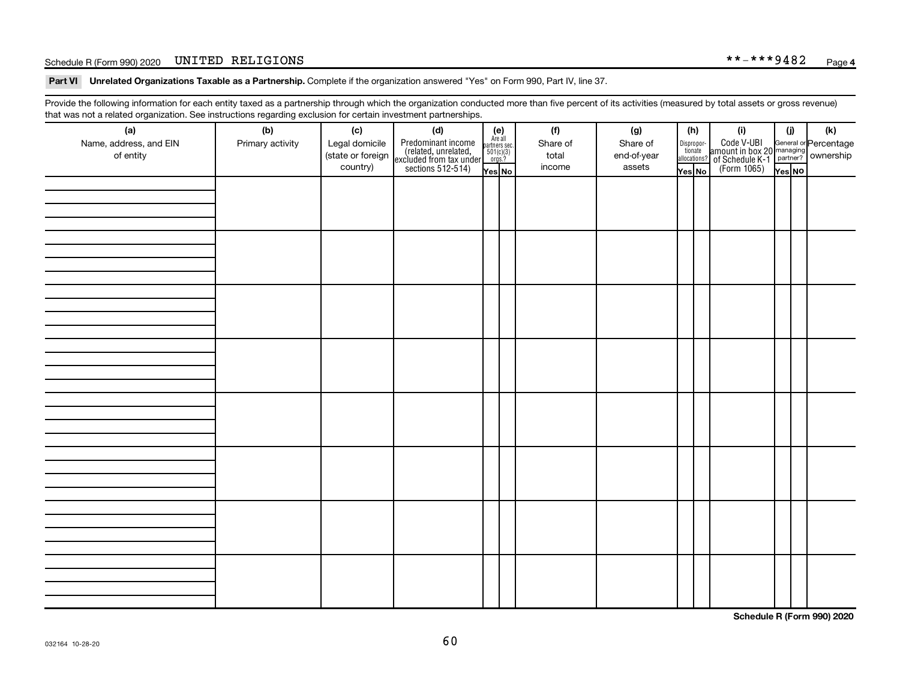#### Schedule R (Form 990) 2020 UNITED RELIGIONS  $***-***9482$  Page

Part VI Unrelated Organizations Taxable as a Partnership. Complete if the organization answered "Yes" on Form 990, Part IV, line 37.

Provide the following information for each entity taxed as a partnership through which the organization conducted more than five percent of its activities (measured by total assets or gross revenue) that was not a related organization. See instructions regarding exclusion for certain investment partnerships.

| (a)                                 | (b)              | (c)                                             | mat mac not a rolated organization. Oce included by regarding exercision for contain invectment partneremper<br>(d) |                                                                    | (f)                         | (g)                               |        | (h)                                                                                                                                       | (i)                                                                                                  | (i)    | $(\mathsf{k})$ |
|-------------------------------------|------------------|-------------------------------------------------|---------------------------------------------------------------------------------------------------------------------|--------------------------------------------------------------------|-----------------------------|-----------------------------------|--------|-------------------------------------------------------------------------------------------------------------------------------------------|------------------------------------------------------------------------------------------------------|--------|----------------|
| Name, address, and EIN<br>of entity | Primary activity | Legal domicile<br>(state or foreign<br>country) | Predominant income<br>(related, unrelated,<br>excluded from tax under<br>sections 512-514)                          | (e)<br>Are all<br>partners sec.<br>$501(c)(3)$<br>orgs.?<br>Yes No | Share of<br>total<br>income | Share of<br>end-of-year<br>assets | Yes No | $\fbox{\parbox{0.5cm}{\begin{tabular}{ l l } \hline Disproportion} \\ \hline \text{tion} \\ \hline allocations? \\ \hline \end{tabular}}$ | Code V-UBI<br>amount in box 20 managing<br>of Schedule K-1<br>(Form 1065)<br>$\overline{Y}_{res}$ No | Yes No |                |
|                                     |                  |                                                 |                                                                                                                     |                                                                    |                             |                                   |        |                                                                                                                                           |                                                                                                      |        |                |
|                                     |                  |                                                 |                                                                                                                     |                                                                    |                             |                                   |        |                                                                                                                                           |                                                                                                      |        |                |
|                                     |                  |                                                 |                                                                                                                     |                                                                    |                             |                                   |        |                                                                                                                                           |                                                                                                      |        |                |
|                                     |                  |                                                 |                                                                                                                     |                                                                    |                             |                                   |        |                                                                                                                                           |                                                                                                      |        |                |
|                                     |                  |                                                 |                                                                                                                     |                                                                    |                             |                                   |        |                                                                                                                                           |                                                                                                      |        |                |
|                                     |                  |                                                 |                                                                                                                     |                                                                    |                             |                                   |        |                                                                                                                                           |                                                                                                      |        |                |
|                                     |                  |                                                 |                                                                                                                     |                                                                    |                             |                                   |        |                                                                                                                                           |                                                                                                      |        |                |
|                                     |                  |                                                 |                                                                                                                     |                                                                    |                             |                                   |        |                                                                                                                                           |                                                                                                      |        |                |
|                                     |                  |                                                 |                                                                                                                     |                                                                    |                             |                                   |        |                                                                                                                                           |                                                                                                      |        |                |
|                                     |                  |                                                 |                                                                                                                     |                                                                    |                             |                                   |        |                                                                                                                                           |                                                                                                      |        |                |
|                                     |                  |                                                 |                                                                                                                     |                                                                    |                             |                                   |        |                                                                                                                                           |                                                                                                      |        |                |
|                                     |                  |                                                 |                                                                                                                     |                                                                    |                             |                                   |        |                                                                                                                                           |                                                                                                      |        |                |
|                                     |                  |                                                 |                                                                                                                     |                                                                    |                             |                                   |        |                                                                                                                                           |                                                                                                      |        |                |
|                                     |                  |                                                 |                                                                                                                     |                                                                    |                             |                                   |        |                                                                                                                                           |                                                                                                      |        |                |
|                                     |                  |                                                 |                                                                                                                     |                                                                    |                             |                                   |        |                                                                                                                                           |                                                                                                      |        |                |
|                                     |                  |                                                 |                                                                                                                     |                                                                    |                             |                                   |        |                                                                                                                                           |                                                                                                      |        |                |
|                                     |                  |                                                 |                                                                                                                     |                                                                    |                             |                                   |        |                                                                                                                                           |                                                                                                      |        |                |
|                                     |                  |                                                 |                                                                                                                     |                                                                    |                             |                                   |        |                                                                                                                                           |                                                                                                      |        |                |
|                                     |                  |                                                 |                                                                                                                     |                                                                    |                             |                                   |        |                                                                                                                                           |                                                                                                      |        |                |
|                                     |                  |                                                 |                                                                                                                     |                                                                    |                             |                                   |        |                                                                                                                                           |                                                                                                      |        |                |
|                                     |                  |                                                 |                                                                                                                     |                                                                    |                             |                                   |        |                                                                                                                                           |                                                                                                      |        |                |
|                                     |                  |                                                 |                                                                                                                     |                                                                    |                             |                                   |        |                                                                                                                                           |                                                                                                      |        |                |
|                                     |                  |                                                 |                                                                                                                     |                                                                    |                             |                                   |        |                                                                                                                                           |                                                                                                      |        |                |
|                                     |                  |                                                 |                                                                                                                     |                                                                    |                             |                                   |        |                                                                                                                                           |                                                                                                      |        |                |
|                                     |                  |                                                 |                                                                                                                     |                                                                    |                             |                                   |        |                                                                                                                                           |                                                                                                      |        |                |

**Schedule R (Form 990) 2020**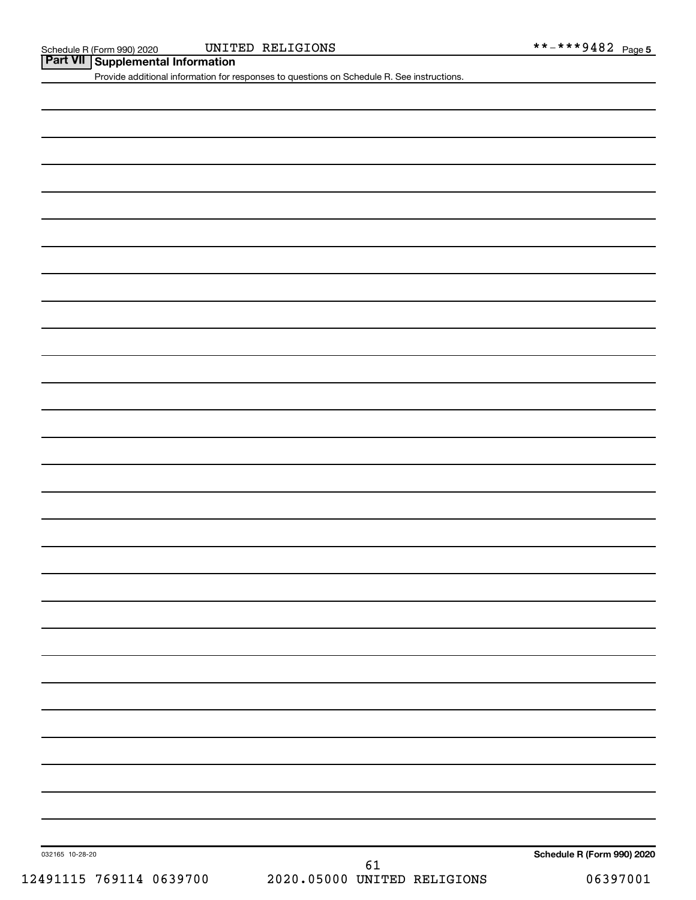**Part VII Referal 1990** 2020 **UNIT**<br>**Part VII Supplemental Information** 

Provide additional information for responses to questions on Schedule R. See instructions.

032165 10-28-20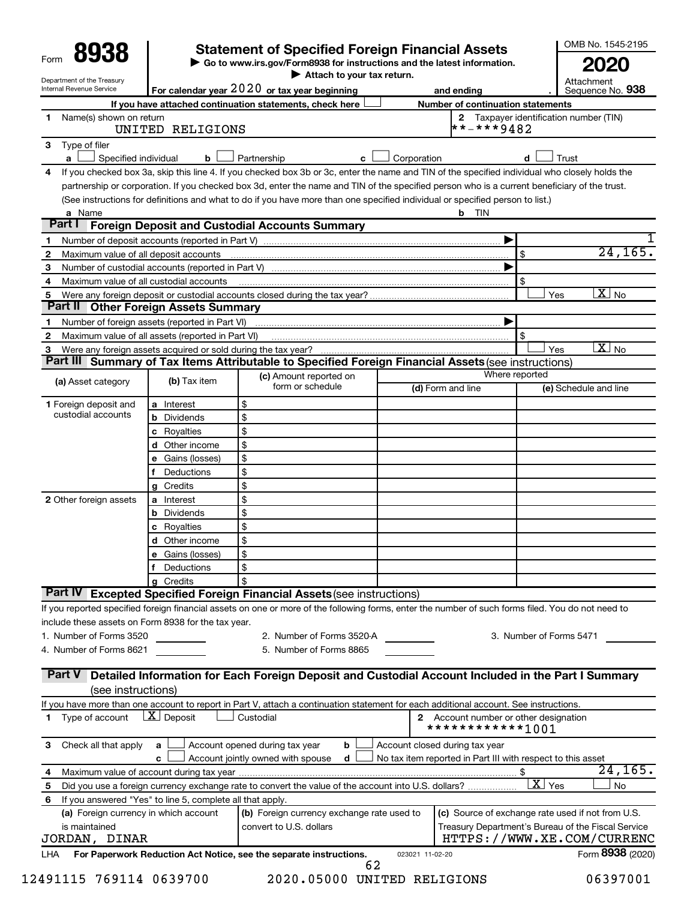|             | M |
|-------------|---|
| $F\cap r m$ |   |

**| Go to www.irs.gov/Form8938 for instructions and the latest information. | Attach to your tax return. Statement of Specified Foreign Financial Assets**<br> **2020 86 to www.irs.gov/Form8938 for instructions and the latest information.**<br> **2020** 

Attachment

OMB No. 1545-2195

| Department of the Treasury<br>Internal Revenue Service                                                                               |                                                                                                           | ► Allach lo your lax relum.<br>For calendar year $2020$ or tax year beginning                                                                                      |                 | and ending                                                                                    |                         | Attachment<br>Sequence No. 938                     |  |  |
|--------------------------------------------------------------------------------------------------------------------------------------|-----------------------------------------------------------------------------------------------------------|--------------------------------------------------------------------------------------------------------------------------------------------------------------------|-----------------|-----------------------------------------------------------------------------------------------|-------------------------|----------------------------------------------------|--|--|
|                                                                                                                                      |                                                                                                           | If you have attached continuation statements, check here                                                                                                           |                 | <b>Number of continuation statements</b>                                                      |                         |                                                    |  |  |
| 1.                                                                                                                                   | 2 Taxpayer identification number (TIN)<br>Name(s) shown on return<br>$* * * * * 9482$<br>UNITED RELIGIONS |                                                                                                                                                                    |                 |                                                                                               |                         |                                                    |  |  |
| 3<br>Type of filer<br>Specified individual<br>a                                                                                      |                                                                                                           |                                                                                                                                                                    |                 |                                                                                               |                         |                                                    |  |  |
|                                                                                                                                      | b                                                                                                         | Partnership<br>c<br>If you checked box 3a, skip this line 4. If you checked box 3b or 3c, enter the name and TIN of the specified individual who closely holds the | Corporation     |                                                                                               | d                       | Trust                                              |  |  |
|                                                                                                                                      |                                                                                                           | partnership or corporation. If you checked box 3d, enter the name and TIN of the specified person who is a current beneficiary of the trust.                       |                 |                                                                                               |                         |                                                    |  |  |
|                                                                                                                                      |                                                                                                           | (See instructions for definitions and what to do if you have more than one specified individual or specified person to list.)                                      |                 |                                                                                               |                         |                                                    |  |  |
|                                                                                                                                      |                                                                                                           |                                                                                                                                                                    |                 | TIN                                                                                           |                         |                                                    |  |  |
| a Name<br>Part I                                                                                                                     |                                                                                                           | <b>Foreign Deposit and Custodial Accounts Summary</b>                                                                                                              |                 | b                                                                                             |                         |                                                    |  |  |
| 1                                                                                                                                    |                                                                                                           |                                                                                                                                                                    |                 |                                                                                               |                         |                                                    |  |  |
| 2<br>Maximum value of all deposit accounts                                                                                           |                                                                                                           |                                                                                                                                                                    |                 |                                                                                               | \$                      | 24, 165.                                           |  |  |
| З                                                                                                                                    |                                                                                                           |                                                                                                                                                                    |                 |                                                                                               |                         |                                                    |  |  |
| Maximum value of all custodial accounts<br>4                                                                                         |                                                                                                           |                                                                                                                                                                    |                 |                                                                                               | \$                      |                                                    |  |  |
| 5                                                                                                                                    |                                                                                                           |                                                                                                                                                                    |                 |                                                                                               | Yes                     | $\mathbf{X}$<br>No                                 |  |  |
| Part II Other Foreign Assets Summary                                                                                                 |                                                                                                           |                                                                                                                                                                    |                 |                                                                                               |                         |                                                    |  |  |
| 1                                                                                                                                    |                                                                                                           |                                                                                                                                                                    |                 |                                                                                               |                         |                                                    |  |  |
| 2                                                                                                                                    | Maximum value of all assets (reported in Part VI)                                                         |                                                                                                                                                                    |                 |                                                                                               | \$                      |                                                    |  |  |
| 3                                                                                                                                    | Were any foreign assets acquired or sold during the tax year?                                             |                                                                                                                                                                    |                 |                                                                                               | Yes                     | $\overline{X}$ No                                  |  |  |
|                                                                                                                                      |                                                                                                           | Part III Summary of Tax Items Attributable to Specified Foreign Financial Assets (see instructions)                                                                |                 |                                                                                               |                         |                                                    |  |  |
| (a) Asset category                                                                                                                   | (b) Tax item                                                                                              | (c) Amount reported on                                                                                                                                             |                 | Where reported                                                                                |                         |                                                    |  |  |
|                                                                                                                                      |                                                                                                           | form or schedule                                                                                                                                                   |                 | (d) Form and line                                                                             |                         | (e) Schedule and line                              |  |  |
| 1 Foreign deposit and                                                                                                                | a Interest                                                                                                | \$                                                                                                                                                                 |                 |                                                                                               |                         |                                                    |  |  |
| custodial accounts                                                                                                                   | <b>b</b> Dividends                                                                                        | \$                                                                                                                                                                 |                 |                                                                                               |                         |                                                    |  |  |
|                                                                                                                                      | c Royalties                                                                                               | \$                                                                                                                                                                 |                 |                                                                                               |                         |                                                    |  |  |
|                                                                                                                                      | d Other income                                                                                            | \$                                                                                                                                                                 |                 |                                                                                               |                         |                                                    |  |  |
|                                                                                                                                      | e Gains (losses)                                                                                          | \$                                                                                                                                                                 |                 |                                                                                               |                         |                                                    |  |  |
|                                                                                                                                      | Deductions                                                                                                | \$                                                                                                                                                                 |                 |                                                                                               |                         |                                                    |  |  |
|                                                                                                                                      | g Credits                                                                                                 | \$                                                                                                                                                                 |                 |                                                                                               |                         |                                                    |  |  |
| 2 Other foreign assets                                                                                                               | a Interest                                                                                                | \$                                                                                                                                                                 |                 |                                                                                               |                         |                                                    |  |  |
|                                                                                                                                      | <b>b</b> Dividends                                                                                        | \$                                                                                                                                                                 |                 |                                                                                               |                         |                                                    |  |  |
|                                                                                                                                      | c Royalties                                                                                               | \$                                                                                                                                                                 |                 |                                                                                               |                         |                                                    |  |  |
|                                                                                                                                      | <b>d</b> Other income                                                                                     | \$                                                                                                                                                                 |                 |                                                                                               |                         |                                                    |  |  |
|                                                                                                                                      | e Gains (losses)                                                                                          | \$                                                                                                                                                                 |                 |                                                                                               |                         |                                                    |  |  |
|                                                                                                                                      | Deductions                                                                                                | \$                                                                                                                                                                 |                 |                                                                                               |                         |                                                    |  |  |
|                                                                                                                                      | g Credits                                                                                                 | \$                                                                                                                                                                 |                 |                                                                                               |                         |                                                    |  |  |
|                                                                                                                                      |                                                                                                           | Part IV Excepted Specified Foreign Financial Assets (see instructions)                                                                                             |                 |                                                                                               |                         |                                                    |  |  |
|                                                                                                                                      |                                                                                                           | If you reported specified foreign financial assets on one or more of the following forms, enter the number of such forms filed. You do not need to                 |                 |                                                                                               |                         |                                                    |  |  |
| include these assets on Form 8938 for the tax year.                                                                                  |                                                                                                           |                                                                                                                                                                    |                 |                                                                                               |                         |                                                    |  |  |
| 1. Number of Forms 3520                                                                                                              |                                                                                                           | 2. Number of Forms 3520-A                                                                                                                                          |                 |                                                                                               | 3. Number of Forms 5471 |                                                    |  |  |
| 4. Number of Forms 8621                                                                                                              |                                                                                                           | 5. Number of Forms 8865                                                                                                                                            |                 |                                                                                               |                         |                                                    |  |  |
|                                                                                                                                      |                                                                                                           | Part V Detailed Information for Each Foreign Deposit and Custodial Account Included in the Part I Summary                                                          |                 |                                                                                               |                         |                                                    |  |  |
| (see instructions)                                                                                                                   |                                                                                                           |                                                                                                                                                                    |                 |                                                                                               |                         |                                                    |  |  |
|                                                                                                                                      |                                                                                                           | If you have more than one account to report in Part V, attach a continuation statement for each additional account. See instructions.                              |                 |                                                                                               |                         |                                                    |  |  |
| $\lfloor x \rfloor$ Deposit<br>1 Type of account<br>Custodial<br>2 Account number or other designation<br>************1001           |                                                                                                           |                                                                                                                                                                    |                 |                                                                                               |                         |                                                    |  |  |
| 3<br>Check all that apply                                                                                                            | a<br>с                                                                                                    | Account opened during tax year<br>b<br>d<br>Account jointly owned with spouse                                                                                      |                 | Account closed during tax year<br>No tax item reported in Part III with respect to this asset |                         |                                                    |  |  |
| 24, 165.<br>4                                                                                                                        |                                                                                                           |                                                                                                                                                                    |                 |                                                                                               |                         |                                                    |  |  |
| $\overline{X}$ Yes<br>Did you use a foreign currency exchange rate to convert the value of the account into U.S. dollars?<br>No<br>5 |                                                                                                           |                                                                                                                                                                    |                 |                                                                                               |                         |                                                    |  |  |
| If you answered "Yes" to line 5, complete all that apply.<br>6                                                                       |                                                                                                           |                                                                                                                                                                    |                 |                                                                                               |                         |                                                    |  |  |
| (a) Foreign currency in which account                                                                                                |                                                                                                           | (b) Foreign currency exchange rate used to                                                                                                                         |                 | (c) Source of exchange rate used if not from U.S.                                             |                         |                                                    |  |  |
| is maintained                                                                                                                        |                                                                                                           | convert to U.S. dollars                                                                                                                                            |                 |                                                                                               |                         | Treasury Department's Bureau of the Fiscal Service |  |  |
| JORDAN, DINAR                                                                                                                        |                                                                                                           |                                                                                                                                                                    |                 |                                                                                               |                         | HTTPS://WWW.XE.COM/CURRENC                         |  |  |
| LHA                                                                                                                                  |                                                                                                           | For Paperwork Reduction Act Notice, see the separate instructions.<br>62                                                                                           | 023021 11-02-20 |                                                                                               |                         | Form 8938 (2020)                                   |  |  |

12491115 769114 0639700 2020.05000 UNITED RELIGIONS 06397001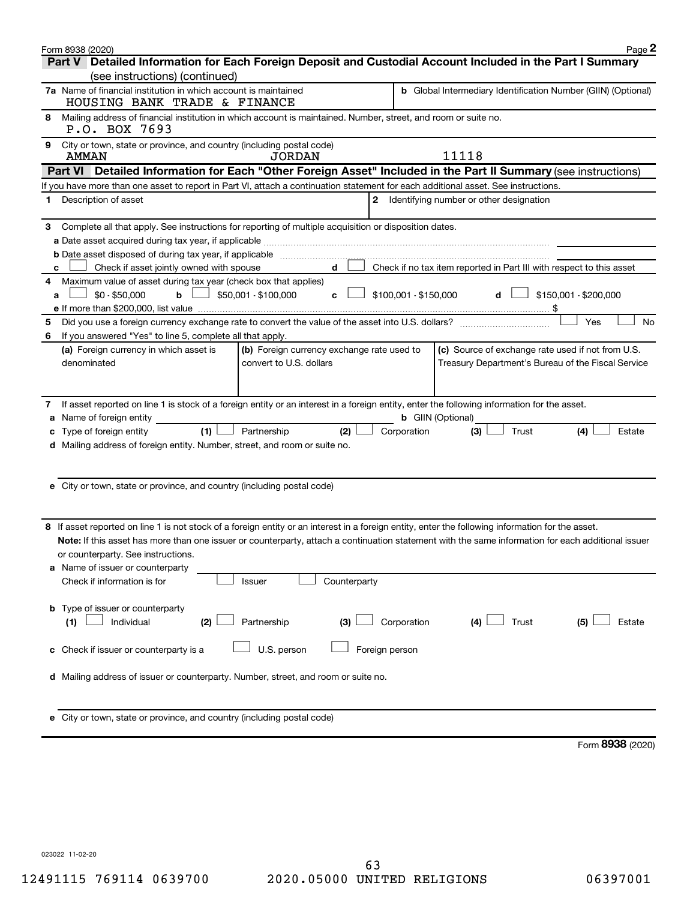| Form 8938 (2020)                                                                                                                     |                                                                                                                                                                         | Page 2                                                                                                                                             |  |  |  |  |
|--------------------------------------------------------------------------------------------------------------------------------------|-------------------------------------------------------------------------------------------------------------------------------------------------------------------------|----------------------------------------------------------------------------------------------------------------------------------------------------|--|--|--|--|
|                                                                                                                                      |                                                                                                                                                                         | Part V Detailed Information for Each Foreign Deposit and Custodial Account Included in the Part I Summary                                          |  |  |  |  |
| (see instructions) (continued)                                                                                                       |                                                                                                                                                                         |                                                                                                                                                    |  |  |  |  |
|                                                                                                                                      | 7a Name of financial institution in which account is maintained<br><b>b</b> Global Intermediary Identification Number (GIIN) (Optional)<br>HOUSING BANK TRADE & FINANCE |                                                                                                                                                    |  |  |  |  |
| Mailing address of financial institution in which account is maintained. Number, street, and room or suite no.<br>8<br>P.O. BOX 7693 |                                                                                                                                                                         |                                                                                                                                                    |  |  |  |  |
| City or town, state or province, and country (including postal code)<br>9                                                            |                                                                                                                                                                         |                                                                                                                                                    |  |  |  |  |
| AMMAN                                                                                                                                | JORDAN                                                                                                                                                                  | 11118                                                                                                                                              |  |  |  |  |
|                                                                                                                                      |                                                                                                                                                                         | Part VI Detailed Information for Each "Other Foreign Asset" Included in the Part II Summary (see instructions)                                     |  |  |  |  |
| If you have more than one asset to report in Part VI, attach a continuation statement for each additional asset. See instructions.   |                                                                                                                                                                         |                                                                                                                                                    |  |  |  |  |
| Description of asset<br>1                                                                                                            | $\mathbf{2}$                                                                                                                                                            | Identifying number or other designation                                                                                                            |  |  |  |  |
| Complete all that apply. See instructions for reporting of multiple acquisition or disposition dates.<br>З                           |                                                                                                                                                                         |                                                                                                                                                    |  |  |  |  |
|                                                                                                                                      |                                                                                                                                                                         |                                                                                                                                                    |  |  |  |  |
|                                                                                                                                      |                                                                                                                                                                         |                                                                                                                                                    |  |  |  |  |
| Check if asset jointly owned with spouse<br>c                                                                                        | d                                                                                                                                                                       | Check if no tax item reported in Part III with respect to this asset                                                                               |  |  |  |  |
| Maximum value of asset during tax year (check box that applies)<br>4                                                                 |                                                                                                                                                                         |                                                                                                                                                    |  |  |  |  |
| $$0 - $50,000$<br>$\mathbf{b}$ $\mathbf{b}$<br>a                                                                                     | \$50,001 - \$100,000<br>c                                                                                                                                               | \$100,001 - \$150,000<br>\$150,001 - \$200,000<br>d                                                                                                |  |  |  |  |
|                                                                                                                                      |                                                                                                                                                                         |                                                                                                                                                    |  |  |  |  |
| 5                                                                                                                                    |                                                                                                                                                                         | No<br>Yes                                                                                                                                          |  |  |  |  |
| If you answered "Yes" to line 5, complete all that apply.<br>6                                                                       |                                                                                                                                                                         |                                                                                                                                                    |  |  |  |  |
| (a) Foreign currency in which asset is                                                                                               | (b) Foreign currency exchange rate used to                                                                                                                              | (c) Source of exchange rate used if not from U.S.                                                                                                  |  |  |  |  |
| denominated                                                                                                                          | convert to U.S. dollars                                                                                                                                                 | Treasury Department's Bureau of the Fiscal Service                                                                                                 |  |  |  |  |
|                                                                                                                                      |                                                                                                                                                                         |                                                                                                                                                    |  |  |  |  |
| 7                                                                                                                                    |                                                                                                                                                                         | If asset reported on line 1 is stock of a foreign entity or an interest in a foreign entity, enter the following information for the asset.        |  |  |  |  |
| Name of foreign entity<br>а                                                                                                          |                                                                                                                                                                         | <b>b</b> GIIN (Optional)                                                                                                                           |  |  |  |  |
| (1)<br>Type of foreign entity<br>с                                                                                                   | Partnership<br>(2)                                                                                                                                                      | Trust<br>Corporation<br>(3)<br>(4)<br>Estate                                                                                                       |  |  |  |  |
| Mailing address of foreign entity. Number, street, and room or suite no.<br>d                                                        |                                                                                                                                                                         |                                                                                                                                                    |  |  |  |  |
|                                                                                                                                      |                                                                                                                                                                         |                                                                                                                                                    |  |  |  |  |
|                                                                                                                                      |                                                                                                                                                                         |                                                                                                                                                    |  |  |  |  |
| City or town, state or province, and country (including postal code)<br>е                                                            |                                                                                                                                                                         |                                                                                                                                                    |  |  |  |  |
|                                                                                                                                      |                                                                                                                                                                         |                                                                                                                                                    |  |  |  |  |
|                                                                                                                                      |                                                                                                                                                                         | 8 If asset reported on line 1 is not stock of a foreign entity or an interest in a foreign entity, enter the following information for the asset.  |  |  |  |  |
|                                                                                                                                      |                                                                                                                                                                         | Note: If this asset has more than one issuer or counterparty, attach a continuation statement with the same information for each additional issuer |  |  |  |  |
| or counterparty. See instructions.                                                                                                   |                                                                                                                                                                         |                                                                                                                                                    |  |  |  |  |
| a Name of issuer or counterparty                                                                                                     |                                                                                                                                                                         |                                                                                                                                                    |  |  |  |  |
| Check if information is for                                                                                                          | Issuer<br>Counterparty                                                                                                                                                  |                                                                                                                                                    |  |  |  |  |
|                                                                                                                                      |                                                                                                                                                                         |                                                                                                                                                    |  |  |  |  |
| Type of issuer or counterparty<br>b                                                                                                  |                                                                                                                                                                         |                                                                                                                                                    |  |  |  |  |
| Individual<br>(2)<br>(1)                                                                                                             | Partnership<br>(3)                                                                                                                                                      | Corporation<br>Trust<br>Estate<br>(4)<br>(5)                                                                                                       |  |  |  |  |
| Check if issuer or counterparty is a<br>с                                                                                            | U.S. person<br>Foreign person                                                                                                                                           |                                                                                                                                                    |  |  |  |  |
| Mailing address of issuer or counterparty. Number, street, and room or suite no.<br>d                                                |                                                                                                                                                                         |                                                                                                                                                    |  |  |  |  |
|                                                                                                                                      |                                                                                                                                                                         |                                                                                                                                                    |  |  |  |  |
|                                                                                                                                      |                                                                                                                                                                         |                                                                                                                                                    |  |  |  |  |
| City or town, state or province, and country (including postal code)<br>е                                                            |                                                                                                                                                                         |                                                                                                                                                    |  |  |  |  |

Form **8938** (2020)

023022 11-02-20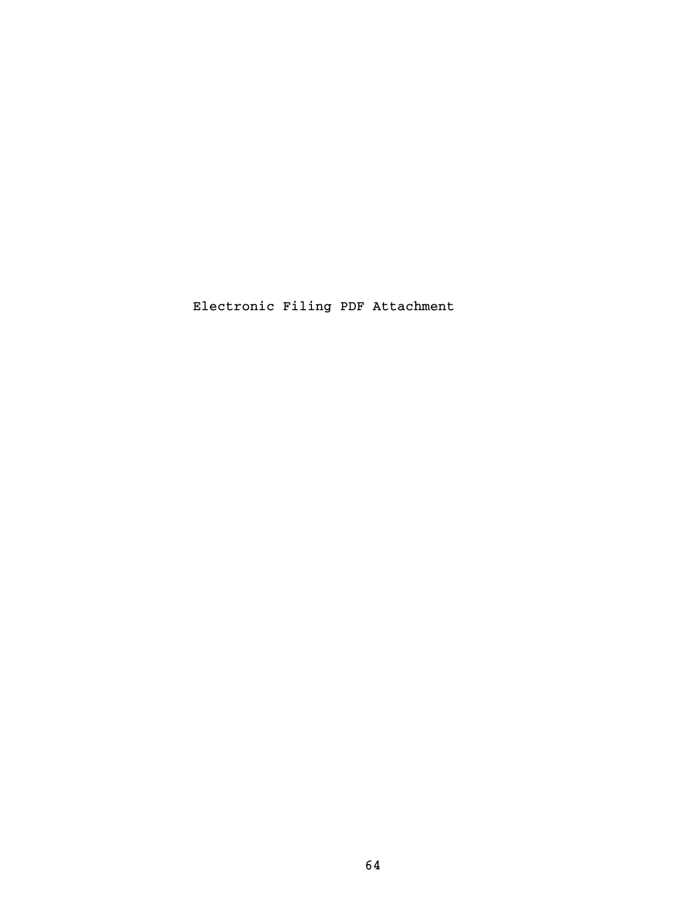Electronic Filing PDF Attachment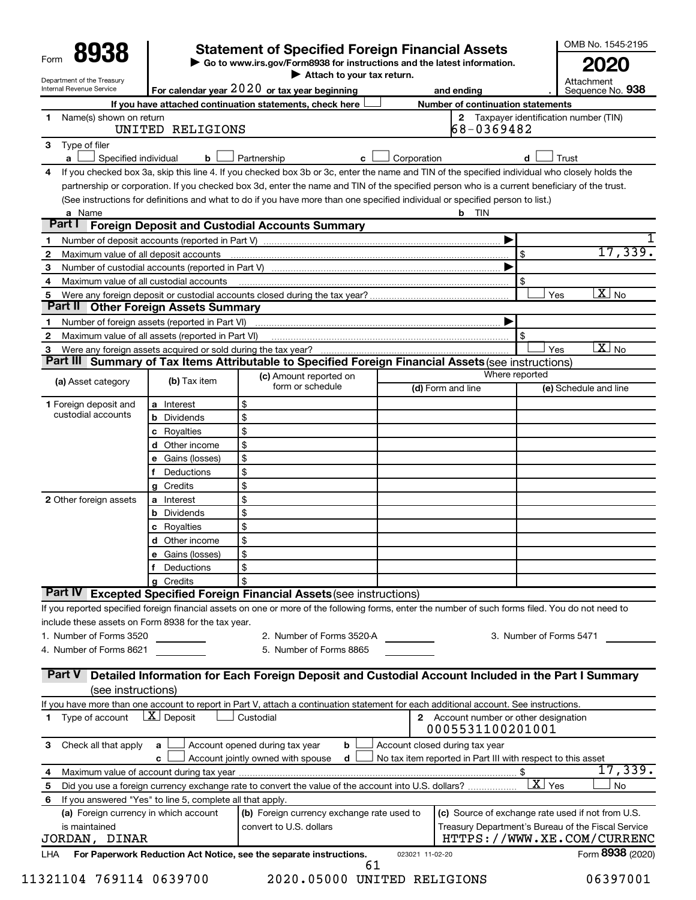|      | ١ί<br>- |
|------|---------|
| Form |         |

| Attach to your tax return.<br>Department of the Treasury<br>Attachment<br>For calendar year $2020$ or tax year beginning<br>Internal Revenue Service<br>and ending<br>If you have attached continuation statements, check here<br>Number of continuation statements<br>Name(s) shown on return<br>2 Taxpayer identification number (TIN)<br>1<br> 68-0369482<br>UNITED RELIGIONS<br>3 Type of filer<br>Corporation<br>Specified individual<br>b<br>Partnership<br>d<br>Trust<br>$\mathbf{a}$<br>c<br>If you checked box 3a, skip this line 4. If you checked box 3b or 3c, enter the name and TIN of the specified individual who closely holds the<br>4<br>partnership or corporation. If you checked box 3d, enter the name and TIN of the specified person who is a current beneficiary of the trust.<br>(See instructions for definitions and what to do if you have more than one specified individual or specified person to list.)<br><b>TIN</b><br>a Name<br>b<br>Part I<br><b>Foreign Deposit and Custodial Accounts Summary</b><br>1<br>\$<br>$\mathbf{2}$<br>Maximum value of all deposit accounts<br>3<br>\$<br>4<br>Maximum value of all custodial accounts<br>$\mathbf{X}$<br>Were any foreign deposit or custodial accounts closed during the tax year?<br>Yes<br>5<br><b>Part II</b> Other Foreign Assets Summary<br>Number of foreign assets (reported in Part VI)<br>1<br>$\begin{minipage}{0.5\textwidth} \begin{tabular}{ c c c c c } \hline \multicolumn{1}{ c }{0.5\textwidth} \begin{tabular}{ c c c } \hline \multicolumn{1}{ c }{0.5\textwidth} \begin{tabular}{ c c c } \hline \multicolumn{1}{ c }{0.5\textwidth} \begin{tabular}{ c c c } \hline \multicolumn{1}{ c }{0.5\textwidth} \begin{tabular}{ c c c } \hline \multicolumn{1}{ c }{0.5\textwidth} \begin{tabular}{ c c c } \hline \multicolumn{1}{ c $<br>\$<br>$\mathbf{2}$<br>Maximum value of all assets (reported in Part VI)<br>$\mathbf{X}$<br>Yes<br>3<br>Were any foreign assets acquired or sold during the tax year?<br>Part III Summary of Tax Items Attributable to Specified Foreign Financial Assets (see instructions)<br>Where reported<br>(c) Amount reported on<br>(a) Asset category<br>(b) Tax item<br>form or schedule<br>(d) Form and line<br>(e) Schedule and line<br>\$<br>1 Foreign deposit and<br>a Interest<br>custodial accounts<br>\$<br>Dividends<br>b<br>\$<br>c Royalties<br>\$<br>d Other income<br>\$<br>e Gains (losses)<br>\$<br>Deductions<br>f<br>\$<br>g Credits<br>\$<br>2 Other foreign assets<br>a Interest<br>\$<br>Dividends<br>b<br>\$<br>c Royalties<br>\$<br>d Other income<br>\$<br>Gains (losses)<br>\$<br>Deductions<br>\$<br>g Credits<br>Part IV Excepted Specified Foreign Financial Assets (see instructions)<br>If you reported specified foreign financial assets on one or more of the following forms, enter the number of such forms filed. You do not need to<br>include these assets on Form 8938 for the tax year.<br>1. Number of Forms 3520<br>2. Number of Forms 3520-A<br>3. Number of Forms 5471<br>4. Number of Forms 8621<br>5. Number of Forms 8865<br><b>Part V</b><br>Detailed Information for Each Foreign Deposit and Custodial Account Included in the Part I Summary<br>(see instructions)<br>If you have more than one account to report in Part V, attach a continuation statement for each additional account. See instructions.<br>$\lfloor x \rfloor$ Deposit<br>Type of account<br>Custodial<br>2 Account number or other designation<br>1.<br>0005531100201001<br>Check all that apply<br>Account opened during tax year<br>Account closed during tax year<br>b<br>3<br>a<br>No tax item reported in Part III with respect to this asset<br>Account jointly owned with spouse<br>d<br>с | Form | <b>Statement of Specified Foreign Financial Assets</b><br>Go to www.irs.gov/Form8938 for instructions and the latest information. |  | OMB No. 1545-2195 |
|---------------------------------------------------------------------------------------------------------------------------------------------------------------------------------------------------------------------------------------------------------------------------------------------------------------------------------------------------------------------------------------------------------------------------------------------------------------------------------------------------------------------------------------------------------------------------------------------------------------------------------------------------------------------------------------------------------------------------------------------------------------------------------------------------------------------------------------------------------------------------------------------------------------------------------------------------------------------------------------------------------------------------------------------------------------------------------------------------------------------------------------------------------------------------------------------------------------------------------------------------------------------------------------------------------------------------------------------------------------------------------------------------------------------------------------------------------------------------------------------------------------------------------------------------------------------------------------------------------------------------------------------------------------------------------------------------------------------------------------------------------------------------------------------------------------------------------------------------------------------------------------------------------------------------------------------------------------------------------------------------------------------------------------------------------------------------------------------------------------------------------------------------------------------------------------------------------------------------------------------------------------------------------------------------------------------------------------------------------------------------------------------------------------------------------------------------------------------------------------------------------------------------------------------------------------------------------------------------------------------------------------------------------------------------------------------------------------------------------------------------------------------------------------------------------------------------------------------------------------------------------------------------------------------------------------------------------------------------------------------------------------------------------------------------------------------------------------------------------------------------------------------------------------------------------------------------------------------------------------------------------------------------------------------------------------------------------------------------------------------------------------------------------------------------------------------------------------------------------------------------------------------------------------------------------------------------------------------------------------------------------------------------------------------------------------------------------------------------------------------------------------|------|-----------------------------------------------------------------------------------------------------------------------------------|--|-------------------|
|                                                                                                                                                                                                                                                                                                                                                                                                                                                                                                                                                                                                                                                                                                                                                                                                                                                                                                                                                                                                                                                                                                                                                                                                                                                                                                                                                                                                                                                                                                                                                                                                                                                                                                                                                                                                                                                                                                                                                                                                                                                                                                                                                                                                                                                                                                                                                                                                                                                                                                                                                                                                                                                                                                                                                                                                                                                                                                                                                                                                                                                                                                                                                                                                                                                                                                                                                                                                                                                                                                                                                                                                                                                                                                                                                               |      |                                                                                                                                   |  |                   |
|                                                                                                                                                                                                                                                                                                                                                                                                                                                                                                                                                                                                                                                                                                                                                                                                                                                                                                                                                                                                                                                                                                                                                                                                                                                                                                                                                                                                                                                                                                                                                                                                                                                                                                                                                                                                                                                                                                                                                                                                                                                                                                                                                                                                                                                                                                                                                                                                                                                                                                                                                                                                                                                                                                                                                                                                                                                                                                                                                                                                                                                                                                                                                                                                                                                                                                                                                                                                                                                                                                                                                                                                                                                                                                                                                               |      |                                                                                                                                   |  | Sequence No. 938  |
|                                                                                                                                                                                                                                                                                                                                                                                                                                                                                                                                                                                                                                                                                                                                                                                                                                                                                                                                                                                                                                                                                                                                                                                                                                                                                                                                                                                                                                                                                                                                                                                                                                                                                                                                                                                                                                                                                                                                                                                                                                                                                                                                                                                                                                                                                                                                                                                                                                                                                                                                                                                                                                                                                                                                                                                                                                                                                                                                                                                                                                                                                                                                                                                                                                                                                                                                                                                                                                                                                                                                                                                                                                                                                                                                                               |      |                                                                                                                                   |  |                   |
|                                                                                                                                                                                                                                                                                                                                                                                                                                                                                                                                                                                                                                                                                                                                                                                                                                                                                                                                                                                                                                                                                                                                                                                                                                                                                                                                                                                                                                                                                                                                                                                                                                                                                                                                                                                                                                                                                                                                                                                                                                                                                                                                                                                                                                                                                                                                                                                                                                                                                                                                                                                                                                                                                                                                                                                                                                                                                                                                                                                                                                                                                                                                                                                                                                                                                                                                                                                                                                                                                                                                                                                                                                                                                                                                                               |      |                                                                                                                                   |  |                   |
|                                                                                                                                                                                                                                                                                                                                                                                                                                                                                                                                                                                                                                                                                                                                                                                                                                                                                                                                                                                                                                                                                                                                                                                                                                                                                                                                                                                                                                                                                                                                                                                                                                                                                                                                                                                                                                                                                                                                                                                                                                                                                                                                                                                                                                                                                                                                                                                                                                                                                                                                                                                                                                                                                                                                                                                                                                                                                                                                                                                                                                                                                                                                                                                                                                                                                                                                                                                                                                                                                                                                                                                                                                                                                                                                                               |      |                                                                                                                                   |  |                   |
|                                                                                                                                                                                                                                                                                                                                                                                                                                                                                                                                                                                                                                                                                                                                                                                                                                                                                                                                                                                                                                                                                                                                                                                                                                                                                                                                                                                                                                                                                                                                                                                                                                                                                                                                                                                                                                                                                                                                                                                                                                                                                                                                                                                                                                                                                                                                                                                                                                                                                                                                                                                                                                                                                                                                                                                                                                                                                                                                                                                                                                                                                                                                                                                                                                                                                                                                                                                                                                                                                                                                                                                                                                                                                                                                                               |      |                                                                                                                                   |  |                   |
|                                                                                                                                                                                                                                                                                                                                                                                                                                                                                                                                                                                                                                                                                                                                                                                                                                                                                                                                                                                                                                                                                                                                                                                                                                                                                                                                                                                                                                                                                                                                                                                                                                                                                                                                                                                                                                                                                                                                                                                                                                                                                                                                                                                                                                                                                                                                                                                                                                                                                                                                                                                                                                                                                                                                                                                                                                                                                                                                                                                                                                                                                                                                                                                                                                                                                                                                                                                                                                                                                                                                                                                                                                                                                                                                                               |      |                                                                                                                                   |  |                   |
|                                                                                                                                                                                                                                                                                                                                                                                                                                                                                                                                                                                                                                                                                                                                                                                                                                                                                                                                                                                                                                                                                                                                                                                                                                                                                                                                                                                                                                                                                                                                                                                                                                                                                                                                                                                                                                                                                                                                                                                                                                                                                                                                                                                                                                                                                                                                                                                                                                                                                                                                                                                                                                                                                                                                                                                                                                                                                                                                                                                                                                                                                                                                                                                                                                                                                                                                                                                                                                                                                                                                                                                                                                                                                                                                                               |      |                                                                                                                                   |  |                   |
|                                                                                                                                                                                                                                                                                                                                                                                                                                                                                                                                                                                                                                                                                                                                                                                                                                                                                                                                                                                                                                                                                                                                                                                                                                                                                                                                                                                                                                                                                                                                                                                                                                                                                                                                                                                                                                                                                                                                                                                                                                                                                                                                                                                                                                                                                                                                                                                                                                                                                                                                                                                                                                                                                                                                                                                                                                                                                                                                                                                                                                                                                                                                                                                                                                                                                                                                                                                                                                                                                                                                                                                                                                                                                                                                                               |      |                                                                                                                                   |  |                   |
|                                                                                                                                                                                                                                                                                                                                                                                                                                                                                                                                                                                                                                                                                                                                                                                                                                                                                                                                                                                                                                                                                                                                                                                                                                                                                                                                                                                                                                                                                                                                                                                                                                                                                                                                                                                                                                                                                                                                                                                                                                                                                                                                                                                                                                                                                                                                                                                                                                                                                                                                                                                                                                                                                                                                                                                                                                                                                                                                                                                                                                                                                                                                                                                                                                                                                                                                                                                                                                                                                                                                                                                                                                                                                                                                                               |      |                                                                                                                                   |  |                   |
|                                                                                                                                                                                                                                                                                                                                                                                                                                                                                                                                                                                                                                                                                                                                                                                                                                                                                                                                                                                                                                                                                                                                                                                                                                                                                                                                                                                                                                                                                                                                                                                                                                                                                                                                                                                                                                                                                                                                                                                                                                                                                                                                                                                                                                                                                                                                                                                                                                                                                                                                                                                                                                                                                                                                                                                                                                                                                                                                                                                                                                                                                                                                                                                                                                                                                                                                                                                                                                                                                                                                                                                                                                                                                                                                                               |      |                                                                                                                                   |  | 17,339            |
|                                                                                                                                                                                                                                                                                                                                                                                                                                                                                                                                                                                                                                                                                                                                                                                                                                                                                                                                                                                                                                                                                                                                                                                                                                                                                                                                                                                                                                                                                                                                                                                                                                                                                                                                                                                                                                                                                                                                                                                                                                                                                                                                                                                                                                                                                                                                                                                                                                                                                                                                                                                                                                                                                                                                                                                                                                                                                                                                                                                                                                                                                                                                                                                                                                                                                                                                                                                                                                                                                                                                                                                                                                                                                                                                                               |      |                                                                                                                                   |  |                   |
|                                                                                                                                                                                                                                                                                                                                                                                                                                                                                                                                                                                                                                                                                                                                                                                                                                                                                                                                                                                                                                                                                                                                                                                                                                                                                                                                                                                                                                                                                                                                                                                                                                                                                                                                                                                                                                                                                                                                                                                                                                                                                                                                                                                                                                                                                                                                                                                                                                                                                                                                                                                                                                                                                                                                                                                                                                                                                                                                                                                                                                                                                                                                                                                                                                                                                                                                                                                                                                                                                                                                                                                                                                                                                                                                                               |      |                                                                                                                                   |  |                   |
|                                                                                                                                                                                                                                                                                                                                                                                                                                                                                                                                                                                                                                                                                                                                                                                                                                                                                                                                                                                                                                                                                                                                                                                                                                                                                                                                                                                                                                                                                                                                                                                                                                                                                                                                                                                                                                                                                                                                                                                                                                                                                                                                                                                                                                                                                                                                                                                                                                                                                                                                                                                                                                                                                                                                                                                                                                                                                                                                                                                                                                                                                                                                                                                                                                                                                                                                                                                                                                                                                                                                                                                                                                                                                                                                                               |      |                                                                                                                                   |  |                   |
|                                                                                                                                                                                                                                                                                                                                                                                                                                                                                                                                                                                                                                                                                                                                                                                                                                                                                                                                                                                                                                                                                                                                                                                                                                                                                                                                                                                                                                                                                                                                                                                                                                                                                                                                                                                                                                                                                                                                                                                                                                                                                                                                                                                                                                                                                                                                                                                                                                                                                                                                                                                                                                                                                                                                                                                                                                                                                                                                                                                                                                                                                                                                                                                                                                                                                                                                                                                                                                                                                                                                                                                                                                                                                                                                                               |      |                                                                                                                                   |  | No                |
|                                                                                                                                                                                                                                                                                                                                                                                                                                                                                                                                                                                                                                                                                                                                                                                                                                                                                                                                                                                                                                                                                                                                                                                                                                                                                                                                                                                                                                                                                                                                                                                                                                                                                                                                                                                                                                                                                                                                                                                                                                                                                                                                                                                                                                                                                                                                                                                                                                                                                                                                                                                                                                                                                                                                                                                                                                                                                                                                                                                                                                                                                                                                                                                                                                                                                                                                                                                                                                                                                                                                                                                                                                                                                                                                                               |      |                                                                                                                                   |  |                   |
|                                                                                                                                                                                                                                                                                                                                                                                                                                                                                                                                                                                                                                                                                                                                                                                                                                                                                                                                                                                                                                                                                                                                                                                                                                                                                                                                                                                                                                                                                                                                                                                                                                                                                                                                                                                                                                                                                                                                                                                                                                                                                                                                                                                                                                                                                                                                                                                                                                                                                                                                                                                                                                                                                                                                                                                                                                                                                                                                                                                                                                                                                                                                                                                                                                                                                                                                                                                                                                                                                                                                                                                                                                                                                                                                                               |      |                                                                                                                                   |  |                   |
|                                                                                                                                                                                                                                                                                                                                                                                                                                                                                                                                                                                                                                                                                                                                                                                                                                                                                                                                                                                                                                                                                                                                                                                                                                                                                                                                                                                                                                                                                                                                                                                                                                                                                                                                                                                                                                                                                                                                                                                                                                                                                                                                                                                                                                                                                                                                                                                                                                                                                                                                                                                                                                                                                                                                                                                                                                                                                                                                                                                                                                                                                                                                                                                                                                                                                                                                                                                                                                                                                                                                                                                                                                                                                                                                                               |      |                                                                                                                                   |  | No                |
|                                                                                                                                                                                                                                                                                                                                                                                                                                                                                                                                                                                                                                                                                                                                                                                                                                                                                                                                                                                                                                                                                                                                                                                                                                                                                                                                                                                                                                                                                                                                                                                                                                                                                                                                                                                                                                                                                                                                                                                                                                                                                                                                                                                                                                                                                                                                                                                                                                                                                                                                                                                                                                                                                                                                                                                                                                                                                                                                                                                                                                                                                                                                                                                                                                                                                                                                                                                                                                                                                                                                                                                                                                                                                                                                                               |      |                                                                                                                                   |  |                   |
|                                                                                                                                                                                                                                                                                                                                                                                                                                                                                                                                                                                                                                                                                                                                                                                                                                                                                                                                                                                                                                                                                                                                                                                                                                                                                                                                                                                                                                                                                                                                                                                                                                                                                                                                                                                                                                                                                                                                                                                                                                                                                                                                                                                                                                                                                                                                                                                                                                                                                                                                                                                                                                                                                                                                                                                                                                                                                                                                                                                                                                                                                                                                                                                                                                                                                                                                                                                                                                                                                                                                                                                                                                                                                                                                                               |      |                                                                                                                                   |  |                   |
|                                                                                                                                                                                                                                                                                                                                                                                                                                                                                                                                                                                                                                                                                                                                                                                                                                                                                                                                                                                                                                                                                                                                                                                                                                                                                                                                                                                                                                                                                                                                                                                                                                                                                                                                                                                                                                                                                                                                                                                                                                                                                                                                                                                                                                                                                                                                                                                                                                                                                                                                                                                                                                                                                                                                                                                                                                                                                                                                                                                                                                                                                                                                                                                                                                                                                                                                                                                                                                                                                                                                                                                                                                                                                                                                                               |      |                                                                                                                                   |  |                   |
|                                                                                                                                                                                                                                                                                                                                                                                                                                                                                                                                                                                                                                                                                                                                                                                                                                                                                                                                                                                                                                                                                                                                                                                                                                                                                                                                                                                                                                                                                                                                                                                                                                                                                                                                                                                                                                                                                                                                                                                                                                                                                                                                                                                                                                                                                                                                                                                                                                                                                                                                                                                                                                                                                                                                                                                                                                                                                                                                                                                                                                                                                                                                                                                                                                                                                                                                                                                                                                                                                                                                                                                                                                                                                                                                                               |      |                                                                                                                                   |  |                   |
|                                                                                                                                                                                                                                                                                                                                                                                                                                                                                                                                                                                                                                                                                                                                                                                                                                                                                                                                                                                                                                                                                                                                                                                                                                                                                                                                                                                                                                                                                                                                                                                                                                                                                                                                                                                                                                                                                                                                                                                                                                                                                                                                                                                                                                                                                                                                                                                                                                                                                                                                                                                                                                                                                                                                                                                                                                                                                                                                                                                                                                                                                                                                                                                                                                                                                                                                                                                                                                                                                                                                                                                                                                                                                                                                                               |      |                                                                                                                                   |  |                   |
|                                                                                                                                                                                                                                                                                                                                                                                                                                                                                                                                                                                                                                                                                                                                                                                                                                                                                                                                                                                                                                                                                                                                                                                                                                                                                                                                                                                                                                                                                                                                                                                                                                                                                                                                                                                                                                                                                                                                                                                                                                                                                                                                                                                                                                                                                                                                                                                                                                                                                                                                                                                                                                                                                                                                                                                                                                                                                                                                                                                                                                                                                                                                                                                                                                                                                                                                                                                                                                                                                                                                                                                                                                                                                                                                                               |      |                                                                                                                                   |  |                   |
|                                                                                                                                                                                                                                                                                                                                                                                                                                                                                                                                                                                                                                                                                                                                                                                                                                                                                                                                                                                                                                                                                                                                                                                                                                                                                                                                                                                                                                                                                                                                                                                                                                                                                                                                                                                                                                                                                                                                                                                                                                                                                                                                                                                                                                                                                                                                                                                                                                                                                                                                                                                                                                                                                                                                                                                                                                                                                                                                                                                                                                                                                                                                                                                                                                                                                                                                                                                                                                                                                                                                                                                                                                                                                                                                                               |      |                                                                                                                                   |  |                   |
|                                                                                                                                                                                                                                                                                                                                                                                                                                                                                                                                                                                                                                                                                                                                                                                                                                                                                                                                                                                                                                                                                                                                                                                                                                                                                                                                                                                                                                                                                                                                                                                                                                                                                                                                                                                                                                                                                                                                                                                                                                                                                                                                                                                                                                                                                                                                                                                                                                                                                                                                                                                                                                                                                                                                                                                                                                                                                                                                                                                                                                                                                                                                                                                                                                                                                                                                                                                                                                                                                                                                                                                                                                                                                                                                                               |      |                                                                                                                                   |  |                   |
|                                                                                                                                                                                                                                                                                                                                                                                                                                                                                                                                                                                                                                                                                                                                                                                                                                                                                                                                                                                                                                                                                                                                                                                                                                                                                                                                                                                                                                                                                                                                                                                                                                                                                                                                                                                                                                                                                                                                                                                                                                                                                                                                                                                                                                                                                                                                                                                                                                                                                                                                                                                                                                                                                                                                                                                                                                                                                                                                                                                                                                                                                                                                                                                                                                                                                                                                                                                                                                                                                                                                                                                                                                                                                                                                                               |      |                                                                                                                                   |  |                   |
|                                                                                                                                                                                                                                                                                                                                                                                                                                                                                                                                                                                                                                                                                                                                                                                                                                                                                                                                                                                                                                                                                                                                                                                                                                                                                                                                                                                                                                                                                                                                                                                                                                                                                                                                                                                                                                                                                                                                                                                                                                                                                                                                                                                                                                                                                                                                                                                                                                                                                                                                                                                                                                                                                                                                                                                                                                                                                                                                                                                                                                                                                                                                                                                                                                                                                                                                                                                                                                                                                                                                                                                                                                                                                                                                                               |      |                                                                                                                                   |  |                   |
|                                                                                                                                                                                                                                                                                                                                                                                                                                                                                                                                                                                                                                                                                                                                                                                                                                                                                                                                                                                                                                                                                                                                                                                                                                                                                                                                                                                                                                                                                                                                                                                                                                                                                                                                                                                                                                                                                                                                                                                                                                                                                                                                                                                                                                                                                                                                                                                                                                                                                                                                                                                                                                                                                                                                                                                                                                                                                                                                                                                                                                                                                                                                                                                                                                                                                                                                                                                                                                                                                                                                                                                                                                                                                                                                                               |      |                                                                                                                                   |  |                   |
|                                                                                                                                                                                                                                                                                                                                                                                                                                                                                                                                                                                                                                                                                                                                                                                                                                                                                                                                                                                                                                                                                                                                                                                                                                                                                                                                                                                                                                                                                                                                                                                                                                                                                                                                                                                                                                                                                                                                                                                                                                                                                                                                                                                                                                                                                                                                                                                                                                                                                                                                                                                                                                                                                                                                                                                                                                                                                                                                                                                                                                                                                                                                                                                                                                                                                                                                                                                                                                                                                                                                                                                                                                                                                                                                                               |      |                                                                                                                                   |  |                   |
|                                                                                                                                                                                                                                                                                                                                                                                                                                                                                                                                                                                                                                                                                                                                                                                                                                                                                                                                                                                                                                                                                                                                                                                                                                                                                                                                                                                                                                                                                                                                                                                                                                                                                                                                                                                                                                                                                                                                                                                                                                                                                                                                                                                                                                                                                                                                                                                                                                                                                                                                                                                                                                                                                                                                                                                                                                                                                                                                                                                                                                                                                                                                                                                                                                                                                                                                                                                                                                                                                                                                                                                                                                                                                                                                                               |      |                                                                                                                                   |  |                   |
|                                                                                                                                                                                                                                                                                                                                                                                                                                                                                                                                                                                                                                                                                                                                                                                                                                                                                                                                                                                                                                                                                                                                                                                                                                                                                                                                                                                                                                                                                                                                                                                                                                                                                                                                                                                                                                                                                                                                                                                                                                                                                                                                                                                                                                                                                                                                                                                                                                                                                                                                                                                                                                                                                                                                                                                                                                                                                                                                                                                                                                                                                                                                                                                                                                                                                                                                                                                                                                                                                                                                                                                                                                                                                                                                                               |      |                                                                                                                                   |  |                   |
|                                                                                                                                                                                                                                                                                                                                                                                                                                                                                                                                                                                                                                                                                                                                                                                                                                                                                                                                                                                                                                                                                                                                                                                                                                                                                                                                                                                                                                                                                                                                                                                                                                                                                                                                                                                                                                                                                                                                                                                                                                                                                                                                                                                                                                                                                                                                                                                                                                                                                                                                                                                                                                                                                                                                                                                                                                                                                                                                                                                                                                                                                                                                                                                                                                                                                                                                                                                                                                                                                                                                                                                                                                                                                                                                                               |      |                                                                                                                                   |  |                   |
|                                                                                                                                                                                                                                                                                                                                                                                                                                                                                                                                                                                                                                                                                                                                                                                                                                                                                                                                                                                                                                                                                                                                                                                                                                                                                                                                                                                                                                                                                                                                                                                                                                                                                                                                                                                                                                                                                                                                                                                                                                                                                                                                                                                                                                                                                                                                                                                                                                                                                                                                                                                                                                                                                                                                                                                                                                                                                                                                                                                                                                                                                                                                                                                                                                                                                                                                                                                                                                                                                                                                                                                                                                                                                                                                                               |      |                                                                                                                                   |  |                   |
|                                                                                                                                                                                                                                                                                                                                                                                                                                                                                                                                                                                                                                                                                                                                                                                                                                                                                                                                                                                                                                                                                                                                                                                                                                                                                                                                                                                                                                                                                                                                                                                                                                                                                                                                                                                                                                                                                                                                                                                                                                                                                                                                                                                                                                                                                                                                                                                                                                                                                                                                                                                                                                                                                                                                                                                                                                                                                                                                                                                                                                                                                                                                                                                                                                                                                                                                                                                                                                                                                                                                                                                                                                                                                                                                                               |      |                                                                                                                                   |  |                   |
|                                                                                                                                                                                                                                                                                                                                                                                                                                                                                                                                                                                                                                                                                                                                                                                                                                                                                                                                                                                                                                                                                                                                                                                                                                                                                                                                                                                                                                                                                                                                                                                                                                                                                                                                                                                                                                                                                                                                                                                                                                                                                                                                                                                                                                                                                                                                                                                                                                                                                                                                                                                                                                                                                                                                                                                                                                                                                                                                                                                                                                                                                                                                                                                                                                                                                                                                                                                                                                                                                                                                                                                                                                                                                                                                                               |      |                                                                                                                                   |  |                   |
|                                                                                                                                                                                                                                                                                                                                                                                                                                                                                                                                                                                                                                                                                                                                                                                                                                                                                                                                                                                                                                                                                                                                                                                                                                                                                                                                                                                                                                                                                                                                                                                                                                                                                                                                                                                                                                                                                                                                                                                                                                                                                                                                                                                                                                                                                                                                                                                                                                                                                                                                                                                                                                                                                                                                                                                                                                                                                                                                                                                                                                                                                                                                                                                                                                                                                                                                                                                                                                                                                                                                                                                                                                                                                                                                                               |      |                                                                                                                                   |  |                   |
|                                                                                                                                                                                                                                                                                                                                                                                                                                                                                                                                                                                                                                                                                                                                                                                                                                                                                                                                                                                                                                                                                                                                                                                                                                                                                                                                                                                                                                                                                                                                                                                                                                                                                                                                                                                                                                                                                                                                                                                                                                                                                                                                                                                                                                                                                                                                                                                                                                                                                                                                                                                                                                                                                                                                                                                                                                                                                                                                                                                                                                                                                                                                                                                                                                                                                                                                                                                                                                                                                                                                                                                                                                                                                                                                                               |      |                                                                                                                                   |  |                   |
|                                                                                                                                                                                                                                                                                                                                                                                                                                                                                                                                                                                                                                                                                                                                                                                                                                                                                                                                                                                                                                                                                                                                                                                                                                                                                                                                                                                                                                                                                                                                                                                                                                                                                                                                                                                                                                                                                                                                                                                                                                                                                                                                                                                                                                                                                                                                                                                                                                                                                                                                                                                                                                                                                                                                                                                                                                                                                                                                                                                                                                                                                                                                                                                                                                                                                                                                                                                                                                                                                                                                                                                                                                                                                                                                                               |      |                                                                                                                                   |  |                   |
|                                                                                                                                                                                                                                                                                                                                                                                                                                                                                                                                                                                                                                                                                                                                                                                                                                                                                                                                                                                                                                                                                                                                                                                                                                                                                                                                                                                                                                                                                                                                                                                                                                                                                                                                                                                                                                                                                                                                                                                                                                                                                                                                                                                                                                                                                                                                                                                                                                                                                                                                                                                                                                                                                                                                                                                                                                                                                                                                                                                                                                                                                                                                                                                                                                                                                                                                                                                                                                                                                                                                                                                                                                                                                                                                                               |      |                                                                                                                                   |  |                   |
|                                                                                                                                                                                                                                                                                                                                                                                                                                                                                                                                                                                                                                                                                                                                                                                                                                                                                                                                                                                                                                                                                                                                                                                                                                                                                                                                                                                                                                                                                                                                                                                                                                                                                                                                                                                                                                                                                                                                                                                                                                                                                                                                                                                                                                                                                                                                                                                                                                                                                                                                                                                                                                                                                                                                                                                                                                                                                                                                                                                                                                                                                                                                                                                                                                                                                                                                                                                                                                                                                                                                                                                                                                                                                                                                                               |      |                                                                                                                                   |  |                   |
|                                                                                                                                                                                                                                                                                                                                                                                                                                                                                                                                                                                                                                                                                                                                                                                                                                                                                                                                                                                                                                                                                                                                                                                                                                                                                                                                                                                                                                                                                                                                                                                                                                                                                                                                                                                                                                                                                                                                                                                                                                                                                                                                                                                                                                                                                                                                                                                                                                                                                                                                                                                                                                                                                                                                                                                                                                                                                                                                                                                                                                                                                                                                                                                                                                                                                                                                                                                                                                                                                                                                                                                                                                                                                                                                                               |      |                                                                                                                                   |  |                   |
|                                                                                                                                                                                                                                                                                                                                                                                                                                                                                                                                                                                                                                                                                                                                                                                                                                                                                                                                                                                                                                                                                                                                                                                                                                                                                                                                                                                                                                                                                                                                                                                                                                                                                                                                                                                                                                                                                                                                                                                                                                                                                                                                                                                                                                                                                                                                                                                                                                                                                                                                                                                                                                                                                                                                                                                                                                                                                                                                                                                                                                                                                                                                                                                                                                                                                                                                                                                                                                                                                                                                                                                                                                                                                                                                                               |      |                                                                                                                                   |  |                   |
|                                                                                                                                                                                                                                                                                                                                                                                                                                                                                                                                                                                                                                                                                                                                                                                                                                                                                                                                                                                                                                                                                                                                                                                                                                                                                                                                                                                                                                                                                                                                                                                                                                                                                                                                                                                                                                                                                                                                                                                                                                                                                                                                                                                                                                                                                                                                                                                                                                                                                                                                                                                                                                                                                                                                                                                                                                                                                                                                                                                                                                                                                                                                                                                                                                                                                                                                                                                                                                                                                                                                                                                                                                                                                                                                                               |      |                                                                                                                                   |  |                   |
|                                                                                                                                                                                                                                                                                                                                                                                                                                                                                                                                                                                                                                                                                                                                                                                                                                                                                                                                                                                                                                                                                                                                                                                                                                                                                                                                                                                                                                                                                                                                                                                                                                                                                                                                                                                                                                                                                                                                                                                                                                                                                                                                                                                                                                                                                                                                                                                                                                                                                                                                                                                                                                                                                                                                                                                                                                                                                                                                                                                                                                                                                                                                                                                                                                                                                                                                                                                                                                                                                                                                                                                                                                                                                                                                                               |      |                                                                                                                                   |  |                   |
|                                                                                                                                                                                                                                                                                                                                                                                                                                                                                                                                                                                                                                                                                                                                                                                                                                                                                                                                                                                                                                                                                                                                                                                                                                                                                                                                                                                                                                                                                                                                                                                                                                                                                                                                                                                                                                                                                                                                                                                                                                                                                                                                                                                                                                                                                                                                                                                                                                                                                                                                                                                                                                                                                                                                                                                                                                                                                                                                                                                                                                                                                                                                                                                                                                                                                                                                                                                                                                                                                                                                                                                                                                                                                                                                                               |      |                                                                                                                                   |  |                   |
|                                                                                                                                                                                                                                                                                                                                                                                                                                                                                                                                                                                                                                                                                                                                                                                                                                                                                                                                                                                                                                                                                                                                                                                                                                                                                                                                                                                                                                                                                                                                                                                                                                                                                                                                                                                                                                                                                                                                                                                                                                                                                                                                                                                                                                                                                                                                                                                                                                                                                                                                                                                                                                                                                                                                                                                                                                                                                                                                                                                                                                                                                                                                                                                                                                                                                                                                                                                                                                                                                                                                                                                                                                                                                                                                                               |      |                                                                                                                                   |  |                   |
|                                                                                                                                                                                                                                                                                                                                                                                                                                                                                                                                                                                                                                                                                                                                                                                                                                                                                                                                                                                                                                                                                                                                                                                                                                                                                                                                                                                                                                                                                                                                                                                                                                                                                                                                                                                                                                                                                                                                                                                                                                                                                                                                                                                                                                                                                                                                                                                                                                                                                                                                                                                                                                                                                                                                                                                                                                                                                                                                                                                                                                                                                                                                                                                                                                                                                                                                                                                                                                                                                                                                                                                                                                                                                                                                                               |      |                                                                                                                                   |  |                   |
|                                                                                                                                                                                                                                                                                                                                                                                                                                                                                                                                                                                                                                                                                                                                                                                                                                                                                                                                                                                                                                                                                                                                                                                                                                                                                                                                                                                                                                                                                                                                                                                                                                                                                                                                                                                                                                                                                                                                                                                                                                                                                                                                                                                                                                                                                                                                                                                                                                                                                                                                                                                                                                                                                                                                                                                                                                                                                                                                                                                                                                                                                                                                                                                                                                                                                                                                                                                                                                                                                                                                                                                                                                                                                                                                                               |      |                                                                                                                                   |  | 17,339.           |

### **Part V Detailed Information** (see instructions)

| If you have more than one account to report in Part V, attach a continuation statement for each additional account. See instructions. |                 |                         |                                                                                                  |                                                                                             |                                                                            |                                                                               |                                            |                                                                                                                                                                                           |                                                                                                                                                                                                                                             |
|---------------------------------------------------------------------------------------------------------------------------------------|-----------------|-------------------------|--------------------------------------------------------------------------------------------------|---------------------------------------------------------------------------------------------|----------------------------------------------------------------------------|-------------------------------------------------------------------------------|--------------------------------------------|-------------------------------------------------------------------------------------------------------------------------------------------------------------------------------------------|---------------------------------------------------------------------------------------------------------------------------------------------------------------------------------------------------------------------------------------------|
|                                                                                                                                       | Type of account | Deposit                 | Custodial                                                                                        |                                                                                             |                                                                            |                                                                               |                                            |                                                                                                                                                                                           |                                                                                                                                                                                                                                             |
| з                                                                                                                                     |                 | a                       |                                                                                                  | b                                                                                           |                                                                            |                                                                               |                                            |                                                                                                                                                                                           |                                                                                                                                                                                                                                             |
|                                                                                                                                       |                 | c                       |                                                                                                  |                                                                                             |                                                                            |                                                                               |                                            |                                                                                                                                                                                           |                                                                                                                                                                                                                                             |
|                                                                                                                                       |                 |                         |                                                                                                  |                                                                                             |                                                                            |                                                                               |                                            |                                                                                                                                                                                           | 17,339.                                                                                                                                                                                                                                     |
|                                                                                                                                       |                 |                         |                                                                                                  |                                                                                             |                                                                            |                                                                               | $\overline{\mathbf{X}}$ Yes                |                                                                                                                                                                                           | No.                                                                                                                                                                                                                                         |
| 6                                                                                                                                     |                 |                         |                                                                                                  |                                                                                             |                                                                            |                                                                               |                                            |                                                                                                                                                                                           |                                                                                                                                                                                                                                             |
|                                                                                                                                       |                 |                         |                                                                                                  |                                                                                             |                                                                            |                                                                               |                                            |                                                                                                                                                                                           |                                                                                                                                                                                                                                             |
|                                                                                                                                       | is maintained   |                         |                                                                                                  |                                                                                             |                                                                            |                                                                               |                                            |                                                                                                                                                                                           |                                                                                                                                                                                                                                             |
|                                                                                                                                       |                 |                         |                                                                                                  |                                                                                             |                                                                            |                                                                               |                                            |                                                                                                                                                                                           |                                                                                                                                                                                                                                             |
|                                                                                                                                       |                 |                         |                                                                                                  |                                                                                             |                                                                            |                                                                               |                                            |                                                                                                                                                                                           | Form 8938 (2020)                                                                                                                                                                                                                            |
|                                                                                                                                       |                 |                         |                                                                                                  |                                                                                             | h.                                                                         |                                                                               |                                            |                                                                                                                                                                                           |                                                                                                                                                                                                                                             |
|                                                                                                                                       | 04              | 0639700                 |                                                                                                  |                                                                                             |                                                                            |                                                                               |                                            |                                                                                                                                                                                           | 06397001                                                                                                                                                                                                                                    |
|                                                                                                                                       |                 | JORDAN,<br>LHA<br>11321 | $\mathbf{X}$<br>Check all that apply<br>(a) Foreign currency in which account<br>DINAR<br>769114 | Account opened during tax year<br>If you answered "Yes" to line 5, complete all that apply. | Account jointly owned with spouse<br>convert to U.S. dollars<br>2020.05000 | For Paperwork Reduction Act Notice, see the separate instructions.<br>חתידותו | (b) Foreign currency exchange rate used to | 0005531100201001<br>Account closed during tax year<br>Did you use a foreign currency exchange rate to convert the value of the account into U.S. dollars?<br>023021 11-02-20<br>RELIGIONS | Account number or other designation<br>No tax item reported in Part III with respect to this asset<br>(c) Source of exchange rate used if not from U.S.<br>Treasury Department's Bureau of the Fiscal Service<br>HTTPS://WWW.XE.COM/CURRENC |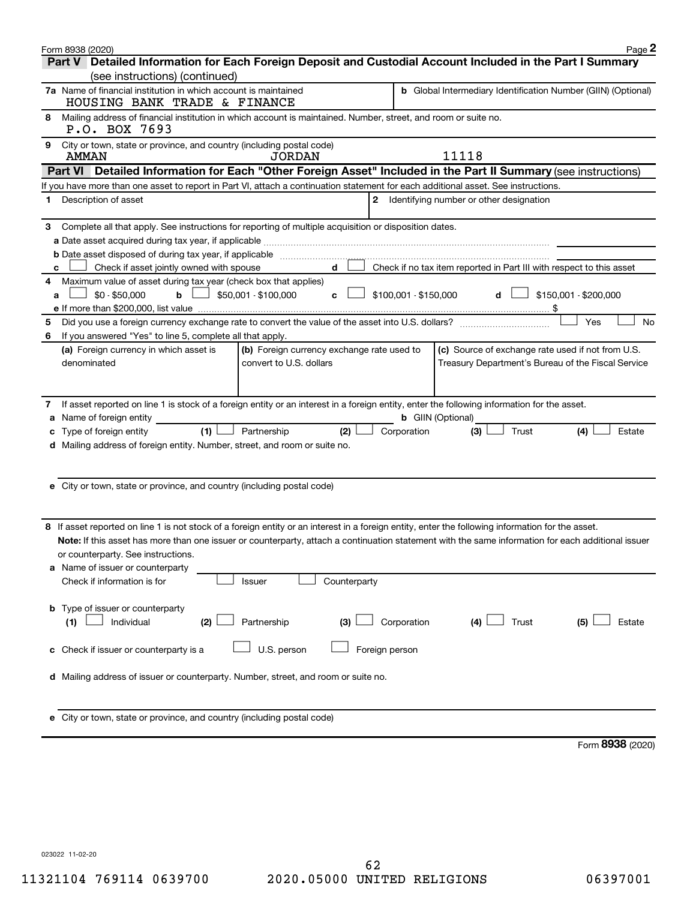| Form 8938 (2020)                                                                                                                     |                                            | Page 2                                                                                                                                             |
|--------------------------------------------------------------------------------------------------------------------------------------|--------------------------------------------|----------------------------------------------------------------------------------------------------------------------------------------------------|
|                                                                                                                                      |                                            | Part V Detailed Information for Each Foreign Deposit and Custodial Account Included in the Part I Summary                                          |
| (see instructions) (continued)                                                                                                       |                                            |                                                                                                                                                    |
| 7a Name of financial institution in which account is maintained<br>HOUSING BANK TRADE & FINANCE                                      |                                            | <b>b</b> Global Intermediary Identification Number (GIIN) (Optional)                                                                               |
| Mailing address of financial institution in which account is maintained. Number, street, and room or suite no.<br>8<br>P.O. BOX 7693 |                                            |                                                                                                                                                    |
| City or town, state or province, and country (including postal code)<br>9                                                            |                                            |                                                                                                                                                    |
| AMMAN                                                                                                                                | JORDAN                                     | 11118                                                                                                                                              |
|                                                                                                                                      |                                            | Part VI Detailed Information for Each "Other Foreign Asset" Included in the Part II Summary (see instructions)                                     |
| If you have more than one asset to report in Part VI, attach a continuation statement for each additional asset. See instructions.   |                                            |                                                                                                                                                    |
| Description of asset<br>1                                                                                                            | $\mathbf{2}$                               | Identifying number or other designation                                                                                                            |
| Complete all that apply. See instructions for reporting of multiple acquisition or disposition dates.<br>З                           |                                            |                                                                                                                                                    |
|                                                                                                                                      |                                            |                                                                                                                                                    |
|                                                                                                                                      |                                            |                                                                                                                                                    |
| Check if asset jointly owned with spouse<br>c                                                                                        | d                                          | Check if no tax item reported in Part III with respect to this asset                                                                               |
| Maximum value of asset during tax year (check box that applies)<br>4<br>$$0 - $50,000$<br>$\mathbf{b}$ $\mathbf{b}$<br>a             | \$50,001 - \$100,000<br>c                  | \$100,001 - \$150,000<br>\$150,001 - \$200,000<br>d                                                                                                |
|                                                                                                                                      |                                            |                                                                                                                                                    |
| 5                                                                                                                                    |                                            | No<br>Yes                                                                                                                                          |
| If you answered "Yes" to line 5, complete all that apply.<br>6                                                                       |                                            |                                                                                                                                                    |
| (a) Foreign currency in which asset is                                                                                               | (b) Foreign currency exchange rate used to | (c) Source of exchange rate used if not from U.S.                                                                                                  |
| denominated                                                                                                                          | convert to U.S. dollars                    | Treasury Department's Bureau of the Fiscal Service                                                                                                 |
|                                                                                                                                      |                                            |                                                                                                                                                    |
| 7                                                                                                                                    |                                            | If asset reported on line 1 is stock of a foreign entity or an interest in a foreign entity, enter the following information for the asset.        |
| Name of foreign entity<br>а                                                                                                          |                                            | <b>b</b> GIIN (Optional)                                                                                                                           |
| (1)<br>Type of foreign entity<br>с                                                                                                   | Partnership<br>(2)                         | Trust<br>Corporation<br>(3)<br>(4)<br>Estate                                                                                                       |
| Mailing address of foreign entity. Number, street, and room or suite no.<br>d                                                        |                                            |                                                                                                                                                    |
|                                                                                                                                      |                                            |                                                                                                                                                    |
|                                                                                                                                      |                                            |                                                                                                                                                    |
| City or town, state or province, and country (including postal code)<br>е                                                            |                                            |                                                                                                                                                    |
|                                                                                                                                      |                                            |                                                                                                                                                    |
|                                                                                                                                      |                                            | 8 If asset reported on line 1 is not stock of a foreign entity or an interest in a foreign entity, enter the following information for the asset.  |
|                                                                                                                                      |                                            | Note: If this asset has more than one issuer or counterparty, attach a continuation statement with the same information for each additional issuer |
| or counterparty. See instructions.                                                                                                   |                                            |                                                                                                                                                    |
| a Name of issuer or counterparty                                                                                                     |                                            |                                                                                                                                                    |
| Check if information is for                                                                                                          | Issuer<br>Counterparty                     |                                                                                                                                                    |
| Type of issuer or counterparty<br>b                                                                                                  |                                            |                                                                                                                                                    |
| Individual<br>(2)<br>(1)                                                                                                             | Partnership<br>(3)                         | Corporation<br>Trust<br>Estate<br>(4)<br>(5)                                                                                                       |
|                                                                                                                                      |                                            |                                                                                                                                                    |
| Check if issuer or counterparty is a<br>с                                                                                            | U.S. person<br>Foreign person              |                                                                                                                                                    |
| Mailing address of issuer or counterparty. Number, street, and room or suite no.<br>d                                                |                                            |                                                                                                                                                    |
|                                                                                                                                      |                                            |                                                                                                                                                    |
|                                                                                                                                      |                                            |                                                                                                                                                    |
| City or town, state or province, and country (including postal code)<br>е                                                            |                                            |                                                                                                                                                    |

Form **8938** (2020)

023022 11-02-20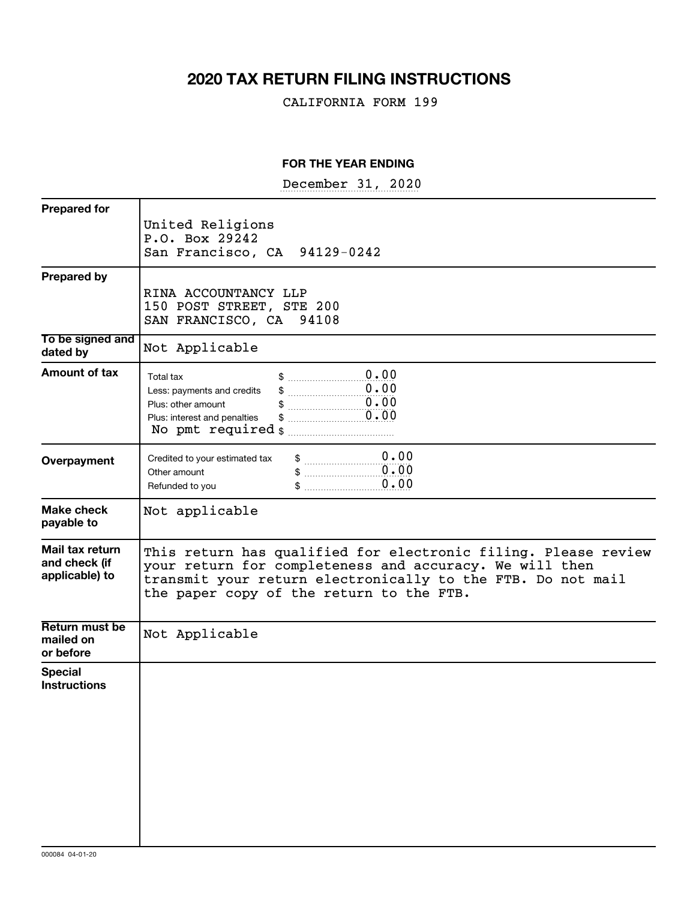# **2020 TAX RETURN FILING INSTRUCTIONS**

CALIFORNIA FORM 199

### **FOR THE YEAR ENDING**

December 31, 2020

| <b>Prepared for</b>                                |                                                                                                                                                                                                                                      |
|----------------------------------------------------|--------------------------------------------------------------------------------------------------------------------------------------------------------------------------------------------------------------------------------------|
|                                                    | United Religions                                                                                                                                                                                                                     |
|                                                    | P.O. Box 29242<br>San Francisco, CA 94129-0242                                                                                                                                                                                       |
|                                                    |                                                                                                                                                                                                                                      |
| <b>Prepared by</b>                                 |                                                                                                                                                                                                                                      |
|                                                    | RINA ACCOUNTANCY LLP                                                                                                                                                                                                                 |
|                                                    | 150 POST STREET, STE 200<br>SAN FRANCISCO, CA 94108                                                                                                                                                                                  |
| To be signed and                                   |                                                                                                                                                                                                                                      |
| dated by                                           | Not Applicable                                                                                                                                                                                                                       |
| Amount of tax                                      | \$ 0.00<br>Total tax                                                                                                                                                                                                                 |
|                                                    | Less: payments and credits<br>$\begin{array}{c}\n0.00 \\ \hline\n0.00\n\end{array}$                                                                                                                                                  |
|                                                    | Plus: other amount<br>$\begin{array}{c c} 0.00 \\ \hline 0.00 \end{array}$                                                                                                                                                           |
|                                                    | Plus: interest and penalties<br>\$<br>No pmt required \$                                                                                                                                                                             |
|                                                    |                                                                                                                                                                                                                                      |
| Overpayment                                        | 0.00<br>Credited to your estimated tax                                                                                                                                                                                               |
|                                                    | Other amount<br>0.00<br>Refunded to you                                                                                                                                                                                              |
|                                                    |                                                                                                                                                                                                                                      |
| <b>Make check</b><br>payable to                    | Not applicable                                                                                                                                                                                                                       |
| Mail tax return<br>and check (if<br>applicable) to | This return has qualified for electronic filing. Please review<br>your return for completeness and accuracy. We will then<br>transmit your return electronically to the FTB. Do not mail<br>the paper copy of the return to the FTB. |
| <b>Return must be</b><br>mailed on<br>or before    | Not Applicable                                                                                                                                                                                                                       |
| <b>Special</b><br><b>Instructions</b>              |                                                                                                                                                                                                                                      |
|                                                    |                                                                                                                                                                                                                                      |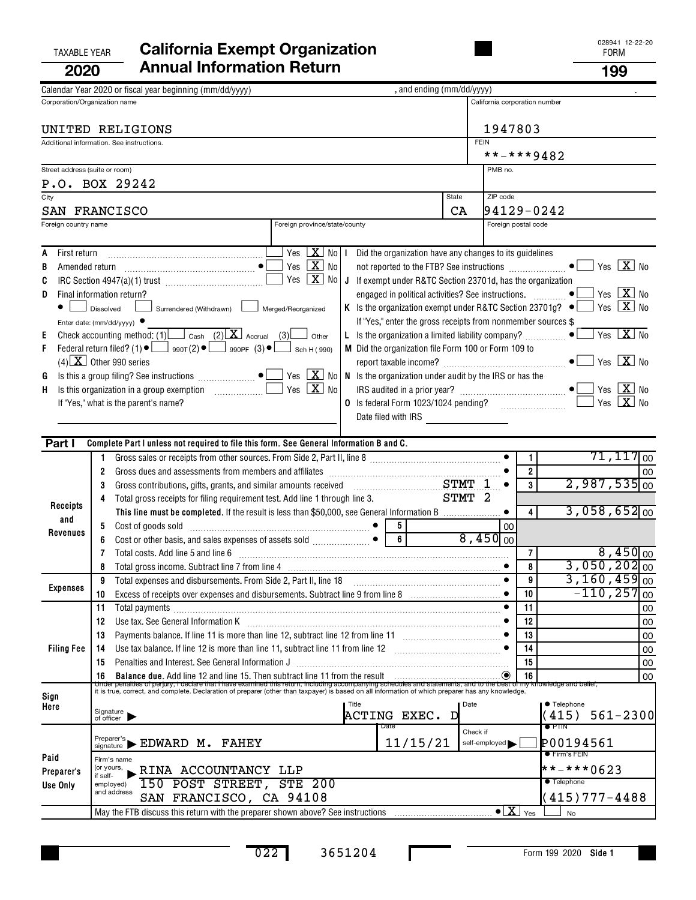|      | 2020                 | <b>Annual Information Return</b>                                                                                                                                                                                                    |                                                                                                            |                                                              |                           |             |                       |                               | 199                                                                                      |
|------|----------------------|-------------------------------------------------------------------------------------------------------------------------------------------------------------------------------------------------------------------------------------|------------------------------------------------------------------------------------------------------------|--------------------------------------------------------------|---------------------------|-------------|-----------------------|-------------------------------|------------------------------------------------------------------------------------------|
|      |                      | Calendar Year 2020 or fiscal year beginning (mm/dd/yyyy)                                                                                                                                                                            |                                                                                                            |                                                              | , and ending (mm/dd/yyyy) |             |                       |                               |                                                                                          |
|      |                      | Corporation/Organization name                                                                                                                                                                                                       |                                                                                                            |                                                              |                           |             |                       | California corporation number |                                                                                          |
|      |                      |                                                                                                                                                                                                                                     |                                                                                                            |                                                              |                           |             |                       |                               |                                                                                          |
|      |                      | UNITED RELIGIONS                                                                                                                                                                                                                    |                                                                                                            |                                                              |                           |             | 1947803               |                               |                                                                                          |
|      |                      | Additional information. See instructions.                                                                                                                                                                                           |                                                                                                            |                                                              |                           | <b>FEIN</b> |                       |                               |                                                                                          |
|      |                      |                                                                                                                                                                                                                                     |                                                                                                            |                                                              |                           |             |                       | **-***9482                    |                                                                                          |
|      |                      | Street address (suite or room)                                                                                                                                                                                                      |                                                                                                            |                                                              |                           |             | PMB no.               |                               |                                                                                          |
|      |                      | P.O. BOX 29242                                                                                                                                                                                                                      |                                                                                                            |                                                              |                           |             |                       |                               |                                                                                          |
| City |                      |                                                                                                                                                                                                                                     |                                                                                                            |                                                              |                           | State       | ZIP code              |                               |                                                                                          |
|      |                      | SAN FRANCISCO                                                                                                                                                                                                                       |                                                                                                            |                                                              |                           | CA          |                       | 94129-0242                    |                                                                                          |
|      | Foreign country name |                                                                                                                                                                                                                                     | Foreign province/state/county                                                                              |                                                              |                           |             | Foreign postal code   |                               |                                                                                          |
|      |                      |                                                                                                                                                                                                                                     |                                                                                                            |                                                              |                           |             |                       |                               |                                                                                          |
| Α    | First return         |                                                                                                                                                                                                                                     | Yes $\boxed{\mathbf{X}}$ No   I Did the organization have any changes to its guidelines                    |                                                              |                           |             |                       |                               |                                                                                          |
| В    |                      |                                                                                                                                                                                                                                     | Yes $X$ No                                                                                                 |                                                              |                           |             |                       |                               | Yes $\boxed{\mathbf{X}}$ No                                                              |
| C    |                      |                                                                                                                                                                                                                                     | Yes $\boxed{\mathbf{X}}$ No $\boxed{\mathbf{J}}$ If exempt under R&TC Section 23701d, has the organization |                                                              |                           |             |                       |                               |                                                                                          |
| D    |                      | Final information return?                                                                                                                                                                                                           |                                                                                                            |                                                              |                           |             |                       |                               | Yes $X$ No                                                                               |
|      |                      | Surrendered (Withdrawn) [1899] Merged/Reorganized<br>Dissolved                                                                                                                                                                      |                                                                                                            |                                                              |                           |             |                       |                               | K Is the organization exempt under R&TC Section 23701g? $\bullet$ $\Box$ Yes $\Box X$ No |
|      |                      | Enter date: (mm/dd/yyyy) $\bullet$                                                                                                                                                                                                  |                                                                                                            | If "Yes," enter the gross receipts from nonmember sources \$ |                           |             |                       |                               |                                                                                          |
| Е    |                      | Check accounting method: (1) Cash (2) $X$ Accrual (3) other                                                                                                                                                                         |                                                                                                            | L Is the organization a limited liability company? $\Box$    |                           |             |                       |                               | $Yes \nvert X \nvert No$                                                                 |
| F    |                      |                                                                                                                                                                                                                                     |                                                                                                            | M Did the organization file Form 100 or Form 109 to          |                           |             |                       |                               |                                                                                          |
|      |                      | $(4)$ X Other 990 series                                                                                                                                                                                                            |                                                                                                            |                                                              |                           |             |                       |                               | Yes $X$ No                                                                               |
| G    |                      | Is this a group filing? See instructions $\ldots$ $\bullet$ $\Box$ Yes $\boxed{\mathbf{X}}$ No   N Is the organization under audit by the IRS or has the                                                                            |                                                                                                            |                                                              |                           |             |                       |                               |                                                                                          |
| H.   |                      |                                                                                                                                                                                                                                     | Yes $X$ No                                                                                                 |                                                              |                           |             |                       |                               | Yes $X$ No                                                                               |
|      |                      | If "Yes," what is the parent's name?                                                                                                                                                                                                |                                                                                                            |                                                              |                           |             |                       |                               | Yes $X _{N0}$                                                                            |
|      |                      |                                                                                                                                                                                                                                     |                                                                                                            | Date filed with IRS                                          |                           |             |                       |                               |                                                                                          |
|      |                      |                                                                                                                                                                                                                                     |                                                                                                            |                                                              |                           |             |                       |                               |                                                                                          |
|      | Part I               | Complete Part I unless not required to file this form. See General Information B and C.                                                                                                                                             |                                                                                                            |                                                              |                           |             |                       |                               |                                                                                          |
|      |                      | 1                                                                                                                                                                                                                                   |                                                                                                            |                                                              |                           |             |                       | 1                             | $71,117$ 00                                                                              |
|      |                      | 2<br>Gross dues and assessments from members and affiliates [111] [11] contains and a filiates [11] contains and a filiates [11] contains and a filial mass and a filial mass and a filial mass and a filial mass and a filial mass |                                                                                                            |                                                              |                           |             |                       | $\overline{2}$                | 00                                                                                       |
|      |                      | Gross contributions, gifts, grants, and similar amounts received examples and string string TMT 1<br>3                                                                                                                              |                                                                                                            |                                                              |                           |             |                       | 3                             | $2,987,535$ <sub>00</sub>                                                                |
|      | Receipts             | Total gross receipts for filing requirement test. Add line 1 through line 3.<br>4                                                                                                                                                   |                                                                                                            |                                                              |                           | STMT 2      |                       |                               |                                                                                          |
|      | and                  | This line must be completed. If the result is less than \$50,000, see General Information B                                                                                                                                         |                                                                                                            |                                                              |                           |             |                       | 4                             | $3,058,652]$ <sub>00</sub>                                                               |
|      | Revenues             | Cost of goods sold with a construction of the cost of goods sold<br>5                                                                                                                                                               |                                                                                                            | 5  <br>$\overline{\phantom{a}}$ 6                            |                           |             | 00                    |                               |                                                                                          |
|      |                      | $Cost$ or other basis, and sales expenses of assets sold $\begin{array}{ccc} \dots & \dots & \dots & \dots \end{array}$<br>6                                                                                                        |                                                                                                            |                                                              |                           |             | $8,450$ <sub>00</sub> |                               |                                                                                          |
|      |                      | Total costs. Add line 5 and line 6<br>7                                                                                                                                                                                             |                                                                                                            |                                                              |                           |             |                       | 7<br>8                        | $8,450$ 00<br>$3,050,202$ <sub>00</sub>                                                  |
|      |                      | 8<br>Total gross income. Subtract line 7 from line 4                                                                                                                                                                                |                                                                                                            |                                                              |                           |             | ٠<br>$\bullet$        |                               | $3,160,459$ <sub>00</sub>                                                                |
|      | <b>Expenses</b>      | Total expenses and disbursements. From Side 2, Part II, line 18<br>9                                                                                                                                                                |                                                                                                            |                                                              |                           |             |                       | 9<br>10                       | $-110, 257$<br>l oo                                                                      |
|      |                      | 10<br>Total payments                                                                                                                                                                                                                |                                                                                                            |                                                              |                           |             |                       | 11                            |                                                                                          |
|      |                      | 11<br>Use tax. See General Information K<br>12                                                                                                                                                                                      |                                                                                                            |                                                              |                           |             |                       | 12                            | 00                                                                                       |
|      |                      | 13                                                                                                                                                                                                                                  |                                                                                                            |                                                              |                           |             |                       | 13                            | 00<br>00                                                                                 |
|      | <b>Filing Fee</b>    | Use tax balance. If line 12 is more than line 11, subtract line 11 from line 12<br>14                                                                                                                                               |                                                                                                            |                                                              |                           |             |                       | 14                            | 00                                                                                       |
|      |                      | Penalties and Interest. See General Information J<br>15                                                                                                                                                                             |                                                                                                            |                                                              |                           |             |                       | 15                            | 00                                                                                       |
|      |                      | Balance due. Add line 12 and line 15. Then subtract line 11 from the result [11] [11] [11] Balance due. Add line 12 and line 15. Then subtract line 11 from the result<br>16                                                        |                                                                                                            |                                                              |                           |             |                       | 16                            | 00                                                                                       |
|      |                      | The penalties of personal receiver that Thave examined this return, including accompanying schedules and statements, and to the best of my knowledge and belief,<br>It is true, correct, and complete. Declaration of preparer (o   |                                                                                                            |                                                              |                           |             |                       |                               |                                                                                          |
| Sign |                      |                                                                                                                                                                                                                                     |                                                                                                            |                                                              |                           |             |                       | ● Telephone                   |                                                                                          |
| Here |                      | Signature<br>of officer                                                                                                                                                                                                             | Title                                                                                                      | ACTING EXEC. D                                               |                           | Date        |                       | (415)                         | $561 - 2300$                                                                             |
|      |                      |                                                                                                                                                                                                                                     |                                                                                                            | Date                                                         |                           | Check if    |                       | $\bullet$ PTIN                |                                                                                          |
|      |                      | Preparer's<br>signature<br>EDWARD M. FAHEY »                                                                                                                                                                                        |                                                                                                            |                                                              | 11/15/21                  |             | self-employed         |                               | P00194561                                                                                |
| Paid |                      | Firm's name                                                                                                                                                                                                                         |                                                                                                            |                                                              |                           |             |                       |                               | <b>•</b> Firm's FEIN                                                                     |
|      | Preparer's           | (or yours,<br>RINA ACCOUNTANCY LLP                                                                                                                                                                                                  |                                                                                                            |                                                              |                           |             |                       |                               | $\ast$ * - * * * 0623                                                                    |
|      | Use Only             | if self-<br>150 POST STREET, STE 200<br>employed)                                                                                                                                                                                   |                                                                                                            |                                                              |                           |             |                       |                               | <b>• Telephone</b>                                                                       |
|      |                      | and address<br>SAN FRANCISCO, CA 94108                                                                                                                                                                                              |                                                                                                            |                                                              |                           |             |                       |                               | (415)777-4488                                                                            |
|      |                      |                                                                                                                                                                                                                                     |                                                                                                            |                                                              |                           |             | $\bullet$ $\vert$ X   | Yes                           | No                                                                                       |
|      |                      |                                                                                                                                                                                                                                     |                                                                                                            |                                                              |                           |             |                       |                               |                                                                                          |

п

028941 12-22-20

# TAXABLE YEAR **California Exempt Organization California Exempt Organization**

| נ<br>A<br>г |  |  |
|-------------|--|--|
|             |  |  |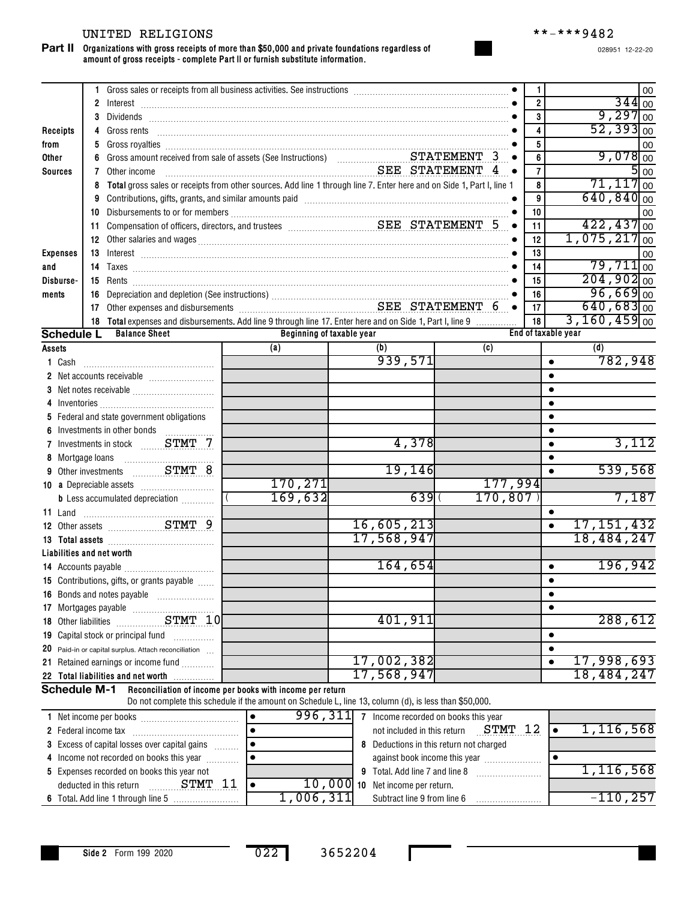### UNITED RELIGIONS \*\*-\*\*\*9482

**Organizations with gross receipts of more than \$50,000 and private foundations regardless of amount of gross receipts - complete Part II or furnish substitute information. Part II**

|                           | 2  |                                                                                                                                |                                                                                                                                                                     |                                               |                | $\mathbf{1}$<br>$\overline{2}$ | 00<br>344 00              |
|---------------------------|----|--------------------------------------------------------------------------------------------------------------------------------|---------------------------------------------------------------------------------------------------------------------------------------------------------------------|-----------------------------------------------|----------------|--------------------------------|---------------------------|
|                           | 3  |                                                                                                                                |                                                                                                                                                                     |                                               |                | 3                              | $9,297$ <sub>00</sub>     |
| Receipts                  | 4  | Gross rents                                                                                                                    |                                                                                                                                                                     |                                               |                | 4                              | $52, 393$ <sub>00</sub>   |
| from                      | 5. |                                                                                                                                |                                                                                                                                                                     |                                               |                | 5                              | 00                        |
| Other                     | 6  |                                                                                                                                |                                                                                                                                                                     |                                               |                | 6                              | $9,078$ <sub>00</sub>     |
| <b>Sources</b>            | 7  | Other income                                                                                                                   | <b>EXECUTE STATEMENT 4</b>                                                                                                                                          |                                               | $\bullet$      | $\overline{7}$                 | 00                        |
|                           | 8  | Total gross sales or receipts from other sources. Add line 1 through line 7. Enter here and on Side 1, Part I, line 1          |                                                                                                                                                                     |                                               |                | 8                              | $71,117$ 00               |
|                           | 9  | Contributions, gifts, grants, and similar amounts paid manufactured and contributions, gifts, grants, and similar amounts paid |                                                                                                                                                                     |                                               |                | 9                              | $640,840$ <sub>00</sub>   |
|                           | 10 |                                                                                                                                |                                                                                                                                                                     |                                               |                | 10                             | 00                        |
|                           | 11 |                                                                                                                                |                                                                                                                                                                     |                                               | $\bullet$      | 11                             | $422, 437$ <sub>00</sub>  |
|                           | 12 |                                                                                                                                |                                                                                                                                                                     |                                               |                | 12                             | $1,075,217$ <sub>00</sub> |
| <b>Expenses</b>           | 13 |                                                                                                                                |                                                                                                                                                                     |                                               |                | 13                             | 00                        |
| and                       | 14 |                                                                                                                                |                                                                                                                                                                     |                                               |                | 14                             | $79,711$ <sub>00</sub>    |
| Disburse-                 | 15 |                                                                                                                                |                                                                                                                                                                     |                                               |                | 15                             | $204,902$ <sub>00</sub>   |
| ments                     | 16 |                                                                                                                                |                                                                                                                                                                     |                                               |                | 16                             | $96,669$ <sub>00</sub>    |
|                           | 17 | Depreciation and depletion (See instructions)<br>Other expenses and disbursements<br>SEE STATEMENT 6                           |                                                                                                                                                                     |                                               | $\bullet$      | 17                             | $640, 683$ 00             |
|                           |    | 18 Total expenses and disbursements. Add line 9 through line 17. Enter here and on Side 1, Part I, line 9                      |                                                                                                                                                                     |                                               |                | 18                             | $3,160,459$ <sub>00</sub> |
| <b>Schedule L</b>         |    | <b>Balance Sheet</b>                                                                                                           | Beginning of taxable year                                                                                                                                           |                                               |                | End of taxable year            |                           |
| Assets                    |    |                                                                                                                                | (a)                                                                                                                                                                 | (b)                                           | (c)            |                                | (d)                       |
| 1 Cash                    |    |                                                                                                                                |                                                                                                                                                                     | 939,571                                       |                | $\bullet$                      | 782,948                   |
| 2                         |    | Net accounts receivable                                                                                                        |                                                                                                                                                                     |                                               |                | $\bullet$                      |                           |
| 3                         |    |                                                                                                                                |                                                                                                                                                                     |                                               |                | $\bullet$                      |                           |
| 4                         |    |                                                                                                                                |                                                                                                                                                                     |                                               |                | $\bullet$                      |                           |
| 5.                        |    | Federal and state government obligations                                                                                       |                                                                                                                                                                     |                                               |                | $\bullet$                      |                           |
| 6                         |    | Investments in other bonds                                                                                                     |                                                                                                                                                                     |                                               |                | $\bullet$                      |                           |
|                           |    | Investments in stock STMT 7                                                                                                    |                                                                                                                                                                     | 4,378                                         |                | $\bullet$                      | 3,112                     |
| Mortgage loans<br>8       |    |                                                                                                                                |                                                                                                                                                                     |                                               |                | $\bullet$                      |                           |
| 9                         |    |                                                                                                                                |                                                                                                                                                                     | 19,146                                        |                | $\bullet$                      | 539,568                   |
|                           |    |                                                                                                                                | 170,271                                                                                                                                                             |                                               | 177,994        |                                |                           |
|                           |    | <b>b</b> Less accumulated depreciation <i></i>                                                                                 | 169,632                                                                                                                                                             | 639(                                          | 170, 807       |                                | 7,187                     |
|                           |    |                                                                                                                                |                                                                                                                                                                     |                                               |                | $\bullet$                      |                           |
|                           |    |                                                                                                                                |                                                                                                                                                                     | 16,605,213                                    |                | $\bullet$                      | 17,151,432                |
|                           |    |                                                                                                                                |                                                                                                                                                                     | 17,568,947                                    |                |                                | 18,484,247                |
| Liabilities and net worth |    |                                                                                                                                |                                                                                                                                                                     |                                               |                |                                |                           |
|                           |    |                                                                                                                                |                                                                                                                                                                     | 164,654                                       |                | $\bullet$                      | 196,942                   |
|                           |    | 15 Contributions, gifts, or grants payable                                                                                     |                                                                                                                                                                     |                                               |                |                                |                           |
|                           |    | 16 Bonds and notes payable                                                                                                     |                                                                                                                                                                     |                                               |                | $\bullet$                      |                           |
|                           |    |                                                                                                                                |                                                                                                                                                                     |                                               |                | $\bullet$                      |                           |
|                           |    | 18 Other liabilities <b>STMT</b> 10                                                                                            |                                                                                                                                                                     | 401,911                                       |                |                                | 288,612                   |
|                           |    | 19 Capital stock or principal fund                                                                                             |                                                                                                                                                                     |                                               |                | $\bullet$                      |                           |
|                           |    | 20 Paid-in or capital surplus. Attach reconciliation                                                                           |                                                                                                                                                                     |                                               |                | $\bullet$                      |                           |
|                           |    | 21 Retained earnings or income fund                                                                                            |                                                                                                                                                                     | 17,002,382                                    |                | $\bullet$                      | 17,998,693                |
|                           |    | 22 Total liabilities and net worth                                                                                             |                                                                                                                                                                     | 17,568,947                                    |                |                                | 18,484,247                |
| <b>Schedule M-1</b>       |    |                                                                                                                                | Reconciliation of income per books with income per return<br>Do not complete this schedule if the amount on Schedule L, line 13, column (d), is less than \$50,000. |                                               |                |                                |                           |
|                           |    |                                                                                                                                | $\bullet$                                                                                                                                                           | 996, 311 7 Income recorded on books this year |                |                                |                           |
|                           |    |                                                                                                                                |                                                                                                                                                                     |                                               | $C$ m $M$ m 12 |                                | F C                       |

| 1 Net income per books                               | <b>PPP, PPP</b> | Theome recorded on books this year                           |            |
|------------------------------------------------------|-----------------|--------------------------------------------------------------|------------|
| 2 Federal income tax                                 |                 | STMT<br>not included in this return                          | 1,116,568  |
| <b>3</b> Excess of capital losses over capital gains |                 | 8 Deductions in this return not charged                      |            |
| 4 Income not recorded on books this year             |                 | against book income this year                                |            |
| 5 Expenses recorded on books this year not           |                 | 9 Total. Add line 7 and line 8                               | 1,116,568  |
| STMT<br>deducted in this return                      |                 | $\overline{10}$ , $\overline{000}$ 10 Net income per return. |            |
|                                                      | 006, 311        | Subtract line 9 from line 6                                  | $-110,257$ |

**Side 2** Form 199 2020

022 3652204

п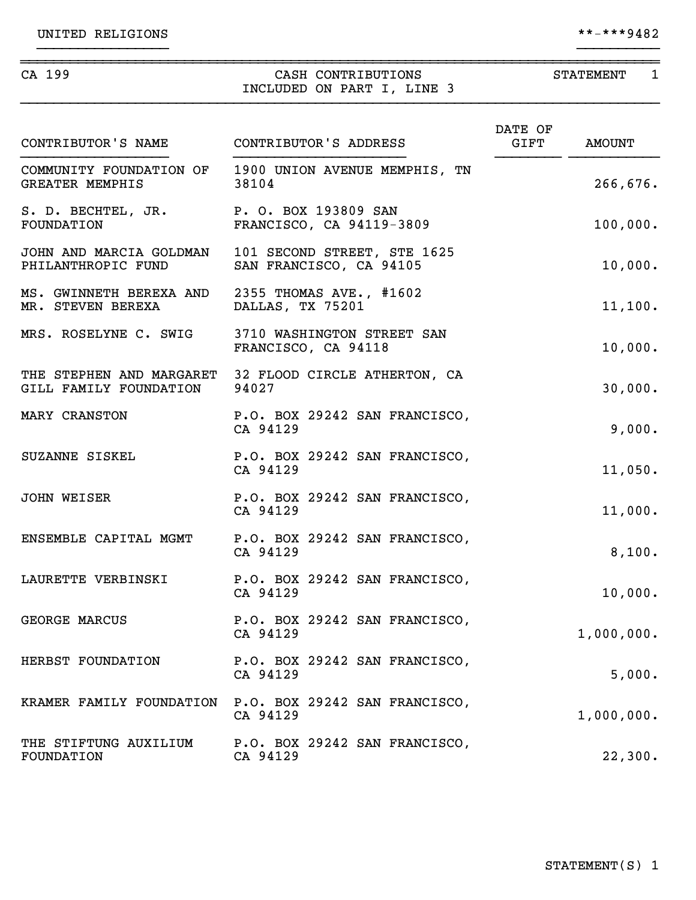UNITED RELIGIONS \*\*-\*\*\*9482

| CA 199                                                               | CASH CONTRIBUTIONS<br>INCLUDED ON PART I, LINE 3                   | $\mathbf{1}$<br><b>STATEMENT</b> |  |  |
|----------------------------------------------------------------------|--------------------------------------------------------------------|----------------------------------|--|--|
| CONTRIBUTOR'S NAME                                                   | CONTRIBUTOR'S ADDRESS                                              | DATE OF<br>GIFT<br><b>AMOUNT</b> |  |  |
| <b>GREATER MEMPHIS</b>                                               | COMMUNITY FOUNDATION OF 1900 UNION AVENUE MEMPHIS, TN<br>38104     | 266,676.                         |  |  |
| S. D. BECHTEL, JR. P. O. BOX 193809 SAN<br><b>FOUNDATION</b>         | FRANCISCO, CA 94119-3809                                           | 100,000.                         |  |  |
| JOHN AND MARCIA GOLDMAN<br>PHILANTHROPIC FUND                        | 101 SECOND STREET, STE 1625<br>SAN FRANCISCO, CA 94105             | 10,000.                          |  |  |
| MS. GWINNETH BEREXA AND 2355 THOMAS AVE., #1602<br>MR. STEVEN BEREXA | DALLAS, TX 75201                                                   | 11,100.                          |  |  |
| MRS. ROSELYNE C. SWIG                                                | 3710 WASHINGTON STREET SAN<br>FRANCISCO, CA 94118                  | 10,000.                          |  |  |
| THE STEPHEN AND MARGARET<br>GILL FAMILY FOUNDATION                   | 32 FLOOD CIRCLE ATHERTON, CA<br>94027                              | 30,000.                          |  |  |
| MARY CRANSTON                                                        | P.O. BOX 29242 SAN FRANCISCO,<br>CA 94129                          | 9,000.                           |  |  |
| SUZANNE SISKEL                                                       | P.O. BOX 29242 SAN FRANCISCO,<br>CA 94129                          | 11,050.                          |  |  |
| <b>JOHN WEISER</b>                                                   | P.O. BOX 29242 SAN FRANCISCO,<br>CA 94129                          | 11,000.                          |  |  |
| ENSEMBLE CAPITAL MGMT                                                | P.O. BOX 29242 SAN FRANCISCO,<br>CA 94129                          | 8,100.                           |  |  |
| LAURETTE VERBINSKI                                                   | P.O. BOX 29242 SAN FRANCISCO,<br>CA 94129                          | 10,000.                          |  |  |
| <b>GEORGE MARCUS</b>                                                 | P.O. BOX 29242 SAN FRANCISCO,<br>CA 94129                          | 1,000,000.                       |  |  |
| HERBST FOUNDATION                                                    | P.O. BOX 29242 SAN FRANCISCO,<br>CA 94129                          | 5,000.                           |  |  |
|                                                                      | KRAMER FAMILY FOUNDATION P.O. BOX 29242 SAN FRANCISCO,<br>CA 94129 | 1,000,000.                       |  |  |
| THE STIFTUNG AUXILIUM<br>FOUNDATION                                  | P.O. BOX 29242 SAN FRANCISCO,<br>CA 94129                          | 22,300.                          |  |  |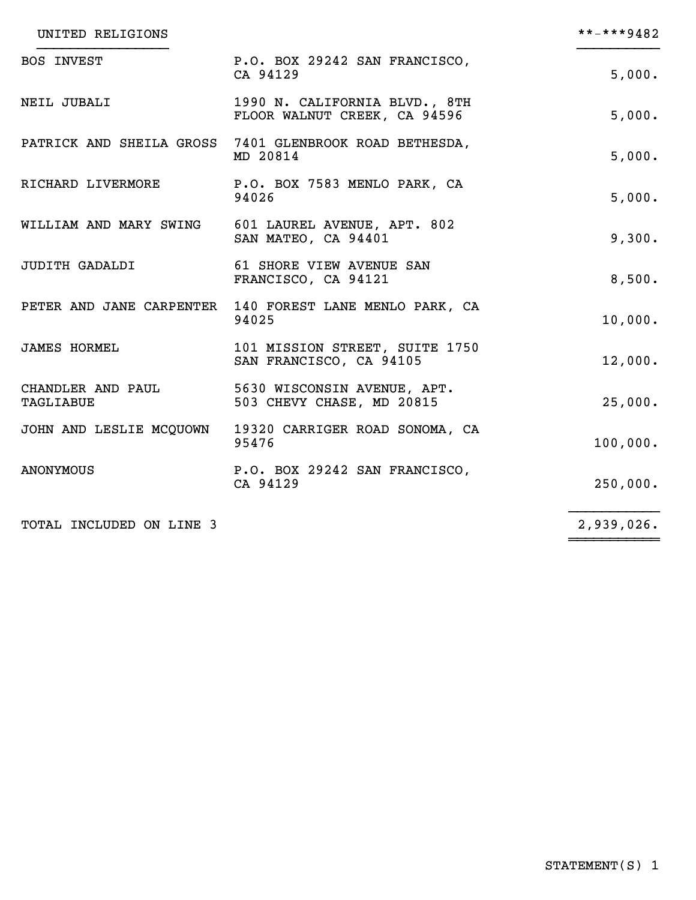| UNITED RELIGIONS               |                                                                    | **-***9482 |
|--------------------------------|--------------------------------------------------------------------|------------|
| BOS INVEST                     | P.O. BOX 29242 SAN FRANCISCO,<br>CA 94129                          | 5,000.     |
| NEIL JUBALI                    | 1990 N. CALIFORNIA BLVD., 8TH<br>FLOOR WALNUT CREEK, CA 94596      | 5,000.     |
|                                | PATRICK AND SHEILA GROSS 7401 GLENBROOK ROAD BETHESDA,<br>MD 20814 | 5,000.     |
| RICHARD LIVERMORE              | P.O. BOX 7583 MENLO PARK, CA<br>94026                              | 5,000.     |
| WILLIAM AND MARY SWING         | 601 LAUREL AVENUE, APT. 802<br>SAN MATEO, CA 94401                 | 9,300.     |
| <b>JUDITH GADALDI</b>          | 61 SHORE VIEW AVENUE SAN<br>FRANCISCO, CA 94121                    | 8,500.     |
|                                | PETER AND JANE CARPENTER 140 FOREST LANE MENLO PARK, CA<br>94025   | 10,000.    |
| <b>JAMES HORMEL</b>            | 101 MISSION STREET, SUITE 1750<br>SAN FRANCISCO, CA 94105          | 12,000.    |
| CHANDLER AND PAUL<br>TAGLIABUE | 5630 WISCONSIN AVENUE, APT.<br>503 CHEVY CHASE, MD 20815           | 25,000.    |
| JOHN AND LESLIE MCQUOWN        | 19320 CARRIGER ROAD SONOMA, CA<br>95476                            | 100,000.   |
| <b>ANONYMOUS</b>               | P.O. BOX 29242 SAN FRANCISCO,<br>CA 94129                          | 250,000.   |
| TOTAL INCLUDED ON LINE 3       |                                                                    | 2,939,026. |

~~~~~~~~~~~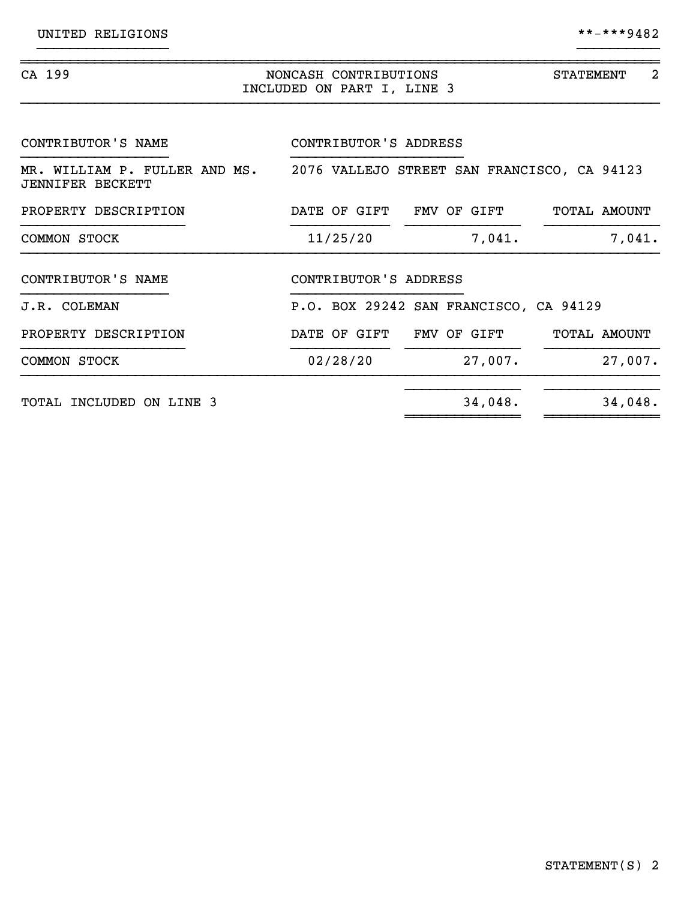| CA 199                                                                                               | NONCASH CONTRIBUTIONS<br>INCLUDED ON PART I, LINE 3 |                                        |         |  |  |  |
|------------------------------------------------------------------------------------------------------|-----------------------------------------------------|----------------------------------------|---------|--|--|--|
| CONTRIBUTOR'S NAME                                                                                   | CONTRIBUTOR'S ADDRESS                               |                                        |         |  |  |  |
| MR. WILLIAM P. FULLER AND MS. 2076 VALLEJO STREET SAN FRANCISCO, CA 94123<br><b>JENNIFER BECKETT</b> |                                                     |                                        |         |  |  |  |
| PROPERTY DESCRIPTION                                                                                 |                                                     | DATE OF GIFT FMV OF GIFT TOTAL AMOUNT  |         |  |  |  |
| COMMON STOCK                                                                                         | 11/25/20                                            | 7,041.                                 | 7,041.  |  |  |  |
| CONTRIBUTOR'S NAME                                                                                   | CONTRIBUTOR'S ADDRESS                               |                                        |         |  |  |  |
| J.R. COLEMAN                                                                                         |                                                     | P.O. BOX 29242 SAN FRANCISCO, CA 94129 |         |  |  |  |
| PROPERTY DESCRIPTION                                                                                 |                                                     | DATE OF GIFT FMV OF GIFT TOTAL AMOUNT  |         |  |  |  |
| COMMON STOCK                                                                                         | 02/28/20                                            | 27,007.                                | 27,007. |  |  |  |
| TOTAL INCLUDED ON LINE 3                                                                             |                                                     | 34,048.                                | 34,048. |  |  |  |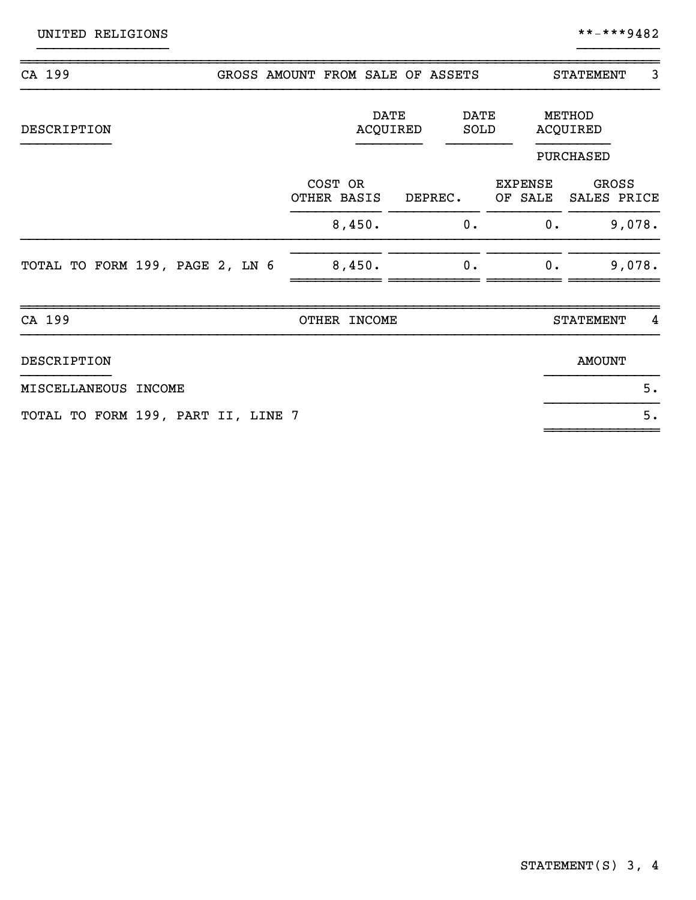| CA 199                             | GROSS AMOUNT FROM SALE OF ASSETS |                                 |                           | 3<br><b>STATEMENT</b>                  |
|------------------------------------|----------------------------------|---------------------------------|---------------------------|----------------------------------------|
| DESCRIPTION                        | <b>DATE</b>                      | <b>DATE</b><br>ACQUIRED<br>SOLD |                           | METHOD<br>ACQUIRED<br><b>PURCHASED</b> |
|                                    | COST OR<br>OTHER BASIS           | DEPREC.                         | <b>EXPENSE</b><br>OF SALE | GROSS<br>SALES PRICE                   |
|                                    | 8,450.                           | 0.                              | 0.                        | 9,078.                                 |
| TOTAL TO FORM 199, PAGE 2, LN 6    | 8,450.                           | 0.                              | 0.                        | 9,078.                                 |
| CA 199                             | OTHER INCOME                     |                                 |                           | <b>STATEMENT</b><br>4                  |
| DESCRIPTION                        |                                  |                                 |                           | <b>AMOUNT</b>                          |
| MISCELLANEOUS<br><b>INCOME</b>     |                                  |                                 |                           | 5.                                     |
| TOTAL TO FORM 199, PART II, LINE 7 |                                  |                                 |                           | 5.                                     |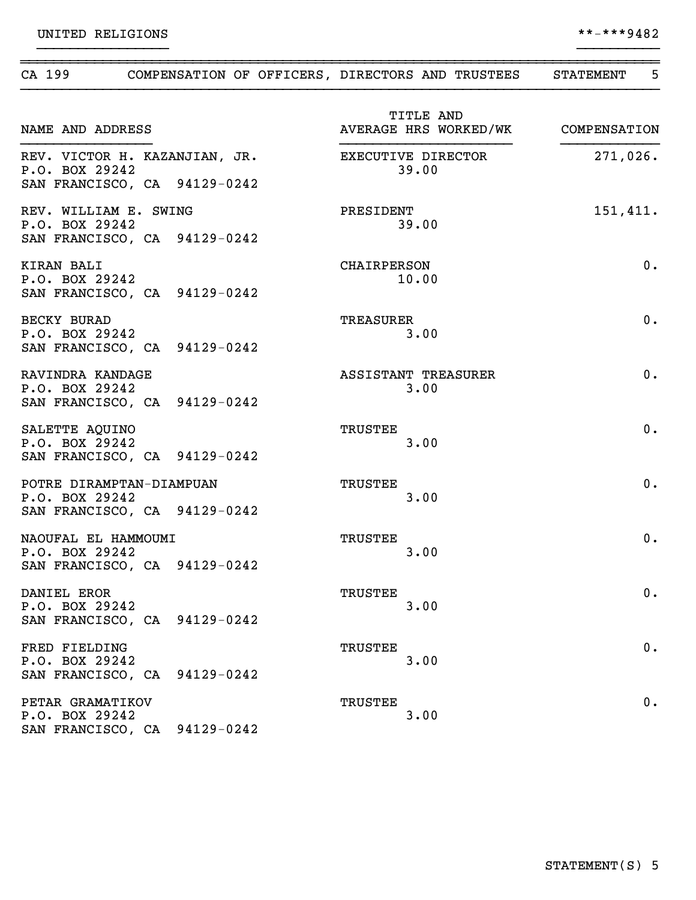| CA 199 COMPENSATION OF OFFICERS, DIRECTORS AND TRUSTEES                                            |                                                 | 5<br><b>STATEMENT</b> |
|----------------------------------------------------------------------------------------------------|-------------------------------------------------|-----------------------|
| NAME AND ADDRESS                                                                                   | TITLE AND<br>AVERAGE HRS WORKED/WK COMPENSATION |                       |
| REV. VICTOR H. KAZANJIAN, JR. EXECUTIVE DIRECTOR<br>P.O. BOX 29242<br>SAN FRANCISCO, CA 94129-0242 | 39.00                                           | $271,026$ .           |
| REV. WILLIAM E. SWING<br>P.O. BOX 29242<br>SAN FRANCISCO, CA 94129-0242                            | PRESIDENT<br>39.00                              | 151,411.              |
| KIRAN BALI<br>P.O. BOX 29242<br>SAN FRANCISCO, CA 94129-0242                                       | <b>CHAIRPERSON</b><br>10.00                     | 0.                    |
| <b>BECKY BURAD</b><br>P.O. BOX 29242<br>SAN FRANCISCO, CA 94129-0242                               | TREASURER<br>3.00                               | 0.                    |
| RAVINDRA KANDAGE<br>P.O. BOX 29242<br>SAN FRANCISCO, CA 94129-0242                                 | ASSISTANT TREASURER<br>3.00                     | 0.                    |
| SALETTE AQUINO<br>P.O. BOX 29242<br>SAN FRANCISCO, CA 94129-0242                                   | TRUSTEE<br>3.00                                 | 0.                    |
| POTRE DIRAMPTAN-DIAMPUAN<br>P.O. BOX 29242<br>SAN FRANCISCO, CA 94129-0242                         | TRUSTEE<br>3.00                                 | 0.                    |
| NAOUFAL EL HAMMOUMI<br>P.O. BOX 29242<br>SAN FRANCISCO, CA 94129-0242                              | TRUSTEE<br>3.00                                 | 0.                    |
| DANIEL EROR<br>P.O. BOX 29242<br>SAN FRANCISCO, CA 94129-0242                                      | <b>TRUSTEE</b><br>3.00                          | 0.                    |
| FRED FIELDING<br>P.O. BOX 29242<br>SAN FRANCISCO, CA 94129-0242                                    | <b>TRUSTEE</b><br>3.00                          | 0.                    |
| PETAR GRAMATIKOV<br>P.O. BOX 29242<br>SAN FRANCISCO, CA 94129-0242                                 | <b>TRUSTEE</b><br>3.00                          | 0.                    |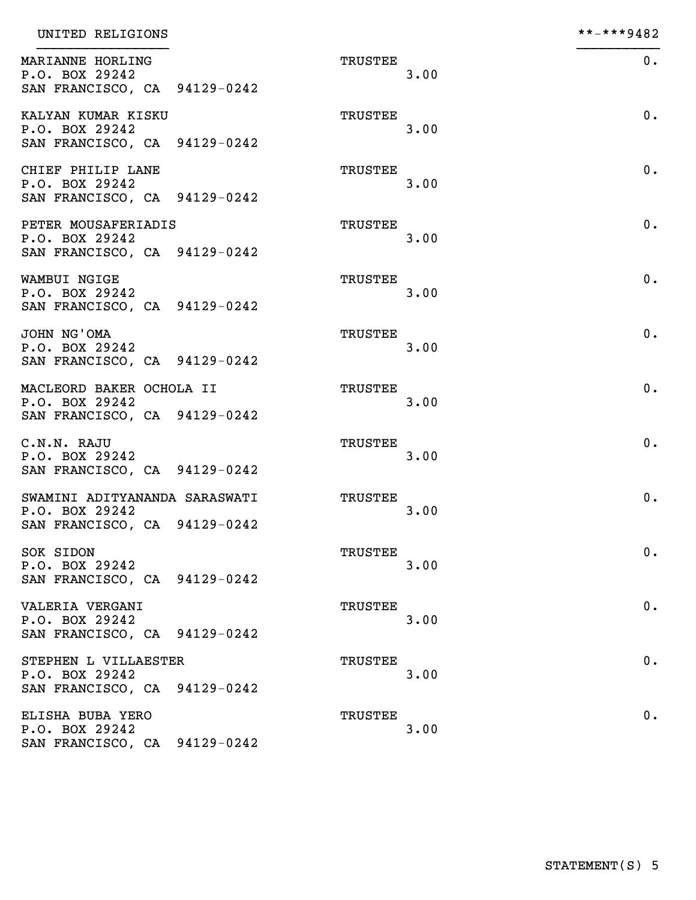| UNITED RELIGIONS                                                    |                        | **-***9482 |
|---------------------------------------------------------------------|------------------------|------------|
| MARIANNE HORLING<br>P.O. BOX 29242<br>SAN FRANCISCO, CA 94129-0242  | TRUSTEE<br>3.00        | 0.         |
| KALYAN KUMAR KISKU<br>P.O. BOX 29242                                | <b>TRUSTEE</b><br>3.00 | 0.         |
| SAN FRANCISCO, CA 94129-0242                                        |                        |            |
| CHIEF PHILIP LANE<br>P.O. BOX 29242<br>SAN FRANCISCO, CA 94129-0242 | <b>TRUSTEE</b><br>3.00 | 0.         |
|                                                                     |                        |            |
| PETER MOUSAFERIADIS<br>P.O. BOX 29242                               | TRUSTEE<br>3.00        | 0.         |
| SAN FRANCISCO, CA 94129-0242                                        |                        |            |
| WAMBUI NGIGE                                                        | <b>TRUSTEE</b>         | 0.         |
| P.O. BOX 29242<br>SAN FRANCISCO, CA 94129-0242                      | 3.00                   |            |
| JOHN NG'OMA                                                         | <b>TRUSTEE</b>         | 0.         |
| P.O. BOX 29242                                                      | 3.00                   |            |
| SAN FRANCISCO, CA 94129-0242                                        |                        |            |
| MACLEORD BAKER OCHOLA II                                            | <b>TRUSTEE</b>         | 0.         |
| P.O. BOX 29242<br>SAN FRANCISCO, CA 94129-0242                      | 3.00                   |            |
| C.N.N. RAJU                                                         | TRUSTEE                | 0.         |
| P.O. BOX 29242                                                      | 3.00                   |            |
| SAN FRANCISCO, CA 94129-0242                                        |                        |            |
| SWAMINI ADITYANANDA SARASWATI                                       | <b>TRUSTEE</b>         | 0.         |
| P.O. BOX 29242<br>SAN FRANCISCO, CA 94129-0242                      | 3.00                   |            |
| SOK SIDON                                                           | TRUSTEE                | 0.         |
| P.O. BOX 29242                                                      | 3.00                   |            |
| SAN FRANCISCO, CA 94129-0242                                        |                        |            |
| VALERIA VERGANI                                                     | <b>TRUSTEE</b>         | 0.         |
| P.O. BOX 29242<br>SAN FRANCISCO, CA 94129-0242                      | 3.00                   |            |
|                                                                     |                        |            |
| STEPHEN L VILLAESTER                                                | TRUSTEE                | 0.         |
| P.O. BOX 29242<br>SAN FRANCISCO, CA 94129-0242                      | 3.00                   |            |
| ELISHA BUBA YERO                                                    | TRUSTEE                | 0.         |
| P.O. BOX 29242                                                      | 3.00                   |            |
| SAN FRANCISCO, CA 94129-0242                                        |                        |            |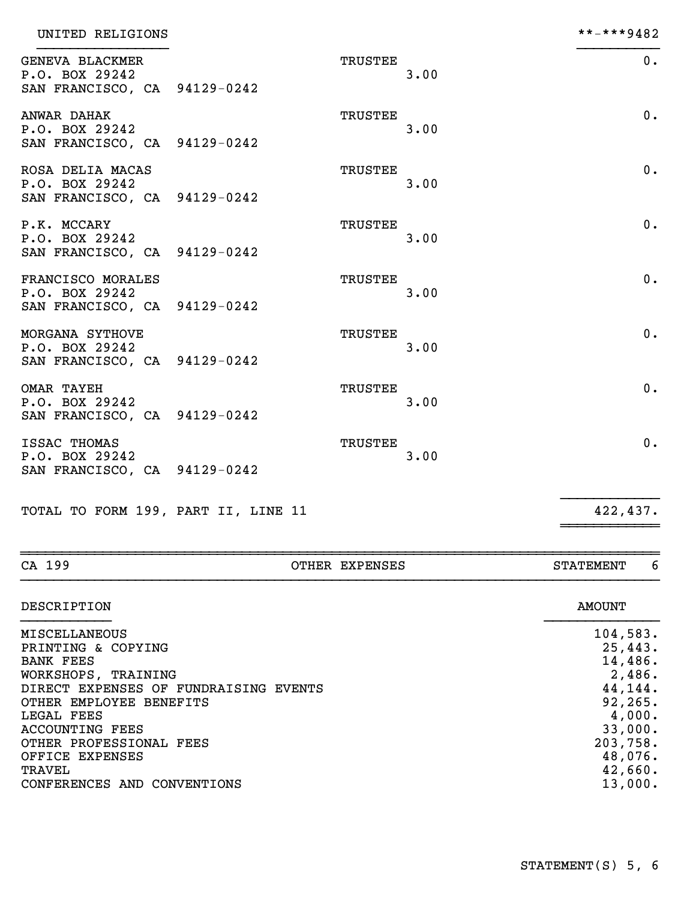| UNITED RELIGIONS                                                    |                        | **-***9482 |
|---------------------------------------------------------------------|------------------------|------------|
| GENEVA BLACKMER<br>P.O. BOX 29242<br>SAN FRANCISCO, CA 94129-0242   | <b>TRUSTEE</b><br>3.00 | $0$ .      |
| ANWAR DAHAK<br>P.O. BOX 29242<br>SAN FRANCISCO, CA 94129-0242       | <b>TRUSTEE</b><br>3.00 | 0.         |
| ROSA DELIA MACAS<br>P.O. BOX 29242<br>SAN FRANCISCO, CA 94129-0242  | <b>TRUSTEE</b><br>3.00 | 0.         |
| P.K. MCCARY<br>P.O. BOX 29242<br>SAN FRANCISCO, CA 94129-0242       | <b>TRUSTEE</b><br>3.00 | 0.         |
| FRANCISCO MORALES<br>P.O. BOX 29242<br>SAN FRANCISCO, CA 94129-0242 | <b>TRUSTEE</b><br>3.00 | $0$ .      |
| MORGANA SYTHOVE<br>P.O. BOX 29242<br>SAN FRANCISCO, CA 94129-0242   | <b>TRUSTEE</b><br>3.00 | 0.         |
| OMAR TAYEH<br>P.O. BOX 29242<br>SAN FRANCISCO, CA 94129-0242        | <b>TRUSTEE</b><br>3.00 | $0$ .      |
| ISSAC THOMAS<br>P.O. BOX 29242<br>SAN FRANCISCO, CA 94129-0242      | <b>TRUSTEE</b><br>3.00 | $0$ .      |
|                                                                     |                        |            |

~~~~~~~~~~~~~~~~~~~~~~~~~~~~~~~~~~~~~~~~~~~~~~~~~~~~~~~~~~~~~~~~~~~~~~~~~~~~~~ CA 199 COTHER EXPENSES STATEMENT 6 }}}}}}}}}}}}}}}}}}}}}}}}}}}}}}}}}}}}}}}}}}}}}}}}}}}}}}}}}}}}}}}}}}}}}}}}}}}}}} DESCRIPTION AMOUNT }}}}}}}}}}} }}}}}}}}}}}}}}

TOTAL TO FORM 199, PART II, LINE 11 422,437.

| <b>MISCELLANEOUS</b>                  | 104,583. |
|---------------------------------------|----------|
| PRINTING & COPYING                    | 25,443.  |
| <b>BANK FEES</b>                      | 14,486.  |
| WORKSHOPS, TRAINING                   | 2,486.   |
| DIRECT EXPENSES OF FUNDRAISING EVENTS | 44,144.  |
| OTHER EMPLOYEE BENEFITS               | 92, 265. |
| LEGAL FEES                            | 4,000.   |
| ACCOUNTING FEES                       | 33,000.  |
| OTHER PROFESSIONAL FEES               | 203,758. |
| OFFICE EXPENSES                       | 48,076.  |
| TRAVEL                                | 42,660.  |
| CONFERENCES AND CONVENTIONS           | 13,000.  |
|                                       |          |

~~~~~~~~~~~~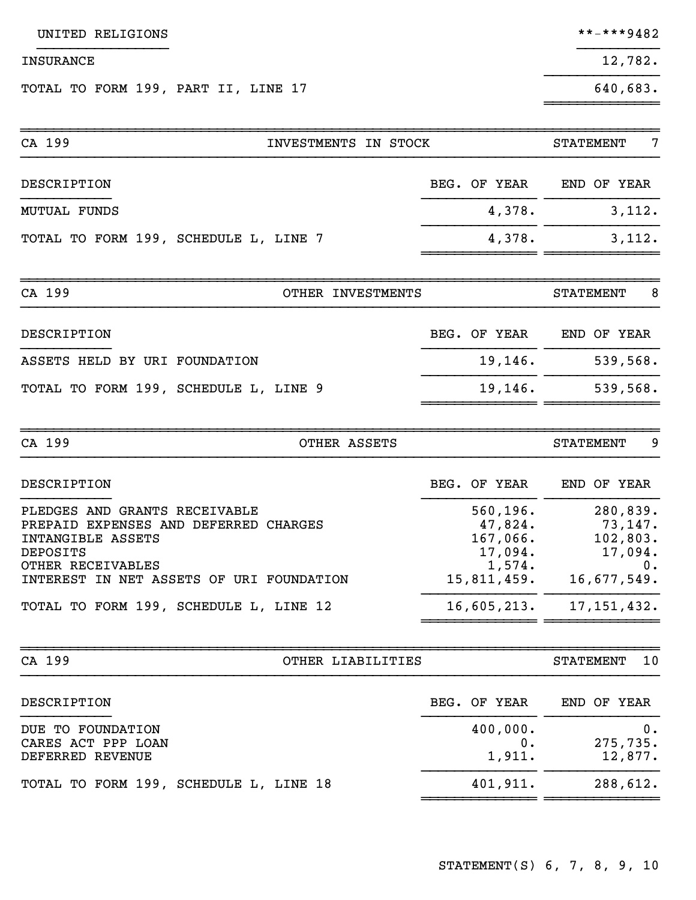| UNITED RELIGIONS                                                                           |                                                                                    |                                                      | **-***9482                                       |
|--------------------------------------------------------------------------------------------|------------------------------------------------------------------------------------|------------------------------------------------------|--------------------------------------------------|
| <b>INSURANCE</b>                                                                           |                                                                                    |                                                      | 12,782.                                          |
| TOTAL TO FORM 199, PART II, LINE 17                                                        |                                                                                    |                                                      | 640,683.                                         |
| CA 199                                                                                     | INVESTMENTS IN STOCK                                                               |                                                      | 7<br><b>STATEMENT</b>                            |
| DESCRIPTION                                                                                |                                                                                    | BEG. OF YEAR                                         | END OF YEAR                                      |
| <b>MUTUAL FUNDS</b>                                                                        |                                                                                    | 4,378.                                               | 3,112.                                           |
|                                                                                            | TOTAL TO FORM 199, SCHEDULE L, LINE 7                                              |                                                      | 4,378.<br>3,112.                                 |
| CA 199                                                                                     | OTHER INVESTMENTS                                                                  |                                                      | 8<br><b>STATEMENT</b>                            |
| DESCRIPTION                                                                                |                                                                                    | BEG. OF YEAR                                         | END OF YEAR                                      |
| ASSETS HELD BY URI FOUNDATION                                                              |                                                                                    | 19,146.                                              | 539,568.                                         |
| TOTAL TO FORM 199, SCHEDULE L, LINE 9                                                      |                                                                                    | 19,146.                                              | 539,568.                                         |
| CA 199                                                                                     | OTHER ASSETS                                                                       |                                                      | 9<br><b>STATEMENT</b>                            |
| DESCRIPTION                                                                                |                                                                                    | BEG. OF YEAR                                         | END OF YEAR                                      |
| PLEDGES AND GRANTS RECEIVABLE<br>INTANGIBLE ASSETS<br><b>DEPOSITS</b><br>OTHER RECEIVABLES | PREPAID EXPENSES AND DEFERRED CHARGES                                              | 560,196.<br>47,824.<br>167,066.<br>17,094.<br>1,574. | 280,839.<br>73,147.<br>102,803.<br>17,094.<br>0. |
|                                                                                            | INTEREST IN NET ASSETS OF URI FOUNDATION<br>TOTAL TO FORM 199, SCHEDULE L, LINE 12 | 15,811,459.                                          | 16,677,549.<br>16,605,213. 17,151,432.           |
|                                                                                            |                                                                                    |                                                      |                                                  |
| CA 199                                                                                     | OTHER LIABILITIES                                                                  |                                                      | 10<br><b>STATEMENT</b>                           |
| DESCRIPTION                                                                                |                                                                                    | BEG. OF YEAR                                         | END OF YEAR                                      |
| DUE TO FOUNDATION<br>CARES ACT PPP LOAN<br>DEFERRED REVENUE                                |                                                                                    | 400,000.<br>$0$ .<br>1,911.                          | 0.<br>275,735.<br>12,877.                        |
|                                                                                            | TOTAL TO FORM 199, SCHEDULE L, LINE 18                                             | 401,911.                                             | 288,612.                                         |
|                                                                                            |                                                                                    |                                                      |                                                  |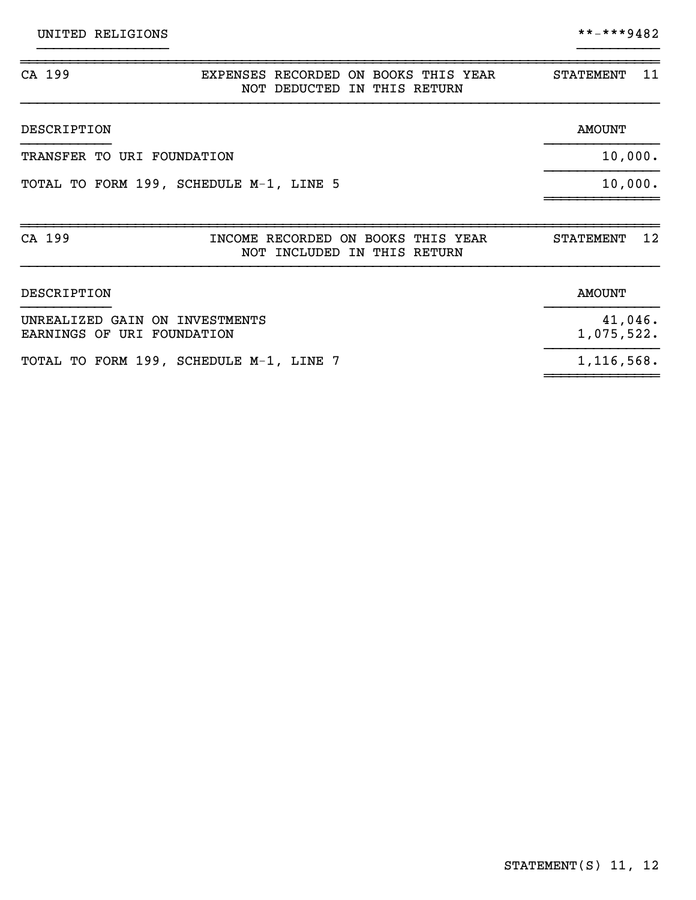~~~~~~~~~~~~~~

| CA 199                                                       | EXPENSES RECORDED ON BOOKS THIS YEAR<br>NOT DEDUCTED IN THIS RETURN | <b>STATEMENT</b>      | 11 |
|--------------------------------------------------------------|---------------------------------------------------------------------|-----------------------|----|
| DESCRIPTION                                                  |                                                                     | <b>AMOUNT</b>         |    |
| TRANSFER TO URI FOUNDATION                                   |                                                                     | 10,000.               |    |
|                                                              | TOTAL TO FORM 199, SCHEDULE M-1, LINE 5                             | 10,000.               |    |
| CA 199                                                       | INCOME RECORDED ON BOOKS THIS YEAR<br>NOT INCLUDED IN THIS RETURN   | <b>STATEMENT</b>      | 12 |
| DESCRIPTION                                                  |                                                                     | <b>AMOUNT</b>         |    |
| UNREALIZED GAIN ON INVESTMENTS<br>EARNINGS OF URI FOUNDATION |                                                                     | 41,046.<br>1,075,522. |    |
|                                                              | TOTAL TO FORM 199, SCHEDULE M-1, LINE 7                             | 1,116,568.            |    |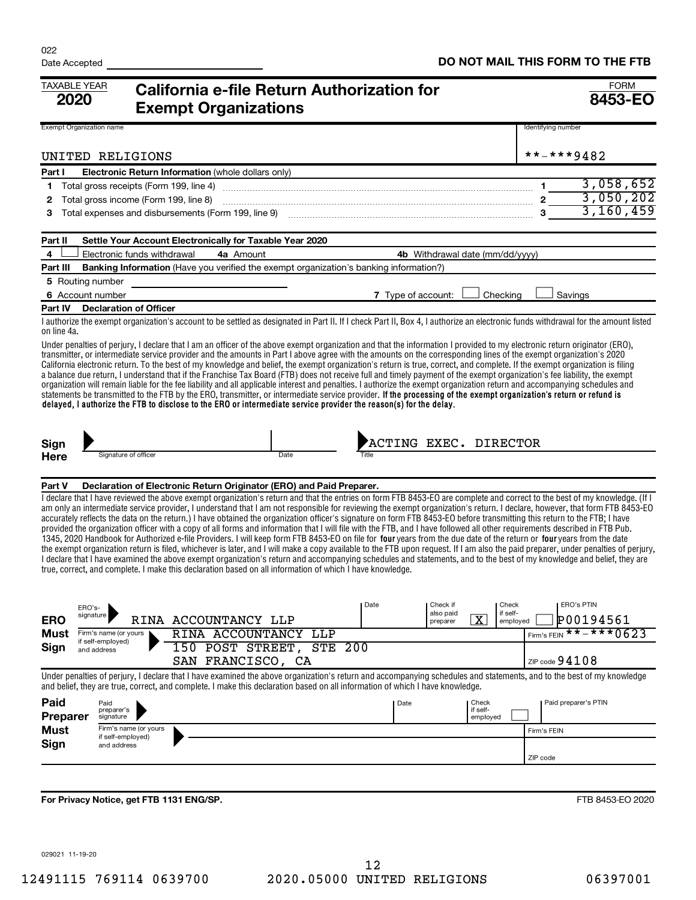| TAXABLE YEAR<br>2020            |                                          | <b>Exempt Organizations</b>                               | California e-file Return Authorization for                                                                                                                                                                                                                                                                                                                                                                                                                                                                                                                                                                                                                                                                                                                                                                                                                                                                                                                                                                                                                                                                                                                                                                                                                                                                                                                            |                       |                                 |                               |                      |                    | <b>FORM</b><br>8453-EO                      |
|---------------------------------|------------------------------------------|-----------------------------------------------------------|-----------------------------------------------------------------------------------------------------------------------------------------------------------------------------------------------------------------------------------------------------------------------------------------------------------------------------------------------------------------------------------------------------------------------------------------------------------------------------------------------------------------------------------------------------------------------------------------------------------------------------------------------------------------------------------------------------------------------------------------------------------------------------------------------------------------------------------------------------------------------------------------------------------------------------------------------------------------------------------------------------------------------------------------------------------------------------------------------------------------------------------------------------------------------------------------------------------------------------------------------------------------------------------------------------------------------------------------------------------------------|-----------------------|---------------------------------|-------------------------------|----------------------|--------------------|---------------------------------------------|
| <b>Exempt Organization name</b> |                                          |                                                           |                                                                                                                                                                                                                                                                                                                                                                                                                                                                                                                                                                                                                                                                                                                                                                                                                                                                                                                                                                                                                                                                                                                                                                                                                                                                                                                                                                       |                       |                                 |                               |                      | Identifying number |                                             |
|                                 | UNITED RELIGIONS                         |                                                           |                                                                                                                                                                                                                                                                                                                                                                                                                                                                                                                                                                                                                                                                                                                                                                                                                                                                                                                                                                                                                                                                                                                                                                                                                                                                                                                                                                       |                       |                                 |                               |                      | **-***9482         |                                             |
| Part I                          |                                          | <b>Electronic Return Information (whole dollars only)</b> |                                                                                                                                                                                                                                                                                                                                                                                                                                                                                                                                                                                                                                                                                                                                                                                                                                                                                                                                                                                                                                                                                                                                                                                                                                                                                                                                                                       |                       |                                 |                               |                      |                    |                                             |
| 1                               |                                          |                                                           |                                                                                                                                                                                                                                                                                                                                                                                                                                                                                                                                                                                                                                                                                                                                                                                                                                                                                                                                                                                                                                                                                                                                                                                                                                                                                                                                                                       |                       |                                 |                               |                      |                    | 3,058,652                                   |
| 2                               | Total gross income (Form 199, line 8)    |                                                           |                                                                                                                                                                                                                                                                                                                                                                                                                                                                                                                                                                                                                                                                                                                                                                                                                                                                                                                                                                                                                                                                                                                                                                                                                                                                                                                                                                       |                       |                                 |                               |                      |                    | $\frac{2}{3}$ $\frac{3,050,202}{3,160,459}$ |
| 3                               |                                          |                                                           |                                                                                                                                                                                                                                                                                                                                                                                                                                                                                                                                                                                                                                                                                                                                                                                                                                                                                                                                                                                                                                                                                                                                                                                                                                                                                                                                                                       |                       |                                 |                               |                      |                    |                                             |
| Part II                         |                                          | Settle Your Account Electronically for Taxable Year 2020  |                                                                                                                                                                                                                                                                                                                                                                                                                                                                                                                                                                                                                                                                                                                                                                                                                                                                                                                                                                                                                                                                                                                                                                                                                                                                                                                                                                       |                       |                                 |                               |                      |                    |                                             |
| 4                               | Electronic funds withdrawal              | 4a Amount                                                 |                                                                                                                                                                                                                                                                                                                                                                                                                                                                                                                                                                                                                                                                                                                                                                                                                                                                                                                                                                                                                                                                                                                                                                                                                                                                                                                                                                       |                       | 4b Withdrawal date (mm/dd/yyyy) |                               |                      |                    |                                             |
| Part III                        |                                          |                                                           | Banking Information (Have you verified the exempt organization's banking information?)                                                                                                                                                                                                                                                                                                                                                                                                                                                                                                                                                                                                                                                                                                                                                                                                                                                                                                                                                                                                                                                                                                                                                                                                                                                                                |                       |                                 |                               |                      |                    |                                             |
| 5 Routing number                |                                          |                                                           |                                                                                                                                                                                                                                                                                                                                                                                                                                                                                                                                                                                                                                                                                                                                                                                                                                                                                                                                                                                                                                                                                                                                                                                                                                                                                                                                                                       |                       |                                 |                               |                      |                    |                                             |
| 6 Account number                |                                          |                                                           |                                                                                                                                                                                                                                                                                                                                                                                                                                                                                                                                                                                                                                                                                                                                                                                                                                                                                                                                                                                                                                                                                                                                                                                                                                                                                                                                                                       | 7 Type of account:    |                                 |                               | Checking             |                    | Savings                                     |
| Part IV                         | <b>Declaration of Officer</b>            |                                                           |                                                                                                                                                                                                                                                                                                                                                                                                                                                                                                                                                                                                                                                                                                                                                                                                                                                                                                                                                                                                                                                                                                                                                                                                                                                                                                                                                                       |                       |                                 |                               |                      |                    |                                             |
| on line 4a.                     |                                          |                                                           | I authorize the exempt organization's account to be settled as designated in Part II. If I check Part II, Box 4, I authorize an electronic funds withdrawal for the amount listed                                                                                                                                                                                                                                                                                                                                                                                                                                                                                                                                                                                                                                                                                                                                                                                                                                                                                                                                                                                                                                                                                                                                                                                     |                       |                                 |                               |                      |                    |                                             |
|                                 |                                          |                                                           | California electronic return. To the best of my knowledge and belief, the exempt organization's return is true, correct, and complete. If the exempt organization is filing<br>a balance due return, I understand that if the Franchise Tax Board (FTB) does not receive full and timely payment of the exempt organization's fee liability, the exempt<br>organization will remain liable for the fee liability and all applicable interest and penalties. I authorize the exempt organization return and accompanying schedules and<br>statements be transmitted to the FTB by the ERO, transmitter, or intermediate service provider. If the processing of the exempt organization's return or refund is<br>delayed, I authorize the FTB to disclose to the ERO or intermediate service provider the reason(s) for the delay.                                                                                                                                                                                                                                                                                                                                                                                                                                                                                                                                      |                       |                                 |                               |                      |                    |                                             |
| Sign                            |                                          |                                                           |                                                                                                                                                                                                                                                                                                                                                                                                                                                                                                                                                                                                                                                                                                                                                                                                                                                                                                                                                                                                                                                                                                                                                                                                                                                                                                                                                                       | ACTING EXEC. DIRECTOR |                                 |                               |                      |                    |                                             |
| <b>Here</b>                     | Signature of officer                     |                                                           | Date                                                                                                                                                                                                                                                                                                                                                                                                                                                                                                                                                                                                                                                                                                                                                                                                                                                                                                                                                                                                                                                                                                                                                                                                                                                                                                                                                                  |                       |                                 |                               |                      |                    |                                             |
|                                 |                                          |                                                           |                                                                                                                                                                                                                                                                                                                                                                                                                                                                                                                                                                                                                                                                                                                                                                                                                                                                                                                                                                                                                                                                                                                                                                                                                                                                                                                                                                       |                       |                                 |                               |                      |                    |                                             |
| Part V                          |                                          |                                                           | Declaration of Electronic Return Originator (ERO) and Paid Preparer.                                                                                                                                                                                                                                                                                                                                                                                                                                                                                                                                                                                                                                                                                                                                                                                                                                                                                                                                                                                                                                                                                                                                                                                                                                                                                                  |                       |                                 |                               |                      |                    |                                             |
|                                 |                                          |                                                           | I declare that I have reviewed the above exempt organization's return and that the entries on form FTB 8453-EO are complete and correct to the best of my knowledge. (If I<br>am only an intermediate service provider, I understand that I am not responsible for reviewing the exempt organization's return. I declare, however, that form FTB 8453-EO<br>accurately reflects the data on the return.) I have obtained the organization officer's signature on form FTB 8453-EO before transmitting this return to the FTB; I have<br>provided the organization officer with a copy of all forms and information that I will file with the FTB, and I have followed all other requirements described in FTB Pub.<br>1345, 2020 Handbook for Authorized e-file Providers. I will keep form FTB 8453-EO on file for four years from the due date of the return or four years from the date<br>the exempt organization return is filed, whichever is later, and I will make a copy available to the FTB upon request. If I am also the paid preparer, under penalties of perjury,<br>I declare that I have examined the above exempt organization's return and accompanying schedules and statements, and to the best of my knowledge and belief, they are<br>true, correct, and complete. I make this declaration based on all information of which I have knowledge. |                       |                                 |                               |                      |                    |                                             |
| ERO's-                          |                                          |                                                           |                                                                                                                                                                                                                                                                                                                                                                                                                                                                                                                                                                                                                                                                                                                                                                                                                                                                                                                                                                                                                                                                                                                                                                                                                                                                                                                                                                       | Date                  | Check if                        |                               | Check                |                    | <b>ERO's PTIN</b>                           |
| ERO                             | signature                                | RINA ACCOUNTANCY LLP                                      |                                                                                                                                                                                                                                                                                                                                                                                                                                                                                                                                                                                                                                                                                                                                                                                                                                                                                                                                                                                                                                                                                                                                                                                                                                                                                                                                                                       |                       | also paid<br>preparer           | ΙX                            | if self-<br>employed |                    | P00194561                                   |
| Must                            | Firm's name (or yours                    | RINA ACCOUNTANCY LLP                                      |                                                                                                                                                                                                                                                                                                                                                                                                                                                                                                                                                                                                                                                                                                                                                                                                                                                                                                                                                                                                                                                                                                                                                                                                                                                                                                                                                                       |                       |                                 |                               |                      |                    | Firm's FEIN **-***0623                      |
| Sign                            | if self-employed)<br>and address         | SAN FRANCISCO, CA                                         | 150 POST STREET, STE 200                                                                                                                                                                                                                                                                                                                                                                                                                                                                                                                                                                                                                                                                                                                                                                                                                                                                                                                                                                                                                                                                                                                                                                                                                                                                                                                                              |                       |                                 |                               |                      | ZIP code $94108$   |                                             |
|                                 |                                          |                                                           | Under penalties of perjury, I declare that I have examined the above organization's return and accompanying schedules and statements, and to the best of my knowledge<br>and belief, they are true, correct, and complete. I make this declaration based on all information of which I have knowledge.                                                                                                                                                                                                                                                                                                                                                                                                                                                                                                                                                                                                                                                                                                                                                                                                                                                                                                                                                                                                                                                                |                       |                                 |                               |                      |                    |                                             |
|                                 |                                          |                                                           |                                                                                                                                                                                                                                                                                                                                                                                                                                                                                                                                                                                                                                                                                                                                                                                                                                                                                                                                                                                                                                                                                                                                                                                                                                                                                                                                                                       |                       |                                 |                               |                      |                    |                                             |
| Paid<br>Preparer                | Paid<br>preparer's<br>signature          |                                                           |                                                                                                                                                                                                                                                                                                                                                                                                                                                                                                                                                                                                                                                                                                                                                                                                                                                                                                                                                                                                                                                                                                                                                                                                                                                                                                                                                                       | Date                  |                                 | Check<br>if self-<br>employed |                      |                    | Paid preparer's PTIN                        |
| <b>Must</b>                     | Firm's name (or yours                    |                                                           |                                                                                                                                                                                                                                                                                                                                                                                                                                                                                                                                                                                                                                                                                                                                                                                                                                                                                                                                                                                                                                                                                                                                                                                                                                                                                                                                                                       |                       |                                 |                               |                      | Firm's FEIN        |                                             |
| Sign                            | if self-employed)<br>and address         |                                                           |                                                                                                                                                                                                                                                                                                                                                                                                                                                                                                                                                                                                                                                                                                                                                                                                                                                                                                                                                                                                                                                                                                                                                                                                                                                                                                                                                                       |                       |                                 |                               |                      |                    |                                             |
|                                 |                                          |                                                           |                                                                                                                                                                                                                                                                                                                                                                                                                                                                                                                                                                                                                                                                                                                                                                                                                                                                                                                                                                                                                                                                                                                                                                                                                                                                                                                                                                       |                       |                                 |                               |                      | ZIP code           |                                             |
|                                 |                                          |                                                           |                                                                                                                                                                                                                                                                                                                                                                                                                                                                                                                                                                                                                                                                                                                                                                                                                                                                                                                                                                                                                                                                                                                                                                                                                                                                                                                                                                       |                       |                                 |                               |                      |                    |                                             |
|                                 | For Privacy Notice, get FTB 1131 ENG/SP. |                                                           |                                                                                                                                                                                                                                                                                                                                                                                                                                                                                                                                                                                                                                                                                                                                                                                                                                                                                                                                                                                                                                                                                                                                                                                                                                                                                                                                                                       |                       |                                 |                               |                      |                    | FTB 8453-EO 2020                            |
|                                 |                                          |                                                           |                                                                                                                                                                                                                                                                                                                                                                                                                                                                                                                                                                                                                                                                                                                                                                                                                                                                                                                                                                                                                                                                                                                                                                                                                                                                                                                                                                       |                       |                                 |                               |                      |                    |                                             |
|                                 |                                          |                                                           |                                                                                                                                                                                                                                                                                                                                                                                                                                                                                                                                                                                                                                                                                                                                                                                                                                                                                                                                                                                                                                                                                                                                                                                                                                                                                                                                                                       |                       |                                 |                               |                      |                    |                                             |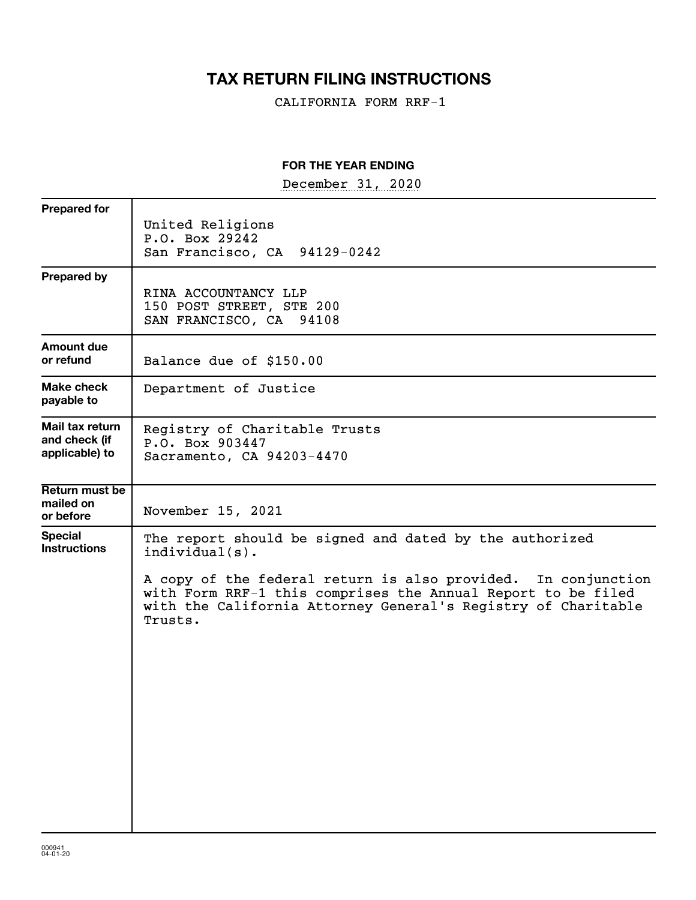# **TAX RETURN FILING INSTRUCTIONS**

CALIFORNIA FORM RRF-1

### **FOR THE YEAR ENDING**

December 31, 2020

| <b>Prepared for</b>                                | United Religions<br>P.O. Box 29242<br>San Francisco, CA 94129-0242                                                                                                                                                                                                                      |
|----------------------------------------------------|-----------------------------------------------------------------------------------------------------------------------------------------------------------------------------------------------------------------------------------------------------------------------------------------|
| <b>Prepared by</b>                                 | RINA ACCOUNTANCY LLP<br>150 POST STREET, STE 200<br>SAN FRANCISCO, CA 94108                                                                                                                                                                                                             |
| Amount due<br>or refund                            | Balance due of \$150.00                                                                                                                                                                                                                                                                 |
| Make check<br>payable to                           | Department of Justice                                                                                                                                                                                                                                                                   |
| Mail tax return<br>and check (if<br>applicable) to | Registry of Charitable Trusts<br>P.O. Box 903447<br>Sacramento, CA 94203-4470                                                                                                                                                                                                           |
| Return must be<br>mailed on<br>or before           | November 15, 2021                                                                                                                                                                                                                                                                       |
| <b>Special</b><br><b>Instructions</b>              | The report should be signed and dated by the authorized<br>$indivial(s)$ .<br>A copy of the federal return is also provided. In conjunction<br>with Form RRF-1 this comprises the Annual Report to be filed<br>with the California Attorney General's Registry of Charitable<br>Trusts. |